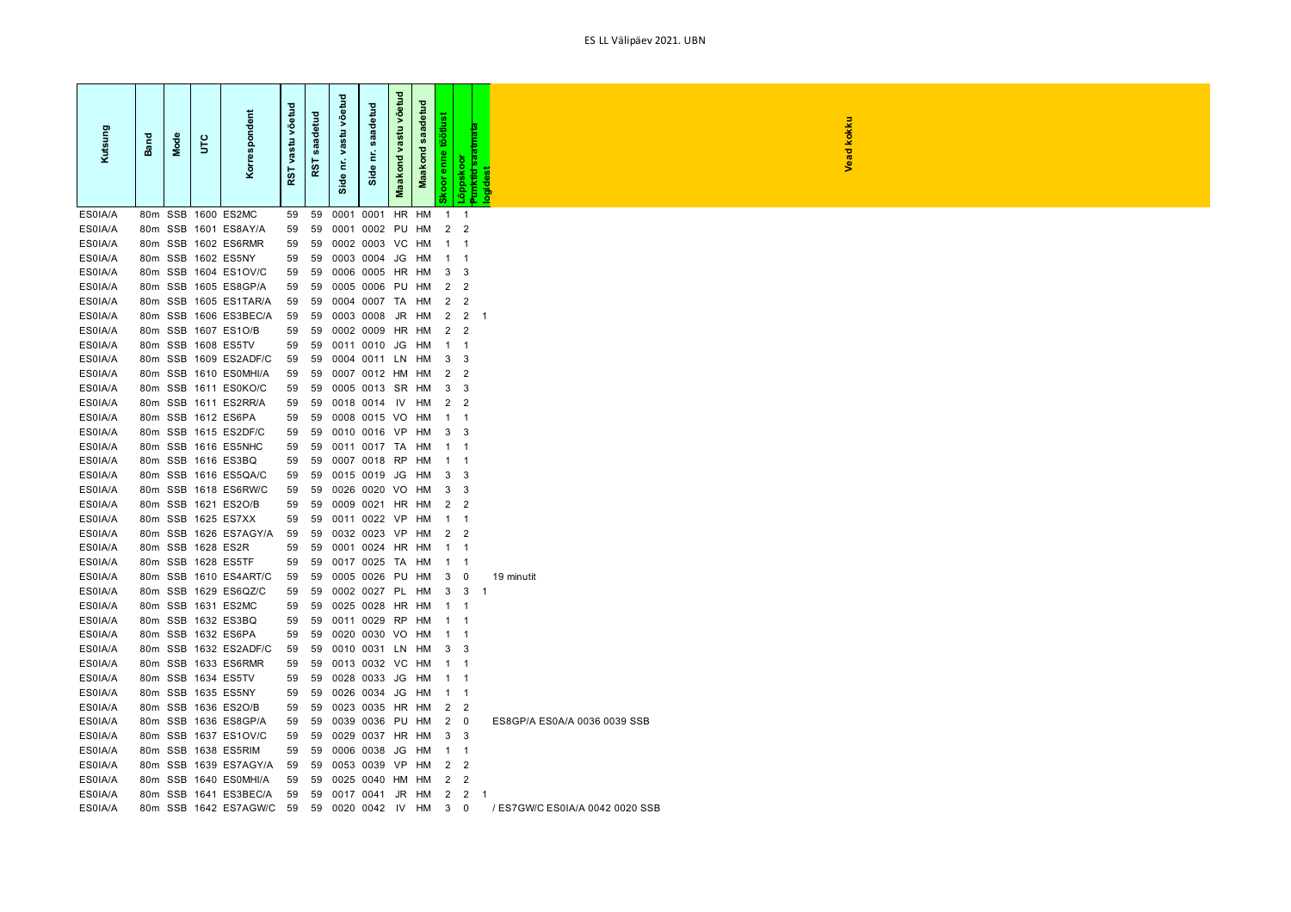| Kutsung            | Band | Mode | ں<br>5            | Korrespondent                                | võer<br>$\sin$<br>ğ<br>RST | $\overline{a}$<br>흥<br>ā<br>$\boldsymbol{\omega}$<br>RST | võetud<br>vastu<br>É<br>Side | saadetud<br>έ<br>ide<br>ö, | võetud<br>vastu<br>Maakond | saadetud<br>Maakond | töötlust<br>enne<br><b>b</b> | <del>Punktid saa</del><br>logidest<br>Lõppskoor |    | Vead kokku                   |
|--------------------|------|------|-------------------|----------------------------------------------|----------------------------|----------------------------------------------------------|------------------------------|----------------------------|----------------------------|---------------------|------------------------------|-------------------------------------------------|----|------------------------------|
| ES0IA/A            |      |      |                   | 80m SSB 1600 ES2MC                           | 59                         | 59                                                       | 0001                         | 0001                       | HR                         | HM                  | $\mathbf{1}$                 | $\mathbf{1}$                                    |    |                              |
| ES0IA/A            |      |      |                   | 80m SSB 1601 ES8AY/A                         | 59                         | 59                                                       |                              | 0001 0002 PU HM            |                            |                     | 2 <sub>2</sub>               |                                                 |    |                              |
| ES0IA/A            |      |      |                   | 80m SSB 1602 ES6RMR                          | 59                         | 59                                                       |                              | 0002 0003 VC               |                            | нм                  | $\mathbf{1}$                 | $\mathbf 1$                                     |    |                              |
| ES0IA/A            |      |      |                   | 80m SSB 1602 ES5NY                           | 59                         | 59                                                       |                              | 0003 0004 JG               |                            | HM                  | $\overline{1}$               | $\overline{1}$                                  |    |                              |
| ES0IA/A            |      |      |                   | 80m SSB 1604 ES1OV/C                         | 59                         | 59                                                       |                              | 0006 0005 HR               |                            | HM                  | 3                            | 3                                               |    |                              |
| ES0IA/A            |      |      |                   | 80m SSB 1605 ES8GP/A                         | 59                         | 59                                                       |                              | 0005 0006                  | PU                         | HM                  | 2                            | $\overline{2}$                                  |    |                              |
| ES0IA/A            |      |      |                   | 80m SSB 1605 ES1TAR/A                        | 59                         | 59                                                       |                              | 0004 0007 TA               |                            | HМ                  | 2                            | $\overline{\mathbf{c}}$                         |    |                              |
| ES0IA/A            |      |      |                   | 80m SSB 1606 ES3BEC/A                        | 59                         | 59                                                       |                              | 0003 0008                  | JR                         | HМ                  | $\overline{c}$               | $\overline{2}$                                  |    |                              |
| ES0IA/A            |      |      |                   | 80m SSB 1607 ES1O/B                          | 59                         | 59                                                       |                              | 0002 0009 HR               |                            | HМ                  | 2                            | $\overline{2}$                                  |    |                              |
| ES0IA/A            |      |      |                   | 80m SSB 1608 ES5TV                           | 59                         | 59                                                       |                              | 0011 0010                  | JG                         | HM                  | $\mathbf 1$                  | $\overline{1}$                                  |    |                              |
| ES0IA/A            |      |      |                   | 80m SSB 1609 ES2ADF/C                        | 59                         | 59                                                       |                              | 0004 0011 LN               |                            | HM                  | 3                            | 3                                               |    |                              |
| ES0IA/A            |      |      |                   | 80m SSB 1610 ES0MHI/A                        | 59                         | 59                                                       |                              | 0007 0012 HM               |                            | HM                  | $\overline{2}$               | $\overline{2}$                                  |    |                              |
| ES0IA/A            |      |      |                   | 80m SSB 1611 ES0KO/C                         | 59                         | 59                                                       |                              | 0005 0013 SR HM            |                            |                     | 3                            | 3                                               |    |                              |
| ES0IA/A            |      |      |                   | 80m SSB 1611 ES2RR/A                         | 59                         | 59                                                       |                              | 0018 0014                  | - IV                       | HM                  | $\overline{2}$               | $\overline{2}$                                  |    |                              |
| ES0IA/A            |      |      |                   | 80m SSB 1612 ES6PA                           | 59                         | 59                                                       |                              | 0008 0015 VO               |                            | HМ                  | $\mathbf{1}$                 | -1                                              |    |                              |
| ES0IA/A            |      |      |                   | 80m SSB 1615 ES2DF/C                         | 59                         | 59                                                       |                              | 0010 0016 VP               |                            | HM                  | 3                            | 3                                               |    |                              |
| ES0IA/A            |      |      |                   | 80m SSB 1616 ES5NHC                          | 59                         | 59                                                       |                              | 0011 0017 TA               |                            | HM                  | $\mathbf{1}$                 | -1                                              |    |                              |
| ES0IA/A<br>ES0IA/A |      |      |                   | 80m SSB 1616 ES3BQ                           | 59                         | 59                                                       |                              | 0007 0018 RP               |                            | HM                  | $\mathbf 1$                  | $\overline{1}$                                  |    |                              |
| ES0IA/A            |      |      |                   | 80m SSB 1616 ES5QA/C<br>80m SSB 1618 ES6RW/C | 59                         | 59                                                       |                              | 0015 0019                  | JG                         | HM                  | 3                            | 3                                               |    |                              |
| ES0IA/A            |      |      |                   | 80m SSB 1621 ES2O/B                          | 59<br>59                   | 59<br>59                                                 |                              | 0026 0020<br>0009 0021 HR  | VO                         | HМ<br>HМ            | 3<br>2                       | 3<br>$\overline{2}$                             |    |                              |
| ES0IA/A            |      |      |                   | 80m SSB 1625 ES7XX                           | 59                         | 59                                                       |                              | 0011 0022 VP               |                            | HМ                  | $\mathbf{1}$                 | $\mathbf{1}$                                    |    |                              |
| ES0IA/A            |      |      |                   | 80m SSB 1626 ES7AGY/A                        | 59                         | 59                                                       |                              | 0032 0023 VP               |                            | HM                  | 2                            | $\overline{2}$                                  |    |                              |
| ES0IA/A            |      |      | 80m SSB 1628 ES2R |                                              | 59                         | 59                                                       |                              | 0001 0024 HR               |                            | HM                  | $\overline{1}$               | $\overline{1}$                                  |    |                              |
| ES0IA/A            |      |      |                   | 80m SSB 1628 ES5TF                           | 59                         | 59                                                       |                              | 0017 0025 TA               |                            | HM                  | $\overline{1}$               | -1                                              |    |                              |
| ES0IA/A            |      |      |                   | 80m SSB 1610 ES4ART/C                        | 59                         | 59                                                       |                              | 0005 0026                  | PU                         | HM                  | 3                            | 0                                               |    | 19 minutit                   |
| ES0IA/A            |      |      |                   | 80m SSB 1629 ES6QZ/C                         | 59                         | 59                                                       |                              | 0002 0027 PL               |                            | HМ                  | 3                            | 3                                               | -1 |                              |
| ES0IA/A            |      |      |                   | 80m SSB 1631 ES2MC                           | 59                         | 59                                                       |                              | 0025 0028 HR               |                            | HM                  | $\overline{1}$               | -1                                              |    |                              |
| ES0IA/A            |      |      |                   | 80m SSB 1632 ES3BQ                           | 59                         | 59                                                       |                              | 0011 0029 RP               |                            | HM                  | $\mathbf{1}$                 | -1                                              |    |                              |
| ES0IA/A            |      |      |                   | 80m SSB 1632 ES6PA                           | 59                         | 59                                                       |                              | 0020 0030                  | VO                         | HM                  | -1                           | -1                                              |    |                              |
| ES0IA/A            |      |      |                   | 80m SSB 1632 ES2ADF/C                        | 59                         | 59                                                       |                              | 0010 0031 LN               |                            | HМ                  | 3                            | 3                                               |    |                              |
| ES0IA/A            |      |      |                   | 80m SSB 1633 ES6RMR                          | 59                         | 59                                                       |                              | 0013 0032 VC               |                            | HМ                  | $\mathbf{1}$                 | -1                                              |    |                              |
| ES0IA/A            |      |      |                   | 80m SSB 1634 ES5TV                           | 59                         | 59                                                       |                              | 0028 0033                  | JG                         | HM                  | $\overline{1}$               | $\overline{1}$                                  |    |                              |
| ES0IA/A            |      |      |                   | 80m SSB 1635 ES5NY                           | 59                         | 59                                                       |                              | 0026 0034                  | JG                         | HM                  | $\overline{\mathbf{1}}$      | $\overline{1}$                                  |    |                              |
| ES0IA/A            |      |      |                   | 80m SSB 1636 ES2O/B                          | 59                         | 59                                                       |                              | 0023 0035 HR               |                            | HМ                  | 2                            | $\overline{c}$                                  |    |                              |
| ES0IA/A            |      |      |                   | 80m SSB 1636 ES8GP/A                         | 59                         | 59                                                       |                              | 0039 0036 PU               |                            | HM                  | $\overline{2}$               | $\overline{\mathbf{0}}$                         |    | ES8GP/A ES0A/A 0036 0039 SSB |
| ES0IA/A            |      |      |                   | 80m SSB 1637 ES1OV/C                         | 59                         | 59                                                       |                              | 0029 0037 HR               |                            | HM                  | 3                            | -3                                              |    |                              |
| ES0IA/A            |      |      |                   | 80m SSB 1638 ES5RIM                          | 59                         | 59                                                       |                              | 0006 0038                  | JG                         | HМ                  | -1                           | $\mathbf{1}$                                    |    |                              |
| ES0IA/A            |      |      |                   | 80m SSB 1639 ES7AGY/A                        | 59                         | 59                                                       |                              | 0053 0039                  | <b>VP</b>                  | HM                  | 2                            | $\overline{2}$                                  |    |                              |
| ES0IA/A            |      |      |                   | 80m SSB 1640 ES0MHI/A                        | 59                         | 59                                                       |                              | 0025 0040 HM               |                            | HM                  | $\overline{2}$               | $\overline{2}$                                  |    |                              |
| ES0IA/A            |      |      |                   | 80m SSB 1641 ES3BEC/A                        | 59                         | 59                                                       |                              | 0017 0041                  | JR                         | HM                  | 2                            | 2                                               | -1 |                              |

ES0IA/A 80m SSB 1642 ES7AGW/C 59 59 0020 0042 IV HM 3 0 / ES7GW/C ES0IA/A 0042 0020 SSB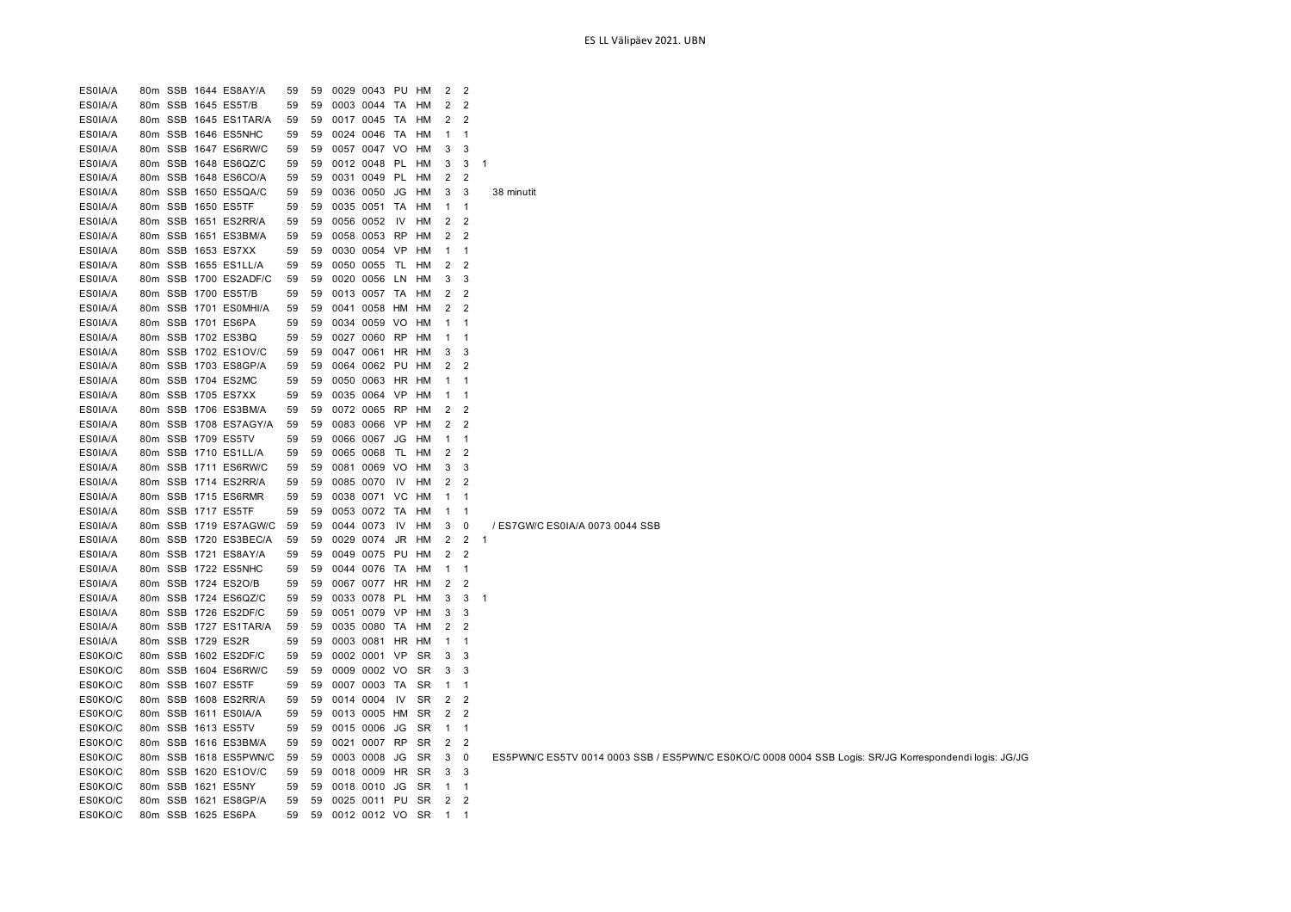| ES0IA/A            | 80m | SSB 1644 ES8AY/A      | 59       | 59       | 0029 0043 PU              |            | HM        | 2              | $\overline{2}$           |                                                                                                        |
|--------------------|-----|-----------------------|----------|----------|---------------------------|------------|-----------|----------------|--------------------------|--------------------------------------------------------------------------------------------------------|
| ES0IA/A            |     | 80m SSB 1645 ES5T/B   | 59       | 59       | 0003 0044 TA              |            | HM        | 2              | $\overline{2}$           |                                                                                                        |
| ES0IA/A            | 80m | SSB 1645 ES1TAR/A     | 59       | 59       | 0017 0045                 | TA         | HM        | 2              | $\overline{2}$           |                                                                                                        |
| ES0IA/A            | 80m | SSB 1646 ES5NHC       | 59       | 59       | 0024 0046 TA              |            | HM        | $\mathbf{1}$   | $\overline{\mathbf{1}}$  |                                                                                                        |
| ES0IA/A            |     | 80m SSB 1647 ES6RW/C  | 59       | 59       | 0057 0047 VO              |            | HM        | 3              | 3                        |                                                                                                        |
| ES0IA/A            | 80m | SSB 1648 ES6QZ/C      | 59       | 59       | 0012 0048 PL              |            | HM        | 3              | 3                        |                                                                                                        |
| ES0IA/A            | 80m | SSB 1648 ES6CO/A      | 59       | 59       | 0031 0049 PL              |            | HM        | 2              | $\overline{2}$           |                                                                                                        |
| ES0IA/A            | 80m | SSB 1650 ES5QA/C      | 59       | 59       | 0036 0050                 | JG         | HM        | 3              | 3                        | 38 minutit                                                                                             |
| ES0IA/A            |     | 80m SSB 1650 ES5TF    | 59       | 59       | 0035 0051 TA              |            | HM        | $1 \quad 1$    |                          |                                                                                                        |
| ES0IA/A            | 80m | SSB 1651 ES2RR/A      | 59       | 59       | 0056 0052                 | IV         | HM        |                | $2 \quad 2$              |                                                                                                        |
| ES0IA/A            |     | 80m SSB 1651 ES3BM/A  | 59       | 59       | 0058 0053 RP              |            | нм        |                | 2 <sub>2</sub>           |                                                                                                        |
| ES0IA/A            |     | 80m SSB 1653 ES7XX    | 59       | 59       | 0030 0054 VP              |            | HM        | $\mathbf{1}$   | $\overline{1}$           |                                                                                                        |
| ES0IA/A            |     | 80m SSB 1655 ES1LL/A  | 59       | 59       | 0050 0055 TL              |            | HM        |                | 2 <sub>2</sub>           |                                                                                                        |
| ES0IA/A            | 80m | SSB 1700 ES2ADF/C     | 59       | 59       | 0020                      | 0056<br>LN | HМ        | 3              | 3                        |                                                                                                        |
| ES0IA/A            | 80m | SSB 1700 ES5T/B       | 59       | 59       | 0013 0057 TA              |            | HM        | 2              | $\overline{2}$           |                                                                                                        |
| ES0IA/A            | 80m | SSB 1701 ES0MHI/A     | 59       | 59       | 0041                      | 0058 HM    | HM        | 2              | 2                        |                                                                                                        |
| ES0IA/A            | 80m | SSB 1701 ES6PA        | 59       | 59       | 0034 0059 VO              |            | HM        | $\mathbf{1}$   | $\overline{1}$           |                                                                                                        |
| ES0IA/A            | 80m | SSB 1702 ES3BQ        | 59       | 59       | 0027 0060                 | <b>RP</b>  | HM        | 1              | $\overline{1}$           |                                                                                                        |
| ES0IA/A            | 80m | SSB 1702 ES1OV/C      | 59       | 59       | 0047 0061 HR HM           |            |           | 3              | $\mathbf{3}$             |                                                                                                        |
| ES0IA/A            | 80m | SSB 1703 ES8GP/A      | 59       | 59       | 0064 0062 PU              |            | HM        | 2              | $\overline{2}$           |                                                                                                        |
| ES0IA/A            | 80m | SSB 1704 ES2MC        | 59       | 59       | 0050 0063 HR              |            | HM        | $\mathbf{1}$   | $\overline{\phantom{1}}$ |                                                                                                        |
| ES0IA/A            | 80m | SSB 1705 ES7XX        | 59       | 59       | 0035 0064                 | VP         | HM        | -1             | - 1                      |                                                                                                        |
| ES0IA/A            |     | 80m SSB 1706 ES3BM/A  | 59       | 59       | 0072 0065 RP              |            | HM        | 2              | $\overline{2}$           |                                                                                                        |
| ES0IA/A            | 80m | SSB 1708 ES7AGY/A     | 59       | 59       | 0083 0066 VP              |            | HM        | $\overline{2}$ | $\overline{2}$           |                                                                                                        |
| ES0IA/A            |     | 80m SSB 1709 ES5TV    | 59       | 59       | 0066 0067                 | JG         | HM        | $\mathbf{1}$   | - 1                      |                                                                                                        |
| ES0IA/A            |     | 80m SSB 1710 ES1LL/A  | 59       | 59       | 0065 0068                 |            | TL HM     |                | $2 \quad 2$              |                                                                                                        |
| ES0IA/A            |     | 80m SSB 1711 ES6RW/C  | 59       | 59       | 0081 0069 VO              |            | HM        | 3              | 3                        |                                                                                                        |
| ES0IA/A            |     | 80m SSB 1714 ES2RR/A  | 59       | 59       | 0085 0070                 | IV         | HM        |                | 2 <sub>2</sub>           |                                                                                                        |
| ES0IA/A            |     | 80m SSB 1715 ES6RMR   | 59       | 59       | 0038 0071 VC              |            | HM        | $\mathbf{1}$   | - 1                      |                                                                                                        |
|                    |     | 80m SSB 1717 ES5TF    |          |          |                           |            |           |                |                          |                                                                                                        |
| ES0IA/A<br>ES0IA/A |     | 80m SSB 1719 ES7AGW/C | 59<br>59 | 59<br>59 | 0053 0072 TA<br>0044 0073 |            | HM<br>HM  | $\mathbf{1}$   | $\overline{\phantom{1}}$ | / ES7GW/C ES0IA/A 0073 0044 SSB                                                                        |
|                    |     |                       |          |          |                           | IV         |           | 3              | $\mathbf 0$              |                                                                                                        |
| ES0IA/A            | 80m | SSB 1720 ES3BEC/A     | 59       | 59       | 0029 0074                 | JR         | HM        | 2              | $\overline{2}$           | -1                                                                                                     |
| ES0IA/A            | 80m | SSB 1721 ES8AY/A      | 59       | 59       | 0049                      | 0075<br>PU | HМ        | 2              | 2                        |                                                                                                        |
| ES0IA/A            |     | 80m SSB 1722 ES5NHC   | 59       | 59       | 0044 0076 TA              |            | HM        | $\mathbf{1}$   | $\overline{1}$           |                                                                                                        |
| ES0IA/A            | 80m | SSB 1724 ES2O/B       | 59       | 59       | 0067 0077 HR              |            | HM        | 2              | $\overline{2}$           |                                                                                                        |
| ES0IA/A            | 80m | SSB 1724 ES6QZ/C      | 59       | 59       | 0033 0078 PL              |            | HМ        | 3              | 3                        | -1                                                                                                     |
| ES0IA/A            | 80m | SSB 1726 ES2DF/C      | 59       | 59       | 0051 0079                 | VP         | HM        | 3              | 3                        |                                                                                                        |
| ES0IA/A            |     | 80m SSB 1727 ES1TAR/A | 59       | 59       | 0035 0080 TA              |            | HМ        | $\overline{2}$ | $\overline{\mathbf{2}}$  |                                                                                                        |
| ES0IA/A            | 80m | SSB 1729 ES2R         | 59       | 59       | 0003 0081 HR              |            | HM        | $\mathbf{1}$   | $\overline{\mathbf{1}}$  |                                                                                                        |
| ES0KO/C            | 80m | SSB 1602 ES2DF/C      | 59       | 59       | 0002 0001 VP              |            | <b>SR</b> | 3              | 3                        |                                                                                                        |
| ES0KO/C            | 80m | SSB 1604 ES6RW/C      | 59       | 59       | 0009 0002 VO              |            | SR        | 3              | $\overline{3}$           |                                                                                                        |
| ES0KO/C            |     | 80m SSB 1607 ES5TF    | 59       | 59       | 0007 0003 TA              |            | SR        | $\mathbf{1}$   | $\overline{\phantom{1}}$ |                                                                                                        |
| ES0KO/C            |     | 80m SSB 1608 ES2RR/A  | 59       | 59       | 0014 0004                 | IV         | SR        |                | $2 \quad 2$              |                                                                                                        |
| ES0KO/C            |     | 80m SSB 1611 ES0IA/A  | 59       | 59       | 0013 0005 HM              |            | <b>SR</b> | $\overline{2}$ | $\overline{2}$           |                                                                                                        |
| ES0KO/C            |     | 80m SSB 1613 ES5TV    | 59       | 59       | 0015 0006                 | JG         | SR        | $\mathbf{1}$   | $\overline{1}$           |                                                                                                        |
| ES0KO/C            |     | 80m SSB 1616 ES3BM/A  | 59       | 59       | 0021 0007 RP              |            | <b>SR</b> | $\overline{2}$ | $\overline{2}$           |                                                                                                        |
| ES0KO/C            |     | 80m SSB 1618 ES5PWN/C | 59       | 59       | 0003 0008                 |            | JG SR     | 3              | $\overline{\mathbf{0}}$  | ES5PWN/C ES5TV 0014 0003 SSB / ES5PWN/C ES0KO/C 0008 0004 SSB Logis: SR/JG Korrespondendi logis: JG/JG |
| ES0KO/C            |     | 80m SSB 1620 ES1OV/C  | 59       | 59       | 0018 0009                 | HR         | SR        | 3              | $\mathbf{3}$             |                                                                                                        |
| ES0KO/C            |     | 80m SSB 1621 ES5NY    | 59       | 59       | 0018 0010                 | JG         | SR        | $1 \quad 1$    |                          |                                                                                                        |
| ES0KO/C            |     | 80m SSB 1621 ES8GP/A  | 59       | 59       | 0025 0011 PU              |            | SR        | $\overline{2}$ | $\overline{\mathbf{2}}$  |                                                                                                        |
| ES0KO/C            |     | 80m SSB 1625 ES6PA    | 59       | 59       | 0012 0012 VO              |            | <b>SR</b> | $\mathbf{1}$   | -1                       |                                                                                                        |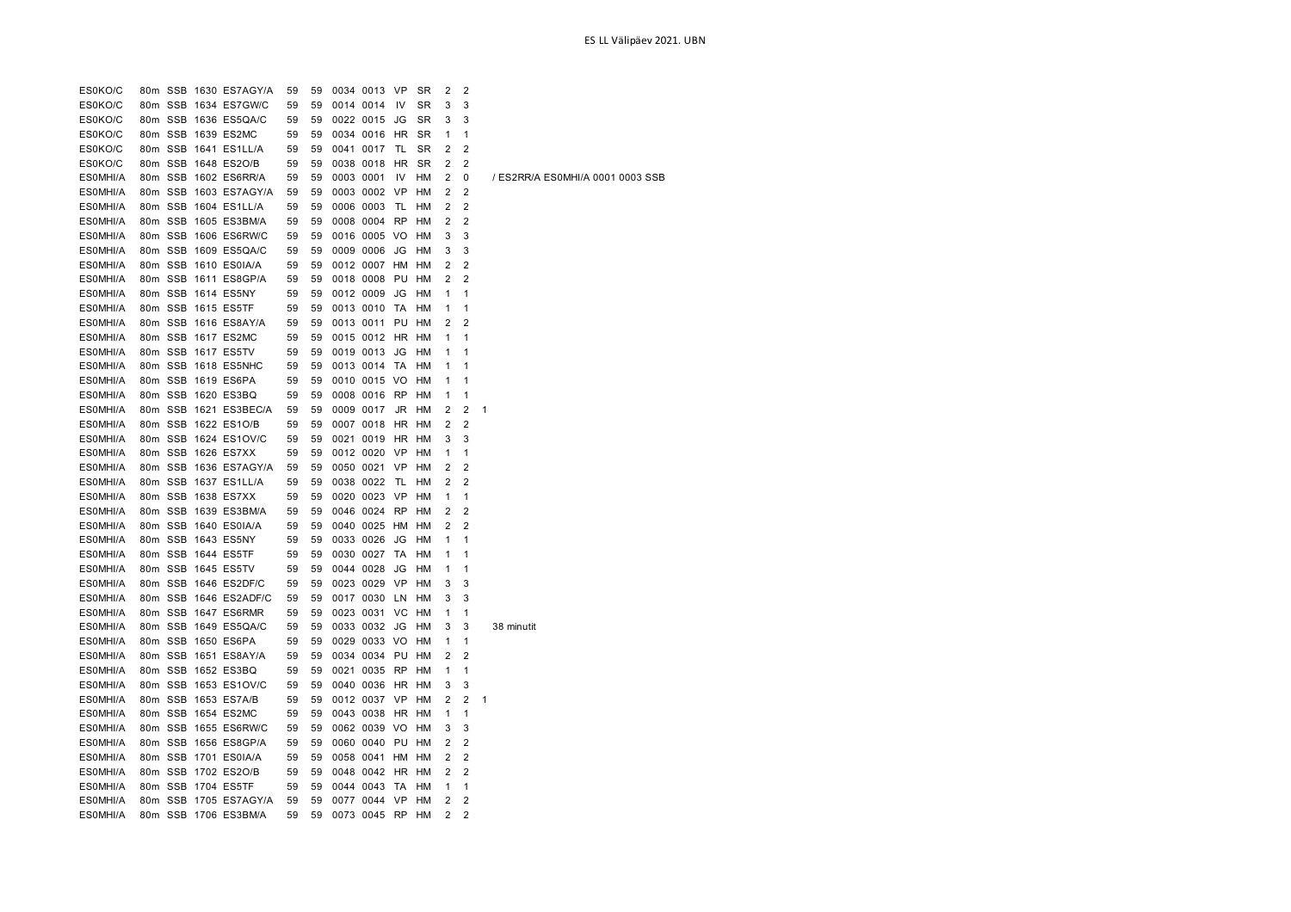| ES0KO/C              |  | 80m SSB 1630 ES7AGY/A | 59 | 59 |           | 0034 0013 VP |           | <b>SR</b>       | $\overline{2}$ | $\overline{2}$ |                                  |
|----------------------|--|-----------------------|----|----|-----------|--------------|-----------|-----------------|----------------|----------------|----------------------------------|
| ES0KO/C              |  | 80m SSB 1634 ES7GW/C  | 59 | 59 |           | 0014 0014    | IV        | SR              | 3              | 3              |                                  |
| ES0KO/C              |  | 80m SSB 1636 ES5QA/C  | 59 | 59 |           | 0022 0015    | JG        | <b>SR</b>       | 3              | 3              |                                  |
| ES0KO/C              |  | 80m SSB 1639 ES2MC    | 59 | 59 |           | 0034 0016    | HR        | SR              | 1              | $\mathbf{1}$   |                                  |
| ES0KO/C              |  | 80m SSB 1641 ES1LL/A  | 59 | 59 |           | 0041 0017    | TL        | SR              | 2              | $\overline{2}$ |                                  |
| ES0KO/C              |  | 80m SSB 1648 ES2O/B   | 59 | 59 |           | 0038 0018    | HR        | SR              | 2              | 2              |                                  |
| ES0MHI/A             |  | 80m SSB 1602 ES6RR/A  | 59 | 59 | 0003 0001 |              | IV        | <b>HM</b>       | 2              | 0              | / ES2RR/A ES0MHI/A 0001 0003 SSB |
| ES0MHI/A             |  | 80m SSB 1603 ES7AGY/A | 59 | 59 |           | 0003 0002    | <b>VP</b> | <b>HM</b>       | 2              | $\overline{2}$ |                                  |
| ES0MHI/A             |  | 80m SSB 1604 ES1LL/A  | 59 | 59 |           | 0006 0003    | TL        | HM              | 2              | $\overline{2}$ |                                  |
| ES0MHI/A             |  | 80m SSB 1605 ES3BM/A  | 59 | 59 |           | 0008 0004    | <b>RP</b> | HM              | 2              | $\overline{2}$ |                                  |
| ES0MHI/A             |  | 80m SSB 1606 ES6RW/C  | 59 | 59 |           | 0016 0005 VO |           | HM              | 3              | 3              |                                  |
| ES0MHI/A             |  | 80m SSB 1609 ES5QA/C  | 59 | 59 |           | 0009 0006    | JG        | HM              | 3              | 3              |                                  |
| ES0MHI/A             |  | 80m SSB 1610 ES0IA/A  | 59 | 59 |           | 0012 0007 HM |           | HM              | 2              | 2              |                                  |
| ES0MHI/A             |  | 80m SSB 1611 ES8GP/A  | 59 | 59 |           | 0018 0008 PU |           | <b>HM</b>       | 2              | $\overline{2}$ |                                  |
|                      |  | 80m SSB 1614 ES5NY    | 59 | 59 |           |              | JG        |                 | 1              | $\mathbf{1}$   |                                  |
| ES0MHI/A<br>ES0MHI/A |  |                       |    | 59 |           | 0012 0009    | TA        | HM<br><b>HM</b> | 1              | $\mathbf{1}$   |                                  |
|                      |  | 80m SSB 1615 ES5TF    | 59 |    |           | 0013 0010    |           |                 |                |                |                                  |
| ES0MHI/A             |  | 80m SSB 1616 ES8AY/A  | 59 | 59 |           | 0013 0011    | PU        | HM              | 2              | $\overline{2}$ |                                  |
| ES0MHI/A             |  | 80m SSB 1617 ES2MC    | 59 | 59 |           | 0015 0012    | HR        | HM              | 1              | 1              |                                  |
| ES0MHI/A             |  | 80m SSB 1617 ES5TV    | 59 | 59 |           | 0019 0013    | JG        | HM              | 1              | 1              |                                  |
| ES0MHI/A             |  | 80m SSB 1618 ES5NHC   | 59 | 59 |           | 0013 0014    | TA        | HM              | 1              | 1              |                                  |
| ES0MHI/A             |  | 80m SSB 1619 ES6PA    | 59 | 59 |           | 0010 0015 VO |           | <b>HM</b>       | 1              | $\mathbf{1}$   |                                  |
| ES0MHI/A             |  | 80m SSB 1620 ES3BQ    | 59 | 59 |           | 0008 0016    | <b>RP</b> | <b>HM</b>       | 1              | $\mathbf{1}$   |                                  |
| ES0MHI/A             |  | 80m SSB 1621 ES3BEC/A | 59 | 59 |           | 0009 0017    | JR        | HM              | 2              | 2              | 1                                |
| ES0MHI/A             |  | 80m SSB 1622 ES1O/B   | 59 | 59 |           | 0007 0018    | HR        | HM              | 2              | $\overline{2}$ |                                  |
| ES0MHI/A             |  | 80m SSB 1624 ES1OV/C  | 59 | 59 |           | 0021 0019    | HR        | HM              | 3              | 3              |                                  |
| ES0MHI/A             |  | 80m SSB 1626 ES7XX    | 59 | 59 |           | 0012 0020 VP |           | HM              | 1              | 1              |                                  |
| ES0MHI/A             |  | 80m SSB 1636 ES7AGY/A | 59 | 59 |           | 0050 0021    | VP        | HМ              | 2              | $\overline{2}$ |                                  |
| ES0MHI/A             |  | 80m SSB 1637 ES1LL/A  | 59 | 59 |           | 0038 0022    | TL        | <b>HM</b>       | 2              | $\overline{2}$ |                                  |
| ES0MHI/A             |  | 80m SSB 1638 ES7XX    | 59 | 59 |           | 0020 0023    | <b>VP</b> | HM              | 1              | 1              |                                  |
| ES0MHI/A             |  | 80m SSB 1639 ES3BM/A  | 59 | 59 |           | 0046 0024    | RP        | HM              | 2              | $\overline{2}$ |                                  |
| ES0MHI/A             |  | 80m SSB 1640 ES0IA/A  | 59 | 59 |           | 0040 0025    | HM        | HM              | 2              | $\overline{2}$ |                                  |
| ES0MHI/A             |  | 80m SSB 1643 ES5NY    | 59 | 59 |           | 0033 0026    | JG        | HM              | 1              | 1              |                                  |
| ES0MHI/A             |  | 80m SSB 1644 ES5TF    | 59 | 59 |           | 0030 0027    | TA        | HM              | 1              | 1              |                                  |
| ES0MHI/A             |  | 80m SSB 1645 ES5TV    | 59 | 59 |           | 0044 0028    | JG        | <b>HM</b>       | 1              | $\mathbf{1}$   |                                  |
| ES0MHI/A             |  | 80m SSB 1646 ES2DF/C  | 59 | 59 |           | 0023 0029    | <b>VP</b> | <b>HM</b>       | 3              | 3              |                                  |
| ES0MHI/A             |  | 80m SSB 1646 ES2ADF/C | 59 | 59 |           | 0017 0030    | LN.       | HM              | 3              | 3              |                                  |
| ES0MHI/A             |  | 80m SSB 1647 ES6RMR   | 59 | 59 |           | 0023 0031    | VC        | HM              | 1              | 1              |                                  |
| ES0MHI/A             |  | 80m SSB 1649 ES5QA/C  | 59 | 59 |           | 0033 0032 JG |           | HM              | 3              | 3              | 38 minutit                       |
| ES0MHI/A             |  | 80m SSB 1650 ES6PA    | 59 | 59 |           | 0029 0033 VO |           | HM              | 1              | $\mathbf{1}$   |                                  |
| ES0MHI/A             |  | 80m SSB 1651 ES8AY/A  | 59 | 59 |           | 0034 0034    | PU        | HM              | 2              | $\overline{2}$ |                                  |
| ES0MHI/A             |  | 80m SSB 1652 ES3BQ    | 59 | 59 |           | 0021 0035 RP |           | <b>HM</b>       | 1              | $\mathbf{1}$   |                                  |
| ES0MHI/A             |  | 80m SSB 1653 ES1OV/C  | 59 | 59 |           | 0040 0036    | HR        | HM              | 3              | 3              |                                  |
| ES0MHI/A             |  | 80m SSB 1653 ES7A/B   | 59 | 59 |           | 0012 0037    | VP        | HM              | 2              | $\overline{2}$ | 1                                |
| ES0MHI/A             |  | 80m SSB 1654 ES2MC    | 59 | 59 |           | 0043 0038    | HR        | HM              | 1              | $\mathbf{1}$   |                                  |
| ES0MHI/A             |  | 80m SSB 1655 ES6RW/C  | 59 | 59 |           | 0062 0039 VO |           | HM              | 3              | 3              |                                  |
| ES0MHI/A             |  | 80m SSB 1656 ES8GP/A  | 59 | 59 |           | 0060 0040    | PU        | HM              | 2              | 2              |                                  |
| ES0MHI/A             |  | 80m SSB 1701 ES0IA/A  | 59 | 59 |           | 0058 0041    | <b>HM</b> | <b>HM</b>       | 2              | $\overline{2}$ |                                  |
| ES0MHI/A             |  | 80m SSB 1702 ES2O/B   | 59 | 59 |           | 0048 0042    | <b>HR</b> | HM              | 2              | $\overline{2}$ |                                  |
| ES0MHI/A             |  | 80m SSB 1704 ES5TF    | 59 | 59 |           | 0044 0043    | TA        | HM              | 1              | 1              |                                  |
| ES0MHI/A             |  | 80m SSB 1705 ES7AGY/A | 59 | 59 |           | 0077 0044    | <b>VP</b> | HM              | 2              | $\overline{2}$ |                                  |
| ES0MHI/A             |  | 80m SSB 1706 ES3BM/A  | 59 | 59 |           | 0073 0045 RP |           | <b>HM</b>       | 2              | 2              |                                  |
|                      |  |                       |    |    |           |              |           |                 |                |                |                                  |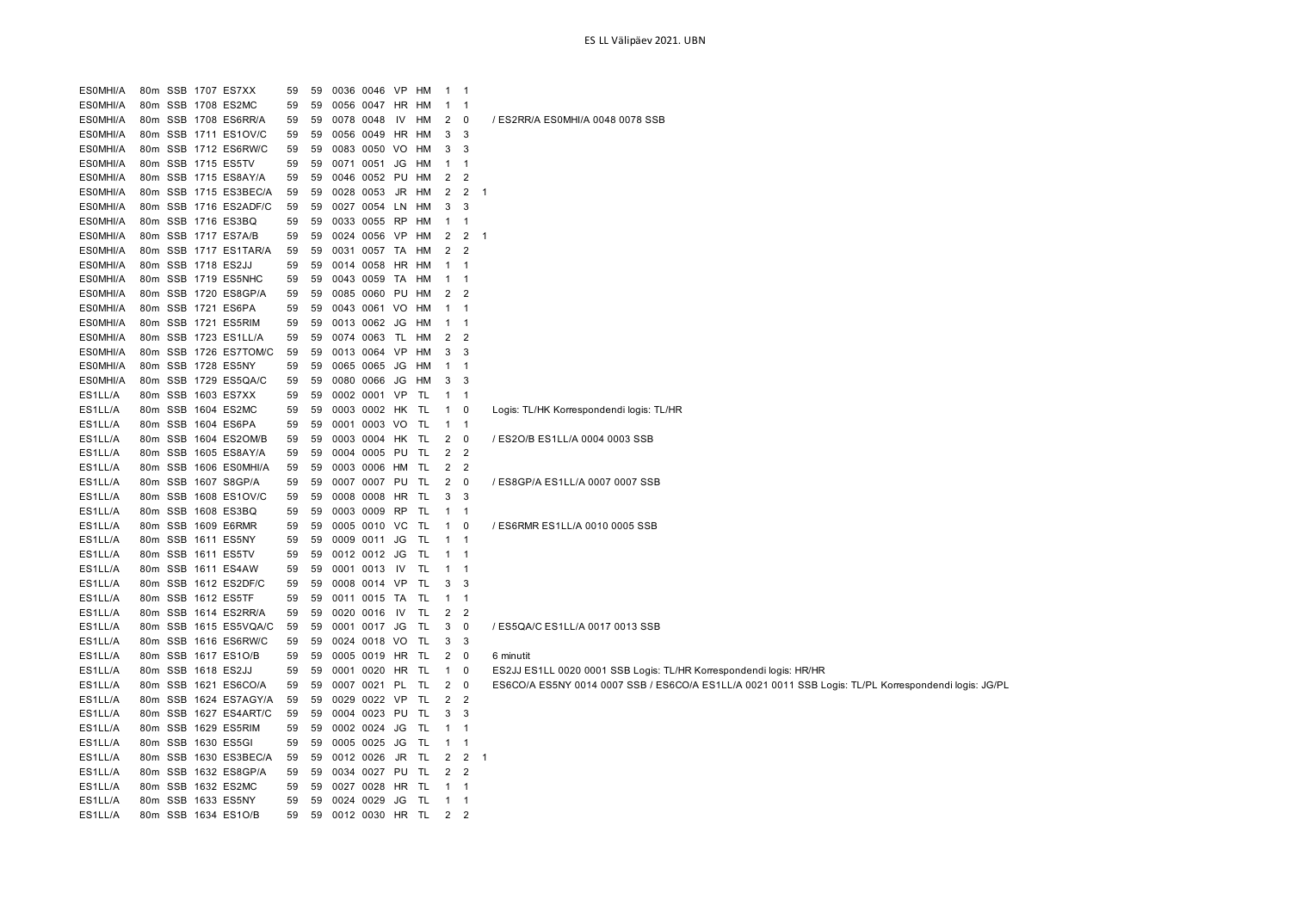| ES0MHI/A |         |         | 80m SSB 1707 ES7XX    | 59 | 59 |           | 0036 0046 VP       |           | HM | $\mathbf{1}$   | $\overline{1}$             |              |                                                                                                      |
|----------|---------|---------|-----------------------|----|----|-----------|--------------------|-----------|----|----------------|----------------------------|--------------|------------------------------------------------------------------------------------------------------|
| ES0MHI/A |         |         | 80m SSB 1708 ES2MC    | 59 | 59 |           | 0056 0047          | HR        | HM | $\mathbf{1}$   | -1                         |              |                                                                                                      |
| ES0MHI/A |         |         | 80m SSB 1708 ES6RR/A  | 59 | 59 | 0078      | 0048               | IV        | HM | 2              | 0                          |              | / ES2RR/A ES0MHI/A 0048 0078 SSB                                                                     |
| ES0MHI/A |         |         | 80m SSB 1711 ES1OV/C  | 59 | 59 |           | 0056 0049 HR HM    |           |    | 3              | 3                          |              |                                                                                                      |
| ES0MHI/A |         |         | 80m SSB 1712 ES6RW/C  | 59 | 59 |           | 0083 0050 VO       |           | HM | 3              | 3                          |              |                                                                                                      |
| ES0MHI/A |         |         | 80m SSB 1715 ES5TV    | 59 | 59 | 0071 0051 |                    | JG        | HM | $\mathbf{1}$   | $\overline{1}$             |              |                                                                                                      |
| ES0MHI/A |         |         | 80m SSB 1715 ES8AY/A  | 59 | 59 | 0046      | 0052 PU            |           | HM | $\overline{2}$ | $\overline{2}$             |              |                                                                                                      |
| ES0MHI/A |         |         | 80m SSB 1715 ES3BEC/A | 59 | 59 | 0028 0053 |                    | JR        | HM | 2              | $\overline{2}$             | $\mathbf{1}$ |                                                                                                      |
| ES0MHI/A |         |         | 80m SSB 1716 ES2ADF/C | 59 |    |           | 59 0027 0054 LN    |           | нм | 3              | 3                          |              |                                                                                                      |
| ES0MHI/A |         |         | 80m SSB 1716 ES3BQ    | 59 |    |           | 59 0033 0055 RP    |           | HM | $\mathbf{1}$   | -1                         |              |                                                                                                      |
| ES0MHI/A |         |         | 80m SSB 1717 ES7A/B   | 59 |    |           | 59 0024 0056 VP HM |           |    | 2              | $\overline{2}$             | $\mathbf{1}$ |                                                                                                      |
| ES0MHI/A |         |         | 80m SSB 1717 ES1TAR/A | 59 |    |           | 59 0031 0057 TA    |           | HM | 2              | $\overline{2}$             |              |                                                                                                      |
| ES0MHI/A |         |         | 80m SSB 1718 ES2JJ    | 59 |    |           | 59 0014 0058 HR HM |           |    | $\mathbf{1}$   | $\overline{1}$             |              |                                                                                                      |
| ES0MHI/A |         |         | 80m SSB 1719 ES5NHC   | 59 | 59 | 0043      | 0059               | TA        | HM | $\mathbf{1}$   | $\overline{1}$             |              |                                                                                                      |
| ES0MHI/A |         |         | 80m SSB 1720 ES8GP/A  | 59 | 59 | 0085 0060 |                    | PU        | HM | 2              | $\overline{2}$             |              |                                                                                                      |
| ES0MHI/A |         |         | 80m SSB 1721 ES6PA    | 59 | 59 |           | 0043 0061 VO       |           | HM | $\mathbf{1}$   | $\overline{\mathbf{1}}$    |              |                                                                                                      |
| ES0MHI/A |         |         | 80m SSB 1721 ES5RIM   | 59 |    |           | 59 0013 0062       | JG        | HM | $\mathbf{1}$   | $\overline{\phantom{1}}$   |              |                                                                                                      |
| ES0MHI/A |         |         | 80m SSB 1723 ES1LL/A  | 59 | 59 |           | 0074 0063 TL       |           | HM | 2              | $\overline{2}$             |              |                                                                                                      |
| ES0MHI/A |         |         | 80m SSB 1726 ES7TOM/C | 59 | 59 |           | 0013 0064          | <b>VP</b> | HM | 3              | 3                          |              |                                                                                                      |
| ES0MHI/A |         |         | 80m SSB 1728 ES5NY    | 59 | 59 |           | 0065 0065 JG       |           | HM | $\mathbf{1}$   | $\overline{1}$             |              |                                                                                                      |
| ES0MHI/A |         |         | 80m SSB 1729 ES5QA/C  | 59 | 59 | 0080 0066 |                    | JG        | HM | 3              | 3                          |              |                                                                                                      |
| ES1LL/A  |         |         | 80m SSB 1603 ES7XX    | 59 | 59 |           | 0002 0001 VP       |           | TL | $\mathbf{1}$   | $\overline{1}$             |              |                                                                                                      |
| ES1LL/A  |         |         | 80m SSB 1604 ES2MC    | 59 |    |           | 59 0003 0002 HK TL |           |    | $\mathbf{1}$   | 0                          |              | Logis: TL/HK Korrespondendi logis: TL/HR                                                             |
| ES1LL/A  |         |         | 80m SSB 1604 ES6PA    | 59 |    |           | 59 0001 0003 VO    |           | TL | $1 \quad 1$    |                            |              |                                                                                                      |
| ES1LL/A  |         | 80m SSB | 1604 ES2OM/B          | 59 | 59 |           | 0003 0004 HK       |           | TL | 2              | $\overline{\phantom{0}}$   |              | / ES2O/B ES1LL/A 0004 0003 SSB                                                                       |
| ES1LL/A  |         |         | 80m SSB 1605 ES8AY/A  | 59 |    |           | 59 0004 0005 PU    |           | TL | $\overline{2}$ | $\overline{\mathbf{2}}$    |              |                                                                                                      |
| ES1LL/A  | 80m SSB |         | 1606 ESOMHI/A         | 59 | 59 |           | 0003 0006 HM       |           | TL | 2              | $\overline{2}$             |              |                                                                                                      |
| ES1LL/A  | 80m SSB |         | 1607 S8GP/A           | 59 | 59 |           | 0007 0007          | PU        | TL | $\overline{2}$ | $\mathbf 0$                |              | / ES8GP/A ES1LL/A 0007 0007 SSB                                                                      |
| ES1LL/A  |         | 80m SSB | 1608 ES1OV/C          | 59 | 59 |           | 0008 0008 HR       |           | TL | 3              | 3                          |              |                                                                                                      |
| ES1LL/A  |         |         | 80m SSB 1608 ES3BQ    | 59 | 59 |           | 0003 0009 RP       |           | TL | $\overline{1}$ | $\overline{\phantom{0}}$ 1 |              |                                                                                                      |
| ES1LL/A  |         |         | 80m SSB 1609 E6RMR    | 59 | 59 |           | 0005 0010          | VC        | TL | $\mathbf{1}$   | 0                          |              | / ES6RMR ES1LL/A 0010 0005 SSB                                                                       |
| ES1LL/A  |         |         | 80m SSB 1611 ES5NY    | 59 | 59 | 0009 0011 |                    | JG        | TL | $\mathbf{1}$   | $\overline{\mathbf{1}}$    |              |                                                                                                      |
| ES1LL/A  |         |         | 80m SSB 1611 ES5TV    | 59 | 59 |           | 0012 0012 JG       |           | TL | $\overline{1}$ | $\overline{1}$             |              |                                                                                                      |
| ES1LL/A  |         |         | 80m SSB 1611 ES4AW    | 59 |    |           | 59 0001 0013 IV    |           | TL | $\overline{1}$ | $\overline{\mathbf{1}}$    |              |                                                                                                      |
| ES1LL/A  |         |         | 80m SSB 1612 ES2DF/C  | 59 |    |           | 59 0008 0014 VP    |           | TL | 3              | -3                         |              |                                                                                                      |
| ES1LL/A  |         |         | 80m SSB 1612 ES5TF    | 59 | 59 |           | 0011 0015 TA       |           | TL | $\mathbf{1}$   | -1                         |              |                                                                                                      |
| ES1LL/A  |         |         | 80m SSB 1614 ES2RR/A  | 59 |    |           | 59 0020 0016 IV    |           | TL | $\overline{2}$ | $\overline{\phantom{a}}$   |              |                                                                                                      |
| ES1LL/A  |         | 80m SSB | 1615 ES5VQA/C         | 59 | 59 | 0001 0017 |                    | JG        | TL | 3              | 0                          |              | / ES5QA/C ES1LL/A 0017 0013 SSB                                                                      |
| ES1LL/A  |         |         | 80m SSB 1616 ES6RW/C  | 59 | 59 |           | 0024 0018 VO       |           | TL | 3              | $\overline{\mathbf{3}}$    |              |                                                                                                      |
| ES1LL/A  | 80m SSB |         | 1617 ES1O/B           | 59 | 59 |           | 0005 0019          | HR        | TL | 2              | 0                          |              | 6 minutit                                                                                            |
| ES1LL/A  |         |         | 80m SSB 1618 ES2JJ    | 59 | 59 |           | 0001 0020 HR       |           | TL | $\overline{1}$ | 0                          |              | ES2JJ ES1LL 0020 0001 SSB Logis: TL/HR Korrespondendi logis: HR/HR                                   |
| ES1LL/A  |         |         | 80m SSB 1621 ES6CO/A  | 59 | 59 | 0007 0021 |                    | PL        | TL | 2              | 0                          |              | ES6CO/A ES5NY 0014 0007 SSB / ES6CO/A ES1LL/A 0021 0011 SSB Logis: TL/PL Korrespondendi logis: JG/PL |
| ES1LL/A  |         |         | 80m SSB 1624 ES7AGY/A | 59 |    |           | 59 0029 0022 VP    |           | TL | 2              | $\overline{2}$             |              |                                                                                                      |
| ES1LL/A  |         |         | 80m SSB 1627 ES4ART/C | 59 | 59 |           | 0004 0023 PU       |           | TL | 3              | 3                          |              |                                                                                                      |
| ES1LL/A  |         |         | 80m SSB 1629 ES5RIM   | 59 | 59 | 0002 0024 |                    | JG        | TL | $\mathbf 1$    | -1                         |              |                                                                                                      |
| ES1LL/A  |         |         | 80m SSB 1630 ES5GI    | 59 | 59 |           | 0005 0025 JG       |           | TL | $\mathbf{1}$   | $\overline{1}$             |              |                                                                                                      |
| ES1LL/A  |         | 80m SSB | 1630 ES3BEC/A         | 59 |    |           | 59 0012 0026       | JR        | TL | 2              | 2                          | $\mathbf{1}$ |                                                                                                      |
| ES1LL/A  |         |         | 80m SSB 1632 ES8GP/A  | 59 |    |           | 59 0034 0027 PU TL |           |    | 2              | $\overline{\phantom{0}}^2$ |              |                                                                                                      |
| ES1LL/A  |         |         | 80m SSB 1632 ES2MC    | 59 |    |           | 59 0027 0028 HR    |           | TL | $\mathbf{1}$   | - 1                        |              |                                                                                                      |
| ES1LL/A  |         |         | 80m SSB 1633 ES5NY    | 59 | 59 |           | 0024 0029 JG       |           | TL | $1 \quad 1$    |                            |              |                                                                                                      |
| ES1LL/A  |         |         | 80m SSB 1634 ES1O/B   | 59 | 59 |           | 0012 0030 HR TL    |           |    | 2              | $\overline{\phantom{0}}^2$ |              |                                                                                                      |
|          |         |         |                       |    |    |           |                    |           |    |                |                            |              |                                                                                                      |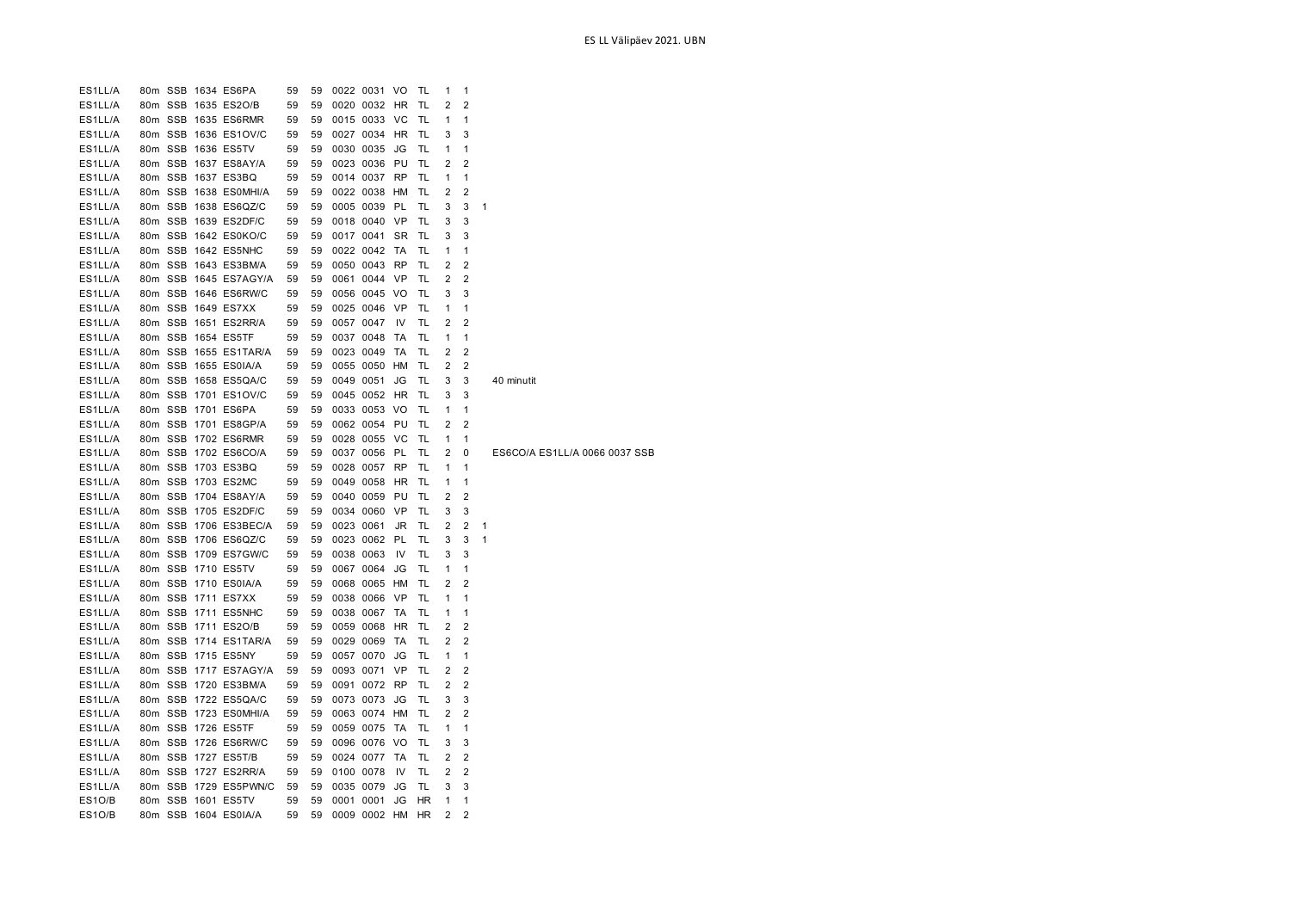| ES1LL/A |  | 80m SSB 1634 ES6PA    | 59 | 59 |           | 0022 0031 VO |                | TL        | 1              | 1              |                               |
|---------|--|-----------------------|----|----|-----------|--------------|----------------|-----------|----------------|----------------|-------------------------------|
| ES1LL/A |  | 80m SSB 1635 ES2O/B   | 59 | 59 |           | 0020 0032    | HR             | TL        | 2              | $\overline{2}$ |                               |
| ES1LL/A |  | 80m SSB 1635 ES6RMR   | 59 | 59 |           | 0015 0033 VC |                | TL        | 1              | 1              |                               |
| ES1LL/A |  | 80m SSB 1636 ES1OV/C  | 59 | 59 |           | 0027 0034    | HR             | TL        | 3              | 3              |                               |
| ES1LL/A |  | 80m SSB 1636 ES5TV    | 59 | 59 |           | 0030 0035    | JG             | TL        | 1              | 1              |                               |
| ES1LL/A |  | 80m SSB 1637 ES8AY/A  | 59 | 59 |           | 0023 0036    | PU             | TL        | 2              | $\overline{2}$ |                               |
| ES1LL/A |  | 80m SSB 1637 ES3BQ    | 59 | 59 |           | 0014 0037    | <b>RP</b>      | TL        | 1              | $\mathbf{1}$   |                               |
| ES1LL/A |  | 80m SSB 1638 ES0MHI/A | 59 | 59 |           | 0022 0038    | HM             | TL        | 2              | $\overline{2}$ |                               |
| ES1LL/A |  | 80m SSB 1638 ES6QZ/C  | 59 | 59 |           | 0005 0039    | PL             | TL        | 3              | 3              | 1                             |
| ES1LL/A |  | 80m SSB 1639 ES2DF/C  | 59 | 59 |           | 0018 0040    | <b>VP</b>      | TL        | 3              | 3              |                               |
| ES1LL/A |  | 80m SSB 1642 ES0KO/C  | 59 | 59 |           | 0017 0041    | <b>SR</b>      | TL        | 3              | 3              |                               |
| ES1LL/A |  | 80m SSB 1642 ES5NHC   | 59 | 59 |           | 0022 0042    | TA             | <b>TL</b> | 1              | $\mathbf{1}$   |                               |
| ES1LL/A |  | 80m SSB 1643 ES3BM/A  | 59 | 59 |           | 0050 0043    | <b>RP</b>      | TL        | 2              | $\overline{2}$ |                               |
| ES1LL/A |  | 80m SSB 1645 ES7AGY/A | 59 | 59 |           | 0061 0044    | VP             | TL        | 2              | $\overline{2}$ |                               |
| ES1LL/A |  | 80m SSB 1646 ES6RW/C  | 59 | 59 |           | 0056 0045 VO |                | TL        | 3              | 3              |                               |
| ES1LL/A |  | 80m SSB 1649 ES7XX    | 59 | 59 |           | 0025 0046    | VP             | TL        | 1              | $\mathbf{1}$   |                               |
| ES1LL/A |  | 80m SSB 1651 ES2RR/A  | 59 | 59 |           | 0057 0047    | IV             | TL        | 2              | 2              |                               |
| ES1LL/A |  | 80m SSB 1654 ES5TF    | 59 | 59 |           | 0037 0048    | TA             | TL        | 1              | 1              |                               |
|         |  | 80m SSB 1655 ES1TAR/A |    | 59 |           |              | TA             | TL        | 2              | 2              |                               |
| ES1LL/A |  |                       | 59 |    |           | 0023 0049    |                |           |                |                |                               |
| ES1LL/A |  | 80m SSB 1655 ES0IA/A  | 59 | 59 |           | 0055 0050 HM |                | TL        | 2              | $\overline{2}$ |                               |
| ES1LL/A |  | 80m SSB 1658 ES5QA/C  | 59 | 59 |           | 0049 0051    | JG             | TL        | 3              | 3              | 40 minutit                    |
| ES1LL/A |  | 80m SSB 1701 ES1OV/C  | 59 | 59 |           | 0045 0052 HR |                | TL        | 3              | 3              |                               |
| ES1LL/A |  | 80m SSB 1701 ES6PA    | 59 | 59 |           | 0033 0053 VO |                | TL        | 1              | $\mathbf{1}$   |                               |
| ES1LL/A |  | 80m SSB 1701 ES8GP/A  | 59 | 59 |           | 0062 0054 PU |                | TL        | 2              | $\overline{2}$ |                               |
| ES1LL/A |  | 80m SSB 1702 ES6RMR   | 59 | 59 |           | 0028 0055    | <b>VC</b>      | TL        | 1              | 1              |                               |
| ES1LL/A |  | 80m SSB 1702 ES6CO/A  | 59 | 59 |           | 0037 0056    | -PL            | TL        | 2              | 0              | ES6CO/A ES1LL/A 0066 0037 SSB |
| ES1LL/A |  | 80m SSB 1703 ES3BQ    | 59 | 59 |           | 0028 0057    | <b>RP</b>      | TL        | 1              | 1              |                               |
| ES1LL/A |  | 80m SSB 1703 ES2MC    | 59 | 59 |           | 0049 0058    | HR             | TL        | 1              | 1              |                               |
| ES1LL/A |  | 80m SSB 1704 ES8AY/A  | 59 | 59 |           | 0040 0059    | PU             | TL        | 2              | $\overline{2}$ |                               |
| ES1LL/A |  | 80m SSB 1705 ES2DF/C  | 59 | 59 |           | 0034 0060    | <b>VP</b>      | TL        | 3              | 3              |                               |
| ES1LL/A |  | 80m SSB 1706 ES3BEC/A | 59 | 59 | 0023 0061 |              | JR             | TL        | 2              | $\overline{2}$ | 1                             |
| ES1LL/A |  | 80m SSB 1706 ES6QZ/C  | 59 | 59 |           | 0023 0062    | PL             | TL        | 3              | 3              | 1                             |
| ES1LL/A |  | 80m SSB 1709 ES7GW/C  | 59 | 59 |           | 0038 0063    | IV             | TL        | 3              | 3              |                               |
| ES1LL/A |  | 80m SSB 1710 ES5TV    | 59 | 59 |           | 0067 0064    | JG             | TL        | 1              | $\mathbf{1}$   |                               |
| ES1LL/A |  | 80m SSB 1710 ES0IA/A  | 59 | 59 |           | 0068 0065 HM |                | TL        | 2              | 2              |                               |
| ES1LL/A |  | 80m SSB 1711 ES7XX    | 59 | 59 |           | 0038 0066    | VP             | TL        | 1              | 1              |                               |
| ES1LL/A |  | 80m SSB 1711 ES5NHC   | 59 | 59 |           | 0038 0067    | ТA             | TL        | 1              | 1              |                               |
| ES1LL/A |  | 80m SSB 1711 ES2O/B   | 59 | 59 |           | 0059 0068    | HR             | TL        | 2              | $\overline{2}$ |                               |
| ES1LL/A |  | 80m SSB 1714 ES1TAR/A | 59 | 59 |           | 0029 0069    | TA             | TL        | 2              | $\overline{2}$ |                               |
| ES1LL/A |  | 80m SSB 1715 ES5NY    | 59 | 59 |           | 0057 0070    | JG             | TL        | 1              | 1              |                               |
| ES1LL/A |  | 80m SSB 1717 ES7AGY/A | 59 | 59 |           | 0093 0071    | VP             | TL        | 2              | $\overline{2}$ |                               |
| ES1LL/A |  | 80m SSB 1720 ES3BM/A  | 59 | 59 |           | 0091 0072    | <b>RP</b>      | TL        | 2              | $\overline{2}$ |                               |
| ES1LL/A |  | 80m SSB 1722 ES5QA/C  | 59 | 59 |           | 0073 0073    | JG             | TL        | 3              | 3              |                               |
| ES1LL/A |  | 80m SSB 1723 ES0MHI/A | 59 | 59 |           | 0063 0074    | HM             | TL        | 2              | $\overline{2}$ |                               |
| ES1LL/A |  | 80m SSB 1726 ES5TF    | 59 | 59 |           | 0059 0075    | TA             | TL        | 1              | $\mathbf{1}$   |                               |
| ES1LL/A |  | 80m SSB 1726 ES6RW/C  | 59 | 59 |           | 0096 0076    | V <sub>O</sub> | TL        | 3              | 3              |                               |
| ES1LL/A |  | 80m SSB 1727 ES5T/B   | 59 | 59 |           | 0024 0077    | ТA             | TL        | 2              | $\overline{2}$ |                               |
| ES1LL/A |  | 80m SSB 1727 ES2RR/A  | 59 | 59 |           | 0100 0078    | IV             | TL        | 2              | $\overline{2}$ |                               |
| ES1LL/A |  | 80m SSB 1729 ES5PWN/C | 59 | 59 |           | 0035 0079    | JG             | TL        | 3              | 3              |                               |
| ES1O/B  |  | 80m SSB 1601 ES5TV    | 59 | 59 |           | 0001 0001    | JG             | HR        | 1              | $\mathbf{1}$   |                               |
| ES1O/B  |  | 80m SSB 1604 ES0IA/A  | 59 | 59 |           | 0009 0002 HM |                | <b>HR</b> | $\overline{2}$ | $\overline{2}$ |                               |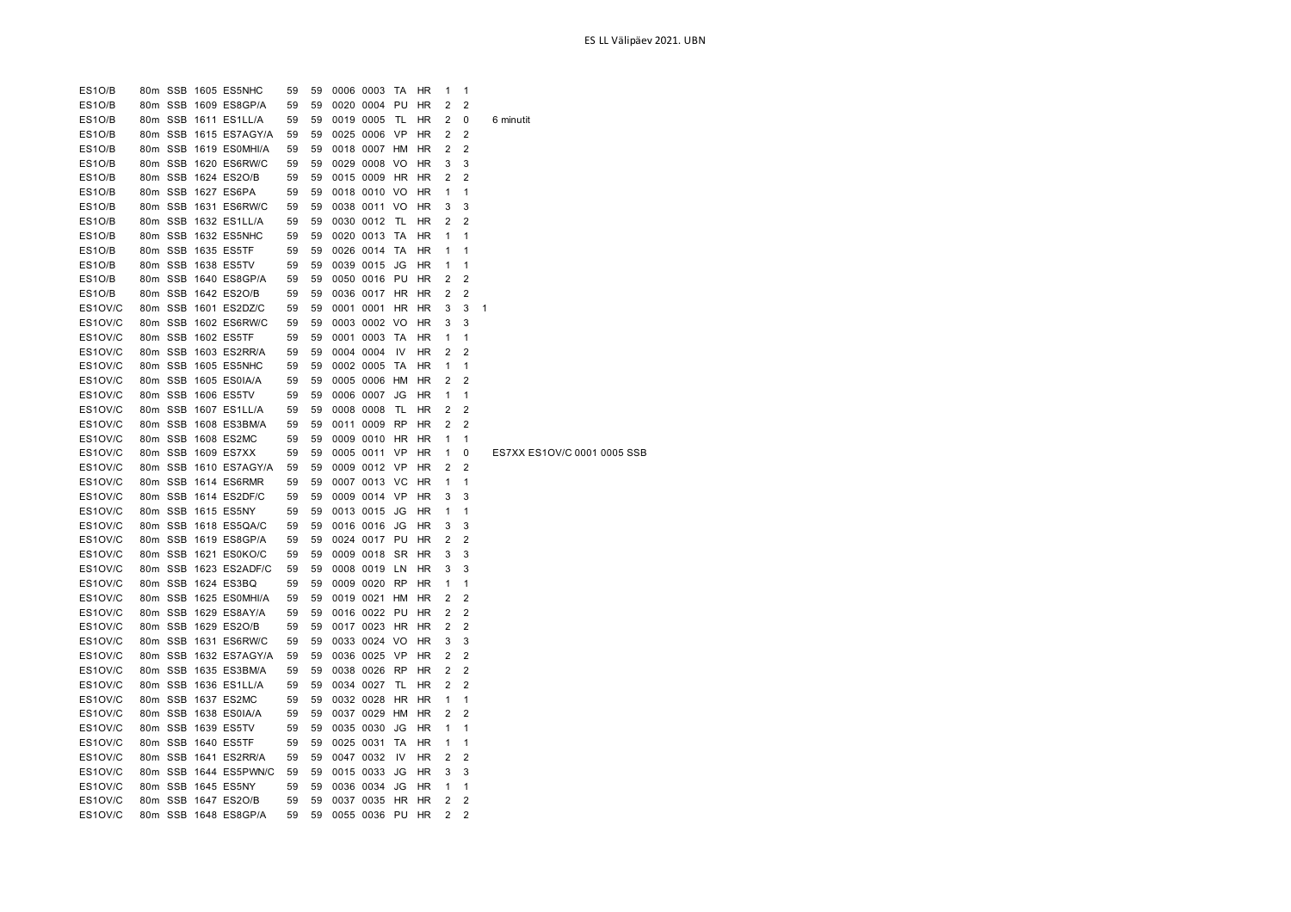| ES1O/B  |  | 80m SSB 1611 ES1LL/A  | 59 | 59 | 0019 0005    | - TL      | HR        | 2 | 0              | 6 minutit                   |
|---------|--|-----------------------|----|----|--------------|-----------|-----------|---|----------------|-----------------------------|
| ES1O/B  |  | 80m SSB 1615 ES7AGY/A | 59 | 59 | 0025 0006 VP |           | HR        | 2 | 2              |                             |
| ES1O/B  |  | 80m SSB 1619 ES0MHI/A | 59 | 59 | 0018 0007 HM |           | HR        | 2 | 2              |                             |
| ES1O/B  |  | 80m SSB 1620 ES6RW/C  | 59 | 59 | 0029 0008 VO |           | HR        | 3 | 3              |                             |
| ES1O/B  |  | 80m SSB 1624 ES2O/B   | 59 | 59 | 0015 0009 HR |           | HR        | 2 | $\overline{2}$ |                             |
| ES1O/B  |  | 80m SSB 1627 ES6PA    | 59 | 59 | 0018 0010 VO |           | <b>HR</b> | 1 | 1              |                             |
| ES1O/B  |  | 80m SSB 1631 ES6RW/C  | 59 | 59 | 0038 0011 VO |           | <b>HR</b> | 3 | 3              |                             |
| ES1O/B  |  | 80m SSB 1632 ES1LL/A  | 59 | 59 | 0030 0012    | - TL      | HR        | 2 | 2              |                             |
| ES1O/B  |  | 80m SSB 1632 ES5NHC   | 59 | 59 | 0020 0013    | TA        | HR        | 1 | 1              |                             |
| ES1O/B  |  | 80m SSB 1635 ES5TF    | 59 | 59 | 0026 0014 TA |           | HR        | 1 | 1              |                             |
| ES1O/B  |  | 80m SSB 1638 ES5TV    | 59 | 59 | 0039 0015    | JG        | <b>HR</b> | 1 | 1              |                             |
| ES1O/B  |  | 80m SSB 1640 ES8GP/A  | 59 | 59 | 0050 0016 PU |           | HR        | 2 | 2              |                             |
| ES1O/B  |  | 80m SSB 1642 ES2O/B   | 59 | 59 | 0036 0017 HR |           | <b>HR</b> | 2 | 2              |                             |
| ES1OV/C |  | 80m SSB 1601 ES2DZ/C  | 59 | 59 | 0001 0001 HR |           | HR        | 3 | 3              | 1                           |
| ES1OV/C |  | 80m SSB 1602 ES6RW/C  | 59 | 59 | 0003 0002 VO |           | HR        | 3 | 3              |                             |
| ES1OV/C |  | 80m SSB 1602 ES5TF    | 59 | 59 | 0001 0003 TA |           | HR        | 1 | 1              |                             |
| ES1OV/C |  | 80m SSB 1603 ES2RR/A  | 59 | 59 | 0004 0004    | IV        | HR        | 2 | $\overline{2}$ |                             |
| ES1OV/C |  | 80m SSB 1605 ES5NHC   | 59 | 59 | 0002 0005 TA |           | HR        | 1 | 1              |                             |
| ES1OV/C |  | 80m SSB 1605 ES0IA/A  | 59 | 59 | 0005 0006 HM |           | HR        | 2 | $\overline{2}$ |                             |
| ES1OV/C |  | 80m SSB 1606 ES5TV    | 59 | 59 | 0006 0007    | JG        | <b>HR</b> | 1 | 1              |                             |
| ES1OV/C |  | 80m SSB 1607 ES1LL/A  | 59 | 59 | 0008 0008    | TL        | HR        | 2 | 2              |                             |
| ES1OV/C |  | 80m SSB 1608 ES3BM/A  | 59 | 59 | 0011 0009    | <b>RP</b> | HR        | 2 | 2              |                             |
| ES1OV/C |  | 80m SSB 1608 ES2MC    | 59 | 59 | 0009 0010 HR |           | HR        | 1 | 1              |                             |
| ES1OV/C |  | 80m SSB 1609 ES7XX    | 59 | 59 | 0005 0011    | VP        | HR        | 1 | 0              | ES7XX ES1OV/C 0001 0005 SSB |
| ES1OV/C |  | 80m SSB 1610 ES7AGY/A | 59 | 59 | 0009 0012 VP |           | HR        | 2 | 2              |                             |
| ES1OV/C |  | 80m SSB 1614 ES6RMR   | 59 | 59 | 0007 0013 VC |           | <b>HR</b> | 1 | 1              |                             |
| ES1OV/C |  | 80m SSB 1614 ES2DF/C  | 59 | 59 | 0009 0014 VP |           | <b>HR</b> | 3 | 3              |                             |
| ES1OV/C |  | 80m SSB 1615 ES5NY    | 59 | 59 | 0013 0015    | JG        | <b>HR</b> | 1 | 1              |                             |
| ES1OV/C |  | 80m SSB 1618 ES5QA/C  | 59 | 59 | 0016 0016    | JG        | HR        | 3 | 3              |                             |
| ES1OV/C |  | 80m SSB 1619 ES8GP/A  | 59 | 59 | 0024 0017    | PU        | HR        | 2 | 2              |                             |
| ES1OV/C |  | 80m SSB 1621 ES0KO/C  | 59 | 59 | 0009 0018 SR |           | HR        | 3 | 3              |                             |
| ES1OV/C |  | 80m SSB 1623 ES2ADF/C | 59 | 59 | 0008 0019    | LN        | HR        | 3 | 3              |                             |
| ES1OV/C |  | 80m SSB 1624 ES3BQ    | 59 | 59 | 0009 0020 RP |           | <b>HR</b> | 1 | 1              |                             |
| ES1OV/C |  | 80m SSB 1625 ES0MHI/A | 59 | 59 | 0019 0021 HM |           | <b>HR</b> | 2 | 2              |                             |
| ES1OV/C |  | 80m SSB 1629 ES8AY/A  | 59 | 59 | 0016 0022 PU |           | <b>HR</b> | 2 | $\overline{2}$ |                             |
| ES1OV/C |  | 80m SSB 1629 ES2O/B   | 59 | 59 | 0017 0023 HR |           | HR        | 2 | 2              |                             |
| ES1OV/C |  | 80m SSB 1631 ES6RW/C  | 59 | 59 | 0033 0024 VO |           | HR        | 3 | 3              |                             |
| ES1OV/C |  | 80m SSB 1632 ES7AGY/A | 59 | 59 | 0036 0025 VP |           | HR        | 2 | 2              |                             |
| ES1OV/C |  | 80m SSB 1635 ES3BM/A  | 59 | 59 | 0038 0026 RP |           | HR        | 2 | $\overline{2}$ |                             |
| ES1OV/C |  | 80m SSB 1636 ES1LL/A  | 59 | 59 | 0034 0027    | TL        | <b>HR</b> | 2 | 2              |                             |
| ES1OV/C |  | 80m SSB 1637 ES2MC    | 59 | 59 | 0032 0028    | <b>HR</b> | <b>HR</b> | 1 | 1              |                             |
| ES1OV/C |  | 80m SSB 1638 ES0IA/A  | 59 | 59 | 0037 0029 HM |           | HR        | 2 | 2              |                             |
| ES1OV/C |  | 80m SSB 1639 ES5TV    | 59 | 59 | 0035 0030    | JG        | HR        | 1 | 1              |                             |
| ES1OV/C |  | 80m SSB 1640 ES5TF    | 59 | 59 | 0025 0031    | TA        | HR        | 1 | 1              |                             |
| ES1OV/C |  | 80m SSB 1641 ES2RR/A  | 59 | 59 | 0047 0032    | IV        | HR        | 2 | 2              |                             |
| ES1OV/C |  | 80m SSB 1644 ES5PWN/C | 59 | 59 | 0015 0033    | JG        | HR        | 3 | 3              |                             |
| ES1OV/C |  | 80m SSB 1645 ES5NY    | 59 | 59 | 0036 0034    | JG        | <b>HR</b> | 1 | 1              |                             |
| ES1OV/C |  | 80m SSB 1647 ES2O/B   | 59 | 59 | 0037 0035 HR |           | HR        | 2 | 2              |                             |
| ES1OV/C |  | 80m SSB 1648 ES8GP/A  | 59 | 59 | 0055 0036 PU |           | <b>HR</b> | 2 | 2              |                             |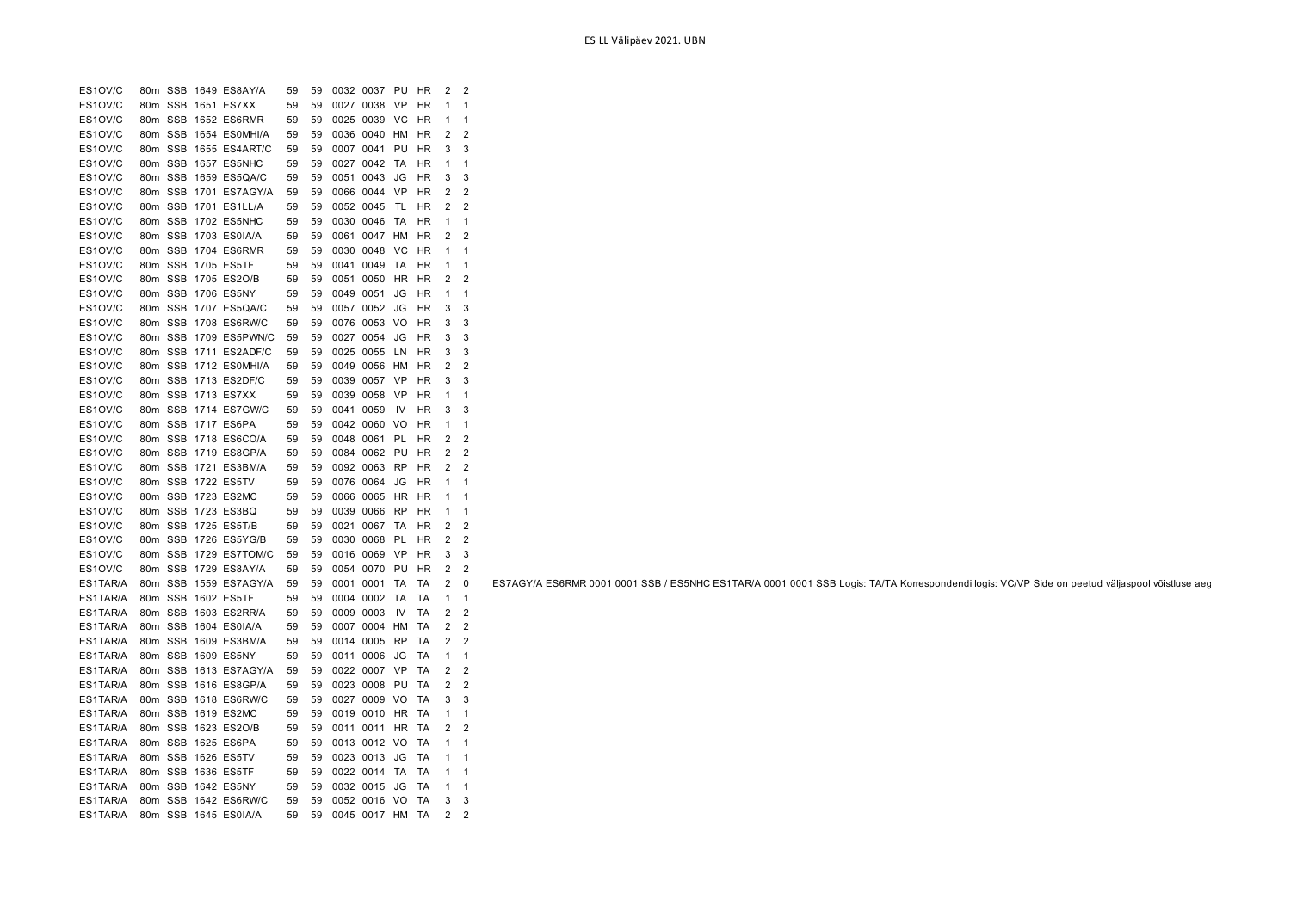| ES1OV/C  | 80m             | SSB        | 1649 ES8AY/A  | 59 | 59 | 0032 0037 |           | PU        | ΗR        | 2              | 2              |
|----------|-----------------|------------|---------------|----|----|-----------|-----------|-----------|-----------|----------------|----------------|
| ES1OV/C  | 80 <sub>m</sub> | SSB        | 1651 ES7XX    | 59 | 59 |           | 0027 0038 | VP        | HR        | 1              | 1              |
| ES1OV/C  |                 | 80m SSB    | 1652 ES6RMR   | 59 | 59 | 0025 0039 |           | VC        | HR        | 1              | 1              |
| ES1OV/C  | 80 <sub>m</sub> | SSB        | 1654 ES0MHI/A | 59 | 59 | 0036 0040 |           | <b>HM</b> | HR        | $\overline{2}$ | $\overline{2}$ |
| ES1OV/C  |                 | 80m SSB    | 1655 ES4ART/C | 59 | 59 | 0007 0041 |           | PU        | HR        | 3              | 3              |
| ES1OV/C  | 80m             | SSB        | 1657 ES5NHC   | 59 | 59 | 0027 0042 |           | ТA        | ΗR        | 1              | 1              |
| ES1OV/C  | 80m             | <b>SSB</b> | 1659 ES5QA/C  | 59 | 59 |           | 0051 0043 | JG        | HR        | 3              | 3              |
| ES1OV/C  |                 | 80m SSB    | 1701 ES7AGY/A | 59 | 59 | 0066 0044 |           | VP        | HR        | 2              | $\overline{2}$ |
| ES1OV/C  |                 | 80m SSB    | 1701 ES1LL/A  | 59 | 59 |           | 0052 0045 | TL        | HR        | 2              | $\overline{2}$ |
| ES1OV/C  |                 | 80m SSB    | 1702 ES5NHC   | 59 | 59 | 0030 0046 |           | ТA        | HR        | 1              | 1              |
| ES1OV/C  |                 | 80m SSB    | 1703 ES0IA/A  | 59 | 59 |           | 0061 0047 | <b>HM</b> | ΗR        | $\overline{2}$ | $\overline{2}$ |
| ES1OV/C  |                 | 80m SSB    | 1704 ES6RMR   | 59 | 59 |           | 0030 0048 | VC        | HR        | 1              | 1              |
| ES1OV/C  | 80m             | <b>SSB</b> | 1705 ES5TF    | 59 | 59 | 0041      | 0049      | TA        | ΗR        | 1              | 1              |
| ES1OV/C  |                 | 80m SSB    | 1705 ES2O/B   | 59 | 59 | 0051      | 0050      | <b>HR</b> | HR        | 2              | $\overline{2}$ |
| ES1OV/C  | 80m             | <b>SSB</b> | 1706 ES5NY    | 59 | 59 | 0049 0051 |           | JG        | HR        | 1              | 1              |
| ES1OV/C  |                 | 80m SSB    | 1707 ES5QA/C  | 59 | 59 | 0057      | 0052      | JG        | HR        | 3              | 3              |
| ES1OV/C  | 80m             | <b>SSB</b> | 1708 ES6RW/C  | 59 | 59 |           | 0076 0053 | VO        | HR        | 3              | 3              |
| ES1OV/C  | 80m             | <b>SSB</b> | 1709 ES5PWN/C | 59 | 59 | 0027 0054 |           | JG        | ΗR        | 3              | 3              |
| ES1OV/C  |                 | 80m SSB    | 1711 ES2ADF/C | 59 | 59 |           | 0025 0055 | LN        | HR        | 3              | 3              |
| ES1OV/C  |                 | 80m SSB    | 1712 ESOMHI/A | 59 | 59 |           | 0049 0056 | HM        | HR        | 2              | 2              |
| ES1OV/C  |                 | 80m SSB    | 1713 ES2DF/C  | 59 | 59 |           | 0039 0057 | VP        | HR        | 3              | 3              |
| ES1OV/C  |                 | 80m SSB    | 1713 ES7XX    | 59 | 59 |           | 0039 0058 | VP        | HR        | 1              | 1              |
| ES1OV/C  |                 | 80m SSB    | 1714 ES7GW/C  | 59 | 59 | 0041 0059 |           | IV        | HR        | 3              | 3              |
| ES1OV/C  | 80m SSB         |            | 1717 ES6PA    | 59 | 59 |           | 0042 0060 | VO        | HR        | 1              | 1              |
| ES1OV/C  |                 | 80m SSB    | 1718 ES6CO/A  | 59 | 59 | 0048 0061 |           | PL        | HR        | 2              | $\overline{2}$ |
| ES1OV/C  |                 | 80m SSB    | 1719 ES8GP/A  | 59 | 59 |           | 0084 0062 | PU        | HR        | $\overline{2}$ | $\overline{2}$ |
| ES1OV/C  |                 | 80m SSB    | 1721 ES3BM/A  | 59 | 59 |           | 0092 0063 | RP        | ΗR        | 2              | $\overline{2}$ |
| ES1OV/C  |                 | 80m SSB    | 1722 ES5TV    | 59 | 59 | 0076 0064 |           | JG        | HR        | 1              | 1              |
| ES1OV/C  |                 | 80m SSB    | 1723 ES2MC    | 59 | 59 | 0066 0065 |           | HR        | ΗR        | 1              | 1              |
| ES1OV/C  | 80m             | <b>SSB</b> | 1723 ES3BQ    | 59 | 59 | 0039 0066 |           | <b>RP</b> | HR        | 1              | 1              |
| ES1OV/C  |                 | 80m SSB    | 1725 ES5T/B   | 59 | 59 | 0021 0067 |           | ТA        | HR        | 2              | $\overline{2}$ |
| ES1OV/C  |                 | 80m SSB    | 1726 ES5YG/B  | 59 | 59 |           | 0030 0068 | PL        | ΗR        | 2              | 2              |
| ES1OV/C  |                 | 80m SSB    | 1729 ES7TOM/C | 59 | 59 |           | 0016 0069 | VP        | HR        | 3              | 3              |
| ES1OV/C  |                 | 80m SSB    | 1729 ES8AY/A  | 59 | 59 |           | 0054 0070 | PU        | HR        | 2              | $\overline{2}$ |
| ES1TAR/A |                 | 80m SSB    | 1559 ES7AGY/A | 59 | 59 | 0001      | 0001      | TA        | <b>TA</b> | $\overline{2}$ | $\mathbf 0$    |
| ES1TAR/A |                 | 80m SSB    | 1602 ES5TF    | 59 | 59 |           | 0004 0002 | TA        | TA        | 1              | 1              |
| ES1TAR/A | 80 <sub>m</sub> | <b>SSB</b> | 1603 ES2RR/A  | 59 | 59 | 0009 0003 |           | IV        | TA        | 2              | $\overline{2}$ |
| ES1TAR/A | 80m             | <b>SSB</b> | 1604 ES0IA/A  | 59 | 59 | 0007      | 0004      | <b>HM</b> | ТA        | 2              | $\overline{2}$ |
| ES1TAR/A | 80m             | <b>SSB</b> | 1609 ES3BM/A  | 59 | 59 | 0014 0005 |           | <b>RP</b> | TA        | 2              | 2              |
| ES1TAR/A | 80m             | <b>SSB</b> | 1609 ES5NY    | 59 | 59 | 0011      | 0006      | JG        | TA        | 1              | 1              |
| ES1TAR/A |                 | 80m SSB    | 1613 ES7AGY/A | 59 | 59 |           | 0022 0007 | VP        | ТA        | 2              | $\overline{2}$ |
| ES1TAR/A |                 | 80m SSB    | 1616 ES8GP/A  | 59 | 59 |           | 0023 0008 | PU        | ТA        | $\overline{2}$ | $\overline{2}$ |
| ES1TAR/A |                 | 80m SSB    | 1618 ES6RW/C  | 59 | 59 |           | 0027 0009 | VO        | ТA        | 3              | 3              |
| ES1TAR/A |                 | 80m SSB    | 1619 ES2MC    | 59 | 59 |           | 0019 0010 | HR        | <b>TA</b> | 1              | 1              |
| ES1TAR/A |                 | 80m SSB    | 1623 ES2O/B   | 59 | 59 | 0011 0011 |           | <b>HR</b> | TA        | 2              | $\overline{2}$ |
| ES1TAR/A | 80m SSB         |            | 1625 ES6PA    | 59 | 59 |           | 0013 0012 | VO        | TA        | 1              | 1              |
| ES1TAR/A |                 | 80m SSB    | 1626 ES5TV    | 59 | 59 | 0023 0013 |           | JG        | TA        | 1              | 1              |
| ES1TAR/A | 80m             | SSB        | 1636 ES5TF    | 59 | 59 | 0022 0014 |           | ТA        | ТA        | 1              | 1              |
| ES1TAR/A | 80m             | <b>SSB</b> | 1642 ES5NY    | 59 | 59 | 0032 0015 |           | JG        | TA        | 1              | 1              |
| ES1TAR/A |                 | 80m SSB    | 1642 ES6RW/C  | 59 | 59 |           | 0052 0016 | VO        | ТA        | 3              | 3              |
| ES1TAR/A | 80m             | SSB        | 1645 ES0IA/A  | 59 | 59 |           | 0045 0017 | <b>HM</b> | TA        | $\overline{2}$ | $\overline{2}$ |

ES7AGY/A ES6RMR 0001 0001 SSB / ES5NHC ES1TAR/A 0001 0001 SSB Logis: TA/TA Korrespondendi logis: VC/VP Side on peetud väljaspool võistluse aeg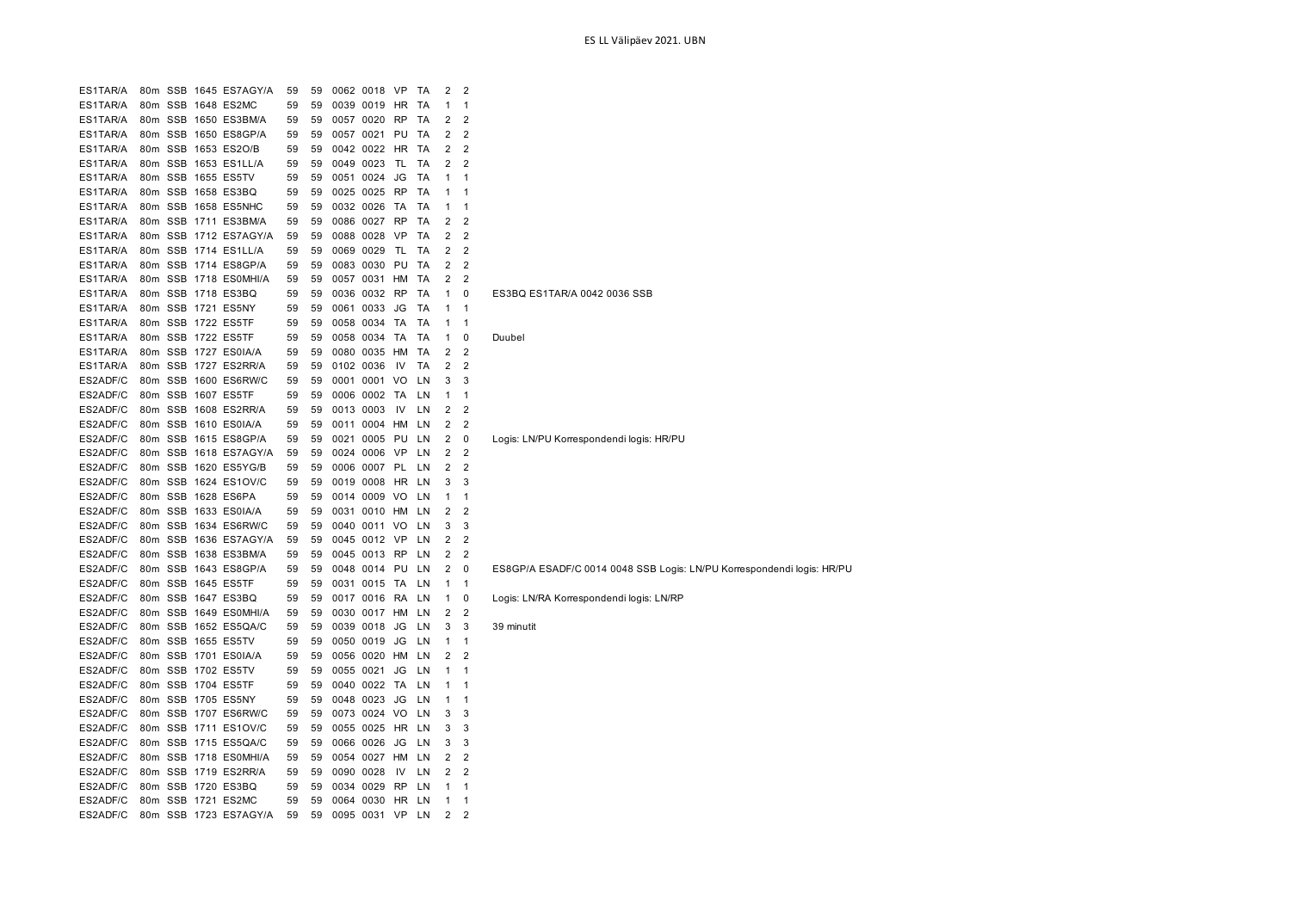| ES1TAR/A<br>SSB 1645 ES7AGY/A<br>59<br>59<br>0062 0018<br>TA<br>2<br>$\overline{2}$<br>80m<br>VP<br>ES1TAR/A<br>59<br>59<br>0039 0019<br>1<br>80m<br>SSB 1648 ES2MC<br>HR<br>TA<br>1<br>ES1TAR/A<br>59<br>TA<br>2<br>2<br>80m<br>SSB 1650 ES3BM/A<br>59<br>0057 0020<br><b>RP</b><br>2<br>$\overline{2}$<br>ES1TAR/A<br>80m SSB 1650 ES8GP/A<br>59<br>59<br>0057 0021<br>PU<br>TA<br>$\overline{2}$<br>ES1TAR/A<br>80m SSB 1653 ES2O/B<br>59<br>59<br>0042 0022<br>HR<br>TA<br>2<br>ES1TAR/A<br>SSB 1653 ES1LL/A<br>59<br>0049 0023<br>TL<br>TA<br>2<br>2<br>80 <sub>m</sub><br>59<br>ES1TAR/A<br>80m SSB 1655 ES5TV<br>59<br>59<br>0051 0024<br>JG<br>TA<br>1<br>1<br>ES1TAR/A<br>80m<br>SSB 1658 ES3BQ<br>59<br>59<br>0025 0025<br><b>RP</b><br>ТA<br>1<br>1<br>ES1TAR/A<br>80m SSB 1658 ES5NHC<br>59<br>0032 0026<br>TA<br>TA<br>59<br>1<br>1<br>$\overline{2}$<br>$\overline{2}$<br>ES1TAR/A<br>80m SSB 1711 ES3BM/A<br>59<br>59<br>0086 0027<br><b>RP</b><br>TA<br>ES1TAR/A<br>80m SSB 1712 ES7AGY/A<br>59<br>59<br>0088 0028<br>VP<br>TA<br>2<br>$\overline{2}$<br>ES1TAR/A<br>80m SSB 1714 ES1LL/A<br>59<br>0069 0029<br>TL<br>TA<br>2<br>2<br>59<br>2<br>$\overline{2}$<br>ES1TAR/A<br>80 <sub>m</sub><br>SSB 1714 ES8GP/A<br>59<br>59<br>0083 0030<br>PU<br>TA<br>$\overline{2}$<br>$\overline{2}$<br>ES1TAR/A<br>SSB 1718 ES0MHI/A<br>59<br>80m<br>59<br>0057 0031<br>HM<br>TA<br>ES1TAR/A<br>0<br>80m<br>SSB 1718 ES3BQ<br>59<br>59<br>0036 0032<br><b>RP</b><br>TA<br>1<br>ES3BQ ES1TAR/A 0042 0036 SSB<br>ES1TAR/A<br>SSB 1721<br>59<br>80m<br>ES5NY<br>59<br>0061 0033<br>JG<br>TA<br>1<br>1<br>ES1TAR/A<br>SSB 1722 ES5TF<br>59<br>59<br>0058 0034<br>TA<br>TA<br>1<br>80m<br>1<br>ES1TAR/A<br>80m<br>SSB 1722 ES5TF<br>59<br>59<br>0058 0034<br>TA<br>TA<br>0<br>1<br>Duubel<br>$\overline{2}$<br>ES1TAR/A<br>80m SSB 1727 ES0IA/A<br>59<br>59<br>0080 0035<br>TA<br>2<br>HM<br>$\overline{2}$<br>ES1TAR/A<br>80m SSB 1727 ES2RR/A<br>59<br>59<br>0102 0036<br>TA<br>2<br>IV<br>ES2ADF/C<br>3<br>3<br>80m<br>SSB 1600 ES6RW/C<br>59<br>59<br>0001 0001<br>VO<br>LN<br>ES2ADF/C<br>80m SSB 1607 ES5TF<br>59<br>59<br>0006 0002 TA<br>1<br>$\mathbf{1}$<br>LN<br>ES2ADF/C<br>$\overline{2}$<br>80m SSB 1608 ES2RR/A<br>59<br>0013 0003<br>2<br>59<br>IV<br>LN<br>ES2ADF/C<br>80m SSB 1610 ES0IA/A<br>59<br>0011 0004 HM<br>2<br>$\overline{2}$<br>59<br>LN<br>ES2ADF/C<br>80m SSB 1615 ES8GP/A<br>59<br>0021 0005<br>PU<br>2<br>0<br>Logis: LN/PU Korrespondendi logis: HR/PU<br>59<br>LN<br>ES2ADF/C<br>2<br>$\overline{2}$<br>80m SSB 1618 ES7AGY/A<br>59<br>59<br>0024 0006 VP<br>LN<br>ES2ADF/C<br>2<br>$\overline{2}$<br>SSB 1620 ES5YG/B<br>59<br>59<br>0006 0007<br>PL<br>LN<br>80 <sub>m</sub><br>ES2ADF/C<br>SSB 1624 ES1OV/C<br>3<br>3<br>80m<br>59<br>59<br>0019 0008<br>HR<br>LN<br>ES2ADF/C<br>SSB 1628 ES6PA<br>59<br>0014 0009<br>80m<br>59<br>VO<br>LN<br>1<br>1<br>ES2ADF/C<br>2<br>$\overline{2}$<br>SSB 1633 ES0IA/A<br>59<br>0031 0010<br>HM<br>80m<br>59<br>LN<br>ES2ADF/C<br>3<br>3<br>80 <sub>m</sub><br>SSB 1634 ES6RW/C<br>59<br>0040 0011<br>VO<br>LN<br>59<br>$\overline{2}$<br>ES2ADF/C<br>SSB 1636 ES7AGY/A<br>59<br>59<br>0045 0012 VP<br>LN<br>2<br>80 <sub>m</sub><br>$\overline{2}$<br>ES2ADF/C<br>80m SSB 1638 ES3BM/A<br>59<br>59<br>0045 0013 RP<br>2<br>LN<br>ES2ADF/C<br>2<br>0<br>ES8GP/A ESADF/C 0014 0048 SSB Logis: LN/PU Korrespondendi logis: HR/PU<br>80m SSB 1643 ES8GP/A<br>59<br>59<br>0048 0014<br>PU<br>LN<br>ES2ADF/C<br>80m SSB 1645 ES5TF<br>59<br>59<br>0031 0015<br>TA<br>LN<br>1<br>1<br>ES2ADF/C<br>80 <sub>m</sub><br>SSB 1647 ES3BQ<br>59<br>59<br>0017 0016<br>RA<br>0<br>Logis: LN/RA Korrespondendi logis: LN/RP<br>LN<br>1<br>ES2ADF/C<br>2<br>$\overline{2}$<br>80m SSB 1649 ES0MHI/A<br>59<br>0030 0017 HM<br>59<br>LN<br>ES2ADF/C<br>80m SSB 1652 ES5QA/C<br>59<br>0039 0018<br>3<br>3<br>59<br>JG<br>LN<br>39 minutit<br>ES2ADF/C<br>80m SSB 1655 ES5TV<br>59<br>59<br>0050 0019<br>JG<br>LN<br>$\mathbf{1}$<br>1<br>ES2ADF/C<br>80 <sub>m</sub><br>SSB 1701 ES0IA/A<br>59<br>59<br>0056 0020<br>HM<br>LN<br>2<br>$\overline{2}$<br>ES2ADF/C<br>SSB 1702 ES5TV<br>59<br>0055 0021<br>JG<br>LN<br>$\mathbf{1}$<br>80 <sub>m</sub><br>59<br>1<br>ES2ADF/C<br>SSB 1704 ES5TF<br>0040 0022<br>80m<br>59<br>59<br>ТA<br>LN<br>1<br>1<br>ES2ADF/C<br>SSB 1705 ES5NY<br>59<br>59<br>0048 0023<br>JG<br>LN<br>1<br>80m<br>1<br>ES2ADF/C<br>SSB 1707 ES6RW/C<br>3<br>3<br>80m<br>59<br>59<br>0073 0024<br>VO<br>LN<br>ES2ADF/C<br>3<br>SSB 1711 ES10V/C<br>59<br>0055 0025<br><b>HR</b><br>3<br>80m<br>59<br>LN<br>ES2ADF/C<br>SSB 1715 ES5QA/C<br>59<br>0066 0026<br>JG<br>LN<br>3<br>3<br>80m<br>59<br>ES2ADF/C<br>2<br>2<br>80m<br>SSB 1718 ES0MHI/A<br>59<br>59<br>0054 0027<br>HM<br>LN<br>ES2ADF/C<br>2<br>2<br>80m SSB 1719 ES2RR/A<br>59<br>59<br>0090 0028<br>IV<br>LN<br>ES2ADF/C<br>SSB 1720<br>ES3BQ<br>59<br>59<br>0034 0029<br><b>RP</b><br>LN<br>$\mathbf{1}$<br>80m<br>1<br>ES2ADF/C<br>SSB 1721 ES2MC<br>0064 0030<br>80m<br>59<br>59<br>HR<br>LN<br>1<br>1<br>0095 0031 VP<br>ES2ADF/C<br>80m SSB 1723 ES7AGY/A<br>59<br>59<br>2<br>$\overline{2}$<br>LN |  |  |  |  |  |  |  |
|----------------------------------------------------------------------------------------------------------------------------------------------------------------------------------------------------------------------------------------------------------------------------------------------------------------------------------------------------------------------------------------------------------------------------------------------------------------------------------------------------------------------------------------------------------------------------------------------------------------------------------------------------------------------------------------------------------------------------------------------------------------------------------------------------------------------------------------------------------------------------------------------------------------------------------------------------------------------------------------------------------------------------------------------------------------------------------------------------------------------------------------------------------------------------------------------------------------------------------------------------------------------------------------------------------------------------------------------------------------------------------------------------------------------------------------------------------------------------------------------------------------------------------------------------------------------------------------------------------------------------------------------------------------------------------------------------------------------------------------------------------------------------------------------------------------------------------------------------------------------------------------------------------------------------------------------------------------------------------------------------------------------------------------------------------------------------------------------------------------------------------------------------------------------------------------------------------------------------------------------------------------------------------------------------------------------------------------------------------------------------------------------------------------------------------------------------------------------------------------------------------------------------------------------------------------------------------------------------------------------------------------------------------------------------------------------------------------------------------------------------------------------------------------------------------------------------------------------------------------------------------------------------------------------------------------------------------------------------------------------------------------------------------------------------------------------------------------------------------------------------------------------------------------------------------------------------------------------------------------------------------------------------------------------------------------------------------------------------------------------------------------------------------------------------------------------------------------------------------------------------------------------------------------------------------------------------------------------------------------------------------------------------------------------------------------------------------------------------------------------------------------------------------------------------------------------------------------------------------------------------------------------------------------------------------------------------------------------------------------------------------------------------------------------------------------------------------------------------------------------------------------------------------------------------------------------------------------------------------------------------------------------------------------------------------------------------------------------------------------------------------------------------------------------------------------------------------------------------------------------------------------------------------------------------------------------------------------------------------------------------------------------------------------------------------------------------------------------------------------------------------------------------------------------------------------------------------------------------------------------------------------------------------------------------------------------------------------------------------------------------------------------------------------------------------------------------------------------------------------------------------------------------|--|--|--|--|--|--|--|
|                                                                                                                                                                                                                                                                                                                                                                                                                                                                                                                                                                                                                                                                                                                                                                                                                                                                                                                                                                                                                                                                                                                                                                                                                                                                                                                                                                                                                                                                                                                                                                                                                                                                                                                                                                                                                                                                                                                                                                                                                                                                                                                                                                                                                                                                                                                                                                                                                                                                                                                                                                                                                                                                                                                                                                                                                                                                                                                                                                                                                                                                                                                                                                                                                                                                                                                                                                                                                                                                                                                                                                                                                                                                                                                                                                                                                                                                                                                                                                                                                                                                                                                                                                                                                                                                                                                                                                                                                                                                                                                                                                                                                                                                                                                                                                                                                                                                                                                                                                                                                                                                                                                                                    |  |  |  |  |  |  |  |
|                                                                                                                                                                                                                                                                                                                                                                                                                                                                                                                                                                                                                                                                                                                                                                                                                                                                                                                                                                                                                                                                                                                                                                                                                                                                                                                                                                                                                                                                                                                                                                                                                                                                                                                                                                                                                                                                                                                                                                                                                                                                                                                                                                                                                                                                                                                                                                                                                                                                                                                                                                                                                                                                                                                                                                                                                                                                                                                                                                                                                                                                                                                                                                                                                                                                                                                                                                                                                                                                                                                                                                                                                                                                                                                                                                                                                                                                                                                                                                                                                                                                                                                                                                                                                                                                                                                                                                                                                                                                                                                                                                                                                                                                                                                                                                                                                                                                                                                                                                                                                                                                                                                                                    |  |  |  |  |  |  |  |
|                                                                                                                                                                                                                                                                                                                                                                                                                                                                                                                                                                                                                                                                                                                                                                                                                                                                                                                                                                                                                                                                                                                                                                                                                                                                                                                                                                                                                                                                                                                                                                                                                                                                                                                                                                                                                                                                                                                                                                                                                                                                                                                                                                                                                                                                                                                                                                                                                                                                                                                                                                                                                                                                                                                                                                                                                                                                                                                                                                                                                                                                                                                                                                                                                                                                                                                                                                                                                                                                                                                                                                                                                                                                                                                                                                                                                                                                                                                                                                                                                                                                                                                                                                                                                                                                                                                                                                                                                                                                                                                                                                                                                                                                                                                                                                                                                                                                                                                                                                                                                                                                                                                                                    |  |  |  |  |  |  |  |
|                                                                                                                                                                                                                                                                                                                                                                                                                                                                                                                                                                                                                                                                                                                                                                                                                                                                                                                                                                                                                                                                                                                                                                                                                                                                                                                                                                                                                                                                                                                                                                                                                                                                                                                                                                                                                                                                                                                                                                                                                                                                                                                                                                                                                                                                                                                                                                                                                                                                                                                                                                                                                                                                                                                                                                                                                                                                                                                                                                                                                                                                                                                                                                                                                                                                                                                                                                                                                                                                                                                                                                                                                                                                                                                                                                                                                                                                                                                                                                                                                                                                                                                                                                                                                                                                                                                                                                                                                                                                                                                                                                                                                                                                                                                                                                                                                                                                                                                                                                                                                                                                                                                                                    |  |  |  |  |  |  |  |
|                                                                                                                                                                                                                                                                                                                                                                                                                                                                                                                                                                                                                                                                                                                                                                                                                                                                                                                                                                                                                                                                                                                                                                                                                                                                                                                                                                                                                                                                                                                                                                                                                                                                                                                                                                                                                                                                                                                                                                                                                                                                                                                                                                                                                                                                                                                                                                                                                                                                                                                                                                                                                                                                                                                                                                                                                                                                                                                                                                                                                                                                                                                                                                                                                                                                                                                                                                                                                                                                                                                                                                                                                                                                                                                                                                                                                                                                                                                                                                                                                                                                                                                                                                                                                                                                                                                                                                                                                                                                                                                                                                                                                                                                                                                                                                                                                                                                                                                                                                                                                                                                                                                                                    |  |  |  |  |  |  |  |
|                                                                                                                                                                                                                                                                                                                                                                                                                                                                                                                                                                                                                                                                                                                                                                                                                                                                                                                                                                                                                                                                                                                                                                                                                                                                                                                                                                                                                                                                                                                                                                                                                                                                                                                                                                                                                                                                                                                                                                                                                                                                                                                                                                                                                                                                                                                                                                                                                                                                                                                                                                                                                                                                                                                                                                                                                                                                                                                                                                                                                                                                                                                                                                                                                                                                                                                                                                                                                                                                                                                                                                                                                                                                                                                                                                                                                                                                                                                                                                                                                                                                                                                                                                                                                                                                                                                                                                                                                                                                                                                                                                                                                                                                                                                                                                                                                                                                                                                                                                                                                                                                                                                                                    |  |  |  |  |  |  |  |
|                                                                                                                                                                                                                                                                                                                                                                                                                                                                                                                                                                                                                                                                                                                                                                                                                                                                                                                                                                                                                                                                                                                                                                                                                                                                                                                                                                                                                                                                                                                                                                                                                                                                                                                                                                                                                                                                                                                                                                                                                                                                                                                                                                                                                                                                                                                                                                                                                                                                                                                                                                                                                                                                                                                                                                                                                                                                                                                                                                                                                                                                                                                                                                                                                                                                                                                                                                                                                                                                                                                                                                                                                                                                                                                                                                                                                                                                                                                                                                                                                                                                                                                                                                                                                                                                                                                                                                                                                                                                                                                                                                                                                                                                                                                                                                                                                                                                                                                                                                                                                                                                                                                                                    |  |  |  |  |  |  |  |
|                                                                                                                                                                                                                                                                                                                                                                                                                                                                                                                                                                                                                                                                                                                                                                                                                                                                                                                                                                                                                                                                                                                                                                                                                                                                                                                                                                                                                                                                                                                                                                                                                                                                                                                                                                                                                                                                                                                                                                                                                                                                                                                                                                                                                                                                                                                                                                                                                                                                                                                                                                                                                                                                                                                                                                                                                                                                                                                                                                                                                                                                                                                                                                                                                                                                                                                                                                                                                                                                                                                                                                                                                                                                                                                                                                                                                                                                                                                                                                                                                                                                                                                                                                                                                                                                                                                                                                                                                                                                                                                                                                                                                                                                                                                                                                                                                                                                                                                                                                                                                                                                                                                                                    |  |  |  |  |  |  |  |
|                                                                                                                                                                                                                                                                                                                                                                                                                                                                                                                                                                                                                                                                                                                                                                                                                                                                                                                                                                                                                                                                                                                                                                                                                                                                                                                                                                                                                                                                                                                                                                                                                                                                                                                                                                                                                                                                                                                                                                                                                                                                                                                                                                                                                                                                                                                                                                                                                                                                                                                                                                                                                                                                                                                                                                                                                                                                                                                                                                                                                                                                                                                                                                                                                                                                                                                                                                                                                                                                                                                                                                                                                                                                                                                                                                                                                                                                                                                                                                                                                                                                                                                                                                                                                                                                                                                                                                                                                                                                                                                                                                                                                                                                                                                                                                                                                                                                                                                                                                                                                                                                                                                                                    |  |  |  |  |  |  |  |
|                                                                                                                                                                                                                                                                                                                                                                                                                                                                                                                                                                                                                                                                                                                                                                                                                                                                                                                                                                                                                                                                                                                                                                                                                                                                                                                                                                                                                                                                                                                                                                                                                                                                                                                                                                                                                                                                                                                                                                                                                                                                                                                                                                                                                                                                                                                                                                                                                                                                                                                                                                                                                                                                                                                                                                                                                                                                                                                                                                                                                                                                                                                                                                                                                                                                                                                                                                                                                                                                                                                                                                                                                                                                                                                                                                                                                                                                                                                                                                                                                                                                                                                                                                                                                                                                                                                                                                                                                                                                                                                                                                                                                                                                                                                                                                                                                                                                                                                                                                                                                                                                                                                                                    |  |  |  |  |  |  |  |
|                                                                                                                                                                                                                                                                                                                                                                                                                                                                                                                                                                                                                                                                                                                                                                                                                                                                                                                                                                                                                                                                                                                                                                                                                                                                                                                                                                                                                                                                                                                                                                                                                                                                                                                                                                                                                                                                                                                                                                                                                                                                                                                                                                                                                                                                                                                                                                                                                                                                                                                                                                                                                                                                                                                                                                                                                                                                                                                                                                                                                                                                                                                                                                                                                                                                                                                                                                                                                                                                                                                                                                                                                                                                                                                                                                                                                                                                                                                                                                                                                                                                                                                                                                                                                                                                                                                                                                                                                                                                                                                                                                                                                                                                                                                                                                                                                                                                                                                                                                                                                                                                                                                                                    |  |  |  |  |  |  |  |
|                                                                                                                                                                                                                                                                                                                                                                                                                                                                                                                                                                                                                                                                                                                                                                                                                                                                                                                                                                                                                                                                                                                                                                                                                                                                                                                                                                                                                                                                                                                                                                                                                                                                                                                                                                                                                                                                                                                                                                                                                                                                                                                                                                                                                                                                                                                                                                                                                                                                                                                                                                                                                                                                                                                                                                                                                                                                                                                                                                                                                                                                                                                                                                                                                                                                                                                                                                                                                                                                                                                                                                                                                                                                                                                                                                                                                                                                                                                                                                                                                                                                                                                                                                                                                                                                                                                                                                                                                                                                                                                                                                                                                                                                                                                                                                                                                                                                                                                                                                                                                                                                                                                                                    |  |  |  |  |  |  |  |
|                                                                                                                                                                                                                                                                                                                                                                                                                                                                                                                                                                                                                                                                                                                                                                                                                                                                                                                                                                                                                                                                                                                                                                                                                                                                                                                                                                                                                                                                                                                                                                                                                                                                                                                                                                                                                                                                                                                                                                                                                                                                                                                                                                                                                                                                                                                                                                                                                                                                                                                                                                                                                                                                                                                                                                                                                                                                                                                                                                                                                                                                                                                                                                                                                                                                                                                                                                                                                                                                                                                                                                                                                                                                                                                                                                                                                                                                                                                                                                                                                                                                                                                                                                                                                                                                                                                                                                                                                                                                                                                                                                                                                                                                                                                                                                                                                                                                                                                                                                                                                                                                                                                                                    |  |  |  |  |  |  |  |
|                                                                                                                                                                                                                                                                                                                                                                                                                                                                                                                                                                                                                                                                                                                                                                                                                                                                                                                                                                                                                                                                                                                                                                                                                                                                                                                                                                                                                                                                                                                                                                                                                                                                                                                                                                                                                                                                                                                                                                                                                                                                                                                                                                                                                                                                                                                                                                                                                                                                                                                                                                                                                                                                                                                                                                                                                                                                                                                                                                                                                                                                                                                                                                                                                                                                                                                                                                                                                                                                                                                                                                                                                                                                                                                                                                                                                                                                                                                                                                                                                                                                                                                                                                                                                                                                                                                                                                                                                                                                                                                                                                                                                                                                                                                                                                                                                                                                                                                                                                                                                                                                                                                                                    |  |  |  |  |  |  |  |
|                                                                                                                                                                                                                                                                                                                                                                                                                                                                                                                                                                                                                                                                                                                                                                                                                                                                                                                                                                                                                                                                                                                                                                                                                                                                                                                                                                                                                                                                                                                                                                                                                                                                                                                                                                                                                                                                                                                                                                                                                                                                                                                                                                                                                                                                                                                                                                                                                                                                                                                                                                                                                                                                                                                                                                                                                                                                                                                                                                                                                                                                                                                                                                                                                                                                                                                                                                                                                                                                                                                                                                                                                                                                                                                                                                                                                                                                                                                                                                                                                                                                                                                                                                                                                                                                                                                                                                                                                                                                                                                                                                                                                                                                                                                                                                                                                                                                                                                                                                                                                                                                                                                                                    |  |  |  |  |  |  |  |
|                                                                                                                                                                                                                                                                                                                                                                                                                                                                                                                                                                                                                                                                                                                                                                                                                                                                                                                                                                                                                                                                                                                                                                                                                                                                                                                                                                                                                                                                                                                                                                                                                                                                                                                                                                                                                                                                                                                                                                                                                                                                                                                                                                                                                                                                                                                                                                                                                                                                                                                                                                                                                                                                                                                                                                                                                                                                                                                                                                                                                                                                                                                                                                                                                                                                                                                                                                                                                                                                                                                                                                                                                                                                                                                                                                                                                                                                                                                                                                                                                                                                                                                                                                                                                                                                                                                                                                                                                                                                                                                                                                                                                                                                                                                                                                                                                                                                                                                                                                                                                                                                                                                                                    |  |  |  |  |  |  |  |
|                                                                                                                                                                                                                                                                                                                                                                                                                                                                                                                                                                                                                                                                                                                                                                                                                                                                                                                                                                                                                                                                                                                                                                                                                                                                                                                                                                                                                                                                                                                                                                                                                                                                                                                                                                                                                                                                                                                                                                                                                                                                                                                                                                                                                                                                                                                                                                                                                                                                                                                                                                                                                                                                                                                                                                                                                                                                                                                                                                                                                                                                                                                                                                                                                                                                                                                                                                                                                                                                                                                                                                                                                                                                                                                                                                                                                                                                                                                                                                                                                                                                                                                                                                                                                                                                                                                                                                                                                                                                                                                                                                                                                                                                                                                                                                                                                                                                                                                                                                                                                                                                                                                                                    |  |  |  |  |  |  |  |
|                                                                                                                                                                                                                                                                                                                                                                                                                                                                                                                                                                                                                                                                                                                                                                                                                                                                                                                                                                                                                                                                                                                                                                                                                                                                                                                                                                                                                                                                                                                                                                                                                                                                                                                                                                                                                                                                                                                                                                                                                                                                                                                                                                                                                                                                                                                                                                                                                                                                                                                                                                                                                                                                                                                                                                                                                                                                                                                                                                                                                                                                                                                                                                                                                                                                                                                                                                                                                                                                                                                                                                                                                                                                                                                                                                                                                                                                                                                                                                                                                                                                                                                                                                                                                                                                                                                                                                                                                                                                                                                                                                                                                                                                                                                                                                                                                                                                                                                                                                                                                                                                                                                                                    |  |  |  |  |  |  |  |
|                                                                                                                                                                                                                                                                                                                                                                                                                                                                                                                                                                                                                                                                                                                                                                                                                                                                                                                                                                                                                                                                                                                                                                                                                                                                                                                                                                                                                                                                                                                                                                                                                                                                                                                                                                                                                                                                                                                                                                                                                                                                                                                                                                                                                                                                                                                                                                                                                                                                                                                                                                                                                                                                                                                                                                                                                                                                                                                                                                                                                                                                                                                                                                                                                                                                                                                                                                                                                                                                                                                                                                                                                                                                                                                                                                                                                                                                                                                                                                                                                                                                                                                                                                                                                                                                                                                                                                                                                                                                                                                                                                                                                                                                                                                                                                                                                                                                                                                                                                                                                                                                                                                                                    |  |  |  |  |  |  |  |
|                                                                                                                                                                                                                                                                                                                                                                                                                                                                                                                                                                                                                                                                                                                                                                                                                                                                                                                                                                                                                                                                                                                                                                                                                                                                                                                                                                                                                                                                                                                                                                                                                                                                                                                                                                                                                                                                                                                                                                                                                                                                                                                                                                                                                                                                                                                                                                                                                                                                                                                                                                                                                                                                                                                                                                                                                                                                                                                                                                                                                                                                                                                                                                                                                                                                                                                                                                                                                                                                                                                                                                                                                                                                                                                                                                                                                                                                                                                                                                                                                                                                                                                                                                                                                                                                                                                                                                                                                                                                                                                                                                                                                                                                                                                                                                                                                                                                                                                                                                                                                                                                                                                                                    |  |  |  |  |  |  |  |
|                                                                                                                                                                                                                                                                                                                                                                                                                                                                                                                                                                                                                                                                                                                                                                                                                                                                                                                                                                                                                                                                                                                                                                                                                                                                                                                                                                                                                                                                                                                                                                                                                                                                                                                                                                                                                                                                                                                                                                                                                                                                                                                                                                                                                                                                                                                                                                                                                                                                                                                                                                                                                                                                                                                                                                                                                                                                                                                                                                                                                                                                                                                                                                                                                                                                                                                                                                                                                                                                                                                                                                                                                                                                                                                                                                                                                                                                                                                                                                                                                                                                                                                                                                                                                                                                                                                                                                                                                                                                                                                                                                                                                                                                                                                                                                                                                                                                                                                                                                                                                                                                                                                                                    |  |  |  |  |  |  |  |
|                                                                                                                                                                                                                                                                                                                                                                                                                                                                                                                                                                                                                                                                                                                                                                                                                                                                                                                                                                                                                                                                                                                                                                                                                                                                                                                                                                                                                                                                                                                                                                                                                                                                                                                                                                                                                                                                                                                                                                                                                                                                                                                                                                                                                                                                                                                                                                                                                                                                                                                                                                                                                                                                                                                                                                                                                                                                                                                                                                                                                                                                                                                                                                                                                                                                                                                                                                                                                                                                                                                                                                                                                                                                                                                                                                                                                                                                                                                                                                                                                                                                                                                                                                                                                                                                                                                                                                                                                                                                                                                                                                                                                                                                                                                                                                                                                                                                                                                                                                                                                                                                                                                                                    |  |  |  |  |  |  |  |
|                                                                                                                                                                                                                                                                                                                                                                                                                                                                                                                                                                                                                                                                                                                                                                                                                                                                                                                                                                                                                                                                                                                                                                                                                                                                                                                                                                                                                                                                                                                                                                                                                                                                                                                                                                                                                                                                                                                                                                                                                                                                                                                                                                                                                                                                                                                                                                                                                                                                                                                                                                                                                                                                                                                                                                                                                                                                                                                                                                                                                                                                                                                                                                                                                                                                                                                                                                                                                                                                                                                                                                                                                                                                                                                                                                                                                                                                                                                                                                                                                                                                                                                                                                                                                                                                                                                                                                                                                                                                                                                                                                                                                                                                                                                                                                                                                                                                                                                                                                                                                                                                                                                                                    |  |  |  |  |  |  |  |
|                                                                                                                                                                                                                                                                                                                                                                                                                                                                                                                                                                                                                                                                                                                                                                                                                                                                                                                                                                                                                                                                                                                                                                                                                                                                                                                                                                                                                                                                                                                                                                                                                                                                                                                                                                                                                                                                                                                                                                                                                                                                                                                                                                                                                                                                                                                                                                                                                                                                                                                                                                                                                                                                                                                                                                                                                                                                                                                                                                                                                                                                                                                                                                                                                                                                                                                                                                                                                                                                                                                                                                                                                                                                                                                                                                                                                                                                                                                                                                                                                                                                                                                                                                                                                                                                                                                                                                                                                                                                                                                                                                                                                                                                                                                                                                                                                                                                                                                                                                                                                                                                                                                                                    |  |  |  |  |  |  |  |
|                                                                                                                                                                                                                                                                                                                                                                                                                                                                                                                                                                                                                                                                                                                                                                                                                                                                                                                                                                                                                                                                                                                                                                                                                                                                                                                                                                                                                                                                                                                                                                                                                                                                                                                                                                                                                                                                                                                                                                                                                                                                                                                                                                                                                                                                                                                                                                                                                                                                                                                                                                                                                                                                                                                                                                                                                                                                                                                                                                                                                                                                                                                                                                                                                                                                                                                                                                                                                                                                                                                                                                                                                                                                                                                                                                                                                                                                                                                                                                                                                                                                                                                                                                                                                                                                                                                                                                                                                                                                                                                                                                                                                                                                                                                                                                                                                                                                                                                                                                                                                                                                                                                                                    |  |  |  |  |  |  |  |
|                                                                                                                                                                                                                                                                                                                                                                                                                                                                                                                                                                                                                                                                                                                                                                                                                                                                                                                                                                                                                                                                                                                                                                                                                                                                                                                                                                                                                                                                                                                                                                                                                                                                                                                                                                                                                                                                                                                                                                                                                                                                                                                                                                                                                                                                                                                                                                                                                                                                                                                                                                                                                                                                                                                                                                                                                                                                                                                                                                                                                                                                                                                                                                                                                                                                                                                                                                                                                                                                                                                                                                                                                                                                                                                                                                                                                                                                                                                                                                                                                                                                                                                                                                                                                                                                                                                                                                                                                                                                                                                                                                                                                                                                                                                                                                                                                                                                                                                                                                                                                                                                                                                                                    |  |  |  |  |  |  |  |
|                                                                                                                                                                                                                                                                                                                                                                                                                                                                                                                                                                                                                                                                                                                                                                                                                                                                                                                                                                                                                                                                                                                                                                                                                                                                                                                                                                                                                                                                                                                                                                                                                                                                                                                                                                                                                                                                                                                                                                                                                                                                                                                                                                                                                                                                                                                                                                                                                                                                                                                                                                                                                                                                                                                                                                                                                                                                                                                                                                                                                                                                                                                                                                                                                                                                                                                                                                                                                                                                                                                                                                                                                                                                                                                                                                                                                                                                                                                                                                                                                                                                                                                                                                                                                                                                                                                                                                                                                                                                                                                                                                                                                                                                                                                                                                                                                                                                                                                                                                                                                                                                                                                                                    |  |  |  |  |  |  |  |
|                                                                                                                                                                                                                                                                                                                                                                                                                                                                                                                                                                                                                                                                                                                                                                                                                                                                                                                                                                                                                                                                                                                                                                                                                                                                                                                                                                                                                                                                                                                                                                                                                                                                                                                                                                                                                                                                                                                                                                                                                                                                                                                                                                                                                                                                                                                                                                                                                                                                                                                                                                                                                                                                                                                                                                                                                                                                                                                                                                                                                                                                                                                                                                                                                                                                                                                                                                                                                                                                                                                                                                                                                                                                                                                                                                                                                                                                                                                                                                                                                                                                                                                                                                                                                                                                                                                                                                                                                                                                                                                                                                                                                                                                                                                                                                                                                                                                                                                                                                                                                                                                                                                                                    |  |  |  |  |  |  |  |
|                                                                                                                                                                                                                                                                                                                                                                                                                                                                                                                                                                                                                                                                                                                                                                                                                                                                                                                                                                                                                                                                                                                                                                                                                                                                                                                                                                                                                                                                                                                                                                                                                                                                                                                                                                                                                                                                                                                                                                                                                                                                                                                                                                                                                                                                                                                                                                                                                                                                                                                                                                                                                                                                                                                                                                                                                                                                                                                                                                                                                                                                                                                                                                                                                                                                                                                                                                                                                                                                                                                                                                                                                                                                                                                                                                                                                                                                                                                                                                                                                                                                                                                                                                                                                                                                                                                                                                                                                                                                                                                                                                                                                                                                                                                                                                                                                                                                                                                                                                                                                                                                                                                                                    |  |  |  |  |  |  |  |
|                                                                                                                                                                                                                                                                                                                                                                                                                                                                                                                                                                                                                                                                                                                                                                                                                                                                                                                                                                                                                                                                                                                                                                                                                                                                                                                                                                                                                                                                                                                                                                                                                                                                                                                                                                                                                                                                                                                                                                                                                                                                                                                                                                                                                                                                                                                                                                                                                                                                                                                                                                                                                                                                                                                                                                                                                                                                                                                                                                                                                                                                                                                                                                                                                                                                                                                                                                                                                                                                                                                                                                                                                                                                                                                                                                                                                                                                                                                                                                                                                                                                                                                                                                                                                                                                                                                                                                                                                                                                                                                                                                                                                                                                                                                                                                                                                                                                                                                                                                                                                                                                                                                                                    |  |  |  |  |  |  |  |
|                                                                                                                                                                                                                                                                                                                                                                                                                                                                                                                                                                                                                                                                                                                                                                                                                                                                                                                                                                                                                                                                                                                                                                                                                                                                                                                                                                                                                                                                                                                                                                                                                                                                                                                                                                                                                                                                                                                                                                                                                                                                                                                                                                                                                                                                                                                                                                                                                                                                                                                                                                                                                                                                                                                                                                                                                                                                                                                                                                                                                                                                                                                                                                                                                                                                                                                                                                                                                                                                                                                                                                                                                                                                                                                                                                                                                                                                                                                                                                                                                                                                                                                                                                                                                                                                                                                                                                                                                                                                                                                                                                                                                                                                                                                                                                                                                                                                                                                                                                                                                                                                                                                                                    |  |  |  |  |  |  |  |
|                                                                                                                                                                                                                                                                                                                                                                                                                                                                                                                                                                                                                                                                                                                                                                                                                                                                                                                                                                                                                                                                                                                                                                                                                                                                                                                                                                                                                                                                                                                                                                                                                                                                                                                                                                                                                                                                                                                                                                                                                                                                                                                                                                                                                                                                                                                                                                                                                                                                                                                                                                                                                                                                                                                                                                                                                                                                                                                                                                                                                                                                                                                                                                                                                                                                                                                                                                                                                                                                                                                                                                                                                                                                                                                                                                                                                                                                                                                                                                                                                                                                                                                                                                                                                                                                                                                                                                                                                                                                                                                                                                                                                                                                                                                                                                                                                                                                                                                                                                                                                                                                                                                                                    |  |  |  |  |  |  |  |
|                                                                                                                                                                                                                                                                                                                                                                                                                                                                                                                                                                                                                                                                                                                                                                                                                                                                                                                                                                                                                                                                                                                                                                                                                                                                                                                                                                                                                                                                                                                                                                                                                                                                                                                                                                                                                                                                                                                                                                                                                                                                                                                                                                                                                                                                                                                                                                                                                                                                                                                                                                                                                                                                                                                                                                                                                                                                                                                                                                                                                                                                                                                                                                                                                                                                                                                                                                                                                                                                                                                                                                                                                                                                                                                                                                                                                                                                                                                                                                                                                                                                                                                                                                                                                                                                                                                                                                                                                                                                                                                                                                                                                                                                                                                                                                                                                                                                                                                                                                                                                                                                                                                                                    |  |  |  |  |  |  |  |
|                                                                                                                                                                                                                                                                                                                                                                                                                                                                                                                                                                                                                                                                                                                                                                                                                                                                                                                                                                                                                                                                                                                                                                                                                                                                                                                                                                                                                                                                                                                                                                                                                                                                                                                                                                                                                                                                                                                                                                                                                                                                                                                                                                                                                                                                                                                                                                                                                                                                                                                                                                                                                                                                                                                                                                                                                                                                                                                                                                                                                                                                                                                                                                                                                                                                                                                                                                                                                                                                                                                                                                                                                                                                                                                                                                                                                                                                                                                                                                                                                                                                                                                                                                                                                                                                                                                                                                                                                                                                                                                                                                                                                                                                                                                                                                                                                                                                                                                                                                                                                                                                                                                                                    |  |  |  |  |  |  |  |
|                                                                                                                                                                                                                                                                                                                                                                                                                                                                                                                                                                                                                                                                                                                                                                                                                                                                                                                                                                                                                                                                                                                                                                                                                                                                                                                                                                                                                                                                                                                                                                                                                                                                                                                                                                                                                                                                                                                                                                                                                                                                                                                                                                                                                                                                                                                                                                                                                                                                                                                                                                                                                                                                                                                                                                                                                                                                                                                                                                                                                                                                                                                                                                                                                                                                                                                                                                                                                                                                                                                                                                                                                                                                                                                                                                                                                                                                                                                                                                                                                                                                                                                                                                                                                                                                                                                                                                                                                                                                                                                                                                                                                                                                                                                                                                                                                                                                                                                                                                                                                                                                                                                                                    |  |  |  |  |  |  |  |
|                                                                                                                                                                                                                                                                                                                                                                                                                                                                                                                                                                                                                                                                                                                                                                                                                                                                                                                                                                                                                                                                                                                                                                                                                                                                                                                                                                                                                                                                                                                                                                                                                                                                                                                                                                                                                                                                                                                                                                                                                                                                                                                                                                                                                                                                                                                                                                                                                                                                                                                                                                                                                                                                                                                                                                                                                                                                                                                                                                                                                                                                                                                                                                                                                                                                                                                                                                                                                                                                                                                                                                                                                                                                                                                                                                                                                                                                                                                                                                                                                                                                                                                                                                                                                                                                                                                                                                                                                                                                                                                                                                                                                                                                                                                                                                                                                                                                                                                                                                                                                                                                                                                                                    |  |  |  |  |  |  |  |
|                                                                                                                                                                                                                                                                                                                                                                                                                                                                                                                                                                                                                                                                                                                                                                                                                                                                                                                                                                                                                                                                                                                                                                                                                                                                                                                                                                                                                                                                                                                                                                                                                                                                                                                                                                                                                                                                                                                                                                                                                                                                                                                                                                                                                                                                                                                                                                                                                                                                                                                                                                                                                                                                                                                                                                                                                                                                                                                                                                                                                                                                                                                                                                                                                                                                                                                                                                                                                                                                                                                                                                                                                                                                                                                                                                                                                                                                                                                                                                                                                                                                                                                                                                                                                                                                                                                                                                                                                                                                                                                                                                                                                                                                                                                                                                                                                                                                                                                                                                                                                                                                                                                                                    |  |  |  |  |  |  |  |
|                                                                                                                                                                                                                                                                                                                                                                                                                                                                                                                                                                                                                                                                                                                                                                                                                                                                                                                                                                                                                                                                                                                                                                                                                                                                                                                                                                                                                                                                                                                                                                                                                                                                                                                                                                                                                                                                                                                                                                                                                                                                                                                                                                                                                                                                                                                                                                                                                                                                                                                                                                                                                                                                                                                                                                                                                                                                                                                                                                                                                                                                                                                                                                                                                                                                                                                                                                                                                                                                                                                                                                                                                                                                                                                                                                                                                                                                                                                                                                                                                                                                                                                                                                                                                                                                                                                                                                                                                                                                                                                                                                                                                                                                                                                                                                                                                                                                                                                                                                                                                                                                                                                                                    |  |  |  |  |  |  |  |
|                                                                                                                                                                                                                                                                                                                                                                                                                                                                                                                                                                                                                                                                                                                                                                                                                                                                                                                                                                                                                                                                                                                                                                                                                                                                                                                                                                                                                                                                                                                                                                                                                                                                                                                                                                                                                                                                                                                                                                                                                                                                                                                                                                                                                                                                                                                                                                                                                                                                                                                                                                                                                                                                                                                                                                                                                                                                                                                                                                                                                                                                                                                                                                                                                                                                                                                                                                                                                                                                                                                                                                                                                                                                                                                                                                                                                                                                                                                                                                                                                                                                                                                                                                                                                                                                                                                                                                                                                                                                                                                                                                                                                                                                                                                                                                                                                                                                                                                                                                                                                                                                                                                                                    |  |  |  |  |  |  |  |
|                                                                                                                                                                                                                                                                                                                                                                                                                                                                                                                                                                                                                                                                                                                                                                                                                                                                                                                                                                                                                                                                                                                                                                                                                                                                                                                                                                                                                                                                                                                                                                                                                                                                                                                                                                                                                                                                                                                                                                                                                                                                                                                                                                                                                                                                                                                                                                                                                                                                                                                                                                                                                                                                                                                                                                                                                                                                                                                                                                                                                                                                                                                                                                                                                                                                                                                                                                                                                                                                                                                                                                                                                                                                                                                                                                                                                                                                                                                                                                                                                                                                                                                                                                                                                                                                                                                                                                                                                                                                                                                                                                                                                                                                                                                                                                                                                                                                                                                                                                                                                                                                                                                                                    |  |  |  |  |  |  |  |
|                                                                                                                                                                                                                                                                                                                                                                                                                                                                                                                                                                                                                                                                                                                                                                                                                                                                                                                                                                                                                                                                                                                                                                                                                                                                                                                                                                                                                                                                                                                                                                                                                                                                                                                                                                                                                                                                                                                                                                                                                                                                                                                                                                                                                                                                                                                                                                                                                                                                                                                                                                                                                                                                                                                                                                                                                                                                                                                                                                                                                                                                                                                                                                                                                                                                                                                                                                                                                                                                                                                                                                                                                                                                                                                                                                                                                                                                                                                                                                                                                                                                                                                                                                                                                                                                                                                                                                                                                                                                                                                                                                                                                                                                                                                                                                                                                                                                                                                                                                                                                                                                                                                                                    |  |  |  |  |  |  |  |
|                                                                                                                                                                                                                                                                                                                                                                                                                                                                                                                                                                                                                                                                                                                                                                                                                                                                                                                                                                                                                                                                                                                                                                                                                                                                                                                                                                                                                                                                                                                                                                                                                                                                                                                                                                                                                                                                                                                                                                                                                                                                                                                                                                                                                                                                                                                                                                                                                                                                                                                                                                                                                                                                                                                                                                                                                                                                                                                                                                                                                                                                                                                                                                                                                                                                                                                                                                                                                                                                                                                                                                                                                                                                                                                                                                                                                                                                                                                                                                                                                                                                                                                                                                                                                                                                                                                                                                                                                                                                                                                                                                                                                                                                                                                                                                                                                                                                                                                                                                                                                                                                                                                                                    |  |  |  |  |  |  |  |
|                                                                                                                                                                                                                                                                                                                                                                                                                                                                                                                                                                                                                                                                                                                                                                                                                                                                                                                                                                                                                                                                                                                                                                                                                                                                                                                                                                                                                                                                                                                                                                                                                                                                                                                                                                                                                                                                                                                                                                                                                                                                                                                                                                                                                                                                                                                                                                                                                                                                                                                                                                                                                                                                                                                                                                                                                                                                                                                                                                                                                                                                                                                                                                                                                                                                                                                                                                                                                                                                                                                                                                                                                                                                                                                                                                                                                                                                                                                                                                                                                                                                                                                                                                                                                                                                                                                                                                                                                                                                                                                                                                                                                                                                                                                                                                                                                                                                                                                                                                                                                                                                                                                                                    |  |  |  |  |  |  |  |
|                                                                                                                                                                                                                                                                                                                                                                                                                                                                                                                                                                                                                                                                                                                                                                                                                                                                                                                                                                                                                                                                                                                                                                                                                                                                                                                                                                                                                                                                                                                                                                                                                                                                                                                                                                                                                                                                                                                                                                                                                                                                                                                                                                                                                                                                                                                                                                                                                                                                                                                                                                                                                                                                                                                                                                                                                                                                                                                                                                                                                                                                                                                                                                                                                                                                                                                                                                                                                                                                                                                                                                                                                                                                                                                                                                                                                                                                                                                                                                                                                                                                                                                                                                                                                                                                                                                                                                                                                                                                                                                                                                                                                                                                                                                                                                                                                                                                                                                                                                                                                                                                                                                                                    |  |  |  |  |  |  |  |
|                                                                                                                                                                                                                                                                                                                                                                                                                                                                                                                                                                                                                                                                                                                                                                                                                                                                                                                                                                                                                                                                                                                                                                                                                                                                                                                                                                                                                                                                                                                                                                                                                                                                                                                                                                                                                                                                                                                                                                                                                                                                                                                                                                                                                                                                                                                                                                                                                                                                                                                                                                                                                                                                                                                                                                                                                                                                                                                                                                                                                                                                                                                                                                                                                                                                                                                                                                                                                                                                                                                                                                                                                                                                                                                                                                                                                                                                                                                                                                                                                                                                                                                                                                                                                                                                                                                                                                                                                                                                                                                                                                                                                                                                                                                                                                                                                                                                                                                                                                                                                                                                                                                                                    |  |  |  |  |  |  |  |
|                                                                                                                                                                                                                                                                                                                                                                                                                                                                                                                                                                                                                                                                                                                                                                                                                                                                                                                                                                                                                                                                                                                                                                                                                                                                                                                                                                                                                                                                                                                                                                                                                                                                                                                                                                                                                                                                                                                                                                                                                                                                                                                                                                                                                                                                                                                                                                                                                                                                                                                                                                                                                                                                                                                                                                                                                                                                                                                                                                                                                                                                                                                                                                                                                                                                                                                                                                                                                                                                                                                                                                                                                                                                                                                                                                                                                                                                                                                                                                                                                                                                                                                                                                                                                                                                                                                                                                                                                                                                                                                                                                                                                                                                                                                                                                                                                                                                                                                                                                                                                                                                                                                                                    |  |  |  |  |  |  |  |
|                                                                                                                                                                                                                                                                                                                                                                                                                                                                                                                                                                                                                                                                                                                                                                                                                                                                                                                                                                                                                                                                                                                                                                                                                                                                                                                                                                                                                                                                                                                                                                                                                                                                                                                                                                                                                                                                                                                                                                                                                                                                                                                                                                                                                                                                                                                                                                                                                                                                                                                                                                                                                                                                                                                                                                                                                                                                                                                                                                                                                                                                                                                                                                                                                                                                                                                                                                                                                                                                                                                                                                                                                                                                                                                                                                                                                                                                                                                                                                                                                                                                                                                                                                                                                                                                                                                                                                                                                                                                                                                                                                                                                                                                                                                                                                                                                                                                                                                                                                                                                                                                                                                                                    |  |  |  |  |  |  |  |
|                                                                                                                                                                                                                                                                                                                                                                                                                                                                                                                                                                                                                                                                                                                                                                                                                                                                                                                                                                                                                                                                                                                                                                                                                                                                                                                                                                                                                                                                                                                                                                                                                                                                                                                                                                                                                                                                                                                                                                                                                                                                                                                                                                                                                                                                                                                                                                                                                                                                                                                                                                                                                                                                                                                                                                                                                                                                                                                                                                                                                                                                                                                                                                                                                                                                                                                                                                                                                                                                                                                                                                                                                                                                                                                                                                                                                                                                                                                                                                                                                                                                                                                                                                                                                                                                                                                                                                                                                                                                                                                                                                                                                                                                                                                                                                                                                                                                                                                                                                                                                                                                                                                                                    |  |  |  |  |  |  |  |
|                                                                                                                                                                                                                                                                                                                                                                                                                                                                                                                                                                                                                                                                                                                                                                                                                                                                                                                                                                                                                                                                                                                                                                                                                                                                                                                                                                                                                                                                                                                                                                                                                                                                                                                                                                                                                                                                                                                                                                                                                                                                                                                                                                                                                                                                                                                                                                                                                                                                                                                                                                                                                                                                                                                                                                                                                                                                                                                                                                                                                                                                                                                                                                                                                                                                                                                                                                                                                                                                                                                                                                                                                                                                                                                                                                                                                                                                                                                                                                                                                                                                                                                                                                                                                                                                                                                                                                                                                                                                                                                                                                                                                                                                                                                                                                                                                                                                                                                                                                                                                                                                                                                                                    |  |  |  |  |  |  |  |
|                                                                                                                                                                                                                                                                                                                                                                                                                                                                                                                                                                                                                                                                                                                                                                                                                                                                                                                                                                                                                                                                                                                                                                                                                                                                                                                                                                                                                                                                                                                                                                                                                                                                                                                                                                                                                                                                                                                                                                                                                                                                                                                                                                                                                                                                                                                                                                                                                                                                                                                                                                                                                                                                                                                                                                                                                                                                                                                                                                                                                                                                                                                                                                                                                                                                                                                                                                                                                                                                                                                                                                                                                                                                                                                                                                                                                                                                                                                                                                                                                                                                                                                                                                                                                                                                                                                                                                                                                                                                                                                                                                                                                                                                                                                                                                                                                                                                                                                                                                                                                                                                                                                                                    |  |  |  |  |  |  |  |
|                                                                                                                                                                                                                                                                                                                                                                                                                                                                                                                                                                                                                                                                                                                                                                                                                                                                                                                                                                                                                                                                                                                                                                                                                                                                                                                                                                                                                                                                                                                                                                                                                                                                                                                                                                                                                                                                                                                                                                                                                                                                                                                                                                                                                                                                                                                                                                                                                                                                                                                                                                                                                                                                                                                                                                                                                                                                                                                                                                                                                                                                                                                                                                                                                                                                                                                                                                                                                                                                                                                                                                                                                                                                                                                                                                                                                                                                                                                                                                                                                                                                                                                                                                                                                                                                                                                                                                                                                                                                                                                                                                                                                                                                                                                                                                                                                                                                                                                                                                                                                                                                                                                                                    |  |  |  |  |  |  |  |
|                                                                                                                                                                                                                                                                                                                                                                                                                                                                                                                                                                                                                                                                                                                                                                                                                                                                                                                                                                                                                                                                                                                                                                                                                                                                                                                                                                                                                                                                                                                                                                                                                                                                                                                                                                                                                                                                                                                                                                                                                                                                                                                                                                                                                                                                                                                                                                                                                                                                                                                                                                                                                                                                                                                                                                                                                                                                                                                                                                                                                                                                                                                                                                                                                                                                                                                                                                                                                                                                                                                                                                                                                                                                                                                                                                                                                                                                                                                                                                                                                                                                                                                                                                                                                                                                                                                                                                                                                                                                                                                                                                                                                                                                                                                                                                                                                                                                                                                                                                                                                                                                                                                                                    |  |  |  |  |  |  |  |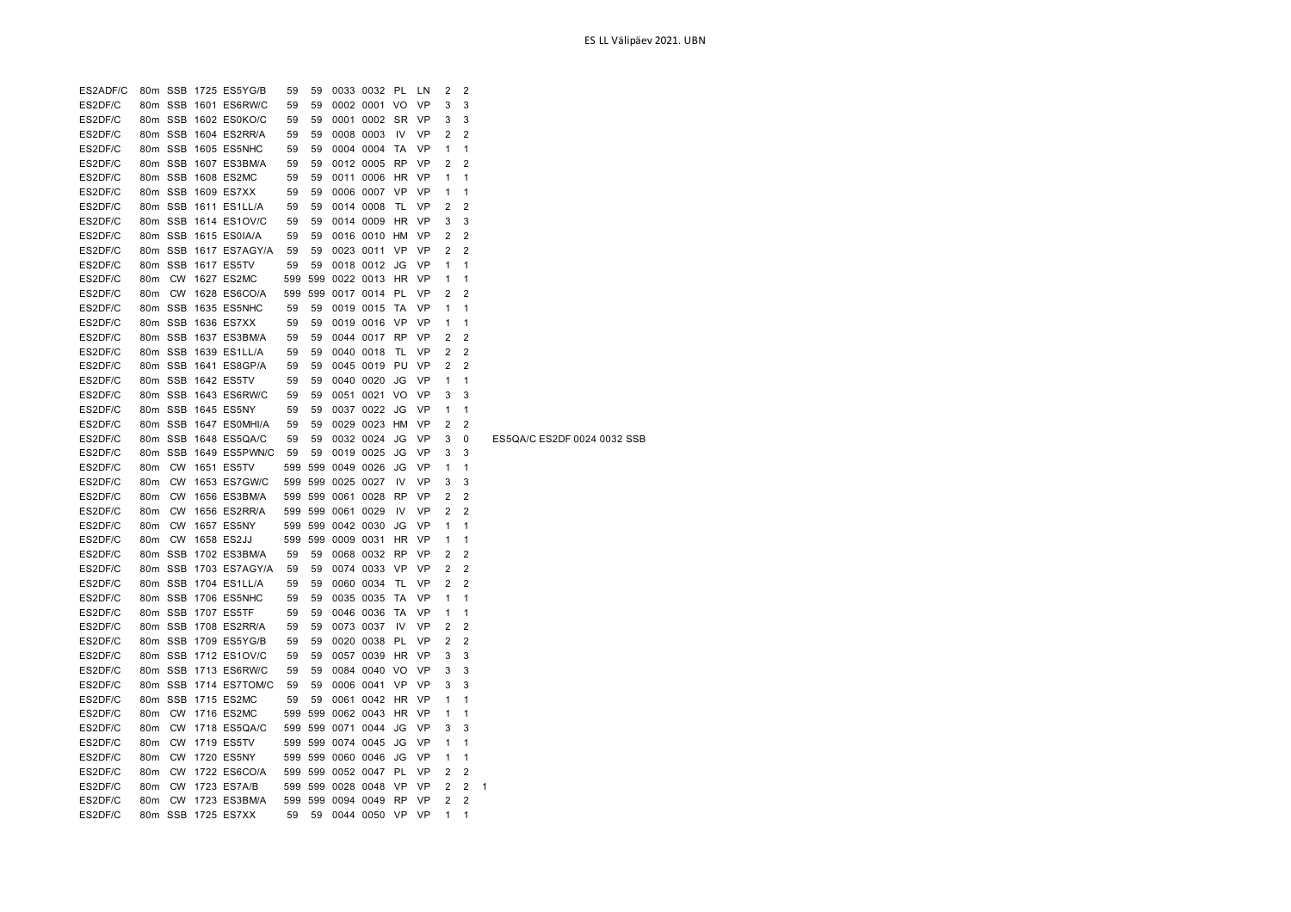| ES2ADF/C |                 |           | 80m SSB 1725 ES5YG/B  | 59  | 59  |                   | 0033 0032 PL         |           | LN.       | 2            | 2              |                             |
|----------|-----------------|-----------|-----------------------|-----|-----|-------------------|----------------------|-----------|-----------|--------------|----------------|-----------------------------|
| ES2DF/C  |                 |           | 80m SSB 1601 ES6RW/C  | 59  | 59  |                   | 0002 0001 VO         |           | <b>VP</b> | 3            | 3              |                             |
| ES2DF/C  |                 |           | 80m SSB 1602 ES0KO/C  | 59  | 59  |                   | 0001 0002 SR         |           | <b>VP</b> | 3            | 3              |                             |
| ES2DF/C  |                 |           | 80m SSB 1604 ES2RR/A  | 59  | 59  |                   | 0008 0003            | <b>IV</b> | VP        | 2            | $\overline{2}$ |                             |
| ES2DF/C  |                 |           | 80m SSB 1605 ES5NHC   | 59  | 59  |                   | 0004 0004            | TA        | VP        | 1            | 1              |                             |
| ES2DF/C  |                 |           | 80m SSB 1607 ES3BM/A  | 59  | 59  |                   | 0012 0005            | RP        | VP        | 2            | 2              |                             |
| ES2DF/C  |                 |           | 80m SSB 1608 ES2MC    | 59  | 59  |                   | 0011 0006 HR         |           | <b>VP</b> | 1            | 1              |                             |
| ES2DF/C  |                 |           | 80m SSB 1609 ES7XX    | 59  | 59  |                   | 0006 0007 VP         |           | VP        | 1            | 1              |                             |
| ES2DF/C  |                 |           | 80m SSB 1611 ES1LL/A  | 59  | 59  |                   | 0014 0008            | <b>TL</b> | VP        | 2            | $\overline{2}$ |                             |
| ES2DF/C  |                 |           | 80m SSB 1614 ES1OV/C  | 59  | 59  |                   | 0014 0009 HR         |           | VP        | 3            | 3              |                             |
| ES2DF/C  |                 |           | 80m SSB 1615 ES0IA/A  | 59  | 59  |                   | 0016 0010 HM         |           | VP        | 2            | $\overline{2}$ |                             |
| ES2DF/C  |                 |           | 80m SSB 1617 ES7AGY/A | 59  | 59  |                   | 0023 0011 VP         |           | <b>VP</b> | 2            | $\overline{2}$ |                             |
| ES2DF/C  |                 |           | 80m SSB 1617 ES5TV    | 59  | 59  |                   | 0018 0012 JG         |           | <b>VP</b> | 1            | 1              |                             |
| ES2DF/C  | 80 <sub>m</sub> |           | <b>CW 1627 ES2MC</b>  | 599 | 599 |                   | 0022 0013 HR         |           | <b>VP</b> | $\mathbf{1}$ | 1              |                             |
| ES2DF/C  |                 |           | 80m CW 1628 ES6CO/A   | 599 | 599 |                   | 0017 0014 PL         |           | <b>VP</b> | 2            | 2              |                             |
| ES2DF/C  |                 |           | 80m SSB 1635 ES5NHC   | 59  | 59  |                   | 0019 0015 TA         |           | VP        | 1            | 1              |                             |
| ES2DF/C  |                 |           | 80m SSB 1636 ES7XX    | 59  | 59  |                   | 0019 0016 VP         |           | <b>VP</b> | 1            | 1              |                             |
| ES2DF/C  |                 |           | 80m SSB 1637 ES3BM/A  | 59  | 59  |                   | 0044 0017 RP         |           | VP        | 2            | 2              |                             |
| ES2DF/C  |                 |           | 80m SSB 1639 ES1LL/A  | 59  | 59  |                   | 0040 0018            | TL        | <b>VP</b> | 2            | $\overline{2}$ |                             |
| ES2DF/C  |                 |           | 80m SSB 1641 ES8GP/A  | 59  | 59  |                   | 0045 0019 PU         |           | VP        | 2            | $\overline{2}$ |                             |
| ES2DF/C  |                 |           | 80m SSB 1642 ES5TV    | 59  | 59  |                   | 0040 0020            | JG        | <b>VP</b> | 1            | 1              |                             |
| ES2DF/C  |                 |           | 80m SSB 1643 ES6RW/C  | 59  | 59  |                   | 0051 0021 VO         |           | <b>VP</b> | 3            | 3              |                             |
| ES2DF/C  |                 |           | 80m SSB 1645 ES5NY    | 59  | 59  |                   | 0037 0022 JG         |           | <b>VP</b> | 1            | 1              |                             |
| ES2DF/C  |                 |           | 80m SSB 1647 ES0MHI/A | 59  | 59  |                   | 0029 0023 HM         |           | <b>VP</b> | 2            | 2              |                             |
| ES2DF/C  |                 |           | 80m SSB 1648 ES5QA/C  | 59  | 59  |                   | 0032 0024            | JG        | <b>VP</b> | 3            | 0              | ES5QA/C ES2DF 0024 0032 SSB |
| ES2DF/C  |                 |           | 80m SSB 1649 ES5PWN/C | 59  | 59  |                   | 0019 0025            | JG        | <b>VP</b> | 3            | 3              |                             |
| ES2DF/C  | 80 <sub>m</sub> | <b>CW</b> | 1651 ES5TV            | 599 |     | 599 0049 0026     |                      | JG        | <b>VP</b> | $\mathbf{1}$ | 1              |                             |
| ES2DF/C  |                 | 80m CW    | 1653 ES7GW/C          |     |     | 599 599 0025 0027 |                      | IV        | VP        | 3            | 3              |                             |
| ES2DF/C  | 80 <sub>m</sub> | <b>CW</b> | 1656 ES3BM/A          |     |     | 599 599 0061 0028 |                      | <b>RP</b> | VP        | 2            | 2              |                             |
| ES2DF/C  | 80m             | <b>CW</b> | 1656 ES2RR/A          |     |     | 599 599 0061 0029 |                      | IV        | VP        | 2            | $\overline{2}$ |                             |
| ES2DF/C  | 80 <sub>m</sub> | <b>CW</b> | 1657 ES5NY            |     |     | 599 599 0042 0030 |                      | JG        | <b>VP</b> | 1            | 1              |                             |
| ES2DF/C  |                 |           | 80m CW 1658 ES2JJ     |     |     | 599 599 0009 0031 |                      | <b>HR</b> | VP        | 1            | 1              |                             |
| ES2DF/C  |                 |           | 80m SSB 1702 ES3BM/A  | 59  | 59  |                   | 0068 0032            | <b>RP</b> | VP        | 2            | $\overline{2}$ |                             |
| ES2DF/C  |                 |           | 80m SSB 1703 ES7AGY/A | 59  | 59  |                   | 0074 0033            | <b>VP</b> | <b>VP</b> | 2            | $\overline{2}$ |                             |
| ES2DF/C  |                 |           | 80m SSB 1704 ES1LL/A  | 59  | 59  |                   | 0060 0034            | TL.       | <b>VP</b> | 2            | 2              |                             |
| ES2DF/C  |                 |           | 80m SSB 1706 ES5NHC   | 59  | 59  |                   | 0035 0035            | TA        | VP        | 1            | 1              |                             |
| ES2DF/C  |                 |           | 80m SSB 1707 ES5TF    | 59  | 59  |                   | 0046 0036            | <b>TA</b> | VP        | 1            | 1              |                             |
| ES2DF/C  |                 |           | 80m SSB 1708 ES2RR/A  | 59  | 59  |                   | 0073 0037            | 1V        | VP        | 2            | 2              |                             |
| ES2DF/C  |                 |           | 80m SSB 1709 ES5YG/B  | 59  | 59  |                   | 0020 0038 PL         |           | VP        | 2            | $\overline{2}$ |                             |
| ES2DF/C  |                 |           | 80m SSB 1712 ES1OV/C  | 59  | 59  |                   | 0057 0039 HR         |           | <b>VP</b> | 3            | 3              |                             |
| ES2DF/C  |                 |           | 80m SSB 1713 ES6RW/C  | 59  | 59  |                   | 0084 0040 VO         |           | <b>VP</b> | 3            | 3              |                             |
| ES2DF/C  |                 |           | 80m SSB 1714 ES7TOM/C | 59  | 59  |                   | 0006 0041 VP         |           | <b>VP</b> | 3            | 3              |                             |
| ES2DF/C  |                 |           | 80m SSB 1715 ES2MC    | 59  | 59  |                   | 0061 0042 HR         |           | <b>VP</b> | 1            | 1              |                             |
| ES2DF/C  | 80 <sub>m</sub> |           | CW 1716 ES2MC         |     |     |                   | 599 599 0062 0043 HR |           | <b>VP</b> | 1            | 1              |                             |
| ES2DF/C  |                 |           | 80m CW 1718 ES5QA/C   |     |     | 599 599 0071 0044 |                      | JG        | VP        | 3            | 3              |                             |
| ES2DF/C  | 80 <sub>m</sub> | <b>CW</b> | 1719 ES5TV            |     |     | 599 599 0074 0045 |                      | JG        | <b>VP</b> | 1            | 1              |                             |
| ES2DF/C  | 80m             | CW        | 1720 ES5NY            |     |     | 599 599 0060 0046 |                      | JG        | VP        | 1            | 1              |                             |
| ES2DF/C  | 80 <sub>m</sub> | <b>CW</b> | 1722 ES6CO/A          |     |     | 599 599 0052 0047 |                      | PL        | VP        | 2            | 2              |                             |
| ES2DF/C  | 80 <sub>m</sub> | <b>CW</b> | 1723 ES7A/B           |     |     | 599 599 0028 0048 |                      | <b>VP</b> | <b>VP</b> | 2            | 2              | 1                           |
| ES2DF/C  |                 |           | 80m CW 1723 ES3BM/A   |     |     |                   | 599 599 0094 0049 RP |           | VP        | 2            | 2              |                             |
| ES2DF/C  |                 |           | 80m SSB 1725 ES7XX    | 59  | 59  |                   | 0044 0050 VP         |           | <b>VP</b> | 1            | 1              |                             |
|          |                 |           |                       |     |     |                   |                      |           |           |              |                |                             |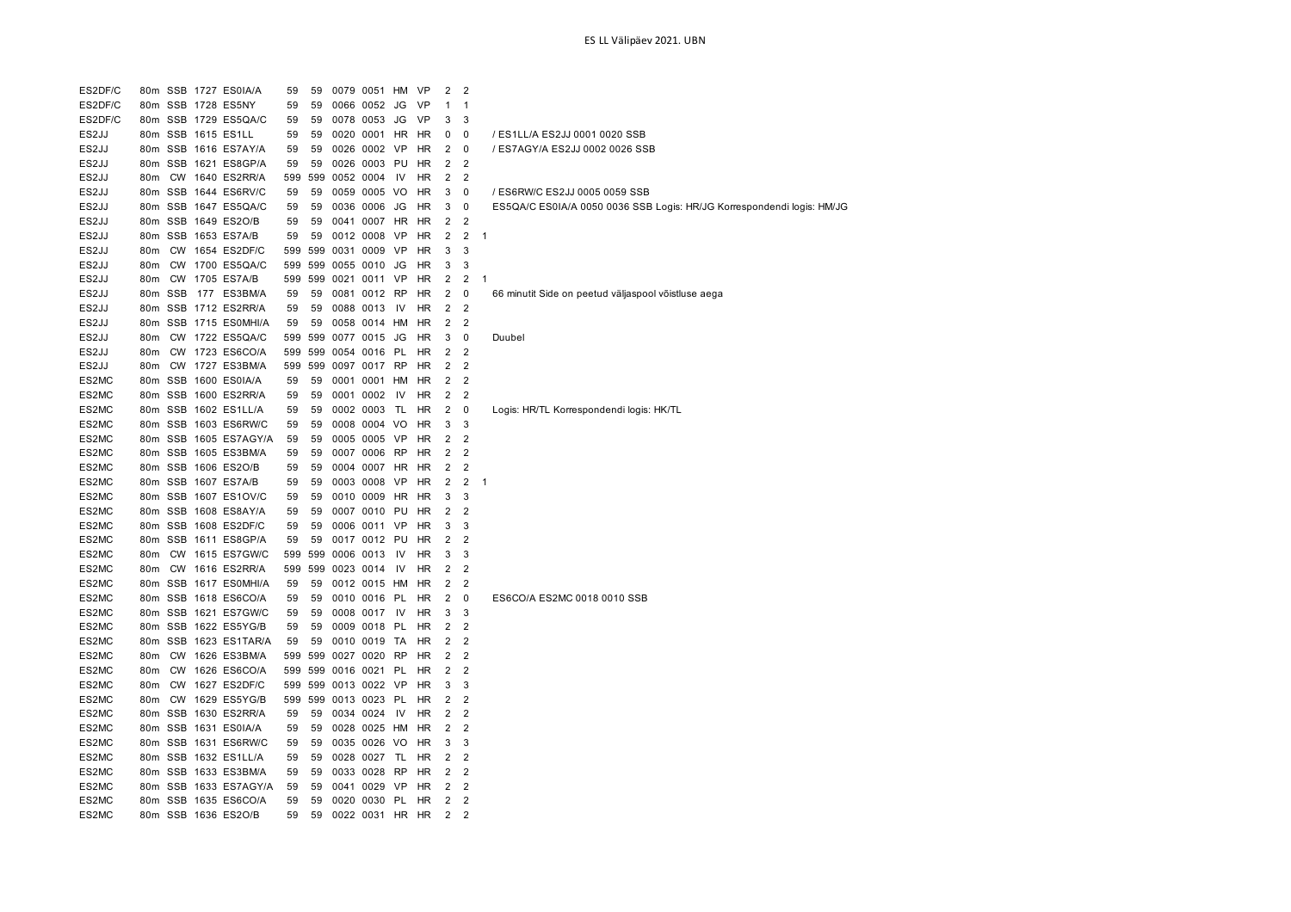| ES2DF/C |                 |         | 80m SSB 1727 ES0IA/A  | 59  | 59      | 0079 0051 HM |           | <b>VP</b> | 2              | $\overline{2}$ |                                                                        |
|---------|-----------------|---------|-----------------------|-----|---------|--------------|-----------|-----------|----------------|----------------|------------------------------------------------------------------------|
| ES2DF/C |                 |         | 80m SSB 1728 ES5NY    | 59  | 59      | 0066 0052    | JG        | VP        | 1              | $\mathbf{1}$   |                                                                        |
| ES2DF/C |                 |         | 80m SSB 1729 ES5QA/C  | 59  | 59      | 0078 0053    | JG        | VP        | 3              | 3              |                                                                        |
| ES2JJ   |                 |         | 80m SSB 1615 ES1LL    | 59  | 59      | 0020 0001    | HR        | HR        | 0              | 0              | / ES1LL/A ES2JJ 0001 0020 SSB                                          |
| ES2JJ   |                 |         | 80m SSB 1616 ES7AY/A  | 59  | 59      | 0026 0002    | <b>VP</b> | <b>HR</b> | 2              | $\mathbf 0$    | / ES7AGY/A ES2JJ 0002 0026 SSB                                         |
| ES2JJ   |                 |         | 80m SSB 1621 ES8GP/A  | 59  | 59      | 0026 0003    | PU        | HR        | 2              | 2              |                                                                        |
| ES2JJ   | 80m             |         | CW 1640 ES2RR/A       | 599 | 599     | 0052 0004    | IV        | HR        | 2              | 2              |                                                                        |
| ES2JJ   |                 |         | 80m SSB 1644 ES6RV/C  | 59  | 59      | 0059 0005 VO |           | <b>HR</b> | 3              | 0              | / ES6RW/C ES2JJ 0005 0059 SSB                                          |
| ES2JJ   |                 |         | 80m SSB 1647 ES5QA/C  | 59  | 59      | 0036 0006    | JG        | HR        | 3              | 0              | ES5QA/C ES0IA/A 0050 0036 SSB Logis: HR/JG Korrespondendi logis: HM/JG |
| ES2JJ   |                 |         | 80m SSB 1649 ES2O/B   | 59  | 59      | 0041 0007    | HR        | HR        | 2              | $\overline{2}$ |                                                                        |
| ES2JJ   |                 |         | 80m SSB 1653 ES7A/B   | 59  | 59      | 0012 0008    | <b>VP</b> | <b>HR</b> | $\overline{2}$ | $\overline{2}$ | $\overline{1}$                                                         |
| ES2JJ   | 80 <sub>m</sub> |         | CW 1654 ES2DF/C       | 599 | 599     | 0031 0009 VP |           | HR        | 3              | 3              |                                                                        |
| ES2JJ   | 80 <sub>m</sub> |         | CW 1700 ES5QA/C       | 599 | 599     | 0055 0010    | JG        | HR        | 3              | 3              |                                                                        |
| ES2JJ   | 80m             |         | CW 1705 ES7A/B        | 599 | 599     | 0021 0011 VP |           | HR        | 2              | 2              | $\overline{1}$                                                         |
| ES2JJ   |                 | 80m SSB | 177 ES3BM/A           | 59  | 59      | 0081 0012 RP |           | HR        | 2              | 0              | 66 minutit Side on peetud väljaspool võistluse aega                    |
| ES2JJ   |                 |         | 80m SSB 1712 ES2RR/A  | 59  | 59      | 0088 0013    | IV        | HR        | $\overline{2}$ | 2              |                                                                        |
| ES2JJ   |                 |         | 80m SSB 1715 ES0MHI/A | 59  | 59      | 0058 0014    | HM        | HR        | $\overline{2}$ | 2              |                                                                        |
| ES2JJ   | 80 <sub>m</sub> |         | CW 1722 ES5QA/C       | 599 | 599     | 0077 0015    | JG        | <b>HR</b> | 3              | $\mathbf 0$    | Duubel                                                                 |
| ES2JJ   | 80 <sub>m</sub> |         | CW 1723 ES6CO/A       |     | 599 599 | 0054 0016    | PL        | <b>HR</b> | $\overline{2}$ | $\overline{2}$ |                                                                        |
| ES2JJ   | 80m             |         | CW 1727 ES3BM/A       | 599 | 599     | 0097 0017 RP |           | HR        | 2              | 2              |                                                                        |
| ES2MC   |                 |         | 80m SSB 1600 ES0IA/A  | 59  | 59      | 0001 0001 HM |           | HR        | 2              | 2              |                                                                        |
| ES2MC   |                 |         | 80m SSB 1600 ES2RR/A  | 59  | 59      | 0001 0002    | IV        | HR        | 2              | $\overline{2}$ |                                                                        |
| ES2MC   |                 |         | 80m SSB 1602 ES1LL/A  | 59  | 59      | 0002 0003    | TL        | HR        | 2              | 0              | Logis: HR/TL Korrespondendi logis: HK/TL                               |
| ES2MC   |                 |         | 80m SSB 1603 ES6RW/C  | 59  | 59      | 0008 0004 VO |           | <b>HR</b> | 3              | 3              |                                                                        |
| ES2MC   |                 |         | 80m SSB 1605 ES7AGY/A | 59  | 59      | 0005 0005 VP |           | <b>HR</b> | $\overline{2}$ | $\overline{2}$ |                                                                        |
| ES2MC   |                 |         | 80m SSB 1605 ES3BM/A  | 59  | 59      | 0007 0006 RP |           | HR        | 2              | $\overline{2}$ |                                                                        |
| ES2MC   |                 |         | 80m SSB 1606 ES2O/B   | 59  | 59      | 0004 0007 HR |           | HR        | 2              | 2              |                                                                        |
| ES2MC   |                 |         | 80m SSB 1607 ES7A/B   | 59  | 59      | 0003 0008 VP |           | HR        | 2              | 2              | $\overline{1}$                                                         |
| ES2MC   |                 |         | 80m SSB 1607 ES1OV/C  | 59  | 59      | 0010 0009    | HR        | HR        | 3              | 3              |                                                                        |
| ES2MC   |                 |         | 80m SSB 1608 ES8AY/A  | 59  | 59      | 0007 0010    | PU        | HR        | $\overline{2}$ | 2              |                                                                        |
| ES2MC   |                 |         | 80m SSB 1608 ES2DF/C  | 59  | 59      | 0006 0011 VP |           | <b>HR</b> | 3              | 3              |                                                                        |
| ES2MC   |                 |         | 80m SSB 1611 ES8GP/A  | 59  | 59      | 0017 0012 PU |           | <b>HR</b> | $\overline{2}$ | 2              |                                                                        |
| ES2MC   | 80m             |         | CW 1615 ES7GW/C       | 599 | 599     | 0006 0013    | IV        | HR        | 3              | 3              |                                                                        |
| ES2MC   | 80m             |         | CW 1616 ES2RR/A       | 599 | 599     | 0023 0014    | .IV       | HR        | 2              | 2              |                                                                        |
| ES2MC   |                 |         | 80m SSB 1617 ES0MHI/A | 59  | 59      | 0012 0015 HM |           | HR        | 2              | $\overline{2}$ |                                                                        |
| ES2MC   |                 |         | 80m SSB 1618 ES6CO/A  | 59  | 59      | 0010 0016    | PL        | HR        | 2              | 0              | ES6CO/A ES2MC 0018 0010 SSB                                            |
| ES2MC   |                 |         | 80m SSB 1621 ES7GW/C  | 59  | 59      | 0008 0017    | <b>IV</b> | <b>HR</b> | 3              | 3              |                                                                        |
| ES2MC   |                 |         | 80m SSB 1622 ES5YG/B  | 59  | 59      | 0009 0018    | PL        | HR        | 2              | 2              |                                                                        |
| ES2MC   |                 |         | 80m SSB 1623 ES1TAR/A | 59  | 59      | 0010 0019 TA |           | HR        | 2              | 2              |                                                                        |
| ES2MC   |                 |         | 80m CW 1626 ES3BM/A   | 599 | 599     | 0027 0020 RP |           | <b>HR</b> | 2              | 2              |                                                                        |

ES2MC 80m CW 1626 ES6CO/A 599 599 0016 0021 PL HR 2 2 ES2MC 80m CW 1627 ES2DF/C 599 599 0013 0022 VP HR 3 3 ES2MC 80m CW 1629 ES5YG/B 599 599 0013 0023 PL HR 2 2 ES2MC 80m SSB 1630 ES2RR/A 59 59 0034 0024 IV HR 2 2 ES2MC 80m SSB 1631 ES0IA/A 59 59 0028 0025 HM HR 2 2 ES2MC 80m SSB 1631 ES6RW/C 59 59 0035 0026 VO HR 3 3 ES2MC 80m SSB 1632 ES1LL/A 59 59 0028 0027 TL HR 2 2 ES2MC 80m SSB 1633 ES3BM/A 59 59 0033 0028 RP HR 2 2 ES2MC 80m SSB 1633 ES7AGY/A 59 59 0041 0029 VP HR 2 2 ES2MC 80m SSB 1635 ES6CO/A 59 59 0020 0030 PL HR 2 2 ES2MC 80m SSB 1636 ES2O/B 59 59 0022 0031 HR HR 2 2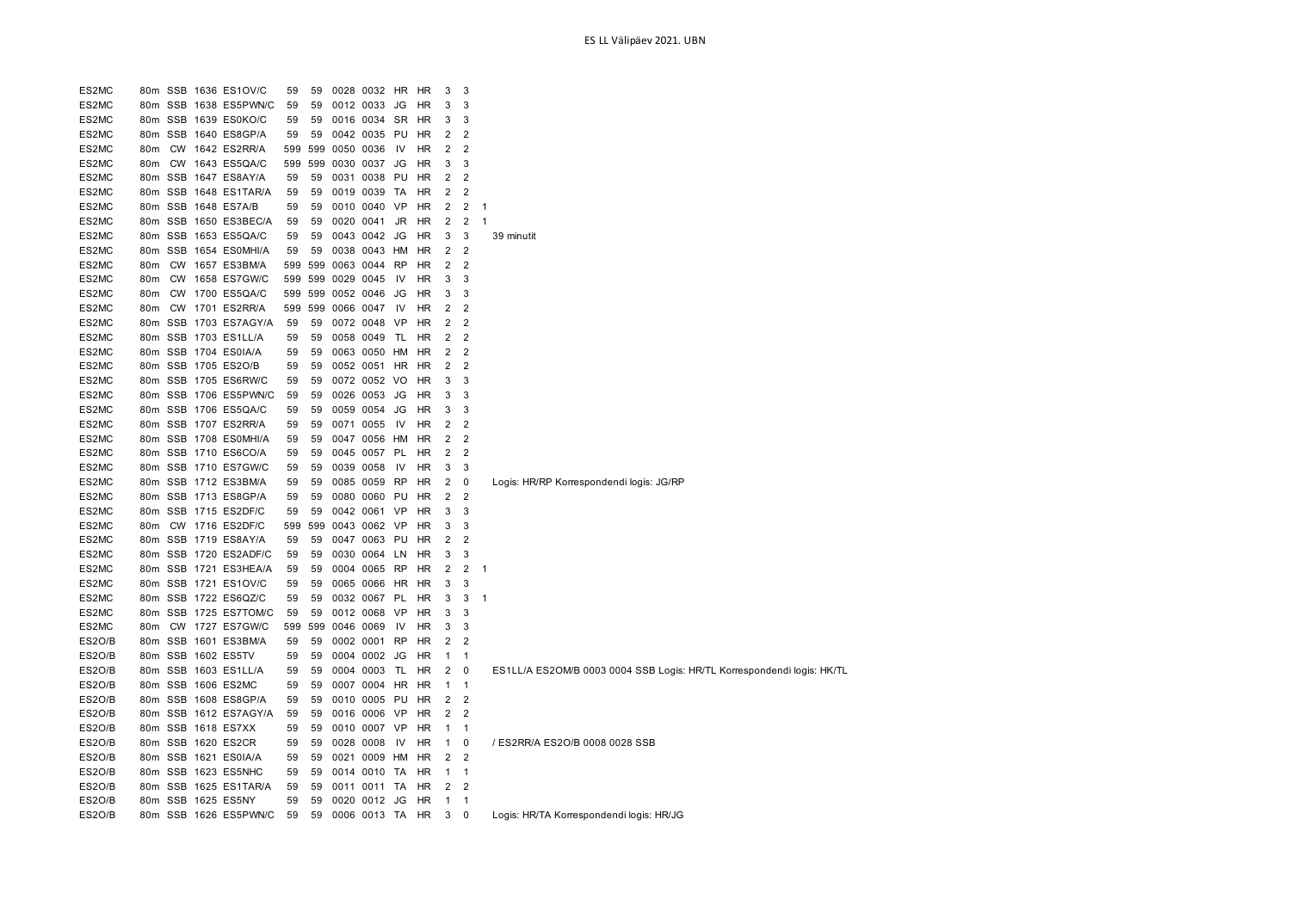| ES2MC         | 80m             |           | SSB 1636 ES1OV/C      | 59  | 59  |               | 0028 0032    | HR        | <b>HR</b> | 3              | 3              |                                                                        |
|---------------|-----------------|-----------|-----------------------|-----|-----|---------------|--------------|-----------|-----------|----------------|----------------|------------------------------------------------------------------------|
| ES2MC         | 80m             |           | SSB 1638 ES5PWN/C     | 59  | 59  |               | 0012 0033    | JG        | HR        | 3              | 3              |                                                                        |
| ES2MC         | 80m             |           | SSB 1639 ES0KO/C      | 59  | 59  |               | 0016 0034    | <b>SR</b> | HR        | 3              | 3              |                                                                        |
| ES2MC         | 80m             |           | SSB 1640 ES8GP/A      | 59  | 59  |               | 0042 0035    | PU        | HR        | 2              | 2              |                                                                        |
| ES2MC         | 80 <sub>m</sub> | <b>CW</b> | 1642 ES2RR/A          | 599 |     | 599 0050 0036 |              | -IV       | <b>HR</b> | $\overline{2}$ | 2              |                                                                        |
| ES2MC         | 80 <sub>m</sub> | <b>CW</b> | 1643 ES5QA/C          | 599 | 599 |               | 0030 0037    | JG        | <b>HR</b> | 3              | 3              |                                                                        |
| ES2MC         | 80 <sub>m</sub> |           | SSB 1647 ES8AY/A      | 59  | 59  |               | 0031 0038    | PU        | <b>HR</b> | $\overline{2}$ | $\overline{2}$ |                                                                        |
| ES2MC         | 80m             |           | SSB 1648 ES1TAR/A     | 59  | 59  |               | 0019 0039    | TA        | HR        | $\overline{2}$ | $\overline{2}$ |                                                                        |
| ES2MC         |                 |           | 80m SSB 1648 ES7A/B   | 59  | 59  |               | 0010 0040 VP |           | HR        | $\overline{2}$ | $\overline{2}$ | 1                                                                      |
| ES2MC         |                 |           | 80m SSB 1650 ES3BEC/A | 59  | 59  |               | 0020 0041    | JR        | HR        | 2              | 2              | 1                                                                      |
| ES2MC         |                 |           | 80m SSB 1653 ES5QA/C  | 59  | 59  |               | 0043 0042 JG |           | <b>HR</b> | 3              | 3              | 39 minutit                                                             |
| ES2MC         | 80m             |           | SSB 1654 ES0MHI/A     | 59  | 59  |               | 0038 0043 HM |           | <b>HR</b> | $\overline{2}$ | 2              |                                                                        |
| ES2MC         | 80m             | <b>CW</b> | 1657 ES3BM/A          | 599 | 599 |               | 0063 0044    | RP        | <b>HR</b> | $\overline{2}$ | $\overline{2}$ |                                                                        |
| ES2MC         | 80m             | <b>CW</b> | 1658 ES7GW/C          | 599 | 599 |               | 0029 0045    | IV        | HR        | 3              | 3              |                                                                        |
| ES2MC         | 80m             | <b>CW</b> | 1700 ES5QA/C          | 599 | 599 |               | 0052 0046    | JG        | HR        | 3              | 3              |                                                                        |
| ES2MC         | 80 <sub>m</sub> | <b>CW</b> | 1701 ES2RR/A          | 599 | 599 |               | 0066 0047    | IV        | <b>HR</b> | $\overline{2}$ | $\overline{2}$ |                                                                        |
| ES2MC         | 80m             |           | SSB 1703 ES7AGY/A     | 59  | 59  |               | 0072 0048    | VP        | HR        | 2              | 2              |                                                                        |
| ES2MC         | 80m             |           | SSB 1703 ES1LL/A      | 59  | 59  |               | 0058 0049    | TL        | HR        | $\overline{2}$ | $\overline{2}$ |                                                                        |
| ES2MC         | 80m             |           | SSB 1704 ES0IA/A      | 59  | 59  |               | 0063 0050 HM |           | HR        | 2              | 2              |                                                                        |
| ES2MC         | 80m             |           | SSB 1705 ES2O/B       | 59  | 59  |               | 0052 0051 HR |           | HR        | $\overline{2}$ | $\overline{2}$ |                                                                        |
| ES2MC         | 80 <sub>m</sub> |           | SSB 1705 ES6RW/C      | 59  | 59  |               | 0072 0052    | - VO      | HR        | 3              | 3              |                                                                        |
| ES2MC         |                 |           | 80m SSB 1706 ES5PWN/C | 59  | 59  |               | 0026 0053    | JG        | <b>HR</b> | 3              | 3              |                                                                        |
| ES2MC         |                 |           | 80m SSB 1706 ES5QA/C  | 59  | 59  |               | 0059 0054    | JG        | <b>HR</b> | 3              | 3              |                                                                        |
| ES2MC         |                 |           | 80m SSB 1707 ES2RR/A  | 59  | 59  |               | 0071 0055    | - IV      | <b>HR</b> | 2              | $\overline{2}$ |                                                                        |
| ES2MC         | 80m             |           | SSB 1708 ES0MHI/A     | 59  | 59  |               | 0047 0056    | HM        | HR        | $\overline{2}$ | 2              |                                                                        |
| ES2MC         |                 |           | 80m SSB 1710 ES6CO/A  | 59  | 59  |               | 0045 0057 PL |           | HR        | $\mathbf 2$    | $\overline{2}$ |                                                                        |
| ES2MC         | 80 <sub>m</sub> |           | SSB 1710 ES7GW/C      | 59  | 59  |               | 0039 0058    | IV        | <b>HR</b> | 3              | 3              |                                                                        |
| ES2MC         | 80m             |           | SSB 1712 ES3BM/A      | 59  | 59  |               | 0085 0059    | RP        | HR        | $\overline{2}$ | $\pmb{0}$      | Logis: HR/RP Korrespondendi logis: JG/RP                               |
| ES2MC         | 80m             |           | SSB 1713 ES8GP/A      | 59  | 59  |               | 0080 0060    | PU        | HR        | $\overline{2}$ | $\overline{2}$ |                                                                        |
| ES2MC         |                 |           | 80m SSB 1715 ES2DF/C  | 59  | 59  |               | 0042 0061 VP |           | HR        | 3              | 3              |                                                                        |
| ES2MC         | 80m             | <b>CW</b> | 1716 ES2DF/C          | 599 | 599 |               | 0043 0062 VP |           | HR        | 3              | 3              |                                                                        |
| ES2MC         | 80 <sub>m</sub> |           | SSB 1719 ES8AY/A      | 59  | 59  |               | 0047 0063 PU |           | <b>HR</b> | $\overline{2}$ | $\overline{2}$ |                                                                        |
| ES2MC         | 80 <sub>m</sub> |           | SSB 1720 ES2ADF/C     | 59  | 59  |               | 0030 0064    | LN        | <b>HR</b> | 3              | 3              |                                                                        |
| ES2MC         | 80m             |           | SSB 1721 ES3HEA/A     | 59  | 59  |               | 0004 0065    | RP        | HR        | $\overline{2}$ | 2              | 1                                                                      |
| ES2MC         | 80m             |           | SSB 1721 ES1OV/C      | 59  | 59  |               | 0065 0066    | HR        | HR        | 3              | 3              |                                                                        |
| ES2MC         | 80m             |           | SSB 1722 ES6QZ/C      | 59  | 59  |               | 0032 0067    | PL        | HR        | 3              | 3              | 1                                                                      |
| ES2MC         | 80 <sub>m</sub> |           | SSB 1725 ES7TOM/C     | 59  | 59  |               | 0012 0068 VP |           | <b>HR</b> | 3              | 3              |                                                                        |
| ES2MC         | 80m             | <b>CW</b> | 1727 ES7GW/C          | 599 | 599 |               | 0046 0069    | IV        | <b>HR</b> | 3              | 3              |                                                                        |
| ES2O/B        | 80m             |           | SSB 1601 ES3BM/A      | 59  | 59  |               | 0002 0001 RP |           | HR        | $\overline{2}$ | $\overline{2}$ |                                                                        |
| ES2O/B        | 80m             |           | SSB 1602 ES5TV        | 59  | 59  |               | 0004 0002    | JG        | <b>HR</b> | $\mathbf{1}$   | 1              |                                                                        |
| ES2O/B        | 80m             |           | SSB 1603 ES1LL/A      | 59  | 59  |               | 0004 0003    | TL        | HR        | $\overline{2}$ | 0              | ES1LL/A ES2OM/B 0003 0004 SSB Logis: HR/TL Korrespondendi logis: HK/TL |
| ES2O/B        | 80m             |           | SSB 1606 ES2MC        | 59  | 59  |               | 0007 0004    | HR        | HR        | 1              | 1              |                                                                        |
| <b>ES20/B</b> | 80m             |           | SSB 1608 ES8GP/A      | 59  | 59  |               | 0010 0005    | PU        | <b>HR</b> | 2              | $\overline{2}$ |                                                                        |
|               |                 |           |                       |     |     |               |              |           |           |                |                |                                                                        |
| ES2O/B        | 80 <sub>m</sub> |           | SSB 1612 ES7AGY/A     | 59  | 59  |               | 0016 0006    | VP        | <b>HR</b> | 2              | 2              |                                                                        |
| <b>ES20/B</b> | 80m             |           | <b>SSB 1618 ES7XX</b> | 59  | 59  |               | 0010 0007 VP |           | HR        | 1              | $\mathbf{1}$   |                                                                        |
| ES2O/B        | 80m             |           | SSB 1620 ES2CR        | 59  | 59  |               | 0028 0008    | 1V        | HR        | 1              | 0              | / ES2RR/A ES2O/B 0008 0028 SSB                                         |
| ES2O/B        | 80m             |           | SSB 1621 ES0IA/A      | 59  | 59  |               | 0021 0009    | HM        | HR        | 2              | $\overline{2}$ |                                                                        |
| ES2O/B        | 80m             |           | SSB 1623 ES5NHC       | 59  | 59  |               | 0014 0010    | TA        | <b>HR</b> | $\mathbf{1}$   | 1              |                                                                        |
| ES2O/B        | 80 <sub>m</sub> |           | SSB 1625 ES1TAR/A     | 59  | 59  |               | 0011 0011    | TA        | <b>HR</b> | $\overline{2}$ | $\overline{2}$ |                                                                        |
| ES2O/B        | 80m             |           | SSB 1625 ES5NY        | 59  | 59  |               | 0020 0012 JG |           | HR        | 1              | 1              |                                                                        |
| ES2O/B        |                 |           | 80m SSB 1626 ES5PWN/C | 59  | 59  |               | 0006 0013 TA |           | HR        | 3              | 0              | Logis: HR/TA Korrespondendi logis: HR/JG                               |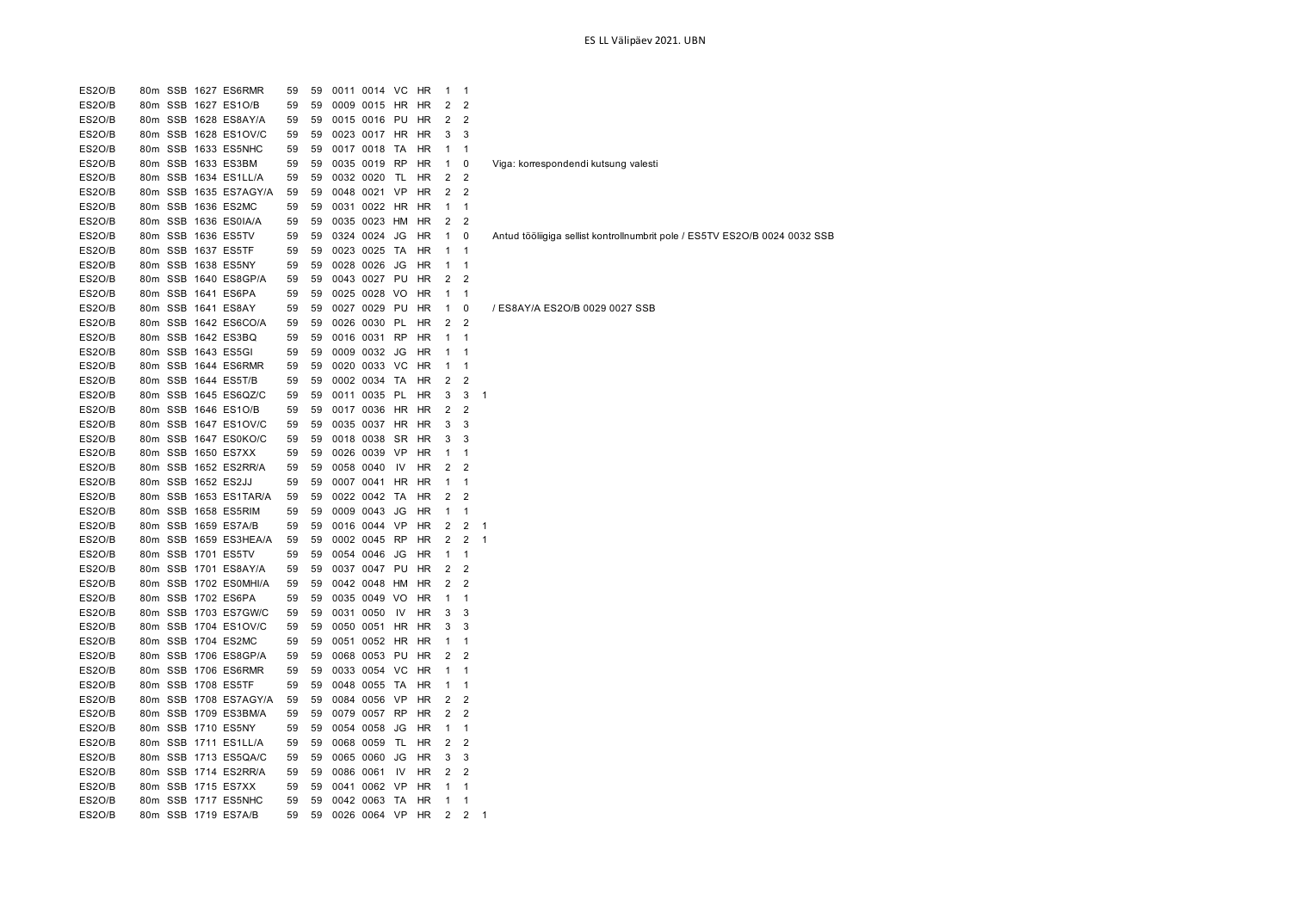| ES2O/B           |         | 80m SSB 1627 ES6RMR                         | 59 | 59 | 0011 0014 VC |      | HR        | 1              | -1             |                                                                            |
|------------------|---------|---------------------------------------------|----|----|--------------|------|-----------|----------------|----------------|----------------------------------------------------------------------------|
| ES2O/B           | 80m SSB | 1627 ES1O/B                                 | 59 | 59 | 0009 0015 HR |      | HR        | 2              | 2              |                                                                            |
| ES2O/B           |         | 80m SSB 1628 ES8AY/A                        | 59 | 59 | 0015 0016 PU |      | HR        | 2              | $\overline{2}$ |                                                                            |
| <b>ES20/B</b>    |         | 80m SSB 1628 ES1OV/C                        | 59 | 59 | 0023 0017 HR |      | HR        | 3              | 3              |                                                                            |
| ES2O/B           |         | 80m SSB 1633 ES5NHC                         | 59 | 59 | 0017 0018 TA |      | HR        | 1              | 1              |                                                                            |
| ES2O/B           |         | 80m SSB 1633 ES3BM                          | 59 | 59 | 0035 0019 RP |      | HR        | $\mathbf{1}$   | 0              | Viga: korrespondendi kutsung valesti                                       |
| ES2O/B           |         | 80m SSB 1634 ES1LL/A                        | 59 | 59 | 0032 0020 TL |      | HR        | 2              | 2              |                                                                            |
| ES2O/B           |         | 80m SSB 1635 ES7AGY/A                       | 59 | 59 | 0048 0021 VP |      | HR        | $\overline{2}$ | $\overline{2}$ |                                                                            |
| ES2O/B           |         | 80m SSB 1636 ES2MC                          | 59 | 59 | 0031 0022 HR |      | HR        | $\mathbf{1}$   | 1              |                                                                            |
| ES2O/B           |         | 80m SSB 1636 ES0IA/A                        | 59 | 59 | 0035 0023 HM |      | HR        | 2              | $\overline{2}$ |                                                                            |
| ES2O/B           |         | 80m SSB 1636 ES5TV                          | 59 | 59 | 0324 0024 JG |      | HR        | 1              | 0              | Antud tööliigiga sellist kontrollnumbrit pole / ES5TV ES2O/B 0024 0032 SSB |
| ES2O/B           |         | 80m SSB 1637 ES5TF                          | 59 | 59 | 0023 0025 TA |      | HR        | $\mathbf{1}$   | 1              |                                                                            |
| ES2O/B           | 80m SSB | 1638 ES5NY                                  | 59 | 59 | 0028 0026 JG |      | HR        | 1              | 1              |                                                                            |
| ES2O/B           |         | 80m SSB 1640 ES8GP/A                        | 59 | 59 | 0043 0027 PU |      | HR        | 2              | $\overline{2}$ |                                                                            |
| ES2O/B           | 80m SSB | 1641 ES6PA                                  | 59 | 59 | 0025 0028 VO |      | HR        | 1              | 1              |                                                                            |
| ES2O/B           |         | 80m SSB 1641 ES8AY                          | 59 | 59 | 0027 0029 PU |      | HR        | 1              | $\mathbf 0$    | / ES8AY/A ES2O/B 0029 0027 SSB                                             |
| ES2O/B           |         | 80m SSB 1642 ES6CO/A                        | 59 | 59 | 0026 0030 PL |      | HR        | 2              | $\overline{2}$ |                                                                            |
| ES2O/B           |         | 80m SSB 1642 ES3BQ                          | 59 | 59 | 0016 0031 RP |      | HR        | $\mathbf{1}$   | $\mathbf{1}$   |                                                                            |
| ES2O/B           |         | 80m SSB 1643 ES5GI                          | 59 | 59 | 0009 0032 JG |      | HR        | 1              | 1              |                                                                            |
| ES2O/B           |         | 80m SSB 1644 ES6RMR                         | 59 | 59 | 0020 0033 VC |      | HR        | $\mathbf{1}$   | $\mathbf{1}$   |                                                                            |
| ES2O/B           |         | 80m SSB 1644 ES5T/B                         | 59 | 59 | 0002 0034 TA |      | HR        | 2              | $\overline{2}$ |                                                                            |
| ES2O/B           |         | 80m SSB 1645 ES6QZ/C                        |    | 59 | 0011 0035 PL |      |           |                | 3              | $\mathbf{1}$                                                               |
|                  |         |                                             | 59 |    |              |      | HR        | 3              |                |                                                                            |
| ES2O/B<br>ES2O/B |         | 80m SSB 1646 ES1O/B<br>80m SSB 1647 ES1OV/C | 59 | 59 | 0017 0036 HR |      | HR        | 2              | $\overline{2}$ |                                                                            |
|                  |         |                                             | 59 | 59 | 0035 0037 HR |      | HR        | 3              | 3              |                                                                            |
| ES2O/B           | 80m SSB | 1647 ES0KO/C                                | 59 | 59 | 0018 0038 SR |      | HR        | 3              | 3              |                                                                            |
| ES2O/B           |         | 80m SSB 1650 ES7XX                          | 59 | 59 | 0026 0039 VP |      | HR        | 1              | 1              |                                                                            |
| ES2O/B           | 80m SSB | 1652 ES2RR/A                                | 59 | 59 | 0058 0040    | IV   | HR        | 2              | $\overline{2}$ |                                                                            |
| ES2O/B           |         | 80m SSB 1652 ES2JJ                          | 59 | 59 | 0007 0041 HR |      | HR        | 1              | 1              |                                                                            |
| ES2O/B           |         | 80m SSB 1653 ES1TAR/A                       | 59 | 59 | 0022 0042 TA |      | HR        | 2              | $\overline{2}$ |                                                                            |
| ES2O/B           |         | 80m SSB 1658 ES5RIM                         | 59 | 59 | 0009 0043 JG |      | HR        | 1              | 1              |                                                                            |
| ES2O/B           | 80m SSB | 1659 ES7A/B                                 | 59 | 59 | 0016 0044 VP |      | HR        | $\overline{2}$ | $\overline{2}$ | 1                                                                          |
| ES2O/B           |         | 80m SSB 1659 ES3HEA/A                       | 59 | 59 | 0002 0045 RP |      | HR        | 2              | 2              | $\mathbf{1}$                                                               |
| ES2O/B           |         | 80m SSB 1701 ES5TV                          | 59 | 59 | 0054 0046 JG |      | HR        | 1              | 1              |                                                                            |
| ES2O/B           |         | 80m SSB 1701 ES8AY/A                        | 59 | 59 | 0037 0047 PU |      | HR        | 2              | $\overline{2}$ |                                                                            |
| ES2O/B           |         | 80m SSB 1702 ES0MHI/A                       | 59 | 59 | 0042 0048 HM |      | HR        | 2              | $\overline{2}$ |                                                                            |
| ES2O/B           |         | 80m SSB 1702 ES6PA                          | 59 | 59 | 0035 0049 VO |      | HR        | $\mathbf{1}$   | 1              |                                                                            |
| ES2O/B           |         | 80m SSB 1703 ES7GW/C                        | 59 | 59 | 0031 0050    | 1V   | HR        | 3              | 3              |                                                                            |
| ES2O/B           |         | 80m SSB 1704 ES1OV/C                        | 59 | 59 | 0050 0051 HR |      | HR        | 3              | 3              |                                                                            |
| ES2O/B           |         | 80m SSB 1704 ES2MC                          | 59 | 59 | 0051 0052 HR |      | HR        | 1              | 1              |                                                                            |
| ES2O/B           |         | 80m SSB 1706 ES8GP/A                        | 59 | 59 | 0068 0053 PU |      | HR        | 2              | 2              |                                                                            |
| ES2O/B           |         | 80m SSB 1706 ES6RMR                         | 59 | 59 | 0033 0054 VC |      | HR        | $\mathbf{1}$   | 1              |                                                                            |
| <b>ES20/B</b>    |         | 80m SSB 1708 ES5TF                          | 59 | 59 | 0048 0055 TA |      | HR        | 1              | 1              |                                                                            |
| <b>ES20/B</b>    |         | 80m SSB 1708 ES7AGY/A                       | 59 | 59 | 0084 0056 VP |      | HR        | $\overline{2}$ | $\overline{2}$ |                                                                            |
| <b>ES20/B</b>    |         | 80m SSB 1709 ES3BM/A                        | 59 | 59 | 0079 0057 RP |      | HR        | 2              | $\overline{2}$ |                                                                            |
| ES2O/B           |         | 80m SSB 1710 ES5NY                          | 59 | 59 | 0054 0058 JG |      | HR        | $\mathbf{1}$   | $\mathbf{1}$   |                                                                            |
| <b>ES20/B</b>    |         | 80m SSB 1711 ES1LL/A                        | 59 | 59 | 0068 0059 TL |      | HR        | 2              | $\overline{2}$ |                                                                            |
| ES2O/B           |         | 80m SSB 1713 ES5QA/C                        | 59 | 59 | 0065 0060 JG |      | HR        | 3              | 3              |                                                                            |
| ES2O/B           |         | 80m SSB 1714 ES2RR/A                        | 59 | 59 | 0086 0061    | - IV | HR        | 2              | 2              |                                                                            |
| ES2O/B           |         | 80m SSB 1715 ES7XX                          | 59 | 59 | 0041 0062 VP |      | HR        | 1              | $\mathbf{1}$   |                                                                            |
| ES2O/B           |         | 80m SSB 1717 ES5NHC                         | 59 | 59 | 0042 0063 TA |      | HR        | $\mathbf{1}$   | 1              |                                                                            |
| ES2O/B           |         | 80m SSB 1719 ES7A/B                         | 59 | 59 | 0026 0064 VP |      | <b>HR</b> | 2              | $\overline{2}$ | -1                                                                         |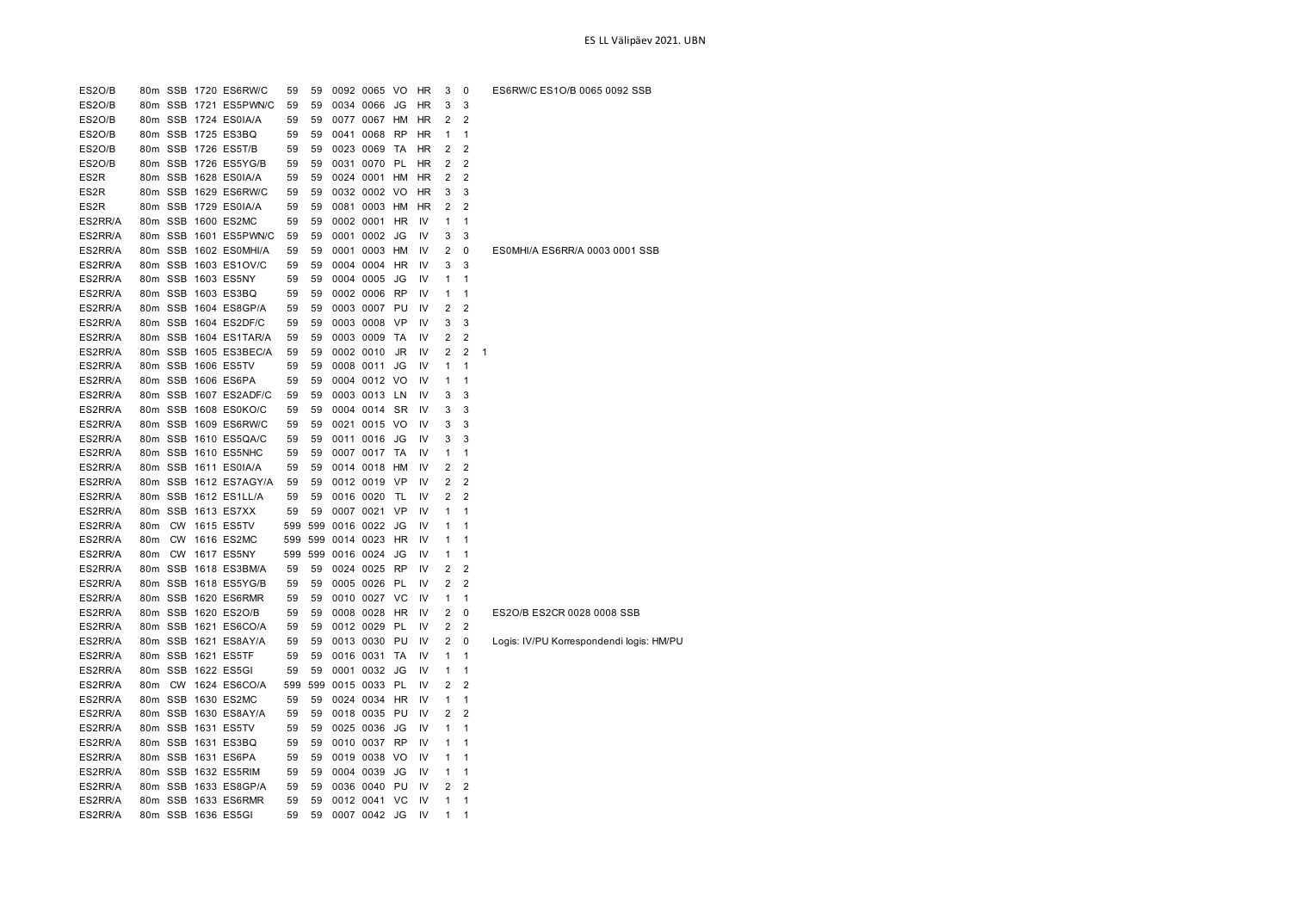| ES2O/B  |                 |  | 80m SSB 1720 ES6RW/C  | 59  | 59  |               | 0092 0065 VO |           | <b>HR</b> | 3              | 0              | ES6RW/C ES1O/B 0065 0092 SSB             |
|---------|-----------------|--|-----------------------|-----|-----|---------------|--------------|-----------|-----------|----------------|----------------|------------------------------------------|
| ES2O/B  |                 |  | 80m SSB 1721 ES5PWN/C | 59  | 59  |               | 0034 0066    | JG        | HR        | 3              | 3              |                                          |
| ES2O/B  |                 |  | 80m SSB 1724 ES0IA/A  | 59  | 59  |               | 0077 0067    | HM        | HR        | 2              | $\overline{2}$ |                                          |
| ES2O/B  |                 |  | 80m SSB 1725 ES3BQ    | 59  | 59  |               | 0041 0068    | <b>RP</b> | HR        | 1              | 1              |                                          |
| ES2O/B  |                 |  | 80m SSB 1726 ES5T/B   | 59  | 59  |               | 0023 0069    | TA        | HR        | 2              | 2              |                                          |
| ES2O/B  |                 |  | 80m SSB 1726 ES5YG/B  | 59  | 59  |               | 0031 0070    | PL        | HR        | 2              | $\overline{2}$ |                                          |
| ES2R    |                 |  | 80m SSB 1628 ES0IA/A  | 59  | 59  |               | 0024 0001    | HМ        | HR        | $\overline{2}$ | $\overline{2}$ |                                          |
| ES2R    |                 |  | 80m SSB 1629 ES6RW/C  | 59  | 59  |               | 0032 0002 VO |           | HR        | 3              | 3              |                                          |
| ES2R    |                 |  | 80m SSB 1729 ES0IA/A  | 59  | 59  |               | 0081 0003 HM |           | HR        | $\overline{2}$ | $\overline{2}$ |                                          |
| ES2RR/A |                 |  | 80m SSB 1600 ES2MC    | 59  | 59  |               | 0002 0001    | <b>HR</b> | IV        | 1              | $\mathbf{1}$   |                                          |
| ES2RR/A |                 |  | 80m SSB 1601 ES5PWN/C | 59  | 59  |               | 0001 0002    | JG        | IV        | 3              | 3              |                                          |
| ES2RR/A |                 |  | 80m SSB 1602 ES0MHI/A | 59  | 59  |               | 0001 0003    | HM        | IV        | $\overline{2}$ | 0              | ES0MHI/A ES6RR/A 0003 0001 SSB           |
| ES2RR/A |                 |  | 80m SSB 1603 ES1OV/C  | 59  | 59  |               | 0004 0004    | HR        | IV        | 3              | 3              |                                          |
| ES2RR/A |                 |  | 80m SSB 1603 ES5NY    | 59  | 59  |               | 0004 0005    | JG        | IV        | 1              | $\mathbf{1}$   |                                          |
| ES2RR/A |                 |  | 80m SSB 1603 ES3BQ    | 59  | 59  |               | 0002 0006    | RP        | IV        | 1              | $\mathbf{1}$   |                                          |
| ES2RR/A |                 |  | 80m SSB 1604 ES8GP/A  | 59  | 59  |               | 0003 0007    | PU        | IV        | 2              | 2              |                                          |
| ES2RR/A |                 |  | 80m SSB 1604 ES2DF/C  | 59  | 59  |               | 0003 0008    | VP        | IV        | 3              | 3              |                                          |
| ES2RR/A |                 |  | 80m SSB 1604 ES1TAR/A | 59  | 59  |               | 0003 0009    | TA        | IV        | 2              | 2              |                                          |
| ES2RR/A |                 |  | 80m SSB 1605 ES3BEC/A | 59  | 59  | 0002 0010     |              | JR        | IV        | $\overline{2}$ | $\overline{2}$ | 1                                        |
| ES2RR/A |                 |  | 80m SSB 1606 ES5TV    | 59  | 59  |               | 0008 0011    | JG        | IV        | 1              | $\mathbf{1}$   |                                          |
| ES2RR/A |                 |  | 80m SSB 1606 ES6PA    | 59  | 59  |               | 0004 0012 VO |           | IV        | 1              | $\mathbf{1}$   |                                          |
| ES2RR/A |                 |  | 80m SSB 1607 ES2ADF/C | 59  | 59  |               | 0003 0013 LN |           | IV        | 3              | 3              |                                          |
| ES2RR/A |                 |  | 80m SSB 1608 ES0KO/C  | 59  | 59  |               | 0004 0014    | <b>SR</b> | IV        | 3              | 3              |                                          |
| ES2RR/A |                 |  | 80m SSB 1609 ES6RW/C  | 59  | 59  |               | 0021 0015 VO |           | IV        | 3              | 3              |                                          |
| ES2RR/A |                 |  | 80m SSB 1610 ES5QA/C  | 59  | 59  |               | 0011 0016    | JG        | IV        | 3              | 3              |                                          |
| ES2RR/A |                 |  | 80m SSB 1610 ES5NHC   | 59  | 59  |               | 0007 0017    | TA        | IV        | 1              | 1              |                                          |
| ES2RR/A |                 |  | 80m SSB 1611 ES0IA/A  | 59  | 59  |               | 0014 0018    | HM        | IV        | 2              | 2              |                                          |
| ES2RR/A |                 |  | 80m SSB 1612 ES7AGY/A | 59  | 59  |               | 0012 0019    | VP        | IV        | 2              | 2              |                                          |
| ES2RR/A |                 |  | 80m SSB 1612 ES1LL/A  | 59  | 59  |               | 0016 0020    | TL        | IV        | $\overline{2}$ | $\overline{2}$ |                                          |
| ES2RR/A |                 |  | 80m SSB 1613 ES7XX    | 59  | 59  | 0007 0021     |              | VP        | IV        | 1              | 1              |                                          |
| ES2RR/A | 80 <sub>m</sub> |  | <b>CW 1615 ES5TV</b>  | 599 | 599 | 0016 0022     |              | JG        | IV        | 1              | $\mathbf{1}$   |                                          |
| ES2RR/A | 80 <sub>m</sub> |  | CW 1616 ES2MC         | 599 | 599 | 0014 0023     |              | <b>HR</b> | IV        | 1              | 1              |                                          |
| ES2RR/A | 80 <sub>m</sub> |  | CW 1617 ES5NY         | 599 |     | 599 0016 0024 |              | JG        | IV        | 1              | $\mathbf{1}$   |                                          |
| ES2RR/A |                 |  | 80m SSB 1618 ES3BM/A  | 59  | 59  |               | 0024 0025    | <b>RP</b> | IV        | $\overline{2}$ | $\overline{2}$ |                                          |
| ES2RR/A |                 |  | 80m SSB 1618 ES5YG/B  | 59  | 59  |               | 0005 0026    | <b>PL</b> | IV        | 2              | $\overline{2}$ |                                          |
| ES2RR/A |                 |  | 80m SSB 1620 ES6RMR   | 59  | 59  |               | 0010 0027    | VC        | IV        | 1              | 1              |                                          |
| ES2RR/A |                 |  | 80m SSB 1620 ES2O/B   | 59  | 59  |               | 0008 0028    | HR        | IV        | $\overline{2}$ | 0              | ES2O/B ES2CR 0028 0008 SSB               |
| ES2RR/A |                 |  | 80m SSB 1621 ES6CO/A  | 59  | 59  |               | 0012 0029    | PL        | IV        | 2              | 2              |                                          |
| ES2RR/A |                 |  | 80m SSB 1621 ES8AY/A  | 59  | 59  |               | 0013 0030    | PU        | IV        | 2              | 0              | Logis: IV/PU Korrespondendi logis: HM/PU |
| ES2RR/A |                 |  | 80m SSB 1621 ES5TF    | 59  | 59  |               | 0016 0031    | <b>TA</b> | IV        | 1              | $\mathbf{1}$   |                                          |
| ES2RR/A |                 |  | 80m SSB 1622 ES5GI    | 59  | 59  |               | 0001 0032    | JG        | IV        | 1              | $\mathbf{1}$   |                                          |
| ES2RR/A | 80m             |  | CW 1624 ES6CO/A       | 599 | 599 | 0015 0033     |              | <b>PL</b> | IV        | 2              | $\overline{2}$ |                                          |
| ES2RR/A |                 |  | 80m SSB 1630 ES2MC    | 59  | 59  |               | 0024 0034    | <b>HR</b> | IV        | 1              | $\mathbf{1}$   |                                          |
| ES2RR/A |                 |  | 80m SSB 1630 ES8AY/A  | 59  | 59  |               | 0018 0035    | PU        | IV        | 2              | $\overline{2}$ |                                          |
| ES2RR/A |                 |  | 80m SSB 1631 ES5TV    | 59  | 59  |               | 0025 0036    | JG        | IV        | 1              | $\mathbf{1}$   |                                          |
| ES2RR/A |                 |  | 80m SSB 1631 ES3BQ    | 59  | 59  |               | 0010 0037    | RP        | IV        | 1              | 1              |                                          |
| ES2RR/A |                 |  | 80m SSB 1631 ES6PA    | 59  | 59  |               | 0019 0038    | VO        | IV        | 1              | 1              |                                          |
| ES2RR/A |                 |  | 80m SSB 1632 ES5RIM   | 59  | 59  |               | 0004 0039    | JG        | IV        | 1              | 1              |                                          |
| ES2RR/A |                 |  | 80m SSB 1633 ES8GP/A  | 59  | 59  |               | 0036 0040    | PU        | IV        | 2              | 2              |                                          |
| ES2RR/A |                 |  | 80m SSB 1633 ES6RMR   | 59  | 59  |               | 0012 0041    | VC        | IV        | 1              | $\mathbf{1}$   |                                          |
| ES2RR/A |                 |  | 80m SSB 1636 ES5GI    | 59  | 59  |               | 0007 0042 JG |           | IV        | 1              | 1              |                                          |
|         |                 |  |                       |     |     |               |              |           |           |                |                |                                          |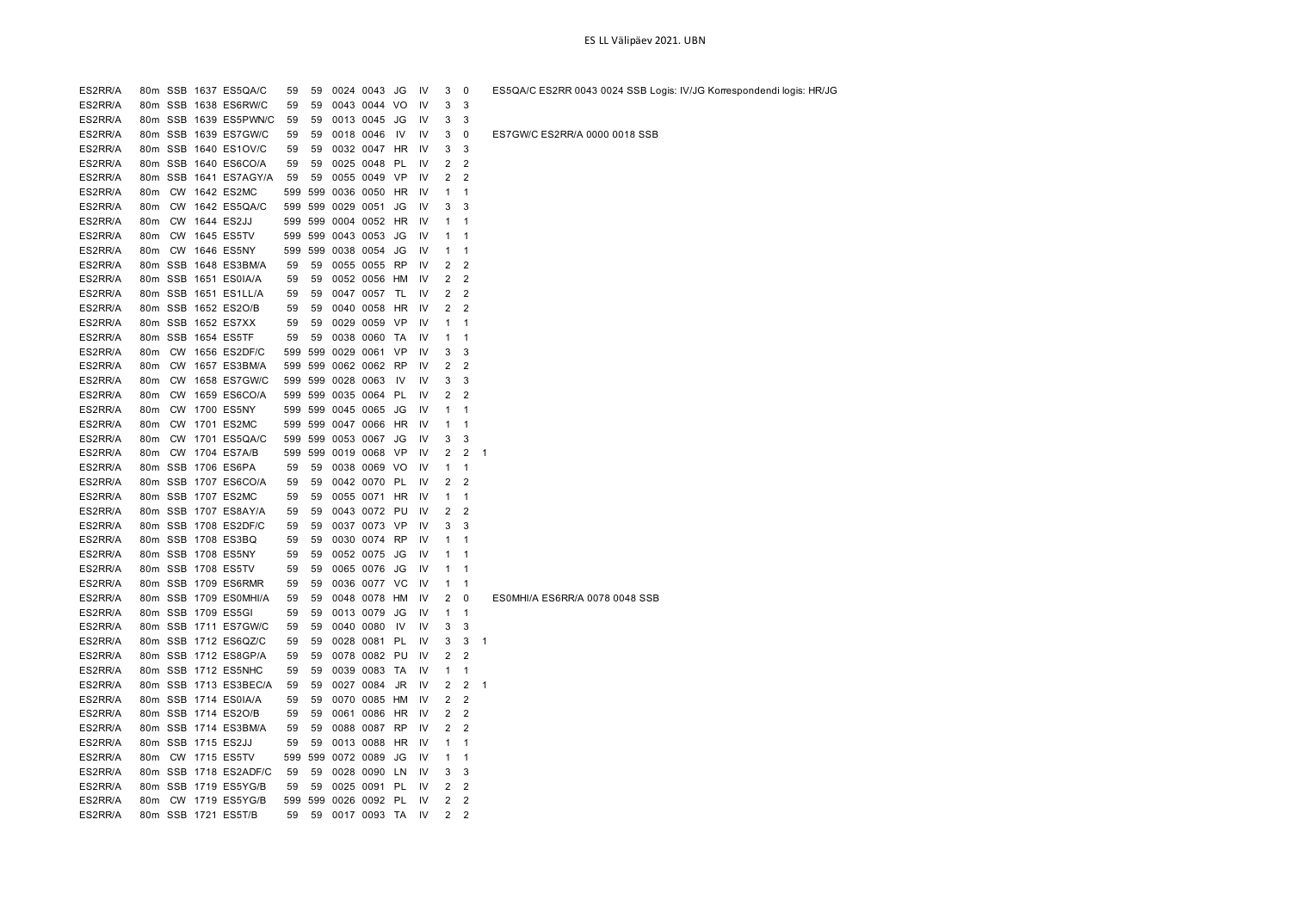| ES2RR/A |                 |           | 80m SSB 1637 ES5QA/C  | 59       | 59  |               | 0024 0043 JG  |           | IV | 3              | $\pmb{0}$      | ES5QA/C ES2RR 0043 0024 SSB Logis: IV/JG Korrespondendi logis: HR/JG |
|---------|-----------------|-----------|-----------------------|----------|-----|---------------|---------------|-----------|----|----------------|----------------|----------------------------------------------------------------------|
| ES2RR/A |                 |           | 80m SSB 1638 ES6RW/C  | 59       | 59  |               | 0043 0044 VO  |           | IV | 3              | 3              |                                                                      |
| ES2RR/A |                 |           | 80m SSB 1639 ES5PWN/C | 59       | 59  |               | 0013 0045 JG  |           | IV | 3              | 3              |                                                                      |
| ES2RR/A |                 |           | 80m SSB 1639 ES7GW/C  | 59       | 59  |               | 0018 0046     | 1V        | IV | 3              | $\mathbf 0$    | ES7GW/C ES2RR/A 0000 0018 SSB                                        |
| ES2RR/A |                 |           | 80m SSB 1640 ES1OV/C  | 59       | 59  |               | 0032 0047 HR  |           | IV | 3              | 3              |                                                                      |
| ES2RR/A |                 |           | 80m SSB 1640 ES6CO/A  | 59       | 59  |               | 0025 0048     | PL        | IV | $\overline{2}$ | $\overline{2}$ |                                                                      |
| ES2RR/A | 80m             |           | SSB 1641 ES7AGY/A     | 59       | 59  |               | 0055 0049     | - VP      | IV | 2              | $\overline{2}$ |                                                                      |
| ES2RR/A | 80m             | <b>CW</b> | 1642 ES2MC            | 599      | 599 | 0036 0050     |               | HR        | IV | 1              | 1              |                                                                      |
| ES2RR/A | 80m             |           | CW 1642 ES5QA/C       | 599      |     | 599 0029 0051 |               | JG        | IV | 3              | 3              |                                                                      |
| ES2RR/A | 80m             |           | CW 1644 ES2JJ         | 599      |     | 599 0004 0052 |               | HR        | IV | 1              | 1              |                                                                      |
| ES2RR/A | 80m             |           | CW 1645 ES5TV         | 599      | 599 | 0043 0053     |               | JG        | IV | 1              | $\mathbf{1}$   |                                                                      |
| ES2RR/A | 80m             | <b>CW</b> | 1646 ES5NY            | 599      | 599 |               | 0038 0054     | JG        | IV | 1              | 1              |                                                                      |
| ES2RR/A |                 |           | 80m SSB 1648 ES3BM/A  | 59       | 59  |               | 0055 0055     | RP        | IV | 2              | $\overline{2}$ |                                                                      |
| ES2RR/A |                 |           | 80m SSB 1651 ES0IA/A  | 59       | 59  |               | 0052 0056 HM  |           | IV | 2              | $\overline{2}$ |                                                                      |
| ES2RR/A |                 |           | 80m SSB 1651 ES1LL/A  | 59       | 59  |               | 0047 0057     | TL        | IV | 2              | $\overline{2}$ |                                                                      |
| ES2RR/A |                 |           | 80m SSB 1652 ES2O/B   | 59       | 59  |               | 0040 0058     | HR        | IV | 2              | $\overline{2}$ |                                                                      |
| ES2RR/A | 80m             | SSB       | 1652 ES7XX            | 59       | 59  |               | 0029 0059     | VP        | IV | 1              | 1              |                                                                      |
| ES2RR/A | 80m             |           | SSB 1654 ES5TF        | 59       | 59  |               | 0038 0060 TA  |           | IV | 1              | $\mathbf{1}$   |                                                                      |
| ES2RR/A | 80m             | <b>CW</b> | 1656 ES2DF/C          | 599      | 599 | 0029 0061     |               | VP        | IV | 3              | 3              |                                                                      |
| ES2RR/A | 80m             |           | CW 1657 ES3BM/A       | 599      | 599 | 0062 0062     |               | RP        | IV | 2              | $\overline{2}$ |                                                                      |
| ES2RR/A | 80m             | <b>CW</b> | 1658 ES7GW/C          | 599      |     | 599 0028 0063 |               | IV        | IV | 3              | 3              |                                                                      |
| ES2RR/A | 80m             | <b>CW</b> | 1659 ES6CO/A          | 599      | 599 | 0035 0064     |               | PL        | IV | 2              | $\overline{2}$ |                                                                      |
| ES2RR/A | 80m             |           | CW 1700 ES5NY         | 599      |     | 599 0045 0065 |               | JG        | IV | 1              | 1              |                                                                      |
| ES2RR/A | 80m             |           | CW 1701 ES2MC         | 599      |     | 599 0047 0066 |               | HR        | IV | 1              | 1              |                                                                      |
| ES2RR/A | 80m             |           | CW 1701 ES5QA/C       | 599      |     |               | 599 0053 0067 | JG        | IV | 3              | 3              |                                                                      |
| ES2RR/A | 80 <sub>m</sub> | <b>CW</b> | 1704 ES7A/B           | 599      | 599 |               | 0019 0068     | <b>VP</b> | IV | 2              | 2              | $\mathbf{1}$                                                         |
| ES2RR/A | 80m             |           | SSB 1706 ES6PA        | 59       | 59  |               | 0038 0069     | VO        | IV | $\mathbf{1}$   | $\mathbf{1}$   |                                                                      |
| ES2RR/A |                 |           | 80m SSB 1707 ES6CO/A  | 59       | 59  |               | 0042 0070     | PL        | IV | 2              | $\overline{2}$ |                                                                      |
| ES2RR/A |                 |           | 80m SSB 1707 ES2MC    | 59       | 59  |               | 0055 0071     | HR        | IV | 1              | $\mathbf{1}$   |                                                                      |
| ES2RR/A |                 |           | 80m SSB 1707 ES8AY/A  | 59       | 59  |               | 0043 0072 PU  |           | IV | 2              | $\overline{2}$ |                                                                      |
| ES2RR/A | 80m             |           | SSB 1708 ES2DF/C      | 59       | 59  |               | 0037 0073     | <b>VP</b> | IV | 3              | 3              |                                                                      |
| ES2RR/A |                 |           | 80m SSB 1708 ES3BQ    | 59       | 59  |               | 0030 0074     | <b>RP</b> | IV | 1              | 1              |                                                                      |
| ES2RR/A |                 |           | 80m SSB 1708 ES5NY    | 59       | 59  |               | 0052 0075     | JG        | IV | 1              | 1              |                                                                      |
| ES2RR/A |                 |           | 80m SSB 1708 ES5TV    | 59       | 59  |               | 0065 0076 JG  |           | IV | 1              | $\mathbf{1}$   |                                                                      |
| ES2RR/A |                 |           | 80m SSB 1709 ES6RMR   | 59       | 59  |               | 0036 0077 VC  |           | IV | $\mathbf{1}$   | $\mathbf{1}$   |                                                                      |
| ES2RR/A | 80m             |           | SSB 1709 ES0MHI/A     | 59       | 59  |               | 0048 0078 HM  |           | IV | $\overline{2}$ | $\mathbf 0$    | ES0MHI/A ES6RR/A 0078 0048 SSB                                       |
| ES2RR/A |                 |           | 80m SSB 1709 ES5GI    | 59       | 59  |               | 0013 0079     | JG        | IV | $\mathbf{1}$   | $\mathbf{1}$   |                                                                      |
| ES2RR/A |                 |           | 80m SSB 1711 ES7GW/C  | 59       | 59  |               | 0040 0080     | IV        | IV | 3              | 3              |                                                                      |
| ES2RR/A |                 |           | 80m SSB 1712 ES6QZ/C  | 59       | 59  |               | 0028 0081 PL  |           | IV | 3              | 3              | 1                                                                    |
| ES2RR/A | 80m             |           | SSB 1712 ES8GP/A      |          | 59  |               | 0078 0082 PU  |           | IV | 2              | $\overline{c}$ |                                                                      |
| ES2RR/A |                 |           |                       | 59<br>59 |     |               | 0039 0083     |           |    | 1              | 1              |                                                                      |
|         |                 |           | 80m SSB 1712 ES5NHC   |          | 59  |               |               | TA        | IV | $\overline{2}$ | $\overline{2}$ | 1                                                                    |
| ES2RR/A |                 |           | 80m SSB 1713 ES3BEC/A | 59       | 59  |               | 0027 0084     | JR        | IV |                |                |                                                                      |
| ES2RR/A |                 |           | 80m SSB 1714 ES0IA/A  | 59       | 59  |               | 0070 0085 HM  |           | IV | 2              | $\overline{2}$ |                                                                      |
| ES2RR/A |                 |           | 80m SSB 1714 ES2O/B   | 59       | 59  |               | 0061 0086     | HR        | IV | 2              | $\overline{2}$ |                                                                      |
| ES2RR/A |                 |           | 80m SSB 1714 ES3BM/A  | 59       | 59  |               | 0088 0087 RP  |           | IV | 2              | $\overline{2}$ |                                                                      |
| ES2RR/A | 80m             |           | SSB 1715 ES2JJ        | 59       | 59  |               | 0013 0088     | HR        | IV | 1              | 1              |                                                                      |
| ES2RR/A | 80m             |           | CW 1715 ES5TV         | 599      | 599 |               | 0072 0089     | JG        | IV | 1              | 1              |                                                                      |
| ES2RR/A | 80m             |           | SSB 1718 ES2ADF/C     | 59       | 59  |               | 0028 0090     | LN        | IV | 3              | 3              |                                                                      |
| ES2RR/A | 80m             |           | SSB 1719 ES5YG/B      | 59       | 59  |               | 0025 0091 PL  |           | IV | 2              | $\overline{2}$ |                                                                      |
| ES2RR/A | 80m             |           | CW 1719 ES5YG/B       | 599      | 599 |               | 0026 0092 PL  |           | IV | 2              | $\overline{2}$ |                                                                      |
| ES2RR/A |                 |           | 80m SSB 1721 ES5T/B   | 59       | 59  |               | 0017 0093 TA  |           | IV | $\overline{2}$ | $\overline{2}$ |                                                                      |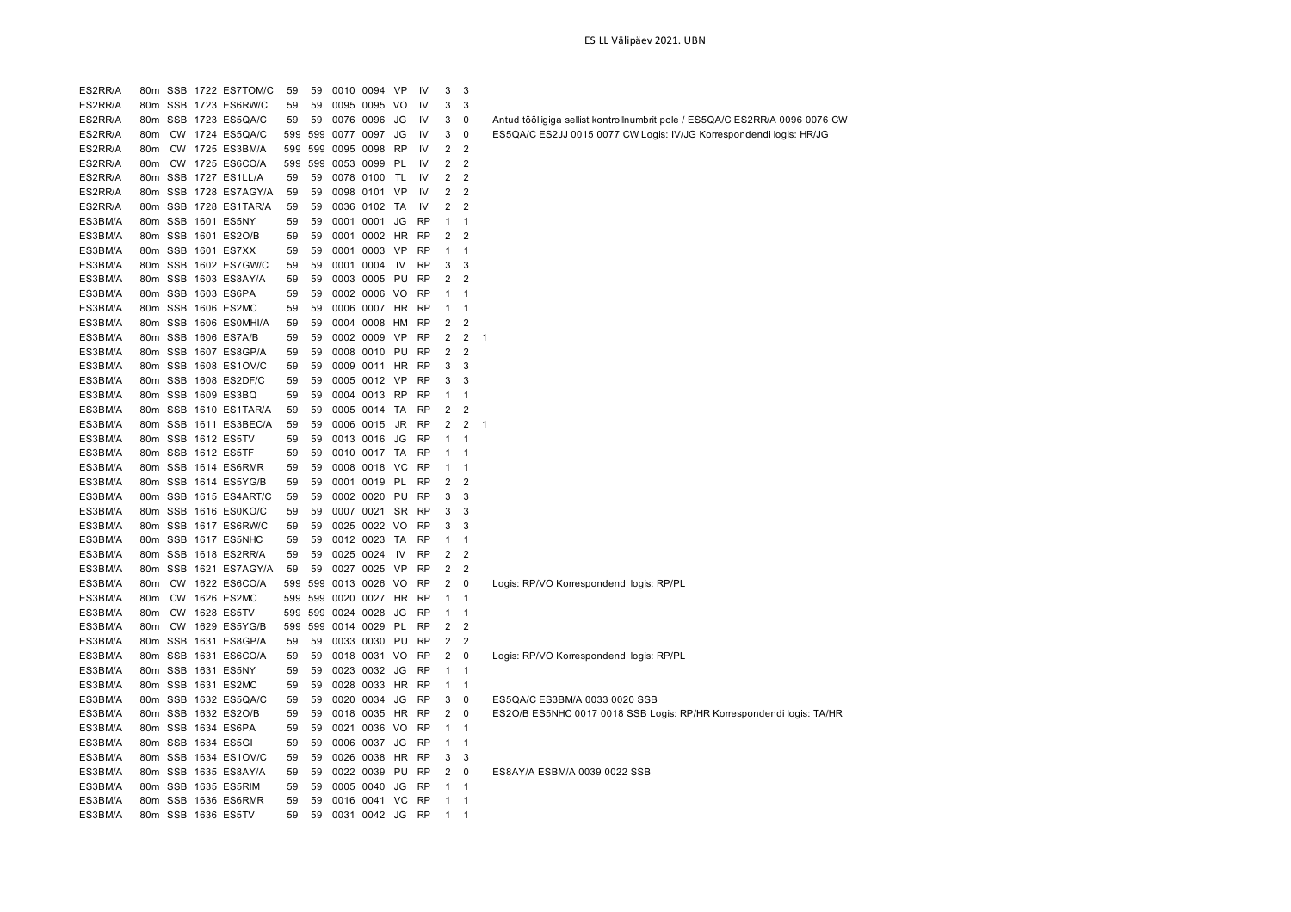| ES2RR/A            |                 |           | 80m SSB 1722 ES7TOM/C | 59  | 59      | 0010 0094 VP              |           | IV        | 3                       | 3                   |                                                                              |
|--------------------|-----------------|-----------|-----------------------|-----|---------|---------------------------|-----------|-----------|-------------------------|---------------------|------------------------------------------------------------------------------|
| ES2RR/A            |                 |           | 80m SSB 1723 ES6RW/C  | 59  | 59      | 0095 0095 VO              |           | IV        | 3                       | 3                   |                                                                              |
| ES2RR/A            |                 |           | 80m SSB 1723 ES5QA/C  | 59  | 59      | 0076 0096                 | JG        | IV        | 3                       | $\mathbf 0$         | Antud tööliigiga sellist kontrollnumbrit pole / ES5QA/C ES2RR/A 0096 0076 CW |
| ES2RR/A            | 80m             |           | CW 1724 ES5QA/C       |     | 599 599 | 0077 0097                 | JG        | IV        | 3                       | $\mathbf 0$         | ES5QA/C ES2JJ 0015 0077 CW Logis: IV/JG Korrespondendi logis: HR/JG          |
| ES2RR/A            | 80m             |           | CW 1725 ES3BM/A       |     | 599 599 | 0095 0098                 | RP        | IV        | 2                       | $\overline{2}$      |                                                                              |
| ES2RR/A            | 80m             |           | CW 1725 ES6CO/A       |     | 599 599 | 0053 0099                 | PL        | IV        | $\overline{2}$          | $\overline{2}$      |                                                                              |
| ES2RR/A            |                 |           | 80m SSB 1727 ES1LL/A  | 59  | 59      | 0078 0100 TL              |           | IV        | $\overline{2}$          | $\overline{2}$      |                                                                              |
| ES2RR/A            |                 |           | 80m SSB 1728 ES7AGY/A | 59  | 59      | 0098 0101                 | VP        | IV        | $\overline{2}$          | $\overline{2}$      |                                                                              |
| ES2RR/A            |                 |           | 80m SSB 1728 ES1TAR/A | 59  | 59      | 0036 0102 TA              |           | IV        | 2                       | $\overline{2}$      |                                                                              |
| ES3BM/A            | 80m             |           | SSB 1601 ES5NY        | 59  | 59      | 0001 0001                 | JG        | <b>RP</b> | 1                       | $\mathbf{1}$        |                                                                              |
| ES3BM/A            |                 |           | 80m SSB 1601 ES2O/B   | 59  | 59      | 0001 0002                 | HR        | <b>RP</b> | $\overline{2}$          | $\overline{2}$      |                                                                              |
| ES3BM/A            |                 |           | 80m SSB 1601 ES7XX    | 59  | 59      | 0001 0003                 | VP        | <b>RP</b> | $\mathbf{1}$            | $\mathbf{1}$        |                                                                              |
| ES3BM/A            |                 |           | 80m SSB 1602 ES7GW/C  | 59  | 59      | 0001 0004                 | IV        | <b>RP</b> | 3                       | 3                   |                                                                              |
| ES3BM/A            |                 |           | 80m SSB 1603 ES8AY/A  | 59  | 59      | 0003 0005 PU              |           | <b>RP</b> | 2                       | $\overline{2}$      |                                                                              |
| ES3BM/A            |                 |           | 80m SSB 1603 ES6PA    | 59  | 59      | 0002 0006 VO              |           | <b>RP</b> | $\mathbf{1}$            | $\mathbf 1$         |                                                                              |
| ES3BM/A            |                 |           | 80m SSB 1606 ES2MC    | 59  | 59      | 0006 0007                 | HR        | <b>RP</b> | $\mathbf 1$             | $\mathbf{1}$        |                                                                              |
| ES3BM/A            |                 |           | 80m SSB 1606 ES0MHI/A | 59  | 59      | 0004 0008 HM              |           | <b>RP</b> | 2                       | $\overline{2}$      |                                                                              |
| ES3BM/A            |                 |           | 80m SSB 1606 ES7A/B   | 59  | 59      | 0002 0009 VP              |           | <b>RP</b> | 2                       | $\overline{2}$      | $\mathbf 1$                                                                  |
| ES3BM/A            |                 |           | 80m SSB 1607 ES8GP/A  | 59  | 59      | 0008 0010 PU              |           | <b>RP</b> | $\overline{\mathbf{c}}$ | $\overline{2}$      |                                                                              |
| ES3BM/A            |                 |           | 80m SSB 1608 ES1OV/C  | 59  | 59      | 0009 0011                 | HR        | <b>RP</b> | 3                       | 3                   |                                                                              |
| ES3BM/A            |                 |           | 80m SSB 1608 ES2DF/C  | 59  | 59      | 0005 0012 VP              |           | <b>RP</b> | 3                       | 3                   |                                                                              |
| ES3BM/A            |                 |           | 80m SSB 1609 ES3BQ    | 59  | 59      | 0004 0013 RP              |           | RP        | $\mathbf 1$             | 1                   |                                                                              |
| ES3BM/A            | 80m             |           | SSB 1610 ES1TAR/A     | 59  | 59      | 0005 0014                 | TA        | RP        | 2                       | $\overline{2}$      |                                                                              |
| ES3BM/A            |                 |           | 80m SSB 1611 ES3BEC/A | 59  | 59      | 0006 0015                 | JR        | <b>RP</b> | 2                       | $\overline{2}$      | -1                                                                           |
| ES3BM/A            |                 |           | 80m SSB 1612 ES5TV    | 59  | 59      | 0013 0016                 | JG        | <b>RP</b> | 1                       | $\mathbf{1}$        |                                                                              |
| ES3BM/A            |                 |           | 80m SSB 1612 ES5TF    | 59  | 59      | 0010 0017 TA              |           | <b>RP</b> | 1                       | $\mathbf{1}$        |                                                                              |
| ES3BM/A            |                 |           | 80m SSB 1614 ES6RMR   | 59  | 59      | 0008 0018                 | VC        | RP        | $\mathbf 1$             | $\overline{1}$      |                                                                              |
| ES3BM/A            |                 |           | 80m SSB 1614 ES5YG/B  | 59  | 59      | 0001 0019                 | <b>PL</b> | <b>RP</b> | 2                       | $\overline{2}$      |                                                                              |
| ES3BM/A            |                 |           | 80m SSB 1615 ES4ART/C | 59  | 59      | 0002 0020                 | PU        | <b>RP</b> | 3                       | 3                   |                                                                              |
| ES3BM/A            |                 |           | 80m SSB 1616 ES0KO/C  | 59  | 59      | 0007 0021                 | SR        | RP        | 3                       | 3                   |                                                                              |
|                    |                 |           | 80m SSB 1617 ES6RW/C  | 59  | 59      | 0025 0022 VO              |           | <b>RP</b> | 3                       | 3                   |                                                                              |
| ES3BM/A<br>ES3BM/A |                 |           | 80m SSB 1617 ES5NHC   | 59  | 59      | 0012 0023 TA              |           | <b>RP</b> | 1                       | $\mathbf{1}$        |                                                                              |
| ES3BM/A            |                 |           | 80m SSB 1618 ES2RR/A  | 59  | 59      | 0025 0024                 | - IV      | <b>RP</b> | 2                       | $\overline{2}$      |                                                                              |
| ES3BM/A            |                 |           | 80m SSB 1621 ES7AGY/A | 59  | 59      | 0027 0025 VP              |           | <b>RP</b> | $\overline{2}$          | $\overline{2}$      |                                                                              |
| ES3BM/A            | 80m             |           | CW 1622 ES6CO/A       |     | 599 599 | 0013 0026 VO              |           | RP        | 2                       | $\mathbf 0$         | Logis: RP/VO Korrespondendi logis: RP/PL                                     |
| ES3BM/A            | 80 <sub>m</sub> | <b>CW</b> | 1626 ES2MC            | 599 | 599     | 0020 0027                 | HR.       | <b>RP</b> | $\mathbf{1}$            | $\mathbf{1}$        |                                                                              |
| ES3BM/A            | 80m             |           | CW 1628 ES5TV         |     | 599 599 | 0024 0028                 | JG        | <b>RP</b> | $\mathbf{1}$            | $\mathbf{1}$        |                                                                              |
| ES3BM/A            | 80m             | <b>CW</b> | 1629 ES5YG/B          | 599 | 599     | 0014 0029                 | PL        | <b>RP</b> | $\overline{\mathbf{c}}$ | $\overline{2}$      |                                                                              |
| ES3BM/A            | 80m             |           | SSB 1631 ES8GP/A      | 59  | 59      | 0033 0030 PU              |           | <b>RP</b> | 2                       | $\overline{c}$      |                                                                              |
| ES3BM/A            |                 |           | 80m SSB 1631 ES6CO/A  | 59  | 59      | 0018 0031 VO              |           | <b>RP</b> | $\overline{2}$          | $\mathbf 0$         |                                                                              |
| ES3BM/A            |                 |           | 80m SSB 1631 ES5NY    | 59  | 59      | 0023 0032                 | JG        | <b>RP</b> | $\mathbf{1}$            | $\mathbf{1}$        | Logis: RP/VO Korrespondendi logis: RP/PL                                     |
| ES3BM/A            |                 |           | 80m SSB 1631 ES2MC    | 59  | 59      | 0028 0033 HR              |           | <b>RP</b> | $\mathbf{1}$            | $\mathbf{1}$        |                                                                              |
| ES3BM/A            |                 |           | 80m SSB 1632 ES5QA/C  | 59  | 59      | 0020 0034                 | JG        | RP        | 3                       | 0                   | ES5QA/C ES3BM/A 0033 0020 SSB                                                |
|                    |                 |           | 80m SSB 1632 ES2O/B   | 59  | 59      |                           |           | <b>RP</b> | $\overline{2}$          | $\mathbf 0$         |                                                                              |
| ES3BM/A            |                 |           |                       |     |         | 0018 0035 HR              |           |           |                         |                     | ES2O/B ES5NHC 0017 0018 SSB Logis: RP/HR Korrespondendi logis: TA/HR         |
| ES3BM/A            |                 |           | 80m SSB 1634 ES6PA    | 59  | 59      | 0021 0036 VO<br>0006 0037 |           | RP        | $\mathbf{1}$            | $\mathbf{1}$        |                                                                              |
| ES3BM/A            |                 |           | 80m SSB 1634 ES5GI    | 59  | 59      |                           | JG        | <b>RP</b> | $\mathbf 1$             | $\mathbf{1}$        |                                                                              |
| ES3BM/A            |                 |           | 80m SSB 1634 ES1OV/C  | 59  | 59      | 0026 0038 HR              |           | <b>RP</b> | 3                       | 3<br>$\overline{0}$ |                                                                              |
| ES3BM/A            |                 |           | 80m SSB 1635 ES8AY/A  | 59  | 59      | 0022 0039 PU              |           | RP        | $\overline{2}$          |                     | ES8AY/A ESBM/A 0039 0022 SSB                                                 |
| ES3BM/A            |                 |           | 80m SSB 1635 ES5RIM   | 59  | 59      | 0005 0040                 | JG        | <b>RP</b> | $\mathbf{1}$            | $\mathbf{1}$        |                                                                              |
| ES3BM/A            |                 |           | 80m SSB 1636 ES6RMR   | 59  | 59      | 0016 0041                 | VC        | <b>RP</b> | $\mathbf{1}$            | $\mathbf{1}$        |                                                                              |
| ES3BM/A            |                 |           | 80m SSB 1636 ES5TV    | 59  | 59      | 0031 0042                 | JG        | <b>RP</b> | $\mathbf 1$             | $\mathbf 1$         |                                                                              |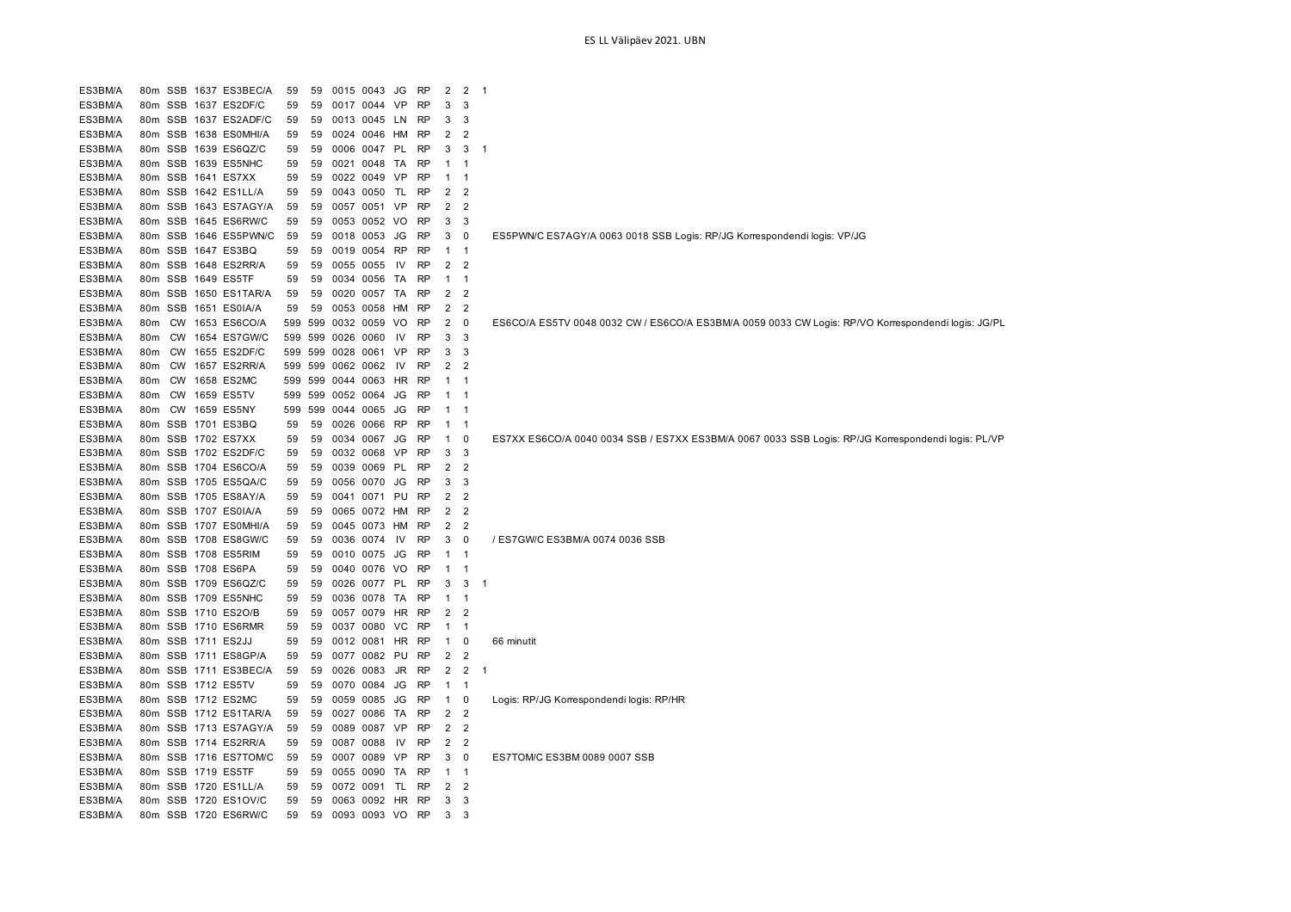| ES3BM/A | 80m             |           | SSB 1637 ES3BEC/A    | 59  | 59  |      | 0015 0043    | JG        | <b>RP</b> | $\overline{2}$          | $\overline{2}$          | - 1 |                                                                                                    |
|---------|-----------------|-----------|----------------------|-----|-----|------|--------------|-----------|-----------|-------------------------|-------------------------|-----|----------------------------------------------------------------------------------------------------|
| ES3BM/A | 80m             |           | SSB 1637 ES2DF/C     | 59  | 59  |      | 0017 0044    | VP        | <b>RP</b> | 3                       | 3                       |     |                                                                                                    |
| ES3BM/A | 80m             | SSB       | 1637 ES2ADF/C        | 59  | 59  | 0013 | 0045         | LN        | RP        | 3                       | 3                       |     |                                                                                                    |
| ES3BM/A | 80m             | SSB       | 1638 ESOMHI/A        | 59  | 59  |      | 0024 0046    | HМ        | <b>RP</b> | $\overline{2}$          | $\overline{2}$          |     |                                                                                                    |
| ES3BM/A | 80m             | SSB       | 1639 ES6QZ/C         | 59  | 59  | 0006 | 0047         | PL        | <b>RP</b> | 3                       | 3                       | f.  |                                                                                                    |
| ES3BM/A | 80m             | SSB       | 1639 ES5NHC          | 59  | 59  | 0021 | 0048         | TA        | <b>RP</b> | $\mathbf{1}$            |                         |     |                                                                                                    |
| ES3BM/A | 80m             | SSB       | 1641 ES7XX           | 59  | 59  | 0022 | 0049         | VP        | <b>RP</b> | 1                       | 1                       |     |                                                                                                    |
| ES3BM/A | 80 <sub>m</sub> | SSB       | 1642 ES1LL/A         | 59  | 59  |      | 0043 0050    | <b>TL</b> | <b>RP</b> | $\overline{2}$          | $\overline{2}$          |     |                                                                                                    |
| ES3BM/A | 80m             | SSB       | 1643 ES7AGY/A        | 59  | 59  |      | 0057 0051    | VP        | <b>RP</b> | $\overline{\mathbf{c}}$ | $\overline{2}$          |     |                                                                                                    |
| ES3BM/A | 80m             | SSB       | 1645 ES6RW/C         | 59  | 59  |      | 0053 0052    | VO        | <b>RP</b> | 3                       | 3                       |     |                                                                                                    |
| ES3BM/A | 80 <sub>m</sub> | SSB       | 1646 ES5PWN/C        | 59  | 59  | 0018 | 0053         | JG        | <b>RP</b> | 3                       | 0                       |     | ES5PWN/C ES7AGY/A 0063 0018 SSB Logis: RP/JG Korrespondendi logis: VP/JG                           |
| ES3BM/A | 80 <sub>m</sub> |           | SSB 1647 ES3BQ       | 59  | 59  | 0019 | 0054         | <b>RP</b> | <b>RP</b> | 1                       | $\mathbf{1}$            |     |                                                                                                    |
| ES3BM/A | 80m             |           | SSB 1648 ES2RR/A     | 59  | 59  |      | 0055 0055    | IV        | <b>RP</b> | 2                       | 2                       |     |                                                                                                    |
| ES3BM/A | 80m             | SSB       | 1649 ES5TF           | 59  | 59  | 0034 | 0056         | TA        | <b>RP</b> | 1                       | -1                      |     |                                                                                                    |
| ES3BM/A | 80 <sub>m</sub> | SSB       | 1650 ES1TAR/A        | 59  | 59  |      | 0020 0057    | TA        | <b>RP</b> | $\overline{2}$          | $\overline{2}$          |     |                                                                                                    |
| ES3BM/A | 80m             |           | SSB 1651 ES0IA/A     | 59  | 59  |      | 0053 0058    | HM        | <b>RP</b> | $\overline{2}$          | $\overline{2}$          |     |                                                                                                    |
| ES3BM/A | 80m             | <b>CW</b> | 1653 ES6CO/A         | 599 | 599 |      | 0032 0059 VO |           | <b>RP</b> | 2                       | 0                       |     | ES6CO/A ES5TV 0048 0032 CW / ES6CO/A ES3BM/A 0059 0033 CW Logis: RP/VO Korrespondendi logis: JG/PL |
| ES3BM/A | 80m             | <b>CW</b> | 1654 ES7GW/C         | 599 | 599 | 0026 | 0060         | IV        | <b>RP</b> | 3                       | 3                       |     |                                                                                                    |
| ES3BM/A | 80m             | <b>CW</b> | 1655 ES2DF/C         | 599 | 599 |      | 0028 0061    | VP        | <b>RP</b> | 3                       | 3                       |     |                                                                                                    |
| ES3BM/A | 80 <sub>m</sub> | <b>CW</b> | 1657 ES2RR/A         | 599 | 599 |      | 0062 0062    | IV        | <b>RP</b> | 2                       | 2                       |     |                                                                                                    |
| ES3BM/A | 80m             | <b>CW</b> | 1658 ES2MC           | 599 | 599 | 0044 | 0063         | HR        | <b>RP</b> | 1                       |                         |     |                                                                                                    |
| ES3BM/A | 80 <sub>m</sub> | <b>CW</b> | 1659 ES5TV           | 599 | 599 | 0052 | 0064         | JG        | <b>RP</b> |                         | -1                      |     |                                                                                                    |
| ES3BM/A | 80m             | <b>CW</b> | 1659 ES5NY           | 599 | 599 |      | 0044 0065    | JG        | <b>RP</b> | 1                       | -1                      |     |                                                                                                    |
| ES3BM/A | 80m             | SSB       | 1701 ES3BQ           | 59  | 59  | 0026 | 0066         | <b>RP</b> | <b>RP</b> | 1                       | -1                      |     |                                                                                                    |
| ES3BM/A | 80m             |           | SSB 1702 ES7XX       | 59  | 59  | 0034 | 0067         | JG        | <b>RP</b> | 1                       | 0                       |     | ES7XX ES6CO/A 0040 0034 SSB / ES7XX ES3BM/A 0067 0033 SSB Logis: RP/JG Korrespondendi logis: PL/VP |
| ES3BM/A | 80 <sub>m</sub> |           | SSB 1702 ES2DF/C     | 59  | 59  |      | 0032 0068    | VP        | <b>RP</b> | 3                       | 3                       |     |                                                                                                    |
| ES3BM/A | 80m             |           | SSB 1704 ES6CO/A     | 59  | 59  |      | 0039 0069    | PL        | <b>RP</b> | 2                       | 2                       |     |                                                                                                    |
| ES3BM/A | 80m             |           | SSB 1705 ES5QA/C     | 59  | 59  | 0056 | 0070         | JG        | <b>RP</b> | 3                       | 3                       |     |                                                                                                    |
| ES3BM/A | 80m             |           | SSB 1705 ES8AY/A     | 59  | 59  |      | 0041 0071    | PU        | <b>RP</b> | $\overline{\mathbf{c}}$ | $\overline{2}$          |     |                                                                                                    |
| ES3BM/A | 80 <sub>m</sub> |           | SSB 1707 ES0IA/A     | 59  | 59  |      | 0065 0072 HM |           | <b>RP</b> | $\overline{2}$          | $\overline{2}$          |     |                                                                                                    |
| ES3BM/A | 80m             |           | SSB 1707 ES0MHI/A    | 59  | 59  |      | 0045 0073    | HM        | <b>RP</b> | 2                       | 2                       |     |                                                                                                    |
| ES3BM/A | 80m             |           | SSB 1708 ES8GW/C     | 59  | 59  |      | 0036 0074    | 1V        | <b>RP</b> | 3                       | 0                       |     | / ES7GW/C ES3BM/A 0074 0036 SSB                                                                    |
| ES3BM/A | 80 <sub>m</sub> |           | SSB 1708 ES5RIM      | 59  | 59  |      | 0010 0075    | JG        | <b>RP</b> | 1                       | -1                      |     |                                                                                                    |
| ES3BM/A | 80m             |           | SSB 1708 ES6PA       | 59  | 59  |      | 0040 0076 VO |           | <b>RP</b> | 1                       | -1                      |     |                                                                                                    |
| ES3BM/A | 80 <sub>m</sub> |           | SSB 1709 ES6QZ/C     | 59  | 59  |      | 0026 0077    | PL        | <b>RP</b> | 3                       | 3                       | f.  |                                                                                                    |
| ES3BM/A | 80m             |           | SSB 1709 ES5NHC      | 59  | 59  |      | 0036 0078    | TA        | RP        | $\mathbf 1$             | -1                      |     |                                                                                                    |
| ES3BM/A | 80 <sub>m</sub> | SSB       | 1710 ES2O/B          | 59  | 59  | 0057 | 0079         | HR        | <b>RP</b> | 2                       | 2                       |     |                                                                                                    |
| ES3BM/A | 80m             |           | SSB 1710 ES6RMR      | 59  | 59  |      | 0037 0080    | VC        | <b>RP</b> | 1                       | -1                      |     |                                                                                                    |
| ES3BM/A | 80m             |           | SSB 1711 ES2JJ       | 59  | 59  |      | 0012 0081    | HR        | <b>RP</b> | 1                       | 0                       |     | 66 minutit                                                                                         |
| ES3BM/A | 80 <sub>m</sub> |           | SSB 1711 ES8GP/A     | 59  | 59  |      | 0077 0082    | PU        | <b>RP</b> | $\overline{\mathbf{c}}$ | $\overline{2}$          |     |                                                                                                    |
| ES3BM/A | 80 <sub>m</sub> |           | SSB 1711 ES3BEC/A    | 59  | 59  | 0026 | 0083         | JR        | <b>RP</b> | $\overline{2}$          | $\overline{\mathbf{c}}$ | -1  |                                                                                                    |
| ES3BM/A | 80m             |           | SSB 1712 ES5TV       | 59  | 59  | 0070 | 0084         | JG        | <b>RP</b> | $\mathbf 1$             | $\mathbf{1}$            |     |                                                                                                    |
| ES3BM/A | 80m             |           | SSB 1712 ES2MC       | 59  | 59  | 0059 | 0085         | JG        | RP        | 1                       | 0                       |     | Logis: RP/JG Korrespondendi logis: RP/HR                                                           |
| ES3BM/A | 80 <sub>m</sub> |           | SSB 1712 ES1TAR/A    | 59  | 59  | 0027 | 0086         | TA        | <b>RP</b> | $\overline{2}$          | 2                       |     |                                                                                                    |
| ES3BM/A | 80 <sub>m</sub> |           | SSB 1713 ES7AGY/A    | 59  | 59  | 0089 | 0087         | VP        | <b>RP</b> | $\overline{2}$          | $\overline{2}$          |     |                                                                                                    |
| ES3BM/A | 80m             |           | SSB 1714 ES2RR/A     | 59  | 59  | 0087 | 0088         | IV        | <b>RP</b> | 2                       | 2                       |     |                                                                                                    |
| ES3BM/A | 80 <sub>m</sub> |           | SSB 1716 ES7TOM/C    | 59  | 59  |      | 0007 0089    | VP        | <b>RP</b> | 3                       | 0                       |     | ES7TOM/C ES3BM 0089 0007 SSB                                                                       |
| ES3BM/A | 80 <sub>m</sub> |           | SSB 1719 ES5TF       | 59  | 59  | 0055 | 0090         | TA        | <b>RP</b> | 1                       | -1                      |     |                                                                                                    |
| ES3BM/A | 80 <sub>m</sub> |           | SSB 1720 ES1LL/A     | 59  | 59  |      | 0072 0091    | TL        | <b>RP</b> | 2                       | 2                       |     |                                                                                                    |
| ES3BM/A |                 |           | 80m SSB 1720 ES1OV/C | 59  | 59  |      | 0063 0092 HR |           | <b>RP</b> | 3                       | 3                       |     |                                                                                                    |
| ES3BM/A |                 |           | 80m SSB 1720 ES6RW/C | 59  | 59  |      | 0093 0093 VO |           | <b>RP</b> | 3                       | 3                       |     |                                                                                                    |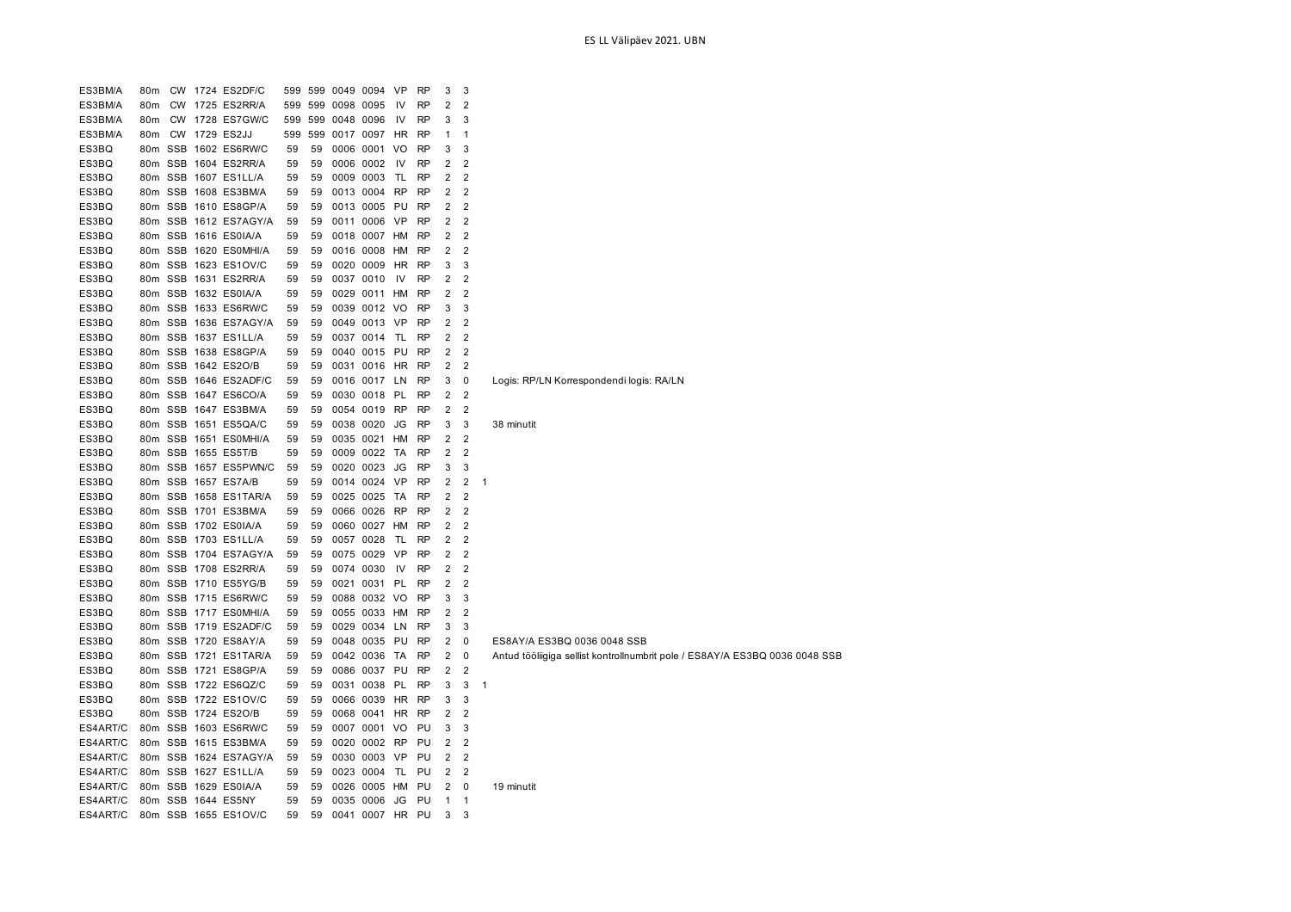| ES3BM/A  | 80m             |           |      | CW 1724 ES2DF/C       | 599 | 599 | 0049 0094 |              | <b>VP</b> | <b>RP</b> | 3                       | 3              |                                                                             |
|----------|-----------------|-----------|------|-----------------------|-----|-----|-----------|--------------|-----------|-----------|-------------------------|----------------|-----------------------------------------------------------------------------|
| ES3BM/A  | 80m             | <b>CW</b> |      | 1725 ES2RR/A          | 599 | 599 | 0098      | 0095         | IV        | <b>RP</b> | $\overline{2}$          | $\overline{2}$ |                                                                             |
| ES3BM/A  | 80m             | CW        | 1728 | ES7GW/C               | 599 | 599 | 0048      | 0096         | IV        | RP        | 3                       | 3              |                                                                             |
| ES3BM/A  | 80m             |           |      | CW 1729 ES2JJ         | 599 | 599 |           | 0017 0097    | <b>HR</b> | RP        | 1                       | 1              |                                                                             |
| ES3BQ    | 80m             | SSB       |      | 1602 ES6RW/C          | 59  | 59  |           | 0006 0001    | VO        | <b>RP</b> | 3                       | 3              |                                                                             |
| ES3BQ    | 80m             |           |      | SSB 1604 ES2RR/A      | 59  | 59  | 0006      | 0002         | IV        | <b>RP</b> | 2                       | $\overline{2}$ |                                                                             |
| ES3BQ    | 80m             |           |      | SSB 1607 ES1LL/A      | 59  | 59  |           | 0009 0003    | TL        | <b>RP</b> | $\overline{\mathbf{c}}$ | $\overline{c}$ |                                                                             |
| ES3BQ    | 80m             |           |      | SSB 1608 ES3BM/A      | 59  | 59  |           | 0013 0004    | RP        | <b>RP</b> | 2                       | $\overline{2}$ |                                                                             |
| ES3BQ    | 80 <sub>m</sub> |           |      | SSB 1610 ES8GP/A      | 59  | 59  |           | 0013 0005    | PU        | <b>RP</b> | $\overline{\mathbf{c}}$ | $\overline{2}$ |                                                                             |
| ES3BQ    | 80 <sub>m</sub> |           |      | SSB 1612 ES7AGY/A     | 59  | 59  |           | 0011 0006    | <b>VP</b> | <b>RP</b> | 2                       | $\overline{2}$ |                                                                             |
| ES3BQ    | 80m             |           |      | SSB 1616 ES0IA/A      | 59  | 59  |           | 0018 0007    | HM        | <b>RP</b> | $\overline{2}$          | $\overline{2}$ |                                                                             |
| ES3BQ    |                 |           |      | 80m SSB 1620 ES0MHI/A | 59  | 59  |           | 0016 0008    | HM        | <b>RP</b> | 2                       | $\overline{2}$ |                                                                             |
| ES3BQ    |                 |           |      | 80m SSB 1623 ES1OV/C  | 59  | 59  |           | 0020 0009    | HR        | <b>RP</b> | 3                       | 3              |                                                                             |
| ES3BQ    |                 |           |      | 80m SSB 1631 ES2RR/A  | 59  | 59  |           | 0037 0010    | IV        | <b>RP</b> | $\overline{2}$          | $\overline{2}$ |                                                                             |
| ES3BQ    |                 |           |      | 80m SSB 1632 ES0IA/A  | 59  | 59  |           | 0029 0011 HM |           | <b>RP</b> | $\overline{2}$          | $\overline{2}$ |                                                                             |
| ES3BQ    | 80m             |           |      | SSB 1633 ES6RW/C      | 59  | 59  |           | 0039 0012 VO |           | <b>RP</b> | 3                       | 3              |                                                                             |
| ES3BQ    | 80m             |           |      | SSB 1636 ES7AGY/A     | 59  | 59  |           | 0049 0013    | VP        | <b>RP</b> | $\overline{2}$          | $\overline{2}$ |                                                                             |
| ES3BQ    | 80 <sub>m</sub> | SSB       |      | 1637 ES1LL/A          | 59  | 59  |           | 0037 0014    | TL        | <b>RP</b> | $\sqrt{2}$              | $\overline{2}$ |                                                                             |
| ES3BQ    | 80m             |           |      | SSB 1638 ES8GP/A      | 59  | 59  |           | 0040 0015    | PU        | <b>RP</b> | 2                       | $\overline{2}$ |                                                                             |
| ES3BQ    | 80m             |           |      | SSB 1642 ES2O/B       | 59  | 59  |           | 0031 0016    | HR        | <b>RP</b> | 2                       | $\overline{2}$ |                                                                             |
| ES3BQ    | 80m             |           |      | SSB 1646 ES2ADF/C     | 59  | 59  |           | 0016 0017    | LN        | <b>RP</b> | 3                       | $\pmb{0}$      | Logis: RP/LN Korrespondendi logis: RA/LN                                    |
| ES3BQ    | 80m             |           |      | SSB 1647 ES6CO/A      | 59  | 59  |           | 0030 0018    | PL        | RP        | 2                       | $\overline{2}$ |                                                                             |
| ES3BQ    | 80 <sub>m</sub> |           |      | SSB 1647 ES3BM/A      | 59  | 59  |           | 0054 0019    | <b>RP</b> | <b>RP</b> | 2                       | $\overline{2}$ |                                                                             |
| ES3BQ    | 80m             |           |      | SSB 1651 ES5QA/C      | 59  | 59  |           | 0038 0020    | JG        | <b>RP</b> | 3                       | 3              | 38 minutit                                                                  |
| ES3BQ    | 80m             |           |      | SSB 1651 ES0MHI/A     | 59  | 59  |           | 0035 0021    | HM        | <b>RP</b> | 2                       | $\overline{2}$ |                                                                             |
| ES3BQ    | 80m             |           |      | SSB 1655 ES5T/B       | 59  | 59  |           | 0009 0022    | TA        | RP        | $\overline{\mathbf{c}}$ | $\overline{2}$ |                                                                             |
| ES3BQ    |                 |           |      | 80m SSB 1657 ES5PWN/C | 59  | 59  |           | 0020 0023    | JG        | <b>RP</b> | 3                       | 3              |                                                                             |
| ES3BQ    | 80m             |           |      | SSB 1657 ES7A/B       | 59  | 59  |           | 0014 0024    | VP        | <b>RP</b> | $\overline{\mathbf{c}}$ | $\overline{2}$ | 1                                                                           |
| ES3BQ    | 80m             |           |      | SSB 1658 ES1TAR/A     | 59  | 59  |           | 0025 0025    | TA        | RP        | $\overline{2}$          | $\overline{2}$ |                                                                             |
| ES3BQ    | 80m             |           |      | SSB 1701 ES3BM/A      | 59  | 59  |           | 0066 0026    | <b>RP</b> | <b>RP</b> | $\overline{2}$          | $\overline{2}$ |                                                                             |
| ES3BQ    | 80m             |           |      | SSB 1702 ES0IA/A      | 59  | 59  |           | 0060 0027    | HM        | RP        | $\overline{2}$          | $\overline{2}$ |                                                                             |
| ES3BQ    | 80m             |           |      | SSB 1703 ES1LL/A      | 59  | 59  |           | 0057 0028    | TL        | RP        | $\overline{2}$          | $\overline{2}$ |                                                                             |
| ES3BQ    | 80m             |           |      | SSB 1704 ES7AGY/A     | 59  | 59  |           | 0075 0029    | VP        | <b>RP</b> | 2                       | $\overline{2}$ |                                                                             |
| ES3BQ    | 80m             |           |      | SSB 1708 ES2RR/A      | 59  | 59  |           | 0074 0030    | IV        | <b>RP</b> | 2                       | $\overline{c}$ |                                                                             |
| ES3BQ    | 80m             |           |      | SSB 1710 ES5YG/B      | 59  | 59  |           | 0021 0031    | PL        | <b>RP</b> | 2                       | $\overline{c}$ |                                                                             |
| ES3BQ    | 80 <sub>m</sub> |           |      | SSB 1715 ES6RW/C      | 59  | 59  |           | 0088 0032    | VO        | <b>RP</b> | 3                       | 3              |                                                                             |
| ES3BQ    | 80 <sub>m</sub> |           |      | SSB 1717 ES0MHI/A     | 59  | 59  |           | 0055 0033    | HM        | <b>RP</b> | 2                       | $\overline{2}$ |                                                                             |
| ES3BQ    |                 |           |      | 80m SSB 1719 ES2ADF/C | 59  | 59  |           | 0029 0034    | LN        | <b>RP</b> | 3                       | 3              |                                                                             |
| ES3BQ    |                 |           |      | 80m SSB 1720 ES8AY/A  | 59  | 59  |           | 0048 0035    | PU        | <b>RP</b> | 2                       | $\mathbf 0$    | ES8AY/A ES3BQ 0036 0048 SSB                                                 |
| ES3BQ    | 80m             |           |      | SSB 1721 ES1TAR/A     | 59  | 59  |           | 0042 0036    | TA        | RP        | 2                       | 0              | Antud tööliigiga sellist kontrollnumbrit pole / ES8AY/A ES3BQ 0036 0048 SSB |
| ES3BQ    |                 |           |      | 80m SSB 1721 ES8GP/A  | 59  | 59  |           | 0086 0037    | PU        | <b>RP</b> | 2                       | $\overline{2}$ |                                                                             |
| ES3BQ    |                 |           |      | 80m SSB 1722 ES6QZ/C  | 59  | 59  |           | 0031 0038    | PL        | <b>RP</b> | 3                       | 3              | $\mathbf{1}$                                                                |
| ES3BQ    | 80m             |           |      | SSB 1722 ES10V/C      | 59  | 59  |           | 0066 0039    | HR        | <b>RP</b> | 3                       | 3              |                                                                             |
| ES3BQ    | 80m             |           |      | SSB 1724 ES2O/B       | 59  | 59  |           | 0068 0041    | HR        | RP        | $\overline{2}$          | 2              |                                                                             |
| ES4ART/C | 80 <sub>m</sub> |           |      | SSB 1603 ES6RW/C      | 59  | 59  |           | 0007 0001 VO |           | PU        | 3                       | 3              |                                                                             |
| ES4ART/C | 80 <sub>m</sub> |           |      | SSB 1615 ES3BM/A      | 59  | 59  | 0020      | 0002         | <b>RP</b> | PU        | $\overline{2}$          | $\overline{2}$ |                                                                             |
| ES4ART/C | 80m             |           |      | SSB 1624 ES7AGY/A     | 59  | 59  |           | 0030 0003    | VP        | PU        | $\overline{2}$          | $\overline{2}$ |                                                                             |
| ES4ART/C | 80m             |           |      | SSB 1627 ES1LL/A      | 59  | 59  |           | 0023 0004    | TL        | PU        | $\overline{\mathbf{c}}$ | $\overline{c}$ |                                                                             |
| ES4ART/C | 80m             |           |      | SSB 1629 ES0IA/A      | 59  | 59  |           | 0026 0005    | HM        | PU        | 2                       | 0              | 19 minutit                                                                  |
| ES4ART/C | 80 <sub>m</sub> |           |      | SSB 1644 ES5NY        | 59  | 59  |           | 0035 0006    | JG        | PU        | $\mathbf{1}$            | $\mathbf{1}$   |                                                                             |
| ES4ART/C |                 |           |      | 80m SSB 1655 ES1OV/C  | 59  | 59  |           | 0041 0007    | <b>HR</b> | PU        | 3                       | 3              |                                                                             |
|          |                 |           |      |                       |     |     |           |              |           |           |                         |                |                                                                             |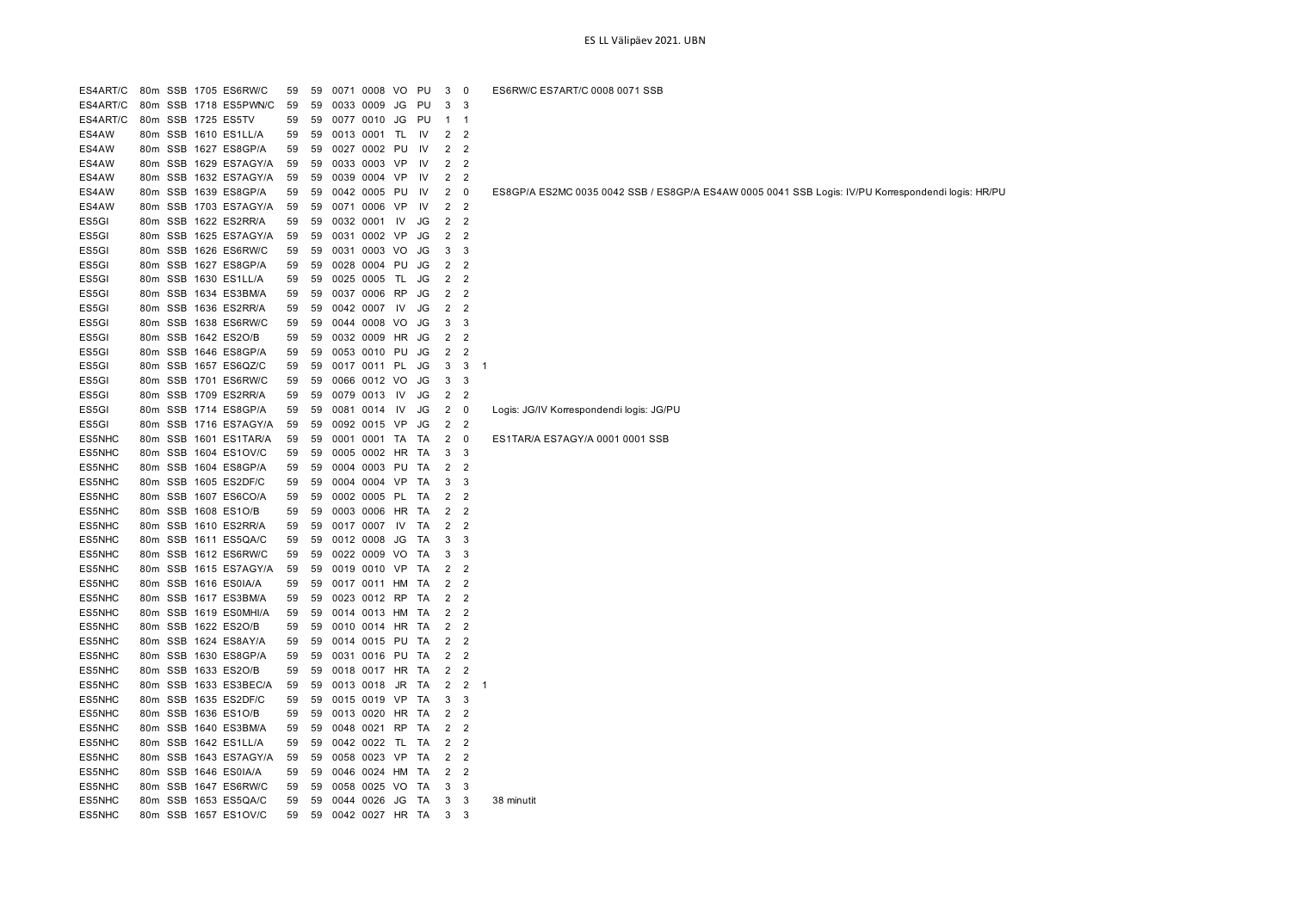| ES4ART/C |         | 80m SSB 1705 ES6RW/C  | 59 | 59 |      | 0071 0008       | VO  | PU        | 3              | 0                        | ES6RW/C ES7ART/C 0008 0071 SSB                                                                     |
|----------|---------|-----------------------|----|----|------|-----------------|-----|-----------|----------------|--------------------------|----------------------------------------------------------------------------------------------------|
| ES4ART/C |         | 80m SSB 1718 ES5PWN/C | 59 | 59 |      | 0033 0009       | JG  | PU        | 3              | 3                        |                                                                                                    |
| ES4ART/C |         | 80m SSB 1725 ES5TV    | 59 | 59 |      | 0077 0010       | JG  | PU        | -1             | -1                       |                                                                                                    |
| ES4AW    |         | 80m SSB 1610 ES1LL/A  | 59 | 59 |      | 0013 0001 TL    |     | 1V        | 2 <sub>2</sub> |                          |                                                                                                    |
| ES4AW    |         | 80m SSB 1627 ES8GP/A  | 59 | 59 |      | 0027 0002 PU    |     | IV        | 2              | $\overline{2}$           |                                                                                                    |
| ES4AW    |         | 80m SSB 1629 ES7AGY/A | 59 | 59 |      | 0033 0003 VP    |     | 1V        | $\overline{2}$ | $\overline{2}$           |                                                                                                    |
| ES4AW    |         | 80m SSB 1632 ES7AGY/A | 59 | 59 | 0039 | 0004 VP         |     | IV        | $\overline{2}$ | $\overline{2}$           |                                                                                                    |
| ES4AW    |         | 80m SSB 1639 ES8GP/A  | 59 | 59 |      | 0042 0005 PU    |     | 1V        | $\overline{2}$ | 0                        | ES8GP/A ES2MC 0035 0042 SSB / ES8GP/A ES4AW 0005 0041 SSB Logis: IV/PU Korrespondendi logis: HR/PU |
| ES4AW    |         | 80m SSB 1703 ES7AGY/A | 59 | 59 |      | 0071 0006       | VP  | IV        | $\overline{2}$ | $\overline{2}$           |                                                                                                    |
| ES5GI    |         | 80m SSB 1622 ES2RR/A  | 59 | 59 | 0032 | 0001 IV         |     | JG        | $\overline{2}$ | $\overline{2}$           |                                                                                                    |
| ES5GI    |         | 80m SSB 1625 ES7AGY/A | 59 | 59 |      | 0031 0002 VP    |     | JG        | $\overline{2}$ | $\overline{c}$           |                                                                                                    |
| ES5GI    |         | 80m SSB 1626 ES6RW/C  | 59 | 59 |      | 0031 0003 VO    |     | JG        | 3              | 3                        |                                                                                                    |
| ES5GI    |         | 80m SSB 1627 ES8GP/A  | 59 | 59 |      | 0028 0004 PU    |     | JG        | $\overline{2}$ | $\overline{2}$           |                                                                                                    |
| ES5GI    |         | 80m SSB 1630 ES1LL/A  | 59 | 59 | 0025 | 0005            | TL. | JG        | 2              | $\overline{2}$           |                                                                                                    |
| ES5GI    |         | 80m SSB 1634 ES3BM/A  | 59 | 59 |      | 0037 0006 RP    |     | JG        | $\overline{2}$ | $\overline{2}$           |                                                                                                    |
| ES5GI    |         | 80m SSB 1636 ES2RR/A  | 59 | 59 |      | 0042 0007       | IV  | JG        | $\overline{2}$ | $\overline{2}$           |                                                                                                    |
| ES5GI    |         | 80m SSB 1638 ES6RW/C  | 59 | 59 |      | 0044 0008 VO    |     | JG        | 3              | 3                        |                                                                                                    |
| ES5GI    |         | 80m SSB 1642 ES2O/B   | 59 | 59 |      | 0032 0009 HR    |     | JG        | 2              | $\overline{2}$           |                                                                                                    |
| ES5GI    |         | 80m SSB 1646 ES8GP/A  | 59 | 59 |      | 0053 0010 PU    |     | JG        | $\overline{2}$ | $\overline{\phantom{a}}$ |                                                                                                    |
| ES5GI    |         | 80m SSB 1657 ES6QZ/C  | 59 | 59 |      | 0017 0011 PL    |     | JG        | 3              | 3                        | -1                                                                                                 |
| ES5GI    |         | 80m SSB 1701 ES6RW/C  | 59 | 59 |      | 0066 0012 VO    |     | <b>JG</b> | 3              | 3                        |                                                                                                    |
| ES5GI    |         | 80m SSB 1709 ES2RR/A  | 59 | 59 |      | 0079 0013       | IV  | JG        | 2              | $\overline{2}$           |                                                                                                    |
| ES5GI    |         | 80m SSB 1714 ES8GP/A  | 59 | 59 |      | 0081 0014       | IV  | JG        | $\overline{2}$ | $\overline{\mathbf{0}}$  | Logis: JG/IV Korrespondendi logis: JG/PU                                                           |
| ES5GI    |         | 80m SSB 1716 ES7AGY/A | 59 | 59 |      | 0092 0015       | VP  | JG        | $\overline{2}$ | $\overline{2}$           |                                                                                                    |
| ES5NHC   |         | 80m SSB 1601 ES1TAR/A | 59 | 59 |      | 0001 0001 TA    |     | TA        | 2              | $\overline{\mathbf{0}}$  | ES1TAR/A ES7AGY/A 0001 0001 SSB                                                                    |
| ES5NHC   |         | 80m SSB 1604 ES1OV/C  | 59 | 59 |      | 0005 0002 HR    |     | TA        | 3              | 3                        |                                                                                                    |
| ES5NHC   |         | 80m SSB 1604 ES8GP/A  | 59 | 59 |      | 0004 0003 PU    |     | TA        | 2              | $\overline{2}$           |                                                                                                    |
| ES5NHC   |         | 80m SSB 1605 ES2DF/C  | 59 | 59 |      | 0004 0004 VP    |     | TA        | 3              | 3                        |                                                                                                    |
| ES5NHC   |         | 80m SSB 1607 ES6CO/A  | 59 | 59 |      | 0002 0005 PL    |     | TA        | 2              | $\overline{2}$           |                                                                                                    |
| ES5NHC   |         | 80m SSB 1608 ES1O/B   | 59 | 59 |      | 0003 0006       | HR  | TA        | 2              | $\overline{2}$           |                                                                                                    |
| ES5NHC   |         | 80m SSB 1610 ES2RR/A  | 59 | 59 |      | 0017 0007       | IV  | TA        | $\overline{2}$ | $\overline{2}$           |                                                                                                    |
| ES5NHC   |         | 80m SSB 1611 ES5QA/C  | 59 | 59 |      | 0012 0008       | JG  | TA        | 3              | 3                        |                                                                                                    |
| ES5NHC   |         | 80m SSB 1612 ES6RW/C  | 59 | 59 |      | 0022 0009 VO    |     | TA        | 3              | 3                        |                                                                                                    |
| ES5NHC   |         | 80m SSB 1615 ES7AGY/A | 59 | 59 |      | 0019 0010 VP TA |     |           | 2 <sub>2</sub> |                          |                                                                                                    |
| ES5NHC   | 80m SSB | 1616 ES0IA/A          | 59 | 59 |      | 0017 0011 HM    |     | TA        | 2              | $\overline{2}$           |                                                                                                    |
| ES5NHC   |         | 80m SSB 1617 ES3BM/A  | 59 | 59 |      | 0023 0012       | RP  | TA        | $\overline{2}$ | $\overline{2}$           |                                                                                                    |
| ES5NHC   |         | 80m SSB 1619 ES0MHI/A | 59 | 59 |      | 0014 0013 HM    |     | TA        | $\overline{2}$ | $\overline{2}$           |                                                                                                    |
| ES5NHC   |         | 80m SSB 1622 ES2O/B   | 59 | 59 |      | 0010 0014 HR TA |     |           | 2              | $\overline{2}$           |                                                                                                    |
| ES5NHC   |         | 80m SSB 1624 ES8AY/A  | 59 | 59 |      | 0014 0015 PU    |     | TA        | 2              | $\overline{2}$           |                                                                                                    |
| ES5NHC   |         | 80m SSB 1630 ES8GP/A  | 59 | 59 |      | 0031 0016 PU    |     | TA        | $\overline{2}$ | $\overline{2}$           |                                                                                                    |
| ES5NHC   |         | 80m SSB 1633 ES2O/B   | 59 | 59 |      | 0018 0017 HR    |     | TA        | $\overline{2}$ | $\overline{2}$           |                                                                                                    |
| ES5NHC   |         | 80m SSB 1633 ES3BEC/A | 59 | 59 |      | 0013 0018       | JR  | TA        | 2              | $\overline{2}$           | -1                                                                                                 |
| ES5NHC   |         | 80m SSB 1635 ES2DF/C  | 59 | 59 |      | 0015 0019 VP    |     | TA        | 3              | 3                        |                                                                                                    |
| ES5NHC   |         | 80m SSB 1636 ES1O/B   | 59 | 59 |      | 0013 0020 HR    |     | TA        | 2              | $\overline{2}$           |                                                                                                    |
| ES5NHC   |         | 80m SSB 1640 ES3BM/A  | 59 | 59 |      | 0048 0021 RP    |     | TA        | $\overline{2}$ | $\overline{2}$           |                                                                                                    |
| ES5NHC   |         | 80m SSB 1642 ES1LL/A  | 59 | 59 |      | 0042 0022 TL    |     | TA        | 2              | $\overline{2}$           |                                                                                                    |
| ES5NHC   |         | 80m SSB 1643 ES7AGY/A | 59 | 59 |      | 0058 0023 VP TA |     |           | $\overline{2}$ | $\overline{2}$           |                                                                                                    |
| ES5NHC   |         | 80m SSB 1646 ES0IA/A  | 59 | 59 | 0046 | 0024 HM         |     | TA        | 2              | $\overline{2}$           |                                                                                                    |
| ES5NHC   |         | 80m SSB 1647 ES6RW/C  | 59 | 59 | 0058 | 0025 VO         |     | TA        | 3              | 3                        |                                                                                                    |
| ES5NHC   |         | 80m SSB 1653 ES5QA/C  | 59 | 59 |      | 0044 0026       | JG  | TA        | 3              | 3                        | 38 minutit                                                                                         |
| ES5NHC   |         | 80m SSB 1657 ES1OV/C  | 59 | 59 |      | 0042 0027 HR TA |     |           | 3              | 3                        |                                                                                                    |
|          |         |                       |    |    |      |                 |     |           |                |                          |                                                                                                    |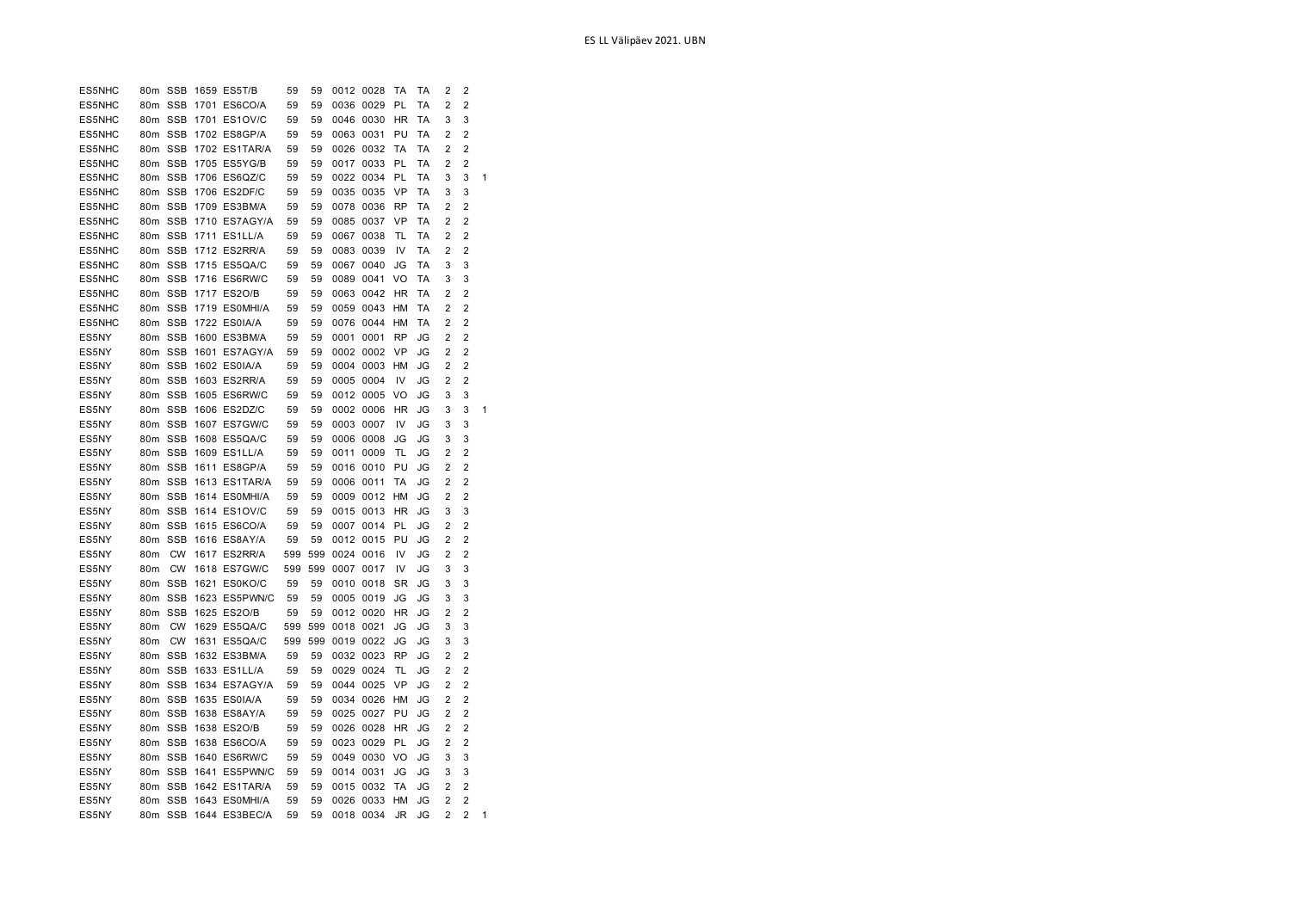| 2<br>$\overline{2}$<br>ES5NHC<br><b>SSB</b><br>59<br>0036 0029<br>PL<br>ТA<br>80 <sub>m</sub><br>1701 ES6CO/A<br>59<br>3<br>SSB<br>1701 ES1OV/C<br>59<br>0046 0030<br>HR<br>ТA<br>3<br>ES5NHC<br>80m<br>59<br>80m SSB<br>1702 ES8GP/A<br>59<br>59<br>0063 0031<br>PU<br>ТA<br>2<br>2<br>ES5NHC<br>80m SSB<br><b>TA</b><br>TA<br>$\overline{2}$<br>$\overline{2}$<br>ES5NHC<br>1702 ES1TAR/A<br>59<br>59<br>0026 0032<br>80m SSB<br>59<br>0033<br>PL<br>TA<br>$\overline{2}$<br>$\overline{2}$<br>ES5NHC<br>1705 ES5YG/B<br>59<br>0017<br>80m SSB<br>3<br>ES5NHC<br>1706 ES6QZ/C<br>59<br>59<br>0022 0034<br>PL<br>ТA<br>3<br>1<br>ES5NHC<br><b>SSB</b><br>1706 ES2DF/C<br>59<br>0035 0035<br>VP<br>ТA<br>3<br>80m<br>59<br>3<br>80m SSB<br>1709 ES3BM/A<br>59<br>0078 0036<br><b>RP</b><br>ТA<br>2<br>2<br>ES5NHC<br>59<br>80m SSB<br>1710 ES7AGY/A<br>0085 0037<br>VP<br>ТA<br>2<br>2<br>ES5NHC<br>59<br>59<br>80m SSB<br>1711 ES1LL/A<br>59<br>0067<br>0038<br>TA<br>$\overline{2}$<br>$\overline{2}$<br>ES5NHC<br>59<br>TL<br>80m SSB<br>1712 ES2RR/A<br>$\overline{2}$<br>$\overline{2}$<br>ES5NHC<br>59<br>59<br>0083<br>0039<br>IV<br>TA<br>ES5NHC<br>80m SSB<br>1715 ES5QA/C<br>59<br>59<br>0067<br>0040<br>JG<br>TA<br>3<br>3<br>SSB<br>VO<br>3<br>3<br>ES5NHC<br>80m<br>1716 ES6RW/C<br>59<br>59<br>0089<br>0041<br>ТA<br>SSB<br>HR<br>ТA<br>2<br>2<br>ES5NHC<br>80m<br>1717 ES2O/B<br>59<br>59<br>0063<br>0042<br>80m SSB<br>$\overline{2}$<br>$\overline{2}$<br>ES5NHC<br>1719 ESOMHI/A<br>59<br>59<br>0059 0043<br><b>HM</b><br>TA<br>80m SSB<br>HM<br>TA<br>2<br>$\overline{2}$<br>ES5NHC<br>1722 ES0IA/A<br>59<br>59<br>0076 0044<br>$\overline{2}$<br>$\overline{2}$<br>ES5NY<br>80m SSB<br>1600 ES3BM/A<br>59<br>59<br>0001<br>0001<br><b>RP</b><br>JG<br>ES5NY<br>80m SSB<br>1601 ES7AGY/A<br>59<br>59<br>0002 0002<br>VP<br>JG<br>2<br>2<br>ES5NY<br>80m SSB<br>1602 ES0IA/A<br>59<br>59<br>0004 0003<br>HM<br>JG<br>2<br>2<br><b>SSB</b><br>$\overline{2}$<br>ES5NY<br>80 <sub>m</sub><br>1603 ES2RR/A<br>59<br>59<br>0005 0004<br>IV<br>JG<br>2<br>80m SSB<br>1605 ES6RW/C<br>59<br>59<br>0012 0005<br>VO<br>JG<br>3<br>3<br>ES5NY<br>SSB<br>0002 0006<br>3<br>ES5NY<br>80m<br>1606 ES2DZ/C<br>59<br>59<br><b>HR</b><br>JG<br>3<br>1<br>80m SSB<br>ES5NY<br>1607 ES7GW/C<br>59<br>59<br>0003 0007<br>IV<br>JG<br>3<br>3<br>SSB<br>ES5NY<br>80m<br>1608 ES5QA/C<br>59<br>59<br>0006 0008<br>JG<br>JG<br>3<br>3<br>80m SSB<br>1609 ES1LL/A<br>59<br>59<br>0011<br>0009<br>TL<br>JG<br>2<br>2<br>ES5NY<br>SSB<br>PU<br>$\overline{2}$<br>$\overline{2}$<br>ES5NY<br>80 <sub>m</sub><br>1611 ES8GP/A<br>59<br>59<br>0016 0010<br>JG<br>2<br>$\overline{2}$<br>80m SSB<br>1613 ES1TAR/A<br>59<br>59<br>0006 0011<br>TA<br>JG<br>ES5NY<br>2<br>$\overline{2}$<br>80m SSB<br>1614 ESOMHI/A<br>59<br>59<br>0009 0012<br>HM<br>JG<br>ES5NY<br>80m SSB<br>3<br>1614 ES1OV/C<br>59<br>59<br>0015 0013<br>HR<br>JG<br>3<br>ES5NY<br>80m SSB<br>1615 ES6CO/A<br>59<br>59<br>0007 0014<br>PL<br>JG<br>2<br>2<br>ES5NY<br>80m SSB<br>PU<br>$\overline{2}$<br>$\overline{2}$<br>ES5NY<br>1616 ES8AY/A<br>59<br>59<br>0012 0015<br>JG<br>$\overline{2}$<br>ES5NY<br>80m<br><b>CW</b><br>1617 ES2RR/A<br>599<br>599<br>0024 0016<br>IV<br>JG<br>2<br><b>CW</b><br>1618 ES7GW/C<br>599<br>0007<br>0017<br>IV<br>3<br>ES5NY<br>80m<br>599<br>JG<br>3<br><b>SSB</b><br>1621 ES0KO/C<br>59<br>0010 0018<br>SR<br>JG<br>3<br>3<br>ES5NY<br>80m<br>59<br>SSB<br>1623 ES5PWN/C<br>59<br>0005 0019<br>JG<br>JG<br>3<br>ES5NY<br>80m<br>59<br>3<br>80m SSB<br>1625 ES2O/B<br>59<br>59<br>0012 0020<br><b>HR</b><br>JG<br>$\overline{2}$<br>$\overline{2}$<br>ES5NY<br><b>CW</b><br>1629 ES5QA/C<br>599<br>599<br>3<br>ES5NY<br>80m<br>0018 0021<br>JG<br>JG<br>3<br>ES5NY<br>80m<br><b>CW</b><br>1631 ES5QA/C<br>599<br>599<br>0019 0022<br>JG<br>JG<br>3<br>3<br>$\overline{2}$<br>ES5NY<br>80 <sub>m</sub><br>SSB<br>1632 ES3BM/A<br>59<br>59<br>0032 0023<br><b>RP</b><br>JG<br>2<br>$\overline{2}$<br><b>SSB</b><br>0029 0024<br>TL<br>2<br>ES5NY<br>80m<br>1633 ES1LL/A<br>59<br>59<br>JG<br>80m SSB<br>VP<br>2<br>2<br>ES5NY<br>1634 ES7AGY/A<br>59<br>59<br>0044 0025<br>JG<br>80m SSB<br>59<br>$\overline{2}$<br>$\overline{2}$<br>ES5NY<br>1635 ES0IA/A<br>59<br>0034 0026<br>HM<br>JG<br>80m SSB<br>0025 0027<br>PU<br>2<br>$\overline{2}$<br>ES5NY<br>1638 ES8AY/A<br>59<br>59<br>JG<br>$\overline{2}$<br>ES5NY<br>80m SSB<br>1638 ES2O/B<br>59<br>59<br>0026 0028<br>HR<br>JG<br>2<br>80m SSB<br>1638 ES6CO/A<br>59<br>59<br>0023 0029<br>PL<br>JG<br>2<br>2<br>ES5NY<br><b>SSB</b><br>3<br>ES5NY<br>80m<br>1640 ES6RW/C<br>59<br>59<br>0049 0030<br>VO<br>JG<br>3<br>80 <sub>m</sub><br>SSB<br>1641 ES5PWN/C<br>59<br>59<br>0014<br>0031<br>JG<br>JG<br>3<br>3<br>ES5NY<br><b>SSB</b><br>$\overline{2}$<br>80 <sub>m</sub><br>1642 ES1TAR/A<br>59<br>59<br>0015<br>0032<br>TA<br>JG<br>2<br>ES5NY<br>SSB<br>59<br>HM<br>$\overline{2}$<br>ES5NY<br>80m<br>1643 ESOMHI/A<br>59<br>0026 0033<br>JG<br>2<br>$\overline{2}$<br>$\overline{2}$<br>ES5NY<br>80m SSB<br>1644 ES3BEC/A<br>59<br>59<br>0018 0034<br>JR<br>JG<br>1 | ES5NHC | 80m SSB | 1659 ES5T/B | 59 | 59 | 0012 0028 | TA | TA | 2 | 2 |  |
|--------------------------------------------------------------------------------------------------------------------------------------------------------------------------------------------------------------------------------------------------------------------------------------------------------------------------------------------------------------------------------------------------------------------------------------------------------------------------------------------------------------------------------------------------------------------------------------------------------------------------------------------------------------------------------------------------------------------------------------------------------------------------------------------------------------------------------------------------------------------------------------------------------------------------------------------------------------------------------------------------------------------------------------------------------------------------------------------------------------------------------------------------------------------------------------------------------------------------------------------------------------------------------------------------------------------------------------------------------------------------------------------------------------------------------------------------------------------------------------------------------------------------------------------------------------------------------------------------------------------------------------------------------------------------------------------------------------------------------------------------------------------------------------------------------------------------------------------------------------------------------------------------------------------------------------------------------------------------------------------------------------------------------------------------------------------------------------------------------------------------------------------------------------------------------------------------------------------------------------------------------------------------------------------------------------------------------------------------------------------------------------------------------------------------------------------------------------------------------------------------------------------------------------------------------------------------------------------------------------------------------------------------------------------------------------------------------------------------------------------------------------------------------------------------------------------------------------------------------------------------------------------------------------------------------------------------------------------------------------------------------------------------------------------------------------------------------------------------------------------------------------------------------------------------------------------------------------------------------------------------------------------------------------------------------------------------------------------------------------------------------------------------------------------------------------------------------------------------------------------------------------------------------------------------------------------------------------------------------------------------------------------------------------------------------------------------------------------------------------------------------------------------------------------------------------------------------------------------------------------------------------------------------------------------------------------------------------------------------------------------------------------------------------------------------------------------------------------------------------------------------------------------------------------------------------------------------------------------------------------------------------------------------------------------------------------------------------------------------------------------------------------------------------------------------------------------------------------------------------------------------------------------------------------------------------------------------------------------------------------------------------------------------------------------------------------------------------------------------------------------------------------------------------------------------------------------------------------------------------------------------------------------------------------------------------------------------------------------------------------------------------------------------------------------------------------------------------------------------------------------------|--------|---------|-------------|----|----|-----------|----|----|---|---|--|
|                                                                                                                                                                                                                                                                                                                                                                                                                                                                                                                                                                                                                                                                                                                                                                                                                                                                                                                                                                                                                                                                                                                                                                                                                                                                                                                                                                                                                                                                                                                                                                                                                                                                                                                                                                                                                                                                                                                                                                                                                                                                                                                                                                                                                                                                                                                                                                                                                                                                                                                                                                                                                                                                                                                                                                                                                                                                                                                                                                                                                                                                                                                                                                                                                                                                                                                                                                                                                                                                                                                                                                                                                                                                                                                                                                                                                                                                                                                                                                                                                                                                                                                                                                                                                                                                                                                                                                                                                                                                                                                                                                                                                                                                                                                                                                                                                                                                                                                                                                                                                                                                                                                                |        |         |             |    |    |           |    |    |   |   |  |
|                                                                                                                                                                                                                                                                                                                                                                                                                                                                                                                                                                                                                                                                                                                                                                                                                                                                                                                                                                                                                                                                                                                                                                                                                                                                                                                                                                                                                                                                                                                                                                                                                                                                                                                                                                                                                                                                                                                                                                                                                                                                                                                                                                                                                                                                                                                                                                                                                                                                                                                                                                                                                                                                                                                                                                                                                                                                                                                                                                                                                                                                                                                                                                                                                                                                                                                                                                                                                                                                                                                                                                                                                                                                                                                                                                                                                                                                                                                                                                                                                                                                                                                                                                                                                                                                                                                                                                                                                                                                                                                                                                                                                                                                                                                                                                                                                                                                                                                                                                                                                                                                                                                                |        |         |             |    |    |           |    |    |   |   |  |
|                                                                                                                                                                                                                                                                                                                                                                                                                                                                                                                                                                                                                                                                                                                                                                                                                                                                                                                                                                                                                                                                                                                                                                                                                                                                                                                                                                                                                                                                                                                                                                                                                                                                                                                                                                                                                                                                                                                                                                                                                                                                                                                                                                                                                                                                                                                                                                                                                                                                                                                                                                                                                                                                                                                                                                                                                                                                                                                                                                                                                                                                                                                                                                                                                                                                                                                                                                                                                                                                                                                                                                                                                                                                                                                                                                                                                                                                                                                                                                                                                                                                                                                                                                                                                                                                                                                                                                                                                                                                                                                                                                                                                                                                                                                                                                                                                                                                                                                                                                                                                                                                                                                                |        |         |             |    |    |           |    |    |   |   |  |
|                                                                                                                                                                                                                                                                                                                                                                                                                                                                                                                                                                                                                                                                                                                                                                                                                                                                                                                                                                                                                                                                                                                                                                                                                                                                                                                                                                                                                                                                                                                                                                                                                                                                                                                                                                                                                                                                                                                                                                                                                                                                                                                                                                                                                                                                                                                                                                                                                                                                                                                                                                                                                                                                                                                                                                                                                                                                                                                                                                                                                                                                                                                                                                                                                                                                                                                                                                                                                                                                                                                                                                                                                                                                                                                                                                                                                                                                                                                                                                                                                                                                                                                                                                                                                                                                                                                                                                                                                                                                                                                                                                                                                                                                                                                                                                                                                                                                                                                                                                                                                                                                                                                                |        |         |             |    |    |           |    |    |   |   |  |
|                                                                                                                                                                                                                                                                                                                                                                                                                                                                                                                                                                                                                                                                                                                                                                                                                                                                                                                                                                                                                                                                                                                                                                                                                                                                                                                                                                                                                                                                                                                                                                                                                                                                                                                                                                                                                                                                                                                                                                                                                                                                                                                                                                                                                                                                                                                                                                                                                                                                                                                                                                                                                                                                                                                                                                                                                                                                                                                                                                                                                                                                                                                                                                                                                                                                                                                                                                                                                                                                                                                                                                                                                                                                                                                                                                                                                                                                                                                                                                                                                                                                                                                                                                                                                                                                                                                                                                                                                                                                                                                                                                                                                                                                                                                                                                                                                                                                                                                                                                                                                                                                                                                                |        |         |             |    |    |           |    |    |   |   |  |
|                                                                                                                                                                                                                                                                                                                                                                                                                                                                                                                                                                                                                                                                                                                                                                                                                                                                                                                                                                                                                                                                                                                                                                                                                                                                                                                                                                                                                                                                                                                                                                                                                                                                                                                                                                                                                                                                                                                                                                                                                                                                                                                                                                                                                                                                                                                                                                                                                                                                                                                                                                                                                                                                                                                                                                                                                                                                                                                                                                                                                                                                                                                                                                                                                                                                                                                                                                                                                                                                                                                                                                                                                                                                                                                                                                                                                                                                                                                                                                                                                                                                                                                                                                                                                                                                                                                                                                                                                                                                                                                                                                                                                                                                                                                                                                                                                                                                                                                                                                                                                                                                                                                                |        |         |             |    |    |           |    |    |   |   |  |
|                                                                                                                                                                                                                                                                                                                                                                                                                                                                                                                                                                                                                                                                                                                                                                                                                                                                                                                                                                                                                                                                                                                                                                                                                                                                                                                                                                                                                                                                                                                                                                                                                                                                                                                                                                                                                                                                                                                                                                                                                                                                                                                                                                                                                                                                                                                                                                                                                                                                                                                                                                                                                                                                                                                                                                                                                                                                                                                                                                                                                                                                                                                                                                                                                                                                                                                                                                                                                                                                                                                                                                                                                                                                                                                                                                                                                                                                                                                                                                                                                                                                                                                                                                                                                                                                                                                                                                                                                                                                                                                                                                                                                                                                                                                                                                                                                                                                                                                                                                                                                                                                                                                                |        |         |             |    |    |           |    |    |   |   |  |
|                                                                                                                                                                                                                                                                                                                                                                                                                                                                                                                                                                                                                                                                                                                                                                                                                                                                                                                                                                                                                                                                                                                                                                                                                                                                                                                                                                                                                                                                                                                                                                                                                                                                                                                                                                                                                                                                                                                                                                                                                                                                                                                                                                                                                                                                                                                                                                                                                                                                                                                                                                                                                                                                                                                                                                                                                                                                                                                                                                                                                                                                                                                                                                                                                                                                                                                                                                                                                                                                                                                                                                                                                                                                                                                                                                                                                                                                                                                                                                                                                                                                                                                                                                                                                                                                                                                                                                                                                                                                                                                                                                                                                                                                                                                                                                                                                                                                                                                                                                                                                                                                                                                                |        |         |             |    |    |           |    |    |   |   |  |
|                                                                                                                                                                                                                                                                                                                                                                                                                                                                                                                                                                                                                                                                                                                                                                                                                                                                                                                                                                                                                                                                                                                                                                                                                                                                                                                                                                                                                                                                                                                                                                                                                                                                                                                                                                                                                                                                                                                                                                                                                                                                                                                                                                                                                                                                                                                                                                                                                                                                                                                                                                                                                                                                                                                                                                                                                                                                                                                                                                                                                                                                                                                                                                                                                                                                                                                                                                                                                                                                                                                                                                                                                                                                                                                                                                                                                                                                                                                                                                                                                                                                                                                                                                                                                                                                                                                                                                                                                                                                                                                                                                                                                                                                                                                                                                                                                                                                                                                                                                                                                                                                                                                                |        |         |             |    |    |           |    |    |   |   |  |
|                                                                                                                                                                                                                                                                                                                                                                                                                                                                                                                                                                                                                                                                                                                                                                                                                                                                                                                                                                                                                                                                                                                                                                                                                                                                                                                                                                                                                                                                                                                                                                                                                                                                                                                                                                                                                                                                                                                                                                                                                                                                                                                                                                                                                                                                                                                                                                                                                                                                                                                                                                                                                                                                                                                                                                                                                                                                                                                                                                                                                                                                                                                                                                                                                                                                                                                                                                                                                                                                                                                                                                                                                                                                                                                                                                                                                                                                                                                                                                                                                                                                                                                                                                                                                                                                                                                                                                                                                                                                                                                                                                                                                                                                                                                                                                                                                                                                                                                                                                                                                                                                                                                                |        |         |             |    |    |           |    |    |   |   |  |
|                                                                                                                                                                                                                                                                                                                                                                                                                                                                                                                                                                                                                                                                                                                                                                                                                                                                                                                                                                                                                                                                                                                                                                                                                                                                                                                                                                                                                                                                                                                                                                                                                                                                                                                                                                                                                                                                                                                                                                                                                                                                                                                                                                                                                                                                                                                                                                                                                                                                                                                                                                                                                                                                                                                                                                                                                                                                                                                                                                                                                                                                                                                                                                                                                                                                                                                                                                                                                                                                                                                                                                                                                                                                                                                                                                                                                                                                                                                                                                                                                                                                                                                                                                                                                                                                                                                                                                                                                                                                                                                                                                                                                                                                                                                                                                                                                                                                                                                                                                                                                                                                                                                                |        |         |             |    |    |           |    |    |   |   |  |
|                                                                                                                                                                                                                                                                                                                                                                                                                                                                                                                                                                                                                                                                                                                                                                                                                                                                                                                                                                                                                                                                                                                                                                                                                                                                                                                                                                                                                                                                                                                                                                                                                                                                                                                                                                                                                                                                                                                                                                                                                                                                                                                                                                                                                                                                                                                                                                                                                                                                                                                                                                                                                                                                                                                                                                                                                                                                                                                                                                                                                                                                                                                                                                                                                                                                                                                                                                                                                                                                                                                                                                                                                                                                                                                                                                                                                                                                                                                                                                                                                                                                                                                                                                                                                                                                                                                                                                                                                                                                                                                                                                                                                                                                                                                                                                                                                                                                                                                                                                                                                                                                                                                                |        |         |             |    |    |           |    |    |   |   |  |
|                                                                                                                                                                                                                                                                                                                                                                                                                                                                                                                                                                                                                                                                                                                                                                                                                                                                                                                                                                                                                                                                                                                                                                                                                                                                                                                                                                                                                                                                                                                                                                                                                                                                                                                                                                                                                                                                                                                                                                                                                                                                                                                                                                                                                                                                                                                                                                                                                                                                                                                                                                                                                                                                                                                                                                                                                                                                                                                                                                                                                                                                                                                                                                                                                                                                                                                                                                                                                                                                                                                                                                                                                                                                                                                                                                                                                                                                                                                                                                                                                                                                                                                                                                                                                                                                                                                                                                                                                                                                                                                                                                                                                                                                                                                                                                                                                                                                                                                                                                                                                                                                                                                                |        |         |             |    |    |           |    |    |   |   |  |
|                                                                                                                                                                                                                                                                                                                                                                                                                                                                                                                                                                                                                                                                                                                                                                                                                                                                                                                                                                                                                                                                                                                                                                                                                                                                                                                                                                                                                                                                                                                                                                                                                                                                                                                                                                                                                                                                                                                                                                                                                                                                                                                                                                                                                                                                                                                                                                                                                                                                                                                                                                                                                                                                                                                                                                                                                                                                                                                                                                                                                                                                                                                                                                                                                                                                                                                                                                                                                                                                                                                                                                                                                                                                                                                                                                                                                                                                                                                                                                                                                                                                                                                                                                                                                                                                                                                                                                                                                                                                                                                                                                                                                                                                                                                                                                                                                                                                                                                                                                                                                                                                                                                                |        |         |             |    |    |           |    |    |   |   |  |
|                                                                                                                                                                                                                                                                                                                                                                                                                                                                                                                                                                                                                                                                                                                                                                                                                                                                                                                                                                                                                                                                                                                                                                                                                                                                                                                                                                                                                                                                                                                                                                                                                                                                                                                                                                                                                                                                                                                                                                                                                                                                                                                                                                                                                                                                                                                                                                                                                                                                                                                                                                                                                                                                                                                                                                                                                                                                                                                                                                                                                                                                                                                                                                                                                                                                                                                                                                                                                                                                                                                                                                                                                                                                                                                                                                                                                                                                                                                                                                                                                                                                                                                                                                                                                                                                                                                                                                                                                                                                                                                                                                                                                                                                                                                                                                                                                                                                                                                                                                                                                                                                                                                                |        |         |             |    |    |           |    |    |   |   |  |
|                                                                                                                                                                                                                                                                                                                                                                                                                                                                                                                                                                                                                                                                                                                                                                                                                                                                                                                                                                                                                                                                                                                                                                                                                                                                                                                                                                                                                                                                                                                                                                                                                                                                                                                                                                                                                                                                                                                                                                                                                                                                                                                                                                                                                                                                                                                                                                                                                                                                                                                                                                                                                                                                                                                                                                                                                                                                                                                                                                                                                                                                                                                                                                                                                                                                                                                                                                                                                                                                                                                                                                                                                                                                                                                                                                                                                                                                                                                                                                                                                                                                                                                                                                                                                                                                                                                                                                                                                                                                                                                                                                                                                                                                                                                                                                                                                                                                                                                                                                                                                                                                                                                                |        |         |             |    |    |           |    |    |   |   |  |
|                                                                                                                                                                                                                                                                                                                                                                                                                                                                                                                                                                                                                                                                                                                                                                                                                                                                                                                                                                                                                                                                                                                                                                                                                                                                                                                                                                                                                                                                                                                                                                                                                                                                                                                                                                                                                                                                                                                                                                                                                                                                                                                                                                                                                                                                                                                                                                                                                                                                                                                                                                                                                                                                                                                                                                                                                                                                                                                                                                                                                                                                                                                                                                                                                                                                                                                                                                                                                                                                                                                                                                                                                                                                                                                                                                                                                                                                                                                                                                                                                                                                                                                                                                                                                                                                                                                                                                                                                                                                                                                                                                                                                                                                                                                                                                                                                                                                                                                                                                                                                                                                                                                                |        |         |             |    |    |           |    |    |   |   |  |
|                                                                                                                                                                                                                                                                                                                                                                                                                                                                                                                                                                                                                                                                                                                                                                                                                                                                                                                                                                                                                                                                                                                                                                                                                                                                                                                                                                                                                                                                                                                                                                                                                                                                                                                                                                                                                                                                                                                                                                                                                                                                                                                                                                                                                                                                                                                                                                                                                                                                                                                                                                                                                                                                                                                                                                                                                                                                                                                                                                                                                                                                                                                                                                                                                                                                                                                                                                                                                                                                                                                                                                                                                                                                                                                                                                                                                                                                                                                                                                                                                                                                                                                                                                                                                                                                                                                                                                                                                                                                                                                                                                                                                                                                                                                                                                                                                                                                                                                                                                                                                                                                                                                                |        |         |             |    |    |           |    |    |   |   |  |
|                                                                                                                                                                                                                                                                                                                                                                                                                                                                                                                                                                                                                                                                                                                                                                                                                                                                                                                                                                                                                                                                                                                                                                                                                                                                                                                                                                                                                                                                                                                                                                                                                                                                                                                                                                                                                                                                                                                                                                                                                                                                                                                                                                                                                                                                                                                                                                                                                                                                                                                                                                                                                                                                                                                                                                                                                                                                                                                                                                                                                                                                                                                                                                                                                                                                                                                                                                                                                                                                                                                                                                                                                                                                                                                                                                                                                                                                                                                                                                                                                                                                                                                                                                                                                                                                                                                                                                                                                                                                                                                                                                                                                                                                                                                                                                                                                                                                                                                                                                                                                                                                                                                                |        |         |             |    |    |           |    |    |   |   |  |
|                                                                                                                                                                                                                                                                                                                                                                                                                                                                                                                                                                                                                                                                                                                                                                                                                                                                                                                                                                                                                                                                                                                                                                                                                                                                                                                                                                                                                                                                                                                                                                                                                                                                                                                                                                                                                                                                                                                                                                                                                                                                                                                                                                                                                                                                                                                                                                                                                                                                                                                                                                                                                                                                                                                                                                                                                                                                                                                                                                                                                                                                                                                                                                                                                                                                                                                                                                                                                                                                                                                                                                                                                                                                                                                                                                                                                                                                                                                                                                                                                                                                                                                                                                                                                                                                                                                                                                                                                                                                                                                                                                                                                                                                                                                                                                                                                                                                                                                                                                                                                                                                                                                                |        |         |             |    |    |           |    |    |   |   |  |
|                                                                                                                                                                                                                                                                                                                                                                                                                                                                                                                                                                                                                                                                                                                                                                                                                                                                                                                                                                                                                                                                                                                                                                                                                                                                                                                                                                                                                                                                                                                                                                                                                                                                                                                                                                                                                                                                                                                                                                                                                                                                                                                                                                                                                                                                                                                                                                                                                                                                                                                                                                                                                                                                                                                                                                                                                                                                                                                                                                                                                                                                                                                                                                                                                                                                                                                                                                                                                                                                                                                                                                                                                                                                                                                                                                                                                                                                                                                                                                                                                                                                                                                                                                                                                                                                                                                                                                                                                                                                                                                                                                                                                                                                                                                                                                                                                                                                                                                                                                                                                                                                                                                                |        |         |             |    |    |           |    |    |   |   |  |
|                                                                                                                                                                                                                                                                                                                                                                                                                                                                                                                                                                                                                                                                                                                                                                                                                                                                                                                                                                                                                                                                                                                                                                                                                                                                                                                                                                                                                                                                                                                                                                                                                                                                                                                                                                                                                                                                                                                                                                                                                                                                                                                                                                                                                                                                                                                                                                                                                                                                                                                                                                                                                                                                                                                                                                                                                                                                                                                                                                                                                                                                                                                                                                                                                                                                                                                                                                                                                                                                                                                                                                                                                                                                                                                                                                                                                                                                                                                                                                                                                                                                                                                                                                                                                                                                                                                                                                                                                                                                                                                                                                                                                                                                                                                                                                                                                                                                                                                                                                                                                                                                                                                                |        |         |             |    |    |           |    |    |   |   |  |
|                                                                                                                                                                                                                                                                                                                                                                                                                                                                                                                                                                                                                                                                                                                                                                                                                                                                                                                                                                                                                                                                                                                                                                                                                                                                                                                                                                                                                                                                                                                                                                                                                                                                                                                                                                                                                                                                                                                                                                                                                                                                                                                                                                                                                                                                                                                                                                                                                                                                                                                                                                                                                                                                                                                                                                                                                                                                                                                                                                                                                                                                                                                                                                                                                                                                                                                                                                                                                                                                                                                                                                                                                                                                                                                                                                                                                                                                                                                                                                                                                                                                                                                                                                                                                                                                                                                                                                                                                                                                                                                                                                                                                                                                                                                                                                                                                                                                                                                                                                                                                                                                                                                                |        |         |             |    |    |           |    |    |   |   |  |
|                                                                                                                                                                                                                                                                                                                                                                                                                                                                                                                                                                                                                                                                                                                                                                                                                                                                                                                                                                                                                                                                                                                                                                                                                                                                                                                                                                                                                                                                                                                                                                                                                                                                                                                                                                                                                                                                                                                                                                                                                                                                                                                                                                                                                                                                                                                                                                                                                                                                                                                                                                                                                                                                                                                                                                                                                                                                                                                                                                                                                                                                                                                                                                                                                                                                                                                                                                                                                                                                                                                                                                                                                                                                                                                                                                                                                                                                                                                                                                                                                                                                                                                                                                                                                                                                                                                                                                                                                                                                                                                                                                                                                                                                                                                                                                                                                                                                                                                                                                                                                                                                                                                                |        |         |             |    |    |           |    |    |   |   |  |
|                                                                                                                                                                                                                                                                                                                                                                                                                                                                                                                                                                                                                                                                                                                                                                                                                                                                                                                                                                                                                                                                                                                                                                                                                                                                                                                                                                                                                                                                                                                                                                                                                                                                                                                                                                                                                                                                                                                                                                                                                                                                                                                                                                                                                                                                                                                                                                                                                                                                                                                                                                                                                                                                                                                                                                                                                                                                                                                                                                                                                                                                                                                                                                                                                                                                                                                                                                                                                                                                                                                                                                                                                                                                                                                                                                                                                                                                                                                                                                                                                                                                                                                                                                                                                                                                                                                                                                                                                                                                                                                                                                                                                                                                                                                                                                                                                                                                                                                                                                                                                                                                                                                                |        |         |             |    |    |           |    |    |   |   |  |
|                                                                                                                                                                                                                                                                                                                                                                                                                                                                                                                                                                                                                                                                                                                                                                                                                                                                                                                                                                                                                                                                                                                                                                                                                                                                                                                                                                                                                                                                                                                                                                                                                                                                                                                                                                                                                                                                                                                                                                                                                                                                                                                                                                                                                                                                                                                                                                                                                                                                                                                                                                                                                                                                                                                                                                                                                                                                                                                                                                                                                                                                                                                                                                                                                                                                                                                                                                                                                                                                                                                                                                                                                                                                                                                                                                                                                                                                                                                                                                                                                                                                                                                                                                                                                                                                                                                                                                                                                                                                                                                                                                                                                                                                                                                                                                                                                                                                                                                                                                                                                                                                                                                                |        |         |             |    |    |           |    |    |   |   |  |
|                                                                                                                                                                                                                                                                                                                                                                                                                                                                                                                                                                                                                                                                                                                                                                                                                                                                                                                                                                                                                                                                                                                                                                                                                                                                                                                                                                                                                                                                                                                                                                                                                                                                                                                                                                                                                                                                                                                                                                                                                                                                                                                                                                                                                                                                                                                                                                                                                                                                                                                                                                                                                                                                                                                                                                                                                                                                                                                                                                                                                                                                                                                                                                                                                                                                                                                                                                                                                                                                                                                                                                                                                                                                                                                                                                                                                                                                                                                                                                                                                                                                                                                                                                                                                                                                                                                                                                                                                                                                                                                                                                                                                                                                                                                                                                                                                                                                                                                                                                                                                                                                                                                                |        |         |             |    |    |           |    |    |   |   |  |
|                                                                                                                                                                                                                                                                                                                                                                                                                                                                                                                                                                                                                                                                                                                                                                                                                                                                                                                                                                                                                                                                                                                                                                                                                                                                                                                                                                                                                                                                                                                                                                                                                                                                                                                                                                                                                                                                                                                                                                                                                                                                                                                                                                                                                                                                                                                                                                                                                                                                                                                                                                                                                                                                                                                                                                                                                                                                                                                                                                                                                                                                                                                                                                                                                                                                                                                                                                                                                                                                                                                                                                                                                                                                                                                                                                                                                                                                                                                                                                                                                                                                                                                                                                                                                                                                                                                                                                                                                                                                                                                                                                                                                                                                                                                                                                                                                                                                                                                                                                                                                                                                                                                                |        |         |             |    |    |           |    |    |   |   |  |
|                                                                                                                                                                                                                                                                                                                                                                                                                                                                                                                                                                                                                                                                                                                                                                                                                                                                                                                                                                                                                                                                                                                                                                                                                                                                                                                                                                                                                                                                                                                                                                                                                                                                                                                                                                                                                                                                                                                                                                                                                                                                                                                                                                                                                                                                                                                                                                                                                                                                                                                                                                                                                                                                                                                                                                                                                                                                                                                                                                                                                                                                                                                                                                                                                                                                                                                                                                                                                                                                                                                                                                                                                                                                                                                                                                                                                                                                                                                                                                                                                                                                                                                                                                                                                                                                                                                                                                                                                                                                                                                                                                                                                                                                                                                                                                                                                                                                                                                                                                                                                                                                                                                                |        |         |             |    |    |           |    |    |   |   |  |
|                                                                                                                                                                                                                                                                                                                                                                                                                                                                                                                                                                                                                                                                                                                                                                                                                                                                                                                                                                                                                                                                                                                                                                                                                                                                                                                                                                                                                                                                                                                                                                                                                                                                                                                                                                                                                                                                                                                                                                                                                                                                                                                                                                                                                                                                                                                                                                                                                                                                                                                                                                                                                                                                                                                                                                                                                                                                                                                                                                                                                                                                                                                                                                                                                                                                                                                                                                                                                                                                                                                                                                                                                                                                                                                                                                                                                                                                                                                                                                                                                                                                                                                                                                                                                                                                                                                                                                                                                                                                                                                                                                                                                                                                                                                                                                                                                                                                                                                                                                                                                                                                                                                                |        |         |             |    |    |           |    |    |   |   |  |
|                                                                                                                                                                                                                                                                                                                                                                                                                                                                                                                                                                                                                                                                                                                                                                                                                                                                                                                                                                                                                                                                                                                                                                                                                                                                                                                                                                                                                                                                                                                                                                                                                                                                                                                                                                                                                                                                                                                                                                                                                                                                                                                                                                                                                                                                                                                                                                                                                                                                                                                                                                                                                                                                                                                                                                                                                                                                                                                                                                                                                                                                                                                                                                                                                                                                                                                                                                                                                                                                                                                                                                                                                                                                                                                                                                                                                                                                                                                                                                                                                                                                                                                                                                                                                                                                                                                                                                                                                                                                                                                                                                                                                                                                                                                                                                                                                                                                                                                                                                                                                                                                                                                                |        |         |             |    |    |           |    |    |   |   |  |
|                                                                                                                                                                                                                                                                                                                                                                                                                                                                                                                                                                                                                                                                                                                                                                                                                                                                                                                                                                                                                                                                                                                                                                                                                                                                                                                                                                                                                                                                                                                                                                                                                                                                                                                                                                                                                                                                                                                                                                                                                                                                                                                                                                                                                                                                                                                                                                                                                                                                                                                                                                                                                                                                                                                                                                                                                                                                                                                                                                                                                                                                                                                                                                                                                                                                                                                                                                                                                                                                                                                                                                                                                                                                                                                                                                                                                                                                                                                                                                                                                                                                                                                                                                                                                                                                                                                                                                                                                                                                                                                                                                                                                                                                                                                                                                                                                                                                                                                                                                                                                                                                                                                                |        |         |             |    |    |           |    |    |   |   |  |
|                                                                                                                                                                                                                                                                                                                                                                                                                                                                                                                                                                                                                                                                                                                                                                                                                                                                                                                                                                                                                                                                                                                                                                                                                                                                                                                                                                                                                                                                                                                                                                                                                                                                                                                                                                                                                                                                                                                                                                                                                                                                                                                                                                                                                                                                                                                                                                                                                                                                                                                                                                                                                                                                                                                                                                                                                                                                                                                                                                                                                                                                                                                                                                                                                                                                                                                                                                                                                                                                                                                                                                                                                                                                                                                                                                                                                                                                                                                                                                                                                                                                                                                                                                                                                                                                                                                                                                                                                                                                                                                                                                                                                                                                                                                                                                                                                                                                                                                                                                                                                                                                                                                                |        |         |             |    |    |           |    |    |   |   |  |
|                                                                                                                                                                                                                                                                                                                                                                                                                                                                                                                                                                                                                                                                                                                                                                                                                                                                                                                                                                                                                                                                                                                                                                                                                                                                                                                                                                                                                                                                                                                                                                                                                                                                                                                                                                                                                                                                                                                                                                                                                                                                                                                                                                                                                                                                                                                                                                                                                                                                                                                                                                                                                                                                                                                                                                                                                                                                                                                                                                                                                                                                                                                                                                                                                                                                                                                                                                                                                                                                                                                                                                                                                                                                                                                                                                                                                                                                                                                                                                                                                                                                                                                                                                                                                                                                                                                                                                                                                                                                                                                                                                                                                                                                                                                                                                                                                                                                                                                                                                                                                                                                                                                                |        |         |             |    |    |           |    |    |   |   |  |
|                                                                                                                                                                                                                                                                                                                                                                                                                                                                                                                                                                                                                                                                                                                                                                                                                                                                                                                                                                                                                                                                                                                                                                                                                                                                                                                                                                                                                                                                                                                                                                                                                                                                                                                                                                                                                                                                                                                                                                                                                                                                                                                                                                                                                                                                                                                                                                                                                                                                                                                                                                                                                                                                                                                                                                                                                                                                                                                                                                                                                                                                                                                                                                                                                                                                                                                                                                                                                                                                                                                                                                                                                                                                                                                                                                                                                                                                                                                                                                                                                                                                                                                                                                                                                                                                                                                                                                                                                                                                                                                                                                                                                                                                                                                                                                                                                                                                                                                                                                                                                                                                                                                                |        |         |             |    |    |           |    |    |   |   |  |
|                                                                                                                                                                                                                                                                                                                                                                                                                                                                                                                                                                                                                                                                                                                                                                                                                                                                                                                                                                                                                                                                                                                                                                                                                                                                                                                                                                                                                                                                                                                                                                                                                                                                                                                                                                                                                                                                                                                                                                                                                                                                                                                                                                                                                                                                                                                                                                                                                                                                                                                                                                                                                                                                                                                                                                                                                                                                                                                                                                                                                                                                                                                                                                                                                                                                                                                                                                                                                                                                                                                                                                                                                                                                                                                                                                                                                                                                                                                                                                                                                                                                                                                                                                                                                                                                                                                                                                                                                                                                                                                                                                                                                                                                                                                                                                                                                                                                                                                                                                                                                                                                                                                                |        |         |             |    |    |           |    |    |   |   |  |
|                                                                                                                                                                                                                                                                                                                                                                                                                                                                                                                                                                                                                                                                                                                                                                                                                                                                                                                                                                                                                                                                                                                                                                                                                                                                                                                                                                                                                                                                                                                                                                                                                                                                                                                                                                                                                                                                                                                                                                                                                                                                                                                                                                                                                                                                                                                                                                                                                                                                                                                                                                                                                                                                                                                                                                                                                                                                                                                                                                                                                                                                                                                                                                                                                                                                                                                                                                                                                                                                                                                                                                                                                                                                                                                                                                                                                                                                                                                                                                                                                                                                                                                                                                                                                                                                                                                                                                                                                                                                                                                                                                                                                                                                                                                                                                                                                                                                                                                                                                                                                                                                                                                                |        |         |             |    |    |           |    |    |   |   |  |
|                                                                                                                                                                                                                                                                                                                                                                                                                                                                                                                                                                                                                                                                                                                                                                                                                                                                                                                                                                                                                                                                                                                                                                                                                                                                                                                                                                                                                                                                                                                                                                                                                                                                                                                                                                                                                                                                                                                                                                                                                                                                                                                                                                                                                                                                                                                                                                                                                                                                                                                                                                                                                                                                                                                                                                                                                                                                                                                                                                                                                                                                                                                                                                                                                                                                                                                                                                                                                                                                                                                                                                                                                                                                                                                                                                                                                                                                                                                                                                                                                                                                                                                                                                                                                                                                                                                                                                                                                                                                                                                                                                                                                                                                                                                                                                                                                                                                                                                                                                                                                                                                                                                                |        |         |             |    |    |           |    |    |   |   |  |
|                                                                                                                                                                                                                                                                                                                                                                                                                                                                                                                                                                                                                                                                                                                                                                                                                                                                                                                                                                                                                                                                                                                                                                                                                                                                                                                                                                                                                                                                                                                                                                                                                                                                                                                                                                                                                                                                                                                                                                                                                                                                                                                                                                                                                                                                                                                                                                                                                                                                                                                                                                                                                                                                                                                                                                                                                                                                                                                                                                                                                                                                                                                                                                                                                                                                                                                                                                                                                                                                                                                                                                                                                                                                                                                                                                                                                                                                                                                                                                                                                                                                                                                                                                                                                                                                                                                                                                                                                                                                                                                                                                                                                                                                                                                                                                                                                                                                                                                                                                                                                                                                                                                                |        |         |             |    |    |           |    |    |   |   |  |
|                                                                                                                                                                                                                                                                                                                                                                                                                                                                                                                                                                                                                                                                                                                                                                                                                                                                                                                                                                                                                                                                                                                                                                                                                                                                                                                                                                                                                                                                                                                                                                                                                                                                                                                                                                                                                                                                                                                                                                                                                                                                                                                                                                                                                                                                                                                                                                                                                                                                                                                                                                                                                                                                                                                                                                                                                                                                                                                                                                                                                                                                                                                                                                                                                                                                                                                                                                                                                                                                                                                                                                                                                                                                                                                                                                                                                                                                                                                                                                                                                                                                                                                                                                                                                                                                                                                                                                                                                                                                                                                                                                                                                                                                                                                                                                                                                                                                                                                                                                                                                                                                                                                                |        |         |             |    |    |           |    |    |   |   |  |
|                                                                                                                                                                                                                                                                                                                                                                                                                                                                                                                                                                                                                                                                                                                                                                                                                                                                                                                                                                                                                                                                                                                                                                                                                                                                                                                                                                                                                                                                                                                                                                                                                                                                                                                                                                                                                                                                                                                                                                                                                                                                                                                                                                                                                                                                                                                                                                                                                                                                                                                                                                                                                                                                                                                                                                                                                                                                                                                                                                                                                                                                                                                                                                                                                                                                                                                                                                                                                                                                                                                                                                                                                                                                                                                                                                                                                                                                                                                                                                                                                                                                                                                                                                                                                                                                                                                                                                                                                                                                                                                                                                                                                                                                                                                                                                                                                                                                                                                                                                                                                                                                                                                                |        |         |             |    |    |           |    |    |   |   |  |
|                                                                                                                                                                                                                                                                                                                                                                                                                                                                                                                                                                                                                                                                                                                                                                                                                                                                                                                                                                                                                                                                                                                                                                                                                                                                                                                                                                                                                                                                                                                                                                                                                                                                                                                                                                                                                                                                                                                                                                                                                                                                                                                                                                                                                                                                                                                                                                                                                                                                                                                                                                                                                                                                                                                                                                                                                                                                                                                                                                                                                                                                                                                                                                                                                                                                                                                                                                                                                                                                                                                                                                                                                                                                                                                                                                                                                                                                                                                                                                                                                                                                                                                                                                                                                                                                                                                                                                                                                                                                                                                                                                                                                                                                                                                                                                                                                                                                                                                                                                                                                                                                                                                                |        |         |             |    |    |           |    |    |   |   |  |
|                                                                                                                                                                                                                                                                                                                                                                                                                                                                                                                                                                                                                                                                                                                                                                                                                                                                                                                                                                                                                                                                                                                                                                                                                                                                                                                                                                                                                                                                                                                                                                                                                                                                                                                                                                                                                                                                                                                                                                                                                                                                                                                                                                                                                                                                                                                                                                                                                                                                                                                                                                                                                                                                                                                                                                                                                                                                                                                                                                                                                                                                                                                                                                                                                                                                                                                                                                                                                                                                                                                                                                                                                                                                                                                                                                                                                                                                                                                                                                                                                                                                                                                                                                                                                                                                                                                                                                                                                                                                                                                                                                                                                                                                                                                                                                                                                                                                                                                                                                                                                                                                                                                                |        |         |             |    |    |           |    |    |   |   |  |
|                                                                                                                                                                                                                                                                                                                                                                                                                                                                                                                                                                                                                                                                                                                                                                                                                                                                                                                                                                                                                                                                                                                                                                                                                                                                                                                                                                                                                                                                                                                                                                                                                                                                                                                                                                                                                                                                                                                                                                                                                                                                                                                                                                                                                                                                                                                                                                                                                                                                                                                                                                                                                                                                                                                                                                                                                                                                                                                                                                                                                                                                                                                                                                                                                                                                                                                                                                                                                                                                                                                                                                                                                                                                                                                                                                                                                                                                                                                                                                                                                                                                                                                                                                                                                                                                                                                                                                                                                                                                                                                                                                                                                                                                                                                                                                                                                                                                                                                                                                                                                                                                                                                                |        |         |             |    |    |           |    |    |   |   |  |
|                                                                                                                                                                                                                                                                                                                                                                                                                                                                                                                                                                                                                                                                                                                                                                                                                                                                                                                                                                                                                                                                                                                                                                                                                                                                                                                                                                                                                                                                                                                                                                                                                                                                                                                                                                                                                                                                                                                                                                                                                                                                                                                                                                                                                                                                                                                                                                                                                                                                                                                                                                                                                                                                                                                                                                                                                                                                                                                                                                                                                                                                                                                                                                                                                                                                                                                                                                                                                                                                                                                                                                                                                                                                                                                                                                                                                                                                                                                                                                                                                                                                                                                                                                                                                                                                                                                                                                                                                                                                                                                                                                                                                                                                                                                                                                                                                                                                                                                                                                                                                                                                                                                                |        |         |             |    |    |           |    |    |   |   |  |
|                                                                                                                                                                                                                                                                                                                                                                                                                                                                                                                                                                                                                                                                                                                                                                                                                                                                                                                                                                                                                                                                                                                                                                                                                                                                                                                                                                                                                                                                                                                                                                                                                                                                                                                                                                                                                                                                                                                                                                                                                                                                                                                                                                                                                                                                                                                                                                                                                                                                                                                                                                                                                                                                                                                                                                                                                                                                                                                                                                                                                                                                                                                                                                                                                                                                                                                                                                                                                                                                                                                                                                                                                                                                                                                                                                                                                                                                                                                                                                                                                                                                                                                                                                                                                                                                                                                                                                                                                                                                                                                                                                                                                                                                                                                                                                                                                                                                                                                                                                                                                                                                                                                                |        |         |             |    |    |           |    |    |   |   |  |
|                                                                                                                                                                                                                                                                                                                                                                                                                                                                                                                                                                                                                                                                                                                                                                                                                                                                                                                                                                                                                                                                                                                                                                                                                                                                                                                                                                                                                                                                                                                                                                                                                                                                                                                                                                                                                                                                                                                                                                                                                                                                                                                                                                                                                                                                                                                                                                                                                                                                                                                                                                                                                                                                                                                                                                                                                                                                                                                                                                                                                                                                                                                                                                                                                                                                                                                                                                                                                                                                                                                                                                                                                                                                                                                                                                                                                                                                                                                                                                                                                                                                                                                                                                                                                                                                                                                                                                                                                                                                                                                                                                                                                                                                                                                                                                                                                                                                                                                                                                                                                                                                                                                                |        |         |             |    |    |           |    |    |   |   |  |
|                                                                                                                                                                                                                                                                                                                                                                                                                                                                                                                                                                                                                                                                                                                                                                                                                                                                                                                                                                                                                                                                                                                                                                                                                                                                                                                                                                                                                                                                                                                                                                                                                                                                                                                                                                                                                                                                                                                                                                                                                                                                                                                                                                                                                                                                                                                                                                                                                                                                                                                                                                                                                                                                                                                                                                                                                                                                                                                                                                                                                                                                                                                                                                                                                                                                                                                                                                                                                                                                                                                                                                                                                                                                                                                                                                                                                                                                                                                                                                                                                                                                                                                                                                                                                                                                                                                                                                                                                                                                                                                                                                                                                                                                                                                                                                                                                                                                                                                                                                                                                                                                                                                                |        |         |             |    |    |           |    |    |   |   |  |
|                                                                                                                                                                                                                                                                                                                                                                                                                                                                                                                                                                                                                                                                                                                                                                                                                                                                                                                                                                                                                                                                                                                                                                                                                                                                                                                                                                                                                                                                                                                                                                                                                                                                                                                                                                                                                                                                                                                                                                                                                                                                                                                                                                                                                                                                                                                                                                                                                                                                                                                                                                                                                                                                                                                                                                                                                                                                                                                                                                                                                                                                                                                                                                                                                                                                                                                                                                                                                                                                                                                                                                                                                                                                                                                                                                                                                                                                                                                                                                                                                                                                                                                                                                                                                                                                                                                                                                                                                                                                                                                                                                                                                                                                                                                                                                                                                                                                                                                                                                                                                                                                                                                                |        |         |             |    |    |           |    |    |   |   |  |
|                                                                                                                                                                                                                                                                                                                                                                                                                                                                                                                                                                                                                                                                                                                                                                                                                                                                                                                                                                                                                                                                                                                                                                                                                                                                                                                                                                                                                                                                                                                                                                                                                                                                                                                                                                                                                                                                                                                                                                                                                                                                                                                                                                                                                                                                                                                                                                                                                                                                                                                                                                                                                                                                                                                                                                                                                                                                                                                                                                                                                                                                                                                                                                                                                                                                                                                                                                                                                                                                                                                                                                                                                                                                                                                                                                                                                                                                                                                                                                                                                                                                                                                                                                                                                                                                                                                                                                                                                                                                                                                                                                                                                                                                                                                                                                                                                                                                                                                                                                                                                                                                                                                                |        |         |             |    |    |           |    |    |   |   |  |
|                                                                                                                                                                                                                                                                                                                                                                                                                                                                                                                                                                                                                                                                                                                                                                                                                                                                                                                                                                                                                                                                                                                                                                                                                                                                                                                                                                                                                                                                                                                                                                                                                                                                                                                                                                                                                                                                                                                                                                                                                                                                                                                                                                                                                                                                                                                                                                                                                                                                                                                                                                                                                                                                                                                                                                                                                                                                                                                                                                                                                                                                                                                                                                                                                                                                                                                                                                                                                                                                                                                                                                                                                                                                                                                                                                                                                                                                                                                                                                                                                                                                                                                                                                                                                                                                                                                                                                                                                                                                                                                                                                                                                                                                                                                                                                                                                                                                                                                                                                                                                                                                                                                                |        |         |             |    |    |           |    |    |   |   |  |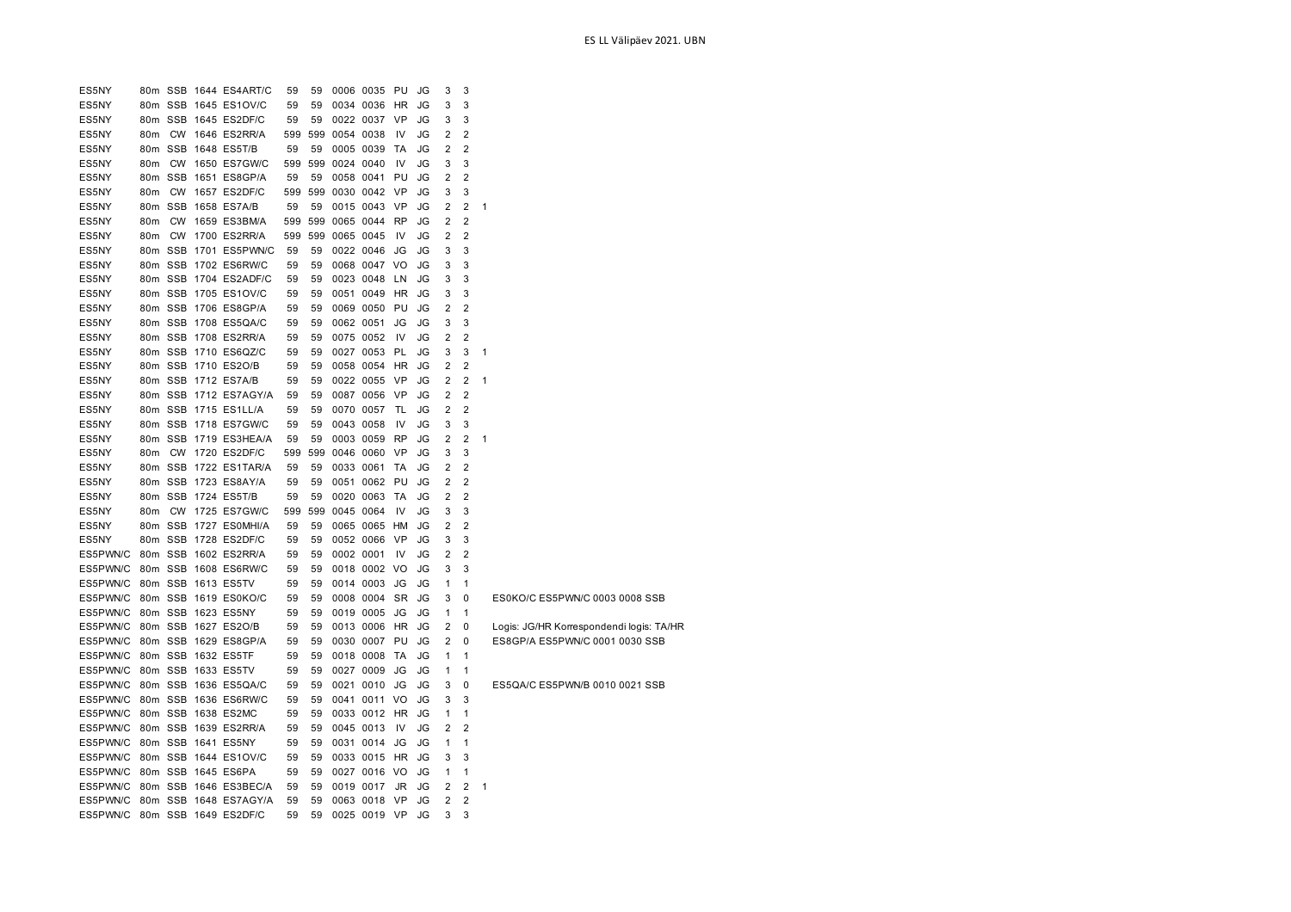| ES5NY                          |                 |  | 80m SSB 1644 ES4ART/C | 59  | 59 |               | 0006 0035 PU     |           | JG | 3                       | 3              |              |                                          |
|--------------------------------|-----------------|--|-----------------------|-----|----|---------------|------------------|-----------|----|-------------------------|----------------|--------------|------------------------------------------|
| ES5NY                          |                 |  | 80m SSB 1645 ES1OV/C  | 59  | 59 |               | 0034 0036 HR     |           | JG | 3                       | 3              |              |                                          |
| ES5NY                          |                 |  | 80m SSB 1645 ES2DF/C  | 59  | 59 |               | 0022 0037 VP     |           | JG | 3                       | 3              |              |                                          |
| ES5NY                          |                 |  | 80m CW 1646 ES2RR/A   | 599 |    | 599 0054 0038 |                  | IV        | JG | 2                       | $\overline{2}$ |              |                                          |
| ES5NY                          |                 |  | 80m SSB 1648 ES5T/B   | 59  | 59 |               | 0005 0039        | TA        | JG | 2                       | 2              |              |                                          |
| ES5NY                          |                 |  | 80m CW 1650 ES7GW/C   | 599 |    | 599 0024 0040 |                  | IV        | JG | 3                       | 3              |              |                                          |
| ES5NY                          |                 |  | 80m SSB 1651 ES8GP/A  | 59  | 59 |               | 0058 0041        | PU        | JG | $\overline{2}$          | $\overline{2}$ |              |                                          |
| ES5NY                          | 80 <sub>m</sub> |  | CW 1657 ES2DF/C       | 599 |    | 599 0030 0042 |                  | <b>VP</b> | JG | 3                       | 3              |              |                                          |
| ES5NY                          |                 |  | 80m SSB 1658 ES7A/B   | 59  | 59 |               | 0015 0043 VP     |           | JG | 2                       | 2              | 1            |                                          |
| ES5NY                          | 80 <sub>m</sub> |  | CW 1659 ES3BM/A       | 599 |    |               | 599 0065 0044 RP |           | JG | 2                       | 2              |              |                                          |
| ES5NY                          |                 |  | 80m CW 1700 ES2RR/A   | 599 |    | 599 0065 0045 |                  | IV        | JG | $\overline{2}$          | $\overline{2}$ |              |                                          |
| ES5NY                          |                 |  | 80m SSB 1701 ES5PWN/C | 59  | 59 |               | 0022 0046 JG     |           | JG | 3                       | 3              |              |                                          |
| ES5NY                          |                 |  | 80m SSB 1702 ES6RW/C  | 59  | 59 |               | 0068 0047 VO     |           | JG | 3                       | 3              |              |                                          |
| ES5NY                          |                 |  | 80m SSB 1704 ES2ADF/C | 59  | 59 |               | 0023 0048 LN     |           | JG | 3                       | 3              |              |                                          |
| ES5NY                          |                 |  | 80m SSB 1705 ES1OV/C  | 59  | 59 |               | 0051 0049 HR     |           | JG | 3                       | 3              |              |                                          |
| ES5NY                          |                 |  | 80m SSB 1706 ES8GP/A  | 59  | 59 |               | 0069 0050 PU     |           | JG | $\overline{2}$          | 2              |              |                                          |
| ES5NY                          |                 |  | 80m SSB 1708 ES5QA/C  | 59  | 59 |               | 0062 0051        | JG        | JG | 3                       | 3              |              |                                          |
| ES5NY                          |                 |  | 80m SSB 1708 ES2RR/A  | 59  | 59 |               | 0075 0052        | IV        | JG | $\overline{2}$          | $\overline{2}$ |              |                                          |
| ES5NY                          |                 |  | 80m SSB 1710 ES6QZ/C  | 59  | 59 |               | 0027 0053 PL     |           | JG | 3                       | 3              | $\mathbf{1}$ |                                          |
| ES5NY                          |                 |  | 80m SSB 1710 ES2O/B   | 59  | 59 |               | 0058 0054 HR     |           | JG | $\overline{\mathbf{c}}$ | $\overline{2}$ |              |                                          |
| ES5NY                          |                 |  | 80m SSB 1712 ES7A/B   | 59  | 59 |               | 0022 0055 VP     |           | JG | 2                       | $\overline{2}$ | 1            |                                          |
| ES5NY                          |                 |  | 80m SSB 1712 ES7AGY/A | 59  | 59 |               | 0087 0056        | - VP      | JG | 2                       | $\overline{2}$ |              |                                          |
| ES5NY                          |                 |  | 80m SSB 1715 ES1LL/A  | 59  | 59 |               | 0070 0057        | TL        | JG | 2                       | 2              |              |                                          |
| ES5NY                          |                 |  | 80m SSB 1718 ES7GW/C  | 59  | 59 |               | 0043 0058        | IV        | JG | 3                       | 3              |              |                                          |
| ES5NY                          |                 |  | 80m SSB 1719 ES3HEA/A | 59  | 59 |               | 0003 0059        | <b>RP</b> | JG | $\overline{2}$          | $\overline{2}$ | $\mathbf{1}$ |                                          |
| ES5NY                          |                 |  | 80m CW 1720 ES2DF/C   | 599 |    | 599 0046 0060 |                  | VP        | JG | 3                       | 3              |              |                                          |
| ES5NY                          |                 |  | 80m SSB 1722 ES1TAR/A | 59  | 59 | 0033 0061     |                  | TA        | JG | 2                       | $\overline{2}$ |              |                                          |
| ES5NY                          |                 |  | 80m SSB 1723 ES8AY/A  | 59  | 59 |               | 0051 0062 PU     |           | JG | 2                       | $\overline{2}$ |              |                                          |
| ES5NY                          |                 |  | 80m SSB 1724 ES5T/B   | 59  | 59 |               | 0020 0063        | TA        | JG | 2                       | 2              |              |                                          |
| ES5NY                          |                 |  | 80m CW 1725 ES7GW/C   | 599 |    | 599 0045 0064 |                  | IV        | JG | 3                       | 3              |              |                                          |
| ES5NY                          |                 |  | 80m SSB 1727 ES0MHI/A | 59  | 59 |               | 0065 0065 HM     |           | JG | $\overline{2}$          | $\overline{2}$ |              |                                          |
| ES5NY                          |                 |  | 80m SSB 1728 ES2DF/C  | 59  | 59 |               | 0052 0066 VP     |           | JG | 3                       | 3              |              |                                          |
| ES5PWN/C                       |                 |  | 80m SSB 1602 ES2RR/A  | 59  | 59 | 0002 0001     |                  | IV        | JG | 2                       | 2              |              |                                          |
| ES5PWN/C                       |                 |  | 80m SSB 1608 ES6RW/C  | 59  | 59 |               | 0018 0002 VO     |           | JG | 3                       | 3              |              |                                          |
| ES5PWN/C 80m SSB 1613 ES5TV    |                 |  |                       | 59  | 59 |               | 0014 0003 JG     |           | JG | $\mathbf{1}$            | 1              |              |                                          |
| ES5PWN/C                       |                 |  | 80m SSB 1619 ES0KO/C  | 59  | 59 |               | 0008 0004 SR     |           | JG | 3                       | 0              |              | ES0KO/C ES5PWN/C 0003 0008 SSB           |
| ES5PWN/C 80m SSB 1623 ES5NY    |                 |  |                       | 59  | 59 |               | 0019 0005 JG     |           | JG | $\mathbf{1}$            | $\mathbf{1}$   |              |                                          |
| ES5PWN/C 80m SSB 1627 ES2O/B   |                 |  |                       | 59  | 59 |               | 0013 0006 HR     |           | JG | 2                       | 0              |              | Logis: JG/HR Korrespondendi logis: TA/HR |
| ES5PWN/C                       |                 |  | 80m SSB 1629 ES8GP/A  | 59  | 59 |               | 0030 0007 PU     |           | JG | 2                       | 0              |              | ES8GP/A ES5PWN/C 0001 0030 SSB           |
| ES5PWN/C                       |                 |  | 80m SSB 1632 ES5TF    | 59  | 59 |               | 0018 0008        | <b>TA</b> | JG | $\mathbf{1}$            | $\mathbf{1}$   |              |                                          |
| ES5PWN/C                       |                 |  | 80m SSB 1633 ES5TV    | 59  | 59 |               | 0027 0009        | JG        | JG | $\mathbf{1}$            | $\mathbf{1}$   |              |                                          |
| ES5PWN/C 80m SSB 1636 ES5QA/C  |                 |  |                       | 59  | 59 |               | 0021 0010        | JG        | JG | 3                       | 0              |              | ES5QA/C ES5PWN/B 0010 0021 SSB           |
| ES5PWN/C 80m SSB 1636 ES6RW/C  |                 |  |                       | 59  | 59 |               | 0041 0011 VO     |           | JG | 3                       | 3              |              |                                          |
| ES5PWN/C 80m SSB 1638 ES2MC    |                 |  |                       | 59  | 59 |               | 0033 0012 HR     |           | JG | $\mathbf{1}$            | $\mathbf{1}$   |              |                                          |
| ES5PWN/C 80m SSB 1639 ES2RR/A  |                 |  |                       | 59  | 59 |               | 0045 0013        | IV        | JG | $\overline{2}$          | $\overline{2}$ |              |                                          |
| ES5PWN/C 80m SSB 1641 ES5NY    |                 |  |                       | 59  | 59 |               | 0031 0014 JG     |           | JG | 1                       | $\mathbf{1}$   |              |                                          |
| ES5PWN/C 80m SSB 1644 ES1OV/C  |                 |  |                       | 59  | 59 |               | 0033 0015 HR     |           | JG | 3                       | 3              |              |                                          |
| ES5PWN/C                       |                 |  | 80m SSB 1645 ES6PA    | 59  | 59 |               | 0027 0016 VO     |           | JG | $\mathbf{1}$            | $\mathbf{1}$   |              |                                          |
| ES5PWN/C                       |                 |  | 80m SSB 1646 ES3BEC/A | 59  | 59 |               | 0019 0017        | JR        | JG | $\overline{2}$          | 2              | 1            |                                          |
| ES5PWN/C 80m SSB 1648 ES7AGY/A |                 |  |                       | 59  | 59 |               | 0063 0018 VP     |           | JG | $\overline{2}$          | $\overline{2}$ |              |                                          |
| ES5PWN/C 80m SSB 1649 ES2DF/C  |                 |  |                       | 59  | 59 |               | 0025 0019 VP     |           | JG | 3                       | 3              |              |                                          |
|                                |                 |  |                       |     |    |               |                  |           |    |                         |                |              |                                          |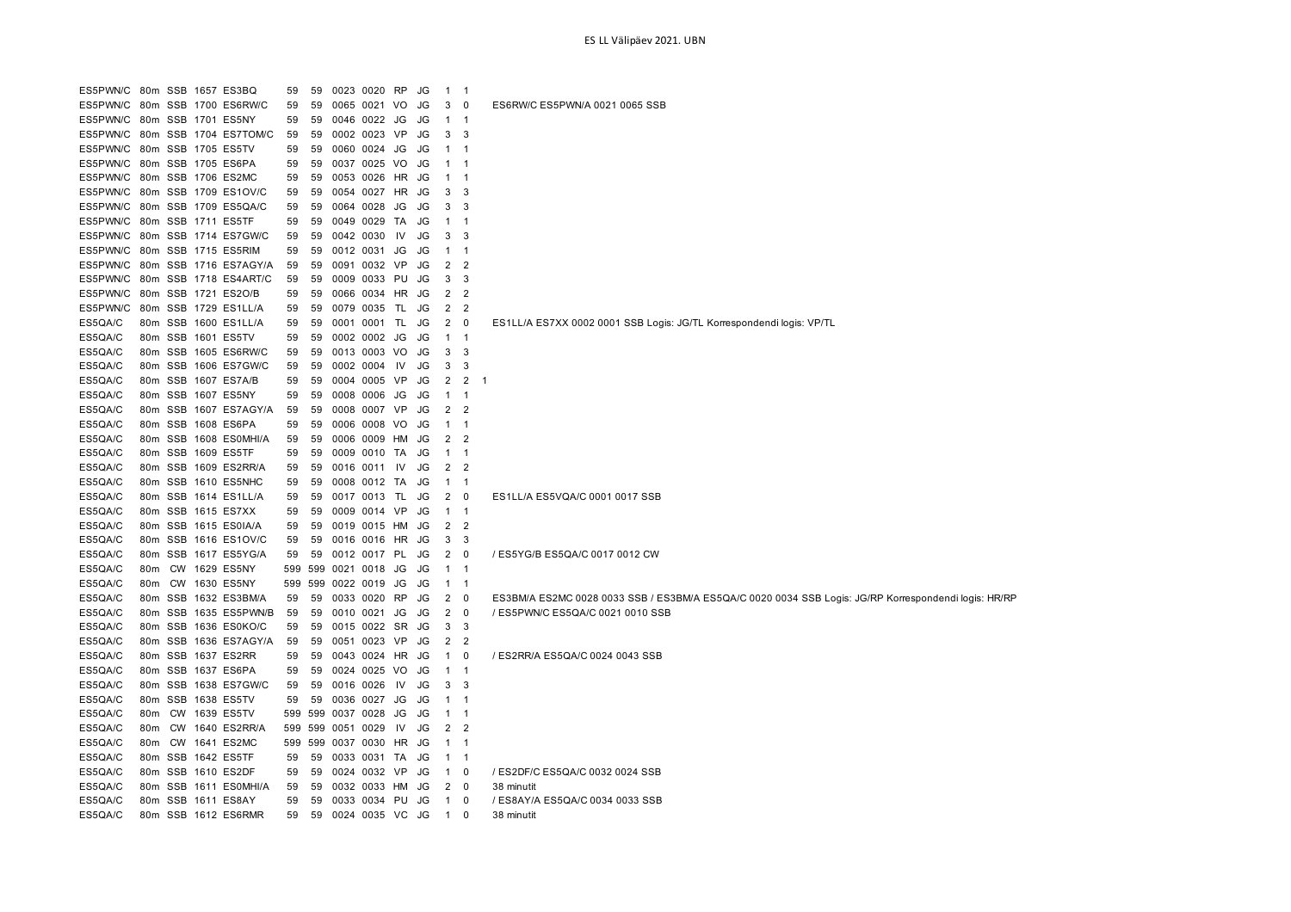| ES5PWN/C 80m SSB 1657 ES3BQ |     |  |                       | 59  | 59  | 0023 0020 RP     |           | JG | $\mathbf{1}$   | $\overline{1}$          |                                                                                                      |
|-----------------------------|-----|--|-----------------------|-----|-----|------------------|-----------|----|----------------|-------------------------|------------------------------------------------------------------------------------------------------|
| ES5PWN/C                    |     |  | 80m SSB 1700 ES6RW/C  | 59  | 59  | 0065 0021        | VO        | JG | 3              | 0                       | ES6RW/C ES5PWN/A 0021 0065 SSB                                                                       |
| ES5PWN/C                    | 80m |  | SSB 1701 ES5NY        | 59  | 59  | 0046 0022        | JG        | JG | $\mathbf{1}$   | $\overline{1}$          |                                                                                                      |
| ES5PWN/C                    | 80m |  | SSB 1704 ES7TOM/C     | 59  | 59  | 0002 0023 VP     |           | JG | 3              | 3                       |                                                                                                      |
| ES5PWN/C                    |     |  | 80m SSB 1705 ES5TV    | 59  | 59  | 0060 0024        | JG        | JG | $\mathbf{1}$   | - 1                     |                                                                                                      |
| ES5PWN/C                    | 80m |  | SSB 1705 ES6PA        | 59  | 59  | 0037 0025        | <b>VO</b> | JG | $\mathbf{1}$   | -1                      |                                                                                                      |
| ES5PWN/C                    | 80m |  | SSB 1706 ES2MC        | 59  | 59  | 0053 0026 HR     |           | JG | $\mathbf{1}$   | -1                      |                                                                                                      |
| ES5PWN/C                    | 80m |  | SSB 1709 ES1OV/C      | 59  | 59  | 0054 0027 HR     |           | JG | 3              | 3                       |                                                                                                      |
| ES5PWN/C                    |     |  | 80m SSB 1709 ES5QA/C  | 59  | 59  | 0064 0028        | JG        | JG | 3              | -3                      |                                                                                                      |
| ES5PWN/C                    | 80m |  | SSB 1711 ES5TF        | 59  | 59  | 0049 0029        | TA        | JG | $\mathbf{1}$   | $\mathbf{1}$            |                                                                                                      |
| ES5PWN/C                    |     |  | 80m SSB 1714 ES7GW/C  | 59  | 59  | 0042 0030        | IV        | JG | 3              | 3                       |                                                                                                      |
| ES5PWN/C                    |     |  | 80m SSB 1715 ES5RIM   | 59  | 59  | 0012 0031        | JG        | JG | $\mathbf{1}$   | $\overline{1}$          |                                                                                                      |
| ES5PWN/C                    |     |  | 80m SSB 1716 ES7AGY/A | 59  | 59  | 0091 0032 VP     |           | JG | 2              | $\overline{2}$          |                                                                                                      |
| ES5PWN/C                    |     |  | 80m SSB 1718 ES4ART/C | 59  | 59  | 0009 0033 PU     |           | JG | 3              | 3                       |                                                                                                      |
| ES5PWN/C                    |     |  | 80m SSB 1721 ES2O/B   | 59  | 59  | 0066 0034 HR     |           | JG | 2              | 2                       |                                                                                                      |
| ES5PWN/C                    |     |  | 80m SSB 1729 ES1LL/A  | 59  | 59  | 0079 0035        | TL        | JG | 2              | $\overline{2}$          |                                                                                                      |
| ES5QA/C                     |     |  | 80m SSB 1600 ES1LL/A  | 59  | 59  | 0001 0001        | TL        | JG | 2              | 0                       | ES1LL/A ES7XX 0002 0001 SSB Logis: JG/TL Korrespondendi logis: VP/TL                                 |
| ES5QA/C                     |     |  | 80m SSB 1601 ES5TV    | 59  | 59  | 0002 0002 JG     |           | JG | $\mathbf{1}$   | $\overline{1}$          |                                                                                                      |
| ES5QA/C                     |     |  | 80m SSB 1605 ES6RW/C  | 59  | 59  | 0013 0003 VO     |           | JG | 3              | -3                      |                                                                                                      |
| ES5QA/C                     |     |  | 80m SSB 1606 ES7GW/C  | 59  | 59  | 0002 0004 IV     |           | JG | 3              | 3                       |                                                                                                      |
| ES5QA/C                     |     |  | 80m SSB 1607 ES7A/B   | 59  | 59  | 0004 0005 VP     |           | JG | 2              | $\overline{2}$          | - 1                                                                                                  |
| ES5QA/C                     |     |  | 80m SSB 1607 ES5NY    | 59  | 59  | 0008 0006 JG JG  |           |    | $\mathbf{1}$   | $\overline{\mathbf{1}}$ |                                                                                                      |
| ES5QA/C                     |     |  | 80m SSB 1607 ES7AGY/A | 59  | 59  | 0008 0007 VP     |           | JG | 2              | -2                      |                                                                                                      |
| ES5QA/C                     |     |  | 80m SSB 1608 ES6PA    | 59  | 59  | 0006 0008 VO     |           | JG | $\mathbf{1}$   | $\overline{1}$          |                                                                                                      |
| ES5QA/C                     |     |  | 80m SSB 1608 ES0MHI/A | 59  | 59  | 0006 0009        | HМ        | JG | 2              | 2                       |                                                                                                      |
| ES5QA/C                     |     |  | 80m SSB 1609 ES5TF    | 59  | 59  | 0009 0010 TA     |           | JG | $\mathbf{1}$   | $\overline{1}$          |                                                                                                      |
| ES5QA/C                     |     |  | 80m SSB 1609 ES2RR/A  | 59  | 59  | 0016 0011        | IV        | JG | 2              | $\overline{2}$          |                                                                                                      |
| ES5QA/C                     |     |  | 80m SSB 1610 ES5NHC   | 59  | 59  | 0008 0012 TA     |           | JG | $\mathbf{1}$   | $\overline{\mathbf{1}}$ |                                                                                                      |
| ES5QA/C                     |     |  | 80m SSB 1614 ES1LL/A  | 59  | 59  | 0017 0013        | TL        | JG | 2              | 0                       | ES1LL/A ES5VQA/C 0001 0017 SSB                                                                       |
| ES5QA/C                     |     |  | 80m SSB 1615 ES7XX    | 59  | 59  | 0009 0014 VP     |           | JG | $\mathbf{1}$   | $\overline{1}$          |                                                                                                      |
| ES5QA/C                     | 80m |  | SSB 1615 ES0IA/A      | 59  | 59  | 0019 0015        | HМ        | JG | 2              | $\overline{2}$          |                                                                                                      |
| ES5QA/C                     |     |  | 80m SSB 1616 ES1OV/C  | 59  | 59  | 0016 0016 HR     |           | JG | 3              | -3                      |                                                                                                      |
| ES5QA/C                     | 80m |  | SSB 1617 ES5YG/A      | 59  | 59  | 0012 0017 PL     |           | JG | 2              | 0                       | / ES5YG/B ES5QA/C 0017 0012 CW                                                                       |
| ES5QA/C                     | 80m |  | CW 1629 ES5NY         | 599 |     | 599 0021 0018 JG |           | JG | $1 \quad 1$    |                         |                                                                                                      |
| ES5QA/C                     | 80m |  | CW 1630 ES5NY         | 599 | 599 | 0022 0019        | JG        | JG | $\mathbf{1}$   | $\overline{1}$          |                                                                                                      |
| ES5QA/C                     | 80m |  | SSB 1632 ES3BM/A      | 59  | 59  | 0033 0020 RP     |           | JG | 2              | 0                       | ES3BM/A ES2MC 0028 0033 SSB / ES3BM/A ES5QA/C 0020 0034 SSB Logis: JG/RP Korrespondendi logis: HR/RP |
| ES5QA/C                     |     |  | 80m SSB 1635 ES5PWN/B | 59  | 59  | 0010 0021        | JG        | JG | 2              | $\mathbf{0}$            | / ES5PWN/C ES5QA/C 0021 0010 SSB                                                                     |
| ES5QA/C                     |     |  | 80m SSB 1636 ES0KO/C  | 59  | 59  | 0015 0022 SR     |           | JG | 3              | 3                       |                                                                                                      |
| ES5QA/C                     |     |  | 80m SSB 1636 ES7AGY/A | 59  | 59  | 0051 0023 VP     |           | JG | 2              | -2                      |                                                                                                      |
| ES5QA/C                     |     |  | 80m SSB 1637 ES2RR    | 59  | 59  | 0043 0024 HR     |           | JG | $\mathbf{1}$   | 0                       | / ES2RR/A ES5QA/C 0024 0043 SSB                                                                      |
| ES5QA/C                     |     |  | 80m SSB 1637 ES6PA    | 59  | 59  | 0024 0025 VO     |           | JG | $\mathbf{1}$   | $\overline{1}$          |                                                                                                      |
| ES5QA/C                     |     |  | 80m SSB 1638 ES7GW/C  |     | 59  | 0016 0026        | IV        | JG | 3              | -3                      |                                                                                                      |
| ES5QA/C                     |     |  | 80m SSB 1638 ES5TV    | 59  |     | 0036 0027 JG     |           |    |                |                         |                                                                                                      |
|                             |     |  |                       | 59  | 59  |                  |           | JG | $\mathbf{1}$   | - 1                     |                                                                                                      |
| ES5QA/C                     | 80m |  | CW 1639 ES5TV         | 599 | 599 | 0037 0028        | JG        | JG | $\mathbf{1}$   | -1                      |                                                                                                      |
| ES5QA/C                     | 80m |  | CW 1640 ES2RR/A       | 599 | 599 | 0051 0029        | IV.       | JG | $\overline{2}$ | $\overline{2}$          |                                                                                                      |
| ES5QA/C                     | 80m |  | CW 1641 ES2MC         | 599 | 599 | 0037 0030 HR     |           | JG | $\mathbf{1}$   | -1                      |                                                                                                      |
| ES5QA/C                     |     |  | 80m SSB 1642 ES5TF    | 59  | 59  | 0033 0031 TA     |           | JG | $\mathbf{1}$   | $\overline{1}$          |                                                                                                      |
| ES5QA/C                     |     |  | 80m SSB 1610 ES2DF    | 59  | 59  | 0024 0032 VP     |           | JG | $\mathbf{1}$   | 0                       | / ES2DF/C ES5QA/C 0032 0024 SSB                                                                      |
| ES5QA/C                     |     |  | 80m SSB 1611 ES0MHI/A | 59  | 59  | 0032 0033 HM     |           | JG | 2              | 0                       | 38 minutit                                                                                           |
| ES5QA/C                     |     |  | 80m SSB 1611 ES8AY    | 59  | 59  | 0033 0034 PU     |           | JG | $\mathbf{1}$   | 0                       | / ES8AY/A ES5QA/C 0034 0033 SSB                                                                      |
| ES5QA/C                     |     |  | 80m SSB 1612 ES6RMR   | 59  | 59  | 0024 0035 VC     |           | JG | $\mathbf{1}$   | $\Omega$                | 38 minutit                                                                                           |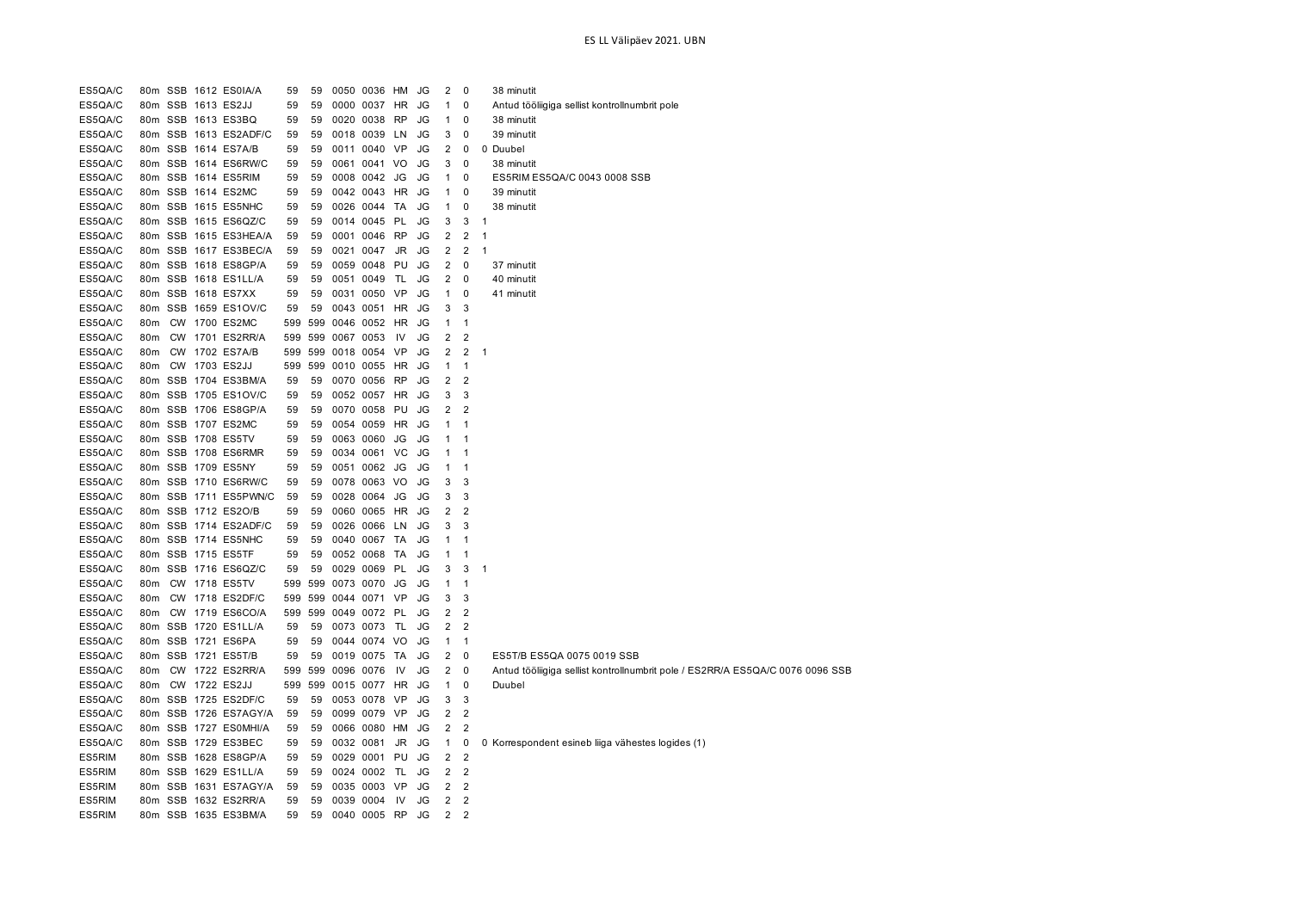| ES5QA/C |                 |  | 80m SSB 1612 ES0IA/A  | 59  | 59  | 0050 0036 HM |           | JG              | 2              | 0                   |                | 38 minutit                                                                    |
|---------|-----------------|--|-----------------------|-----|-----|--------------|-----------|-----------------|----------------|---------------------|----------------|-------------------------------------------------------------------------------|
| ES5QA/C |                 |  | 80m SSB 1613 ES2JJ    | 59  | 59  | 0000 0037 HR |           | <b>JG</b>       | $\mathbf{1}$   | $\mathbf 0$         |                | Antud tööliigiga sellist kontrollnumbrit pole                                 |
| ES5QA/C |                 |  | 80m SSB 1613 ES3BQ    | 59  | 59  | 0020 0038    | <b>RP</b> | <b>JG</b>       | $\mathbf{1}$   | $\mathbf 0$         |                | 38 minutit                                                                    |
| ES5QA/C |                 |  | 80m SSB 1613 ES2ADF/C | 59  | 59  | 0018 0039 LN |           | JG              | 3              | $\mathbf 0$         |                | 39 minutit                                                                    |
| ES5QA/C |                 |  | 80m SSB 1614 ES7A/B   | 59  | 59  | 0011 0040 VP |           | JG              | $\overline{2}$ | $\mathbf 0$         | 0              | Duubel                                                                        |
| ES5QA/C |                 |  | 80m SSB 1614 ES6RW/C  | 59  | 59  | 0061 0041 VO |           | JG              | 3              | $\mathbf 0$         |                | 38 minutit                                                                    |
| ES5QA/C |                 |  | 80m SSB 1614 ES5RIM   | 59  | 59  | 0008 0042 JG |           | JG              | $\mathbf{1}$   | 0                   |                | ES5RIM ES5QA/C 0043 0008 SSB                                                  |
| ES5QA/C |                 |  | 80m SSB 1614 ES2MC    | 59  | 59  | 0042 0043 HR |           | JG              | $\mathbf{1}$   | 0                   |                | 39 minutit                                                                    |
| ES5QA/C |                 |  | 80m SSB 1615 ES5NHC   | 59  | 59  | 0026 0044 TA |           | JG              | $\mathbf{1}$   | 0                   |                | 38 minutit                                                                    |
| ES5QA/C |                 |  | 80m SSB 1615 ES6QZ/C  | 59  | 59  | 0014 0045 PL |           | JG              | 3              | 3                   | $\overline{1}$ |                                                                               |
| ES5QA/C |                 |  | 80m SSB 1615 ES3HEA/A | 59  | 59  | 0001 0046 RP |           | <b>JG</b>       | $\overline{2}$ | $\overline{2}$      | $\mathbf{1}$   |                                                                               |
| ES5QA/C |                 |  | 80m SSB 1617 ES3BEC/A | 59  | 59  | 0021 0047 JR |           | JG              | $\overline{2}$ | $\overline{2}$      | $\mathbf{1}$   |                                                                               |
| ES5QA/C |                 |  | 80m SSB 1618 ES8GP/A  | 59  | 59  | 0059 0048    | PU        | JG              | $\overline{2}$ | $\mathbf 0$         |                | 37 minutit                                                                    |
| ES5QA/C |                 |  | 80m SSB 1618 ES1LL/A  | 59  | 59  | 0051 0049    | TL        | JG              | 2              | $\mathbf 0$         |                | 40 minutit                                                                    |
| ES5QA/C |                 |  | 80m SSB 1618 ES7XX    | 59  | 59  | 0031 0050 VP |           | JG              | $\mathbf{1}$   | $\mathbf 0$         |                | 41 minutit                                                                    |
| ES5QA/C |                 |  | 80m SSB 1659 ES1OV/C  | 59  | 59  | 0043 0051 HR |           | JG              | 3              | 3                   |                |                                                                               |
| ES5QA/C | 80m             |  | <b>CW 1700 ES2MC</b>  | 599 | 599 | 0046 0052 HR |           | JG              | $\mathbf 1$    | $\mathbf{1}$        |                |                                                                               |
| ES5QA/C | 80m             |  | CW 1701 ES2RR/A       | 599 | 599 | 0067 0053    | IV        | JG              | 2              | $\overline{2}$      |                |                                                                               |
| ES5QA/C | 80m             |  | CW 1702 ES7A/B        | 599 | 599 | 0018 0054 VP |           | <b>JG</b>       | $\overline{2}$ | $\overline{2}$      | 1              |                                                                               |
| ES5QA/C | 80m             |  | CW 1703 ES2JJ         | 599 | 599 | 0010 0055    | <b>HR</b> | JG              | $\mathbf{1}$   | $\mathbf{1}$        |                |                                                                               |
| ES5QA/C |                 |  | 80m SSB 1704 ES3BM/A  | 59  | 59  | 0070 0056    | <b>RP</b> | JG              | $\overline{2}$ | $\overline{2}$      |                |                                                                               |
| ES5QA/C |                 |  | 80m SSB 1705 ES1OV/C  | 59  | 59  | 0052 0057 HR |           | JG              | 3              | 3                   |                |                                                                               |
| ES5QA/C |                 |  | 80m SSB 1706 ES8GP/A  | 59  | 59  | 0070 0058 PU |           | JG              | 2              | $\overline{2}$      |                |                                                                               |
| ES5QA/C |                 |  | 80m SSB 1707 ES2MC    | 59  | 59  | 0054 0059    | HR        | JG              | 1              | 1                   |                |                                                                               |
| ES5QA/C |                 |  | 80m SSB 1708 ES5TV    | 59  | 59  | 0063 0060    | JG        | JG              | 1              | 1                   |                |                                                                               |
| ES5QA/C |                 |  | 80m SSB 1708 ES6RMR   | 59  | 59  | 0034 0061 VC |           | JG              | $\mathbf{1}$   | 1                   |                |                                                                               |
| ES5QA/C |                 |  | 80m SSB 1709 ES5NY    | 59  | 59  | 0051 0062 JG |           | JG              | $\mathbf 1$    | 1                   |                |                                                                               |
| ES5QA/C |                 |  | 80m SSB 1710 ES6RW/C  | 59  | 59  | 0078 0063 VO |           | <b>JG</b>       | 3              | 3                   |                |                                                                               |
| ES5QA/C |                 |  | 80m SSB 1711 ES5PWN/C | 59  | 59  | 0028 0064    | JG        | JG              | 3              | 3                   |                |                                                                               |
| ES5QA/C |                 |  | 80m SSB 1712 ES2O/B   | 59  | 59  | 0060 0065 HR |           | JG              | $\overline{2}$ | $\overline{2}$      |                |                                                                               |
| ES5QA/C |                 |  | 80m SSB 1714 ES2ADF/C | 59  | 59  | 0026 0066    | LN        | JG              | 3              | 3                   |                |                                                                               |
| ES5QA/C |                 |  | 80m SSB 1714 ES5NHC   | 59  | 59  | 0040 0067 TA |           | JG              | $\mathbf{1}$   | 1                   |                |                                                                               |
| ES5QA/C |                 |  | 80m SSB 1715 ES5TF    | 59  | 59  | 0052 0068 TA |           | JG              | $\mathbf{1}$   | 1                   |                |                                                                               |
| ES5QA/C |                 |  | 80m SSB 1716 ES6QZ/C  | 59  | 59  | 0029 0069 PL |           | JG              | 3              | 3                   | 1              |                                                                               |
|         |                 |  |                       |     |     |              |           |                 |                |                     |                |                                                                               |
| ES5QA/C | 80m             |  | CW 1718 ES5TV         | 599 | 599 | 0073 0070    | JG        | JG              | $\mathbf{1}$   | 1                   |                |                                                                               |
| ES5QA/C | 80m             |  | CW 1718 ES2DF/C       | 599 | 599 | 0044 0071    | VP        | JG<br><b>JG</b> | 3              | 3<br>$\overline{2}$ |                |                                                                               |
| ES5QA/C | 80 <sub>m</sub> |  | CW 1719 ES6CO/A       | 599 | 599 | 0049 0072 PL |           |                 | $\sqrt{2}$     |                     |                |                                                                               |
| ES5QA/C |                 |  | 80m SSB 1720 ES1LL/A  | 59  | 59  | 0073 0073 TL |           | JG              | $\overline{2}$ | $\overline{2}$      |                |                                                                               |
| ES5QA/C |                 |  | 80m SSB 1721 ES6PA    | 59  | 59  | 0044 0074 VO |           | JG              | $\mathbf{1}$   | $\mathbf{1}$        |                |                                                                               |
| ES5QA/C |                 |  | 80m SSB 1721 ES5T/B   | 59  | 59  | 0019 0075 TA |           | JG              | $\overline{2}$ | $\mathbf 0$         |                | ES5T/B ES5QA 0075 0019 SSB                                                    |
| ES5QA/C |                 |  | 80m CW 1722 ES2RR/A   | 599 | 599 | 0096 0076    | - IV      | JG              | $\overline{2}$ | $\mathbf 0$         |                | Antud tööliigiga sellist kontrollnumbrit pole / ES2RR/A ES5QA/C 0076 0096 SSB |
| ES5QA/C | 80m             |  | CW 1722 ES2JJ         | 599 | 599 | 0015 0077    | HR        | JG              | $\mathbf{1}$   | 0                   |                | Duubel                                                                        |
| ES5QA/C |                 |  | 80m SSB 1725 ES2DF/C  | 59  | 59  | 0053 0078    | VP        | JG              | 3              | 3                   |                |                                                                               |
| ES5QA/C |                 |  | 80m SSB 1726 ES7AGY/A | 59  | 59  | 0099 0079    | VP        | JG              | $\overline{2}$ | $\overline{2}$      |                |                                                                               |
| ES5QA/C |                 |  | 80m SSB 1727 ES0MHI/A | 59  | 59  | 0066 0080 HM |           | JG              | $\overline{2}$ | $\overline{2}$      |                |                                                                               |
| ES5QA/C |                 |  | 80m SSB 1729 ES3BEC   | 59  | 59  | 0032 0081    | JR        | JG              | $\mathbf{1}$   | 0                   |                | 0 Korrespondent esineb liiga vähestes logides (1)                             |
| ES5RIM  |                 |  | 80m SSB 1628 ES8GP/A  | 59  | 59  | 0029 0001 PU |           | JG              | $\overline{2}$ | $\overline{2}$      |                |                                                                               |
| ES5RIM  |                 |  | 80m SSB 1629 ES1LL/A  | 59  | 59  | 0024 0002 TL |           | JG              | $\overline{2}$ | $\overline{2}$      |                |                                                                               |
| ES5RIM  |                 |  | 80m SSB 1631 ES7AGY/A | 59  | 59  | 0035 0003    | <b>VP</b> | JG              | $\overline{2}$ | $\overline{2}$      |                |                                                                               |
| ES5RIM  |                 |  | 80m SSB 1632 ES2RR/A  | 59  | 59  | 0039 0004    | IV        | <b>JG</b>       | $\overline{2}$ | $\overline{2}$      |                |                                                                               |
| ES5RIM  |                 |  | 80m SSB 1635 ES3BM/A  | 59  | 59  | 0040 0005 RP |           | JG              | 2              | $\overline{2}$      |                |                                                                               |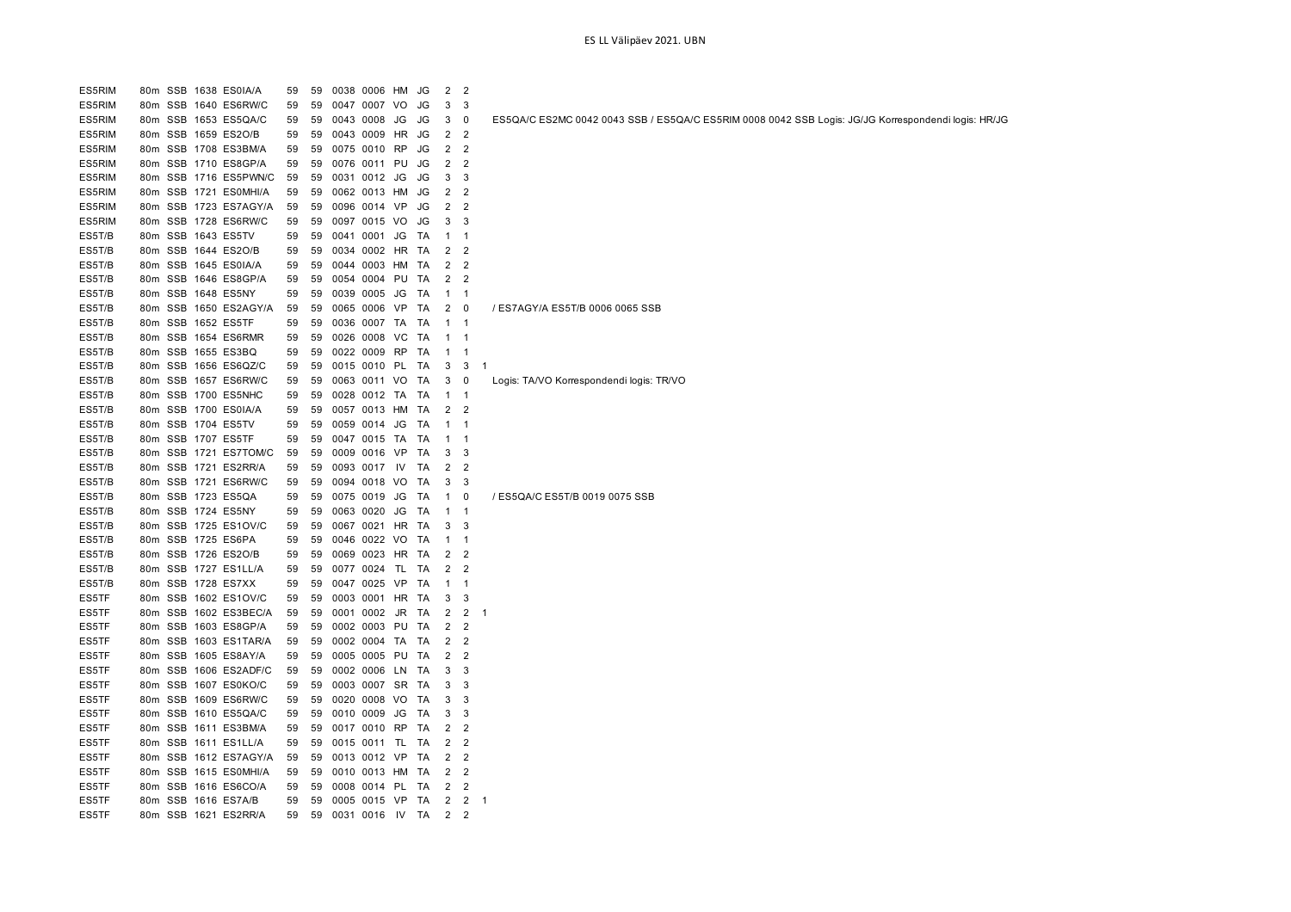| ES5RIM           |                 | 80m SSB 1638 ES0IA/A                        | 59 | 59 | 0038 0006 HM                 |     | JG | $\overline{c}$ | 2              |                                                                                                     |
|------------------|-----------------|---------------------------------------------|----|----|------------------------------|-----|----|----------------|----------------|-----------------------------------------------------------------------------------------------------|
| ES5RIM           |                 | 80m SSB 1640 ES6RW/C                        | 59 | 59 | 0047 0007                    | VO  | JG | 3              | 3              |                                                                                                     |
| ES5RIM           | 80m             | SSB 1653 ES5QA/C                            | 59 | 59 | 0043 0008                    | JG  | JG | 3              | 0              | ES5QA/C ES2MC 0042 0043 SSB / ES5QA/C ES5RIM 0008 0042 SSB Logis: JG/JG Korrespondendi logis: HR/JG |
| ES5RIM           | 80m             | SSB 1659 ES2O/B                             | 59 | 59 | 0043 0009                    | HR  | JG | $\overline{2}$ | $\overline{2}$ |                                                                                                     |
| ES5RIM           | 80m             | SSB 1708 ES3BM/A                            | 59 | 59 | 0075 0010 RP                 |     | JG | 2              | $\overline{c}$ |                                                                                                     |
| ES5RIM           | 80m             | SSB 1710 ES8GP/A                            | 59 | 59 | 0076 0011 PU                 |     | JG | 2              | $\overline{2}$ |                                                                                                     |
| ES5RIM           | 80m             | SSB 1716 ES5PWN/C                           | 59 | 59 | 0031 0012 JG                 |     | JG | 3              | 3              |                                                                                                     |
| ES5RIM           | 80 <sub>m</sub> | SSB 1721 ES0MHI/A                           | 59 | 59 | 0062 0013 HM                 |     | JG | 2              | $\overline{2}$ |                                                                                                     |
| ES5RIM           | 80m             | SSB 1723 ES7AGY/A                           | 59 | 59 | 0096 0014 VP                 |     | JG | 2              | 2              |                                                                                                     |
| ES5RIM           | 80 <sub>m</sub> | SSB 1728 ES6RW/C                            | 59 | 59 | 0097 0015 VO                 |     | JG | 3              | 3              |                                                                                                     |
| ES5T/B           | 80m             | SSB 1643 ES5TV                              | 59 | 59 | 0041 0001 JG                 |     | TA | $\mathbf{1}$   | $\mathbf{1}$   |                                                                                                     |
| ES5T/B           | 80m             | SSB 1644 ES2O/B                             | 59 | 59 | 0034 0002 HR                 |     | TA | 2              | $\overline{2}$ |                                                                                                     |
| ES5T/B           | 80m             | SSB 1645 ES0IA/A                            | 59 | 59 | 0044 0003 HM                 |     | TA | 2              | 2              |                                                                                                     |
| ES5T/B           | 80m             | SSB 1646 ES8GP/A                            | 59 | 59 | 0054 0004 PU                 |     | TA | 2              | 2              |                                                                                                     |
| ES5T/B           | 80m             | SSB 1648 ES5NY                              | 59 | 59 | 0039 0005 JG                 |     | TA | $\mathbf{1}$   | $\overline{1}$ |                                                                                                     |
| ES5T/B           | 80m             | SSB 1650 ES2AGY/A                           | 59 | 59 | 0065 0006 VP                 |     | TA | 2              | $\mathbf 0$    | / ES7AGY/A ES5T/B 0006 0065 SSB                                                                     |
| ES5T/B           | 80m             | SSB 1652 ES5TF                              | 59 | 59 | 0036 0007 TA                 |     | TA | $\mathbf{1}$   | $\mathbf{1}$   |                                                                                                     |
| ES5T/B           | 80m             | SSB 1654 ES6RMR                             | 59 | 59 | 0026 0008 VC                 |     | TA | $\mathbf{1}$   | $\overline{1}$ |                                                                                                     |
| ES5T/B           |                 | 80m SSB 1655 ES3BQ                          | 59 | 59 | 0022 0009 RP                 |     | TA | $\mathbf{1}$   | $\mathbf{1}$   |                                                                                                     |
| ES5T/B           |                 | 80m SSB 1656 ES6QZ/C                        | 59 | 59 | 0015 0010 PL                 |     | TA | 3              | 3              | -1                                                                                                  |
| ES5T/B           |                 | 80m SSB 1657 ES6RW/C                        | 59 | 59 | 0063 0011 VO                 |     | TA | 3              | 0              | Logis: TA/VO Korrespondendi logis: TR/VO                                                            |
|                  |                 |                                             |    | 59 |                              |     |    |                |                |                                                                                                     |
| ES5T/B<br>ES5T/B |                 | 80m SSB 1700 ES5NHC<br>80m SSB 1700 ES0IA/A | 59 | 59 | 0028 0012 TA<br>0057 0013 HM |     | TA | $\mathbf{1}$   | $\overline{1}$ |                                                                                                     |
|                  |                 |                                             | 59 |    |                              |     | TA | 2              | $\overline{2}$ |                                                                                                     |
| ES5T/B           |                 | 80m SSB 1704 ES5TV                          | 59 | 59 | 0059 0014 JG                 |     | TA | $\mathbf{1}$   | $\mathbf{1}$   |                                                                                                     |
| ES5T/B           | 80m             | SSB 1707 ES5TF                              | 59 | 59 | 0047 0015 TA                 |     | TA | 1              | -1             |                                                                                                     |
| ES5T/B           | 80m             | SSB 1721 ES7TOM/C                           | 59 | 59 | 0009 0016 VP                 |     | TA | 3              | 3              |                                                                                                     |
| ES5T/B           | 80m             | SSB 1721 ES2RR/A                            | 59 | 59 | 0093 0017                    | IV  | TA | 2              | 2              |                                                                                                     |
| ES5T/B           | 80m             | SSB 1721 ES6RW/C                            | 59 | 59 | 0094 0018 VO                 |     | TA | 3              | 3              |                                                                                                     |
| ES5T/B           | 80m             | SSB 1723 ES5QA                              | 59 | 59 | 0075 0019                    | JG  | TA | $\mathbf{1}$   | 0              | / ES5QA/C ES5T/B 0019 0075 SSB                                                                      |
| ES5T/B           | 80m             | SSB 1724 ES5NY                              | 59 | 59 | 0063 0020                    | JG  | TA | $\mathbf{1}$   | $\overline{1}$ |                                                                                                     |
| ES5T/B           | 80m             | SSB 1725 ES1OV/C                            | 59 | 59 | 0067 0021 HR                 |     | TA | 3              | 3              |                                                                                                     |
| ES5T/B           | 80m             | SSB 1725 ES6PA                              | 59 | 59 | 0046 0022 VO                 |     | TA | $\mathbf{1}$   | $\overline{1}$ |                                                                                                     |
| ES5T/B           | 80m             | SSB 1726 ES2O/B                             | 59 | 59 | 0069 0023 HR                 |     | TA | 2              | $\overline{c}$ |                                                                                                     |
| ES5T/B           |                 | 80m SSB 1727 ES1LL/A                        | 59 | 59 | 0077 0024 TL                 |     | TA | 2              | 2              |                                                                                                     |
| ES5T/B           | 80m             | SSB 1728 ES7XX                              | 59 | 59 | 0047 0025 VP                 |     | TA | $\mathbf{1}$   | $\overline{1}$ |                                                                                                     |
| ES5TF            | 80 <sub>m</sub> | SSB 1602 ES1OV/C                            | 59 | 59 | 0003 0001 HR                 |     | TA | 3              | 3              |                                                                                                     |
| ES5TF            | 80m             | SSB 1602 ES3BEC/A                           | 59 | 59 | 0001 0002                    | JR. | TA | 2              | 2              | -1                                                                                                  |
| ES5TF            | 80m             | SSB 1603 ES8GP/A                            | 59 | 59 | 0002 0003 PU                 |     | TA | $\overline{2}$ | $\overline{2}$ |                                                                                                     |
| ES5TF            | 80m             | SSB 1603 ES1TAR/A                           | 59 | 59 | 0002 0004 TA                 |     | TA | $\overline{2}$ | $\overline{2}$ |                                                                                                     |
| ES5TF            | 80m             | SSB 1605 ES8AY/A                            | 59 | 59 | 0005 0005 PU                 |     | TA | 2              | $\overline{2}$ |                                                                                                     |
| ES5TF            | 80m             | SSB 1606 ES2ADF/C                           | 59 | 59 | 0002 0006 LN                 |     | TA | 3              | 3              |                                                                                                     |
| ES5TF            | 80m             | SSB 1607 ES0KO/C                            | 59 | 59 | 0003 0007 SR                 |     | TA | 3              | 3              |                                                                                                     |
| ES5TF            | 80m             | SSB 1609 ES6RW/C                            | 59 | 59 | 0020 0008 VO                 |     | TA | 3              | 3              |                                                                                                     |
| ES5TF            | 80m             | SSB 1610 ES5QA/C                            | 59 | 59 | 0010 0009                    | JG  | TA | 3              | 3              |                                                                                                     |
| ES5TF            |                 | 80m SSB 1611 ES3BM/A                        | 59 | 59 | 0017 0010 RP                 |     | TA | $\overline{2}$ | $\overline{2}$ |                                                                                                     |
| ES5TF            |                 | 80m SSB 1611 ES1LL/A                        | 59 | 59 | 0015 0011 TL                 |     | TA | 2              | $\overline{2}$ |                                                                                                     |
| ES5TF            | 80m             | SSB 1612 ES7AGY/A                           | 59 | 59 | 0013 0012 VP                 |     | TA | $\overline{2}$ | $\overline{2}$ |                                                                                                     |
| ES5TF            | 80m             | SSB 1615 ES0MHI/A                           | 59 | 59 | 0010 0013 HM                 |     | TA | 2              | 2              |                                                                                                     |
| ES5TF            | 80m             | SSB 1616 ES6CO/A                            | 59 | 59 | 0008 0014 PL                 |     | TA | $\overline{2}$ | $\overline{2}$ |                                                                                                     |
| ES5TF            |                 | 80m SSB 1616 ES7A/B                         | 59 | 59 | 0005 0015 VP                 |     | TA | 2              |                | $2 \quad 1$                                                                                         |
| ES5TF            |                 | 80m SSB 1621 ES2RR/A                        | 59 | 59 | 0031 0016 IV                 |     | TA | $\overline{2}$ | $\overline{2}$ |                                                                                                     |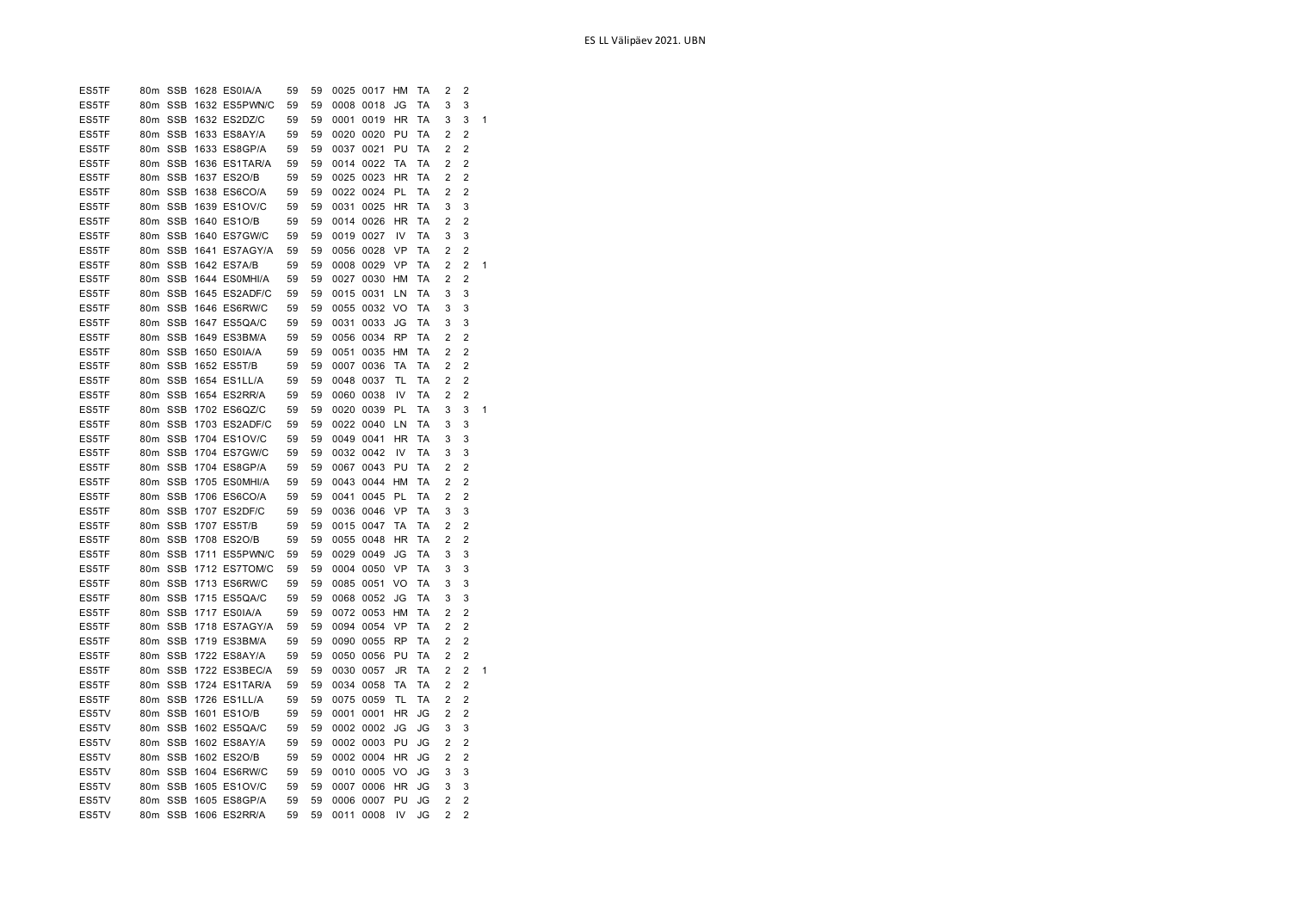| ES5TF | 80m SSB         |            | 1632 ES5PWN/C | 59 | 59 | 0008 0018 |      | JG        | ТA        | 3              | 3              |   |
|-------|-----------------|------------|---------------|----|----|-----------|------|-----------|-----------|----------------|----------------|---|
| ES5TF | 80 <sub>m</sub> | <b>SSB</b> | 1632 ES2DZ/C  | 59 | 59 | 0001      | 0019 | <b>HR</b> | ТA        | 3              | 3              | 1 |
| ES5TF | 80 <sub>m</sub> | <b>SSB</b> | 1633 ES8AY/A  | 59 | 59 | 0020      | 0020 | PU        | ТA        | $\overline{2}$ | $\overline{2}$ |   |
| ES5TF | 80 <sub>m</sub> | <b>SSB</b> | 1633 ES8GP/A  | 59 | 59 | 0037      | 0021 | PU        | TA        | 2              | $\overline{2}$ |   |
| ES5TF | 80 <sub>m</sub> | <b>SSB</b> | 1636 ES1TAR/A | 59 | 59 | 0014      | 0022 | TA        | ТA        | $\overline{2}$ | $\overline{2}$ |   |
| ES5TF | 80 <sub>m</sub> | <b>SSB</b> | 1637 ES2O/B   | 59 | 59 | 0025      | 0023 | <b>HR</b> | ТA        | 2              | $\overline{2}$ |   |
| ES5TF | 80 <sub>m</sub> | <b>SSB</b> | 1638 ES6CO/A  | 59 | 59 | 0022      | 0024 | PL        | TA        | $\overline{2}$ | $\overline{2}$ |   |
| ES5TF | 80m             | <b>SSB</b> | 1639 ES1OV/C  | 59 | 59 | 0031      | 0025 | <b>HR</b> | ТA        | 3              | 3              |   |
| ES5TF | 80 <sub>m</sub> | <b>SSB</b> | 1640 ES1O/B   | 59 | 59 | 0014      | 0026 | <b>HR</b> | ТA        | $\overline{2}$ | $\overline{2}$ |   |
| ES5TF | 80 <sub>m</sub> | <b>SSB</b> | 1640 ES7GW/C  | 59 | 59 | 0019      | 0027 | IV        | TA        | 3              | 3              |   |
| ES5TF | 80 <sub>m</sub> | <b>SSB</b> | 1641 ES7AGY/A | 59 | 59 | 0056      | 0028 | <b>VP</b> | TA        | $\overline{2}$ | 2              |   |
| ES5TF | 80 <sub>m</sub> | <b>SSB</b> | 1642 ES7A/B   | 59 | 59 | 0008      | 0029 | <b>VP</b> | TA        | 2              | $\overline{2}$ | 1 |
| ES5TF | 80 <sub>m</sub> | <b>SSB</b> | 1644 ES0MHI/A | 59 | 59 | 0027      | 0030 | НM        | ТA        | 2              | 2              |   |
| ES5TF | 80 <sub>m</sub> | <b>SSB</b> | 1645 ES2ADF/C | 59 | 59 | 0015      | 0031 | LN        | TA        | 3              | 3              |   |
| ES5TF | 80 <sub>m</sub> | <b>SSB</b> | 1646 ES6RW/C  | 59 | 59 | 0055      | 0032 | VO        | TA        | 3              | 3              |   |
| ES5TF | 80 <sub>m</sub> | <b>SSB</b> | 1647 ES5QA/C  | 59 | 59 | 0031      | 0033 | JG        | ТA        | 3              | 3              |   |
| ES5TF | 80m SSB         |            | 1649 ES3BM/A  | 59 | 59 | 0056      | 0034 | <b>RP</b> | ТA        | 2              | $\overline{2}$ |   |
| ES5TF | 80m             | <b>SSB</b> | 1650 ES0IA/A  | 59 | 59 | 0051      | 0035 | HM        | ТA        | 2              | $\overline{2}$ |   |
| ES5TF | 80 <sub>m</sub> | <b>SSB</b> | 1652 ES5T/B   | 59 | 59 | 0007      | 0036 | <b>TA</b> | ТA        | $\overline{2}$ | $\overline{2}$ |   |
| ES5TF | 80m             | <b>SSB</b> | 1654 ES1LL/A  | 59 | 59 | 0048      | 0037 | TL        | ТA        | 2              | $\overline{2}$ |   |
| ES5TF | 80m SSB         |            | 1654 ES2RR/A  | 59 | 59 | 0060      | 0038 | IV        | <b>TA</b> | $\overline{2}$ | 2              |   |
| ES5TF | 80 <sub>m</sub> | <b>SSB</b> | 1702 ES6QZ/C  | 59 | 59 | 0020      | 0039 | PL        | TA        | 3              | 3              | 1 |
| ES5TF | 80m SSB         |            | 1703 ES2ADF/C | 59 | 59 | 0022 0040 |      | LN        | TA        | 3              | 3              |   |
| ES5TF | 80m             | <b>SSB</b> | 1704 ES1OV/C  | 59 | 59 | 0049      | 0041 | <b>HR</b> | ТA        | 3              | 3              |   |
| ES5TF | 80m SSB         |            | 1704 ES7GW/C  | 59 | 59 | 0032      | 0042 | IV        | <b>TA</b> | 3              | 3              |   |
| ES5TF | 80 <sub>m</sub> | <b>SSB</b> | 1704 ES8GP/A  | 59 | 59 | 0067      | 0043 | PU        | ТA        | 2              | 2              |   |
| ES5TF | 80m SSB         |            | 1705 ESOMHI/A | 59 | 59 | 0043      | 0044 | HM        | ТA        | $\overline{2}$ | 2              |   |
| ES5TF | 80 <sub>m</sub> | <b>SSB</b> | 1706 ES6CO/A  | 59 | 59 | 0041      | 0045 | PL        | ТA        | $\overline{2}$ | $\overline{2}$ |   |
| ES5TF | 80m SSB         |            | 1707 ES2DF/C  | 59 | 59 | 0036      | 0046 | VP        | TA        | 3              | 3              |   |
| ES5TF | 80 <sub>m</sub> | <b>SSB</b> | 1707 ES5T/B   | 59 | 59 | 0015      | 0047 | TA        | ТA        | 2              | 2              |   |
| ES5TF | 80m SSB         |            | 1708 ES2O/B   | 59 | 59 | 0055      | 0048 | <b>HR</b> | ТA        | $\overline{2}$ | 2              |   |
| ES5TF | 80m             | <b>SSB</b> | 1711 ES5PWN/C | 59 | 59 | 0029      | 0049 | JG        | <b>TA</b> | 3              | 3              |   |
| ES5TF | 80m SSB         |            | 1712 ES7TOM/C | 59 | 59 | 0004      | 0050 | VP        | ТA        | 3              | 3              |   |
| ES5TF | 80 <sub>m</sub> | <b>SSB</b> | 1713 ES6RW/C  | 59 | 59 | 0085      | 0051 | VO        | ТA        | 3              | 3              |   |
| ES5TF | 80m SSB         |            | 1715 ES5QA/C  | 59 | 59 | 0068 0052 |      | JG        | TA        | 3              | 3              |   |
| ES5TF | 80m             | <b>SSB</b> | 1717 ES0IA/A  | 59 | 59 | 0072      | 0053 | HM        | ТA        | 2              | 2              |   |
| ES5TF | 80m SSB         |            | 1718 ES7AGY/A | 59 | 59 | 0094      | 0054 | <b>VP</b> | ТA        | $\overline{2}$ | $\overline{2}$ |   |
| ES5TF | 80 <sub>m</sub> | <b>SSB</b> | 1719 ES3BM/A  | 59 | 59 | 0090      | 0055 | <b>RP</b> | ТA        | $\overline{2}$ | 2              |   |
| ES5TF | 80m             | <b>SSB</b> | 1722 ES8AY/A  | 59 | 59 | 0050      | 0056 | PU        | ТA        | 2              | 2              |   |
| ES5TF | 80 <sub>m</sub> | <b>SSB</b> | 1722 ES3BEC/A | 59 | 59 | 0030      | 0057 | JR        | ТA        | $\overline{2}$ | $\overline{2}$ | 1 |
| ES5TF | 80 <sub>m</sub> | <b>SSB</b> | 1724 ES1TAR/A | 59 | 59 | 0034      | 0058 | ТA        | TA        | $\overline{2}$ | 2              |   |
| ES5TF | 80 <sub>m</sub> | <b>SSB</b> | 1726 ES1LL/A  | 59 | 59 | 0075      | 0059 | TL        | ТA        | 2              | $\overline{2}$ |   |
| ES5TV | 80 <sub>m</sub> | <b>SSB</b> | 1601 ES1O/B   | 59 | 59 | 0001      | 0001 | HR        | JG        | $\overline{2}$ | $\overline{2}$ |   |
| ES5TV | 80 <sub>m</sub> | <b>SSB</b> | 1602 ES5QA/C  | 59 | 59 | 0002      | 0002 | JG        | JG        | 3              | 3              |   |
| ES5TV | 80 <sub>m</sub> | SSB        | 1602 ES8AY/A  | 59 | 59 | 0002      | 0003 | PU        | JG        | 2              | 2              |   |
| ES5TV | 80m             | <b>SSB</b> | 1602 ES2O/B   | 59 | 59 | 0002 0004 |      | HR        | JG        | $\overline{2}$ | 2              |   |
| ES5TV | 80 <sub>m</sub> | <b>SSB</b> | 1604 ES6RW/C  | 59 | 59 | 0010 0005 |      | VO        | JG        | 3              | 3              |   |
| ES5TV | 80 <sub>m</sub> | <b>SSB</b> | 1605 ES1OV/C  | 59 | 59 | 0007      | 0006 | HR        | JG        | 3              | 3              |   |
| ES5TV | 80m             | <b>SSB</b> | 1605 ES8GP/A  | 59 | 59 | 0006      | 0007 | PU        | JG        | 2              | 2              |   |
| ES5TV | 80m SSB         |            | 1606 ES2RR/A  | 59 | 59 | 0011      | 0008 | IV        | JG        | $\overline{2}$ | 2              |   |
|       |                 |            |               |    |    |           |      |           |           |                |                |   |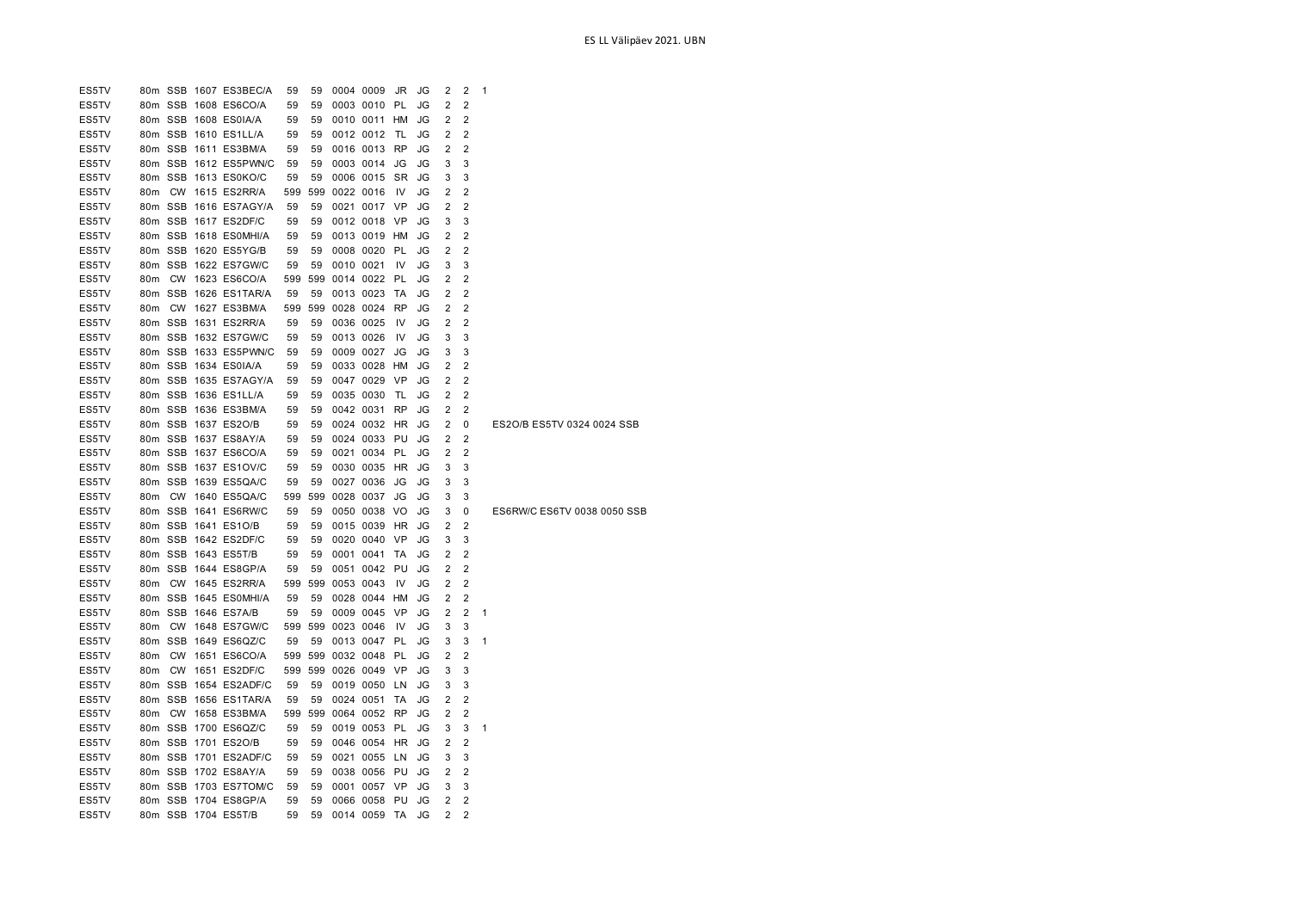| ES5TV |                 |  | 80m SSB 1607 ES3BEC/A | 59  | 59       |           | 0004 0009 JR         |           | JG | 2              | 2              | 1 |                             |  |
|-------|-----------------|--|-----------------------|-----|----------|-----------|----------------------|-----------|----|----------------|----------------|---|-----------------------------|--|
| ES5TV |                 |  | 80m SSB 1608 ES6CO/A  | 59  | 59       |           | 0003 0010 PL         |           | JG | $\overline{2}$ | 2              |   |                             |  |
| ES5TV |                 |  | 80m SSB 1608 ES0IA/A  | 59  | 59       |           | 0010 0011 HM         |           | JG | 2              | $\overline{2}$ |   |                             |  |
| ES5TV |                 |  | 80m SSB 1610 ES1LL/A  | 59  | 59       |           | 0012 0012            | TL        | JG | 2              | $\overline{2}$ |   |                             |  |
| ES5TV |                 |  | 80m SSB 1611 ES3BM/A  | 59  | 59       |           | 0016 0013 RP         |           | JG | 2              | 2              |   |                             |  |
| ES5TV |                 |  | 80m SSB 1612 ES5PWN/C | 59  | 59       |           | 0003 0014            | JG        | JG | 3              | 3              |   |                             |  |
| ES5TV |                 |  | 80m SSB 1613 ES0KO/C  | 59  | 59       |           | 0006 0015 SR         |           | JG | 3              | 3              |   |                             |  |
| ES5TV |                 |  | 80m CW 1615 ES2RR/A   | 599 | 599      |           | 0022 0016            | -IV       | JG | 2              | 2              |   |                             |  |
| ES5TV |                 |  | 80m SSB 1616 ES7AGY/A | 59  | 59       |           | 0021 0017 VP         |           | JG | $\overline{2}$ | $\overline{2}$ |   |                             |  |
| ES5TV |                 |  | 80m SSB 1617 ES2DF/C  | 59  | 59       |           | 0012 0018 VP         |           | JG | 3              | 3              |   |                             |  |
|       |                 |  | 80m SSB 1618 ES0MHI/A |     |          |           |                      |           |    |                | $\overline{2}$ |   |                             |  |
| ES5TV |                 |  |                       | 59  | 59<br>59 |           | 0013 0019 HM         |           | JG | 2              | $\overline{2}$ |   |                             |  |
| ES5TV |                 |  | 80m SSB 1620 ES5YG/B  | 59  |          |           | 0008 0020 PL         |           | JG | 2              |                |   |                             |  |
| ES5TV |                 |  | 80m SSB 1622 ES7GW/C  | 59  | 59       |           | 0010 0021            | IV        | JG | 3              | 3              |   |                             |  |
| ES5TV | 80m             |  | CW 1623 ES6CO/A       |     | 599 599  |           | 0014 0022 PL         |           | JG | 2              | 2              |   |                             |  |
| ES5TV |                 |  | 80m SSB 1626 ES1TAR/A | 59  | 59       |           | 0013 0023 TA         |           | JG | 2              | 2              |   |                             |  |
| ES5TV | 80 <sub>m</sub> |  | CW 1627 ES3BM/A       |     | 599 599  |           | 0028 0024 RP         |           | JG | 2              | $\overline{2}$ |   |                             |  |
| ES5TV |                 |  | 80m SSB 1631 ES2RR/A  | 59  | 59       |           | 0036 0025            | IV.       | JG | 2              | 2              |   |                             |  |
| ES5TV |                 |  | 80m SSB 1632 ES7GW/C  | 59  | 59       |           | 0013 0026            | IV        | JG | 3              | 3              |   |                             |  |
| ES5TV |                 |  | 80m SSB 1633 ES5PWN/C | 59  | 59       |           | 0009 0027            | JG        | JG | 3              | 3              |   |                             |  |
| ES5TV |                 |  | 80m SSB 1634 ES0IA/A  | 59  | 59       |           | 0033 0028 HM         |           | JG | 2              | 2              |   |                             |  |
| ES5TV |                 |  | 80m SSB 1635 ES7AGY/A | 59  | 59       |           | 0047 0029            | <b>VP</b> | JG | 2              | $\overline{2}$ |   |                             |  |
| ES5TV |                 |  | 80m SSB 1636 ES1LL/A  | 59  | 59       |           | 0035 0030            | TL        | JG | 2              | $\overline{2}$ |   |                             |  |
| ES5TV |                 |  | 80m SSB 1636 ES3BM/A  | 59  | 59       |           | 0042 0031 RP         |           | JG | 2              | 2              |   |                             |  |
| ES5TV |                 |  | 80m SSB 1637 ES2O/B   | 59  | 59       |           | 0024 0032 HR         |           | JG | 2              | 0              |   | ES2O/B ES5TV 0324 0024 SSB  |  |
| ES5TV |                 |  | 80m SSB 1637 ES8AY/A  | 59  | 59       |           | 0024 0033 PU         |           | JG | 2              | 2              |   |                             |  |
| ES5TV |                 |  | 80m SSB 1637 ES6CO/A  | 59  | 59       |           | 0021 0034 PL         |           | JG | 2              | 2              |   |                             |  |
| ES5TV |                 |  | 80m SSB 1637 ES1OV/C  | 59  | 59       |           | 0030 0035 HR         |           | JG | 3              | 3              |   |                             |  |
| ES5TV |                 |  | 80m SSB 1639 ES5QA/C  | 59  | 59       |           | 0027 0036            | JG        | JG | 3              | 3              |   |                             |  |
| ES5TV | 80m             |  | CW 1640 ES5QA/C       | 599 | 599      |           | 0028 0037            | JG        | JG | 3              | 3              |   |                             |  |
| ES5TV |                 |  | 80m SSB 1641 ES6RW/C  | 59  | 59       |           | 0050 0038 VO         |           | JG | 3              | 0              |   | ES6RW/C ES6TV 0038 0050 SSB |  |
| ES5TV |                 |  | 80m SSB 1641 ES1O/B   | 59  | 59       |           | 0015 0039 HR         |           | JG | 2              | $\overline{2}$ |   |                             |  |
| ES5TV |                 |  | 80m SSB 1642 ES2DF/C  | 59  | 59       |           | 0020 0040 VP         |           | JG | 3              | 3              |   |                             |  |
| ES5TV |                 |  | 80m SSB 1643 ES5T/B   | 59  | 59       |           | 0001 0041            | TA        | JG | 2              | $\overline{2}$ |   |                             |  |
| ES5TV |                 |  | 80m SSB 1644 ES8GP/A  | 59  | 59       |           | 0051 0042 PU         |           | JG | 2              | 2              |   |                             |  |
| ES5TV |                 |  | 80m CW 1645 ES2RR/A   | 599 | 599      | 0053 0043 |                      | IV        | JG | 2              | 2              |   |                             |  |
| ES5TV |                 |  | 80m SSB 1645 ES0MHI/A | 59  | 59       |           | 0028 0044 HM         |           | JG | $\overline{2}$ | 2              |   |                             |  |
| ES5TV |                 |  | 80m SSB 1646 ES7A/B   | 59  | 59       |           | 0009 0045 VP         |           | JG | 2              | $\overline{2}$ | 1 |                             |  |
| ES5TV | 80m             |  | CW 1648 ES7GW/C       |     | 599 599  | 0023 0046 |                      | 1V        | JG | 3              | 3              |   |                             |  |
| ES5TV |                 |  | 80m SSB 1649 ES6QZ/C  | 59  | 59       |           | 0013 0047 PL         |           | JG | 3              | 3              | 1 |                             |  |
| ES5TV | 80m             |  | CW 1651 ES6CO/A       |     |          |           | 599 599 0032 0048 PL |           | JG | 2              | $\overline{2}$ |   |                             |  |
| ES5TV |                 |  | 80m CW 1651 ES2DF/C   |     |          |           | 599 599 0026 0049 VP |           | JG | 3              | 3              |   |                             |  |
| ES5TV |                 |  | 80m SSB 1654 ES2ADF/C | 59  | 59       |           | 0019 0050 LN         |           | JG | 3              | 3              |   |                             |  |
| ES5TV |                 |  | 80m SSB 1656 ES1TAR/A | 59  | 59       |           | 0024 0051 TA         |           | JG | 2              | $\overline{2}$ |   |                             |  |
| ES5TV | 80 <sub>m</sub> |  | CW 1658 ES3BM/A       | 599 | 599      |           | 0064 0052 RP         |           | JG | 2              | 2              |   |                             |  |
| ES5TV |                 |  | 80m SSB 1700 ES6QZ/C  | 59  | 59       |           | 0019 0053 PL         |           | JG | 3              | 3              | 1 |                             |  |
| ES5TV |                 |  | 80m SSB 1701 ES2O/B   | 59  | 59       |           | 0046 0054 HR         |           | JG | 2              | $\overline{2}$ |   |                             |  |
| ES5TV |                 |  | 80m SSB 1701 ES2ADF/C | 59  | 59       |           | 0021 0055 LN         |           | JG | 3              | 3              |   |                             |  |
| ES5TV |                 |  | 80m SSB 1702 ES8AY/A  | 59  | 59       |           | 0038 0056 PU         |           | JG | 2              | $\overline{2}$ |   |                             |  |
| ES5TV |                 |  | 80m SSB 1703 ES7TOM/C | 59  | 59       |           | 0001 0057 VP         |           | JG | 3              | 3              |   |                             |  |
| ES5TV |                 |  | 80m SSB 1704 ES8GP/A  | 59  | 59       |           | 0066 0058 PU         |           | JG | 2              | 2              |   |                             |  |
| ES5TV |                 |  | 80m SSB 1704 ES5T/B   | 59  | 59       |           | 0014 0059 TA         |           | JG | 2              | $\overline{2}$ |   |                             |  |
|       |                 |  |                       |     |          |           |                      |           |    |                |                |   |                             |  |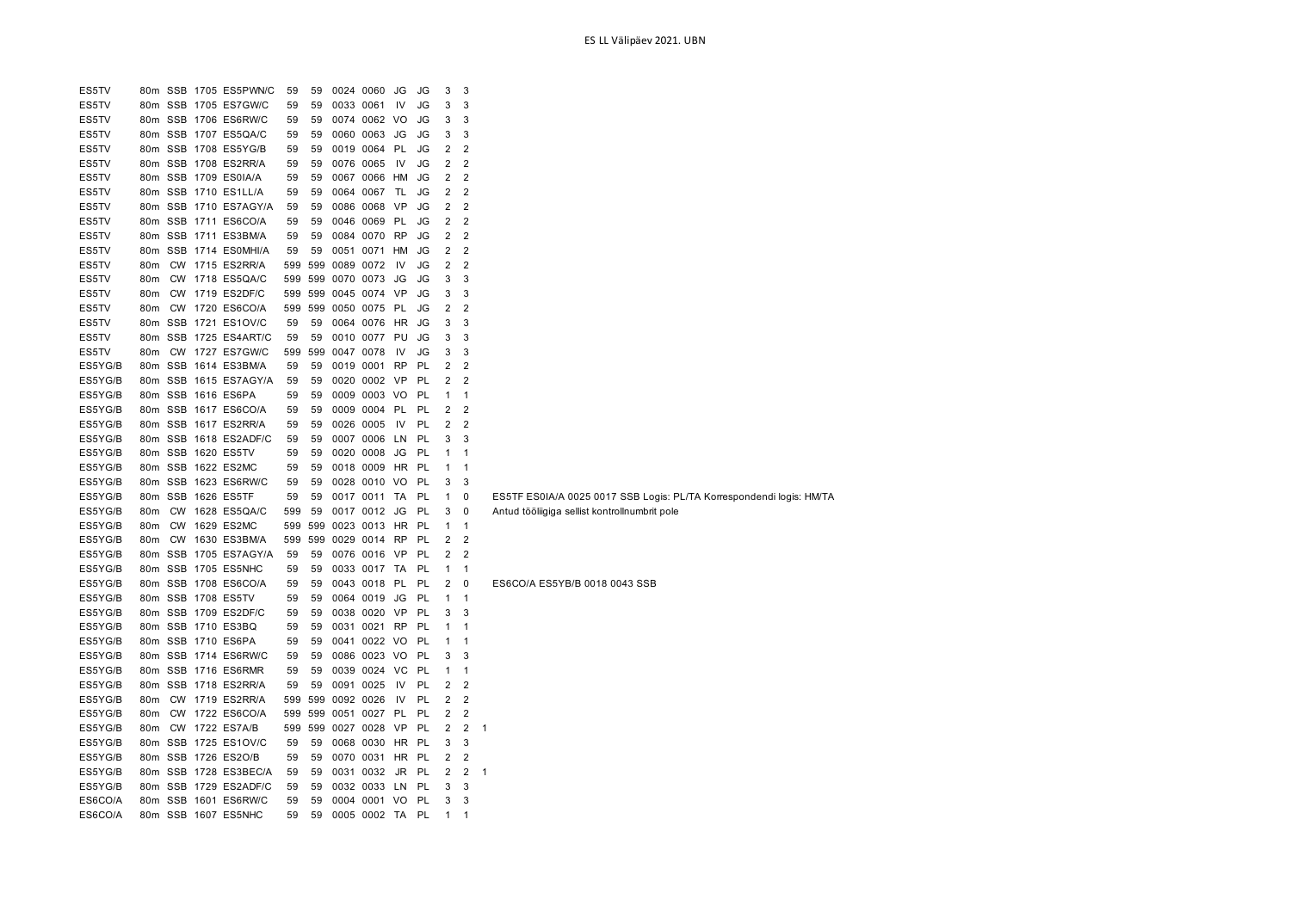| ES5TV   |                 |           | 80m SSB 1705 ES5PWN/C | 59  | 59  |           | 0024 0060    | JG        | JG | 3              | 3                       |                                                                      |
|---------|-----------------|-----------|-----------------------|-----|-----|-----------|--------------|-----------|----|----------------|-------------------------|----------------------------------------------------------------------|
| ES5TV   | 80 <sub>m</sub> |           | SSB 1705 ES7GW/C      | 59  | 59  |           | 0033 0061    | IV        | JG | 3              | 3                       |                                                                      |
| ES5TV   |                 |           | 80m SSB 1706 ES6RW/C  | 59  | 59  |           | 0074 0062 VO |           | JG | 3              | 3                       |                                                                      |
| ES5TV   |                 |           | 80m SSB 1707 ES5QA/C  | 59  | 59  |           | 0060 0063    | JG        | JG | 3              | 3                       |                                                                      |
| ES5TV   |                 |           | 80m SSB 1708 ES5YG/B  | 59  | 59  |           | 0019 0064    | <b>PL</b> | JG | 2              | $\overline{2}$          |                                                                      |
| ES5TV   |                 |           | 80m SSB 1708 ES2RR/A  | 59  | 59  |           | 0076 0065    | IV        | JG | 2              | $\overline{\mathbf{c}}$ |                                                                      |
| ES5TV   |                 |           | 80m SSB 1709 ES0IA/A  | 59  | 59  |           | 0067 0066    | HM        | JG | 2              | $\overline{2}$          |                                                                      |
| ES5TV   |                 |           | 80m SSB 1710 ES1LL/A  | 59  | 59  |           | 0064 0067    | TL        | JG | 2              | $\overline{2}$          |                                                                      |
| ES5TV   |                 |           | 80m SSB 1710 ES7AGY/A | 59  | 59  |           | 0086 0068    | - VP      | JG | 2              | $\overline{2}$          |                                                                      |
| ES5TV   |                 |           | 80m SSB 1711 ES6CO/A  | 59  | 59  |           | 0046 0069    | PL        | JG | 2              | 2                       |                                                                      |
| ES5TV   |                 |           | 80m SSB 1711 ES3BM/A  | 59  | 59  |           | 0084 0070    | RP        | JG | 2              | $\overline{2}$          |                                                                      |
| ES5TV   |                 |           | 80m SSB 1714 ES0MHI/A | 59  | 59  |           | 0051 0071    | HM        | JG | 2              | $\overline{2}$          |                                                                      |
| ES5TV   | 80 <sub>m</sub> |           | CW 1715 ES2RR/A       | 599 | 599 |           | 0089 0072    | IV        | JG | $\overline{2}$ | $\overline{2}$          |                                                                      |
| ES5TV   | 80m             |           | CW 1718 ES5QA/C       | 599 | 599 |           | 0070 0073    | JG        | JG | 3              | 3                       |                                                                      |
| ES5TV   | 80m             |           | CW 1719 ES2DF/C       | 599 | 599 |           | 0045 0074    | VP        | JG | 3              | 3                       |                                                                      |
| ES5TV   | 80m             |           | CW 1720 ES6CO/A       | 599 | 599 |           | 0050 0075    | PL        | JG | 2              | $\overline{2}$          |                                                                      |
| ES5TV   |                 |           | 80m SSB 1721 ES1OV/C  | 59  | 59  |           | 0064 0076    | HR        | JG | 3              | 3                       |                                                                      |
| ES5TV   |                 |           | 80m SSB 1725 ES4ART/C | 59  | 59  |           | 0010 0077    | PU        | JG | 3              | 3                       |                                                                      |
| ES5TV   | 80m             |           | CW 1727 ES7GW/C       | 599 | 599 | 0047 0078 |              | 1V        | JG | 3              | 3                       |                                                                      |
| ES5YG/B |                 |           | 80m SSB 1614 ES3BM/A  | 59  | 59  |           | 0019 0001    | <b>RP</b> | PL | 2              | $\overline{2}$          |                                                                      |
| ES5YG/B |                 |           | 80m SSB 1615 ES7AGY/A | 59  | 59  |           | 0020 0002    | VP        | PL | 2              | $\overline{2}$          |                                                                      |
| ES5YG/B |                 |           | 80m SSB 1616 ES6PA    | 59  | 59  |           | 0009 0003 VO |           | PL | 1              | $\mathbf{1}$            |                                                                      |
| ES5YG/B |                 |           | 80m SSB 1617 ES6CO/A  | 59  | 59  |           | 0009 0004 PL |           | PL | 2              | 2                       |                                                                      |
| ES5YG/B |                 |           | 80m SSB 1617 ES2RR/A  | 59  | 59  |           | 0026 0005    | - IV      | PL | 2              | $\overline{2}$          |                                                                      |
| ES5YG/B |                 |           | 80m SSB 1618 ES2ADF/C | 59  | 59  |           | 0007 0006    | LN        | PL | 3              | 3                       |                                                                      |
| ES5YG/B |                 |           | 80m SSB 1620 ES5TV    | 59  | 59  |           | 0020 0008    | JG        | PL | 1              | $\mathbf{1}$            |                                                                      |
| ES5YG/B | 80m             |           | SSB 1622 ES2MC        | 59  | 59  |           | 0018 0009    | <b>HR</b> | PL | 1              | $\mathbf{1}$            |                                                                      |
| ES5YG/B | 80m             |           | SSB 1623 ES6RW/C      | 59  | 59  |           | 0028 0010    | VO        | PL | 3              | 3                       |                                                                      |
| ES5YG/B | 80m             |           | SSB 1626 ES5TF        | 59  | 59  |           | 0017 0011    | TA        | PL | 1              | 0                       | ES5TF ES0IA/A 0025 0017 SSB Logis: PL/TA Korrespondendi logis: HM/TA |
| ES5YG/B | 80m             |           | CW 1628 ES5QA/C       | 599 | 59  |           | 0017 0012    | JG        | PL | 3              | 0                       | Antud tööliigiga sellist kontrollnumbrit pole                        |
| ES5YG/B | 80 <sub>m</sub> | <b>CW</b> | 1629 ES2MC            | 599 | 599 |           | 0023 0013    | HR        | PL | 1              | $\overline{1}$          |                                                                      |
| ES5YG/B | 80m             | <b>CW</b> | 1630 ES3BM/A          | 599 | 599 |           | 0029 0014    | RP        | PL | 2              | 2                       |                                                                      |
| ES5YG/B |                 |           | 80m SSB 1705 ES7AGY/A | 59  | 59  |           | 0076 0016    | - VP      | PL | 2              | $\overline{2}$          |                                                                      |
| ES5YG/B |                 |           | 80m SSB 1705 ES5NHC   | 59  | 59  |           | 0033 0017    | TA        | PL | 1              | $\mathbf 1$             |                                                                      |
| ES5YG/B |                 |           | 80m SSB 1708 ES6CO/A  | 59  | 59  |           | 0043 0018    | PL        | PL | 2              | 0                       | ES6CO/A ES5YB/B 0018 0043 SSB                                        |
| ES5YG/B |                 |           | 80m SSB 1708 ES5TV    | 59  | 59  |           | 0064 0019    | JG        | PL | 1              | $\mathbf{1}$            |                                                                      |
| ES5YG/B |                 |           | 80m SSB 1709 ES2DF/C  | 59  | 59  |           | 0038 0020    | - VP      | PL | 3              | 3                       |                                                                      |
| ES5YG/B |                 |           | 80m SSB 1710 ES3BQ    | 59  | 59  |           | 0031 0021    | RP        | PL | 1              | 1                       |                                                                      |
| ES5YG/B | 80m             |           | SSB 1710 ES6PA        | 59  | 59  |           | 0041 0022 VO |           | PL | 1              | 1                       |                                                                      |
| ES5YG/B | 80 <sub>m</sub> |           | SSB 1714 ES6RW/C      | 59  | 59  |           | 0086 0023    | VO        | PL | 3              | 3                       |                                                                      |
| ES5YG/B | 80m             |           | SSB 1716 ES6RMR       | 59  | 59  |           | 0039 0024    | <b>VC</b> | PL | 1              | $\mathbf{1}$            |                                                                      |
| ES5YG/B |                 |           | 80m SSB 1718 ES2RR/A  | 59  | 59  |           | 0091 0025    | IV        | PL | 2              | $\overline{\mathbf{c}}$ |                                                                      |
| ES5YG/B | 80 <sub>m</sub> |           | CW 1719 ES2RR/A       | 599 | 599 |           | 0092 0026    | IV        | PL | 2              | $\overline{2}$          |                                                                      |
| ES5YG/B | 80 <sub>m</sub> |           | CW 1722 ES6CO/A       | 599 | 599 |           | 0051 0027 PL |           | PL | 2              | $\overline{\mathbf{c}}$ |                                                                      |
| ES5YG/B | 80m             |           | CW 1722 ES7A/B        | 599 | 599 |           | 0027 0028    | VP        | PL | 2              | 2                       | -1                                                                   |
| ES5YG/B |                 |           | 80m SSB 1725 ES1OV/C  | 59  | 59  |           | 0068 0030    | HR        | PL | 3              | 3                       |                                                                      |
| ES5YG/B |                 |           | 80m SSB 1726 ES2O/B   | 59  | 59  |           | 0070 0031    | HR        | PL | 2              | 2                       |                                                                      |
| ES5YG/B |                 |           | 80m SSB 1728 ES3BEC/A | 59  | 59  |           | 0031 0032 JR |           | PL | 2              | $\overline{c}$          | $\mathbf{1}$                                                         |
| ES5YG/B |                 |           | 80m SSB 1729 ES2ADF/C | 59  | 59  |           | 0032 0033    | LN        | PL | 3              | 3                       |                                                                      |
| ES6CO/A |                 |           | 80m SSB 1601 ES6RW/C  | 59  |     |           | 0004 0001 VO |           | PL | 3              | 3                       |                                                                      |
|         |                 |           |                       |     | 59  |           |              |           |    |                |                         |                                                                      |
| ES6CO/A |                 |           | 80m SSB 1607 ES5NHC   | 59  | 59  |           | 0005 0002 TA |           | PL | 1              | $\mathbf 1$             |                                                                      |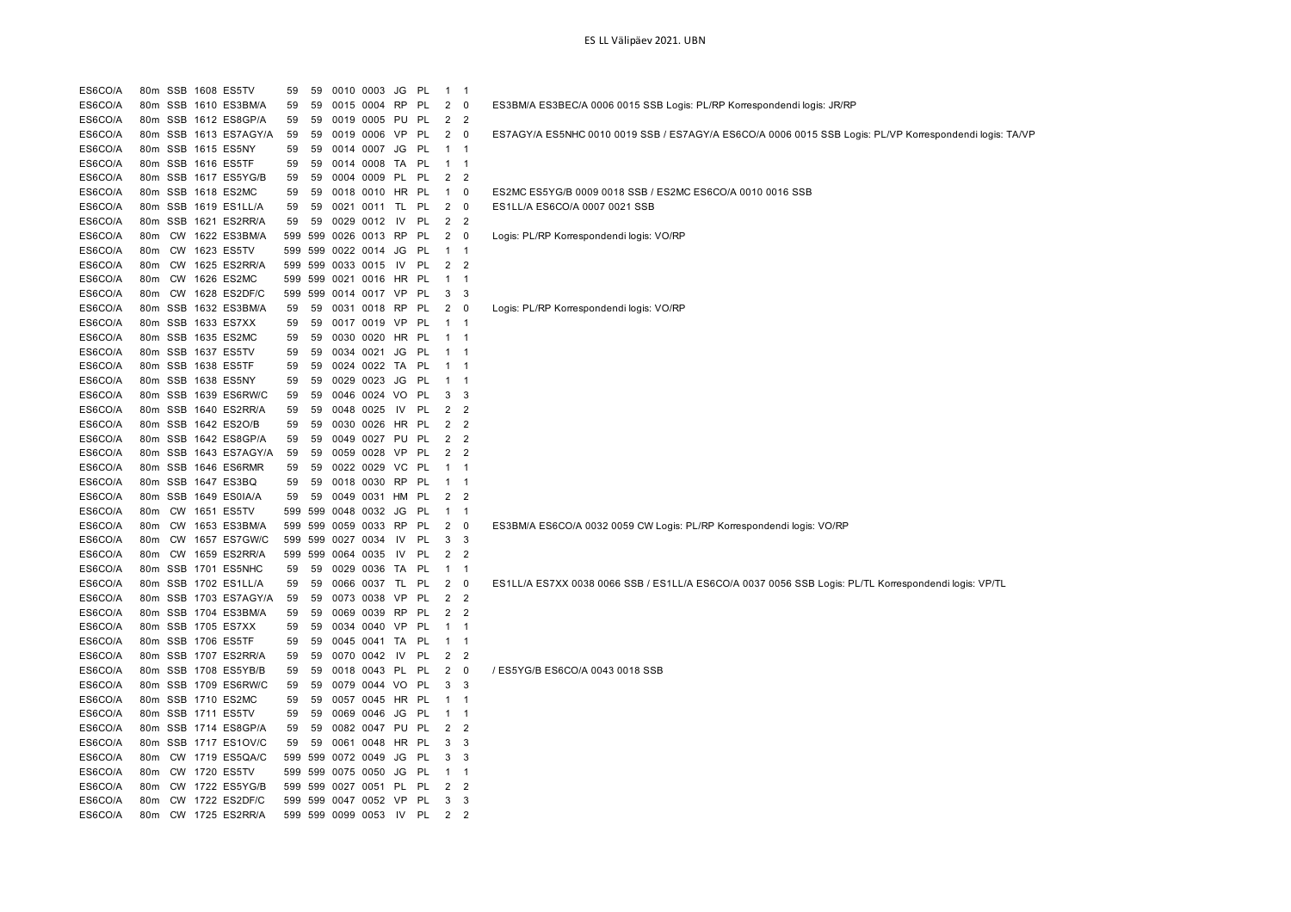| ES6CO/A |     |           | 80m SSB 1608 ES5TV    | 59 | 59      |                   | 0010 0003 JG         |           | PL        | $\mathbf{1}$   | $\overline{1}$ |                                                                                                         |
|---------|-----|-----------|-----------------------|----|---------|-------------------|----------------------|-----------|-----------|----------------|----------------|---------------------------------------------------------------------------------------------------------|
| ES6CO/A |     |           | 80m SSB 1610 ES3BM/A  | 59 | 59      |                   | 0015 0004            | RP        | -PL       | $\overline{2}$ | 0              | ES3BM/A ES3BEC/A 0006 0015 SSB Logis: PL/RP Korrespondendi logis: JR/RP                                 |
| ES6CO/A |     |           | 80m SSB 1612 ES8GP/A  | 59 | 59      |                   | 0019 0005 PU         |           | <b>PL</b> | 2              | $\overline{2}$ |                                                                                                         |
| ES6CO/A |     |           | 80m SSB 1613 ES7AGY/A | 59 | 59      |                   | 0019 0006            | VP        | PL        | 2              | 0              | ES7AGY/A ES5NHC 0010 0019 SSB / ES7AGY/A ES6CO/A 0006 0015 SSB Logis: PL/VP Korrespondendi logis: TA/VP |
| ES6CO/A |     |           | 80m SSB 1615 ES5NY    | 59 | 59      |                   | 0014 0007 JG         |           | PL        | 1              | $\overline{1}$ |                                                                                                         |
| ES6CO/A |     |           | 80m SSB 1616 ES5TF    | 59 | 59      |                   | 0014 0008            | TA        | <b>PL</b> | $\mathbf{1}$   | $\overline{1}$ |                                                                                                         |
| ES6CO/A |     |           | 80m SSB 1617 ES5YG/B  | 59 | 59      |                   | 0004 0009 PL         |           | <b>PL</b> | 2              | $\overline{2}$ |                                                                                                         |
| ES6CO/A |     |           | 80m SSB 1618 ES2MC    | 59 | 59      |                   | 0018 0010 HR PL      |           |           | $\mathbf{1}$   | 0              | ES2MC ES5YG/B 0009 0018 SSB / ES2MC ES6CO/A 0010 0016 SSB                                               |
| ES6CO/A |     |           | 80m SSB 1619 ES1LL/A  | 59 | 59      |                   | 0021 0011 TL         |           | PL        | 2              | 0              | ES1LL/A ES6CO/A 0007 0021 SSB                                                                           |
| ES6CO/A |     | 80m SSB   | 1621 ES2RR/A          | 59 | 59      | 0029 0012         |                      | 1V        | PL        | 2              | $\overline{2}$ |                                                                                                         |
| ES6CO/A | 80m |           | CW 1622 ES3BM/A       |    | 599 599 |                   | 0026 0013 RP         |           | PL        | 2              | $\mathbf 0$    | Logis: PL/RP Korrespondendi logis: VO/RP                                                                |
| ES6CO/A | 80m | <b>CW</b> | 1623 ES5TV            |    |         | 599 599 0022 0014 |                      | JG        | <b>PL</b> | $\mathbf{1}$   | $\mathbf{1}$   |                                                                                                         |
| ES6CO/A | 80m |           | CW 1625 ES2RR/A       |    |         | 599 599 0033 0015 |                      | IV        | PL        | 2              | $\overline{2}$ |                                                                                                         |
| ES6CO/A | 80m | <b>CW</b> | 1626 ES2MC            |    |         |                   | 599 599 0021 0016    | HR        | - PL      | $\mathbf{1}$   | $\overline{1}$ |                                                                                                         |
| ES6CO/A | 80m |           | CW 1628 ES2DF/C       |    |         |                   | 599 599 0014 0017 VP |           | <b>PL</b> | 3              | 3              |                                                                                                         |
| ES6CO/A | 80m |           | SSB 1632 ES3BM/A      | 59 | 59      |                   | 0031 0018            | <b>RP</b> | PL        | $\overline{c}$ | 0              | Logis: PL/RP Korrespondendi logis: VO/RP                                                                |
| ES6CO/A | 80m |           | SSB 1633 ES7XX        | 59 | 59      | 0017 0019         |                      | VP        | PL        | $\mathbf 1$    | $\overline{1}$ |                                                                                                         |
| ES6CO/A |     |           | 80m SSB 1635 ES2MC    | 59 | 59      |                   | 0030 0020            | HR PL     |           | $\mathbf{1}$   | $\overline{1}$ |                                                                                                         |
| ES6CO/A |     |           | 80m SSB 1637 ES5TV    | 59 | 59      | 0034 0021         |                      | JG        | -PL       | $\mathbf{1}$   | -1             |                                                                                                         |
| ES6CO/A |     |           | 80m SSB 1638 ES5TF    | 59 | 59      |                   | 0024 0022 TA         |           | <b>PL</b> | $\mathbf{1}$   | $\overline{1}$ |                                                                                                         |
| ES6CO/A | 80m |           | SSB 1638 ES5NY        | 59 | 59      | 0029 0023         |                      | JG        | <b>PL</b> | 1              | $\mathbf{1}$   |                                                                                                         |
| ES6CO/A |     |           | 80m SSB 1639 ES6RW/C  | 59 | 59      |                   | 0046 0024 VO         |           | PL        | 3              | 3              |                                                                                                         |
| ES6CO/A |     |           | 80m SSB 1640 ES2RR/A  | 59 | 59      | 0048 0025         |                      | IV        | PL        | 2              | $\overline{2}$ |                                                                                                         |
| ES6CO/A |     |           | 80m SSB 1642 ES2O/B   | 59 | 59      |                   | 0030 0026 HR PL      |           |           | 2              | $\overline{2}$ |                                                                                                         |
| ES6CO/A |     |           | 80m SSB 1642 ES8GP/A  | 59 | 59      |                   | 0049 0027            | PU        | PL        | $\overline{2}$ | $\overline{2}$ |                                                                                                         |
| ES6CO/A |     |           | 80m SSB 1643 ES7AGY/A | 59 | 59      |                   | 0059 0028 VP         |           | <b>PL</b> | 2              | 2              |                                                                                                         |
| ES6CO/A |     |           | 80m SSB 1646 ES6RMR   | 59 | 59      |                   | 0022 0029            | VC.       | PL        | $\mathbf{1}$   | $\mathbf{1}$   |                                                                                                         |
| ES6CO/A |     | 80m SSB   | 1647 ES3BQ            | 59 | 59      |                   | 0018 0030            | <b>RP</b> | <b>PL</b> | $\mathbf{1}$   | $\mathbf{1}$   |                                                                                                         |
| ES6CO/A | 80m | SSB       | 1649 ES0IA/A          | 59 | 59      | 0049              | 0031                 | HM        | PL        | 2              | $\overline{2}$ |                                                                                                         |
| ES6CO/A | 80m | CW        | 1651 ES5TV            |    | 599 599 | 0048 0032         |                      | JG        | -PL       | $\mathbf{1}$   | $\overline{1}$ |                                                                                                         |
| ES6CO/A | 80m | <b>CW</b> | 1653 ES3BM/A          |    | 599 599 |                   | 0059 0033            | <b>RP</b> | PL        | $\overline{2}$ | $\mathbf 0$    | ES3BM/A ES6CO/A 0032 0059 CW Logis: PL/RP Korrespondendi logis: VO/RP                                   |
| ES6CO/A | 80m |           | CW 1657 ES7GW/C       |    |         | 599 599 0027 0034 |                      | IV        | PL        | 3              | 3              |                                                                                                         |
| ES6CO/A | 80m |           | CW 1659 ES2RR/A       |    |         | 599 599 0064 0035 |                      | IV        | PL        | 2              | $\overline{2}$ |                                                                                                         |
| ES6CO/A |     |           | 80m SSB 1701 ES5NHC   | 59 | 59      |                   | 0029 0036            | TA        | <b>PL</b> | $\mathbf 1$    | $\overline{1}$ |                                                                                                         |
| ES6CO/A |     |           | 80m SSB 1702 ES1LL/A  | 59 | 59      |                   | 0066 0037            | TL        | PL        | 2              | 0              | ES1LL/A ES7XX 0038 0066 SSB / ES1LL/A ES6CO/A 0037 0056 SSB Logis: PL/TL Korrespondendi logis: VP/TL    |
| ES6CO/A | 80m |           | SSB 1703 ES7AGY/A     | 59 | 59      | 0073 0038         |                      | <b>VP</b> | PL        | 2              | $\overline{2}$ |                                                                                                         |
| ES6CO/A |     |           | 80m SSB 1704 ES3BM/A  | 59 | 59      |                   | 0069 0039            | RP        | PL        | $\overline{2}$ | $\overline{2}$ |                                                                                                         |
| ES6CO/A |     |           | 80m SSB 1705 ES7XX    | 59 | 59      |                   | 0034 0040            | VP        | <b>PL</b> | $\mathbf{1}$   | -1             |                                                                                                         |
| ES6CO/A |     |           | 80m SSB 1706 ES5TF    | 59 | 59      |                   | 0045 0041 TA         |           | PL        | $\mathbf{1}$   | $\mathbf{1}$   |                                                                                                         |
| ES6CO/A |     |           | 80m SSB 1707 ES2RR/A  | 59 | 59      | 0070 0042         |                      | IV        | PL        | 2              | $\overline{2}$ |                                                                                                         |
| ES6CO/A |     |           | 80m SSB 1708 ES5YB/B  | 59 | 59      |                   | 0018 0043 PL         |           | PL        | 2              | 0              | / ES5YG/B ES6CO/A 0043 0018 SSB                                                                         |
| ES6CO/A |     |           | 80m SSB 1709 ES6RW/C  | 59 | 59      |                   | 0079 0044            | VO        | <b>PL</b> | 3              | 3              |                                                                                                         |
| ES6CO/A |     |           | 80m SSB 1710 ES2MC    | 59 | 59      |                   | 0057 0045 HR PL      |           |           | $\mathbf{1}$   | $\overline{1}$ |                                                                                                         |
| ES6CO/A |     |           | 80m SSB 1711 ES5TV    | 59 | 59      |                   | 0069 0046            | JG        | -PL       | $\mathbf{1}$   | $\mathbf{1}$   |                                                                                                         |
| ES6CO/A |     |           | 80m SSB 1714 ES8GP/A  | 59 | 59      |                   | 0082 0047 PU         |           | PL        | 2              | 2              |                                                                                                         |
| ES6CO/A | 80m |           | SSB 1717 ES1OV/C      | 59 | 59      | 0061              | 0048                 | HR        | -PL       | 3              | 3              |                                                                                                         |
| ES6CO/A | 80m |           | CW 1719 ES5QA/C       |    | 599 599 | 0072 0049         |                      | JG        | -PL       | 3              | 3              |                                                                                                         |
| ES6CO/A | 80m |           | CW 1720 ES5TV         |    | 599 599 | 0075 0050         |                      | JG        | PL        | 1              | $\mathbf{1}$   |                                                                                                         |
| ES6CO/A | 80m |           | CW 1722 ES5YG/B       |    |         |                   | 599 599 0027 0051 PL |           | PL        | 2              | 2              |                                                                                                         |
| ES6CO/A | 80m |           | CW 1722 ES2DF/C       |    |         |                   | 599 599 0047 0052 VP |           | <b>PL</b> | 3              | 3              |                                                                                                         |
| ES6CO/A | 80m |           | CW 1725 ES2RR/A       |    |         |                   | 599 599 0099 0053    | <b>IV</b> | <b>PL</b> | 2              | $\overline{2}$ |                                                                                                         |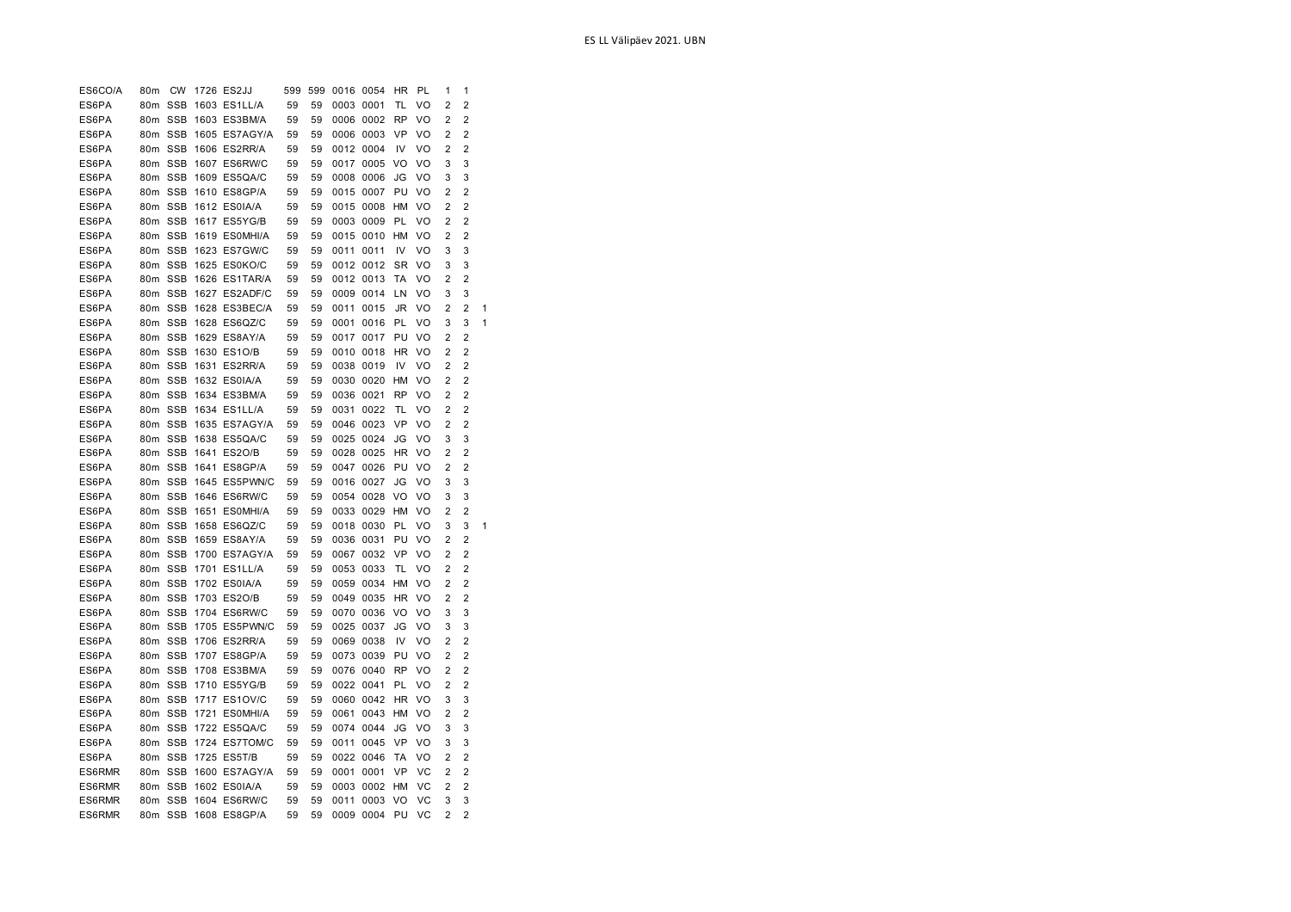| ES6CO/A        | 80m                    | CW         | 1726 ES2JJ    | 599      | 599      | 0016 0054    |              | ΗR        | PL | 1              | 1              |   |
|----------------|------------------------|------------|---------------|----------|----------|--------------|--------------|-----------|----|----------------|----------------|---|
| ES6PA          | 80m                    | <b>SSB</b> | 1603 ES1LL/A  | 59       | 59       | 0003 0001    |              | TL        | VO | 2              | $\overline{c}$ |   |
| ES6PA          | 80m                    | <b>SSB</b> | 1603 ES3BM/A  | 59       | 59       |              | 0006 0002    | <b>RP</b> | VO | 2              | 2              |   |
| ES6PA          | 80m                    | <b>SSB</b> | 1605 ES7AGY/A | 59       | 59       |              | 0006 0003    | VP        | VO | 2              | 2              |   |
| ES6PA          | 80m                    | <b>SSB</b> | 1606 ES2RR/A  | 59       | 59       |              | 0012 0004    | IV        | VO | 2              | 2              |   |
| ES6PA          |                        | 80m SSB    | 1607 ES6RW/C  | 59       | 59       |              | 0017 0005    | VO        | VO | 3              | 3              |   |
| ES6PA          | 80m                    | <b>SSB</b> | 1609 ES5QA/C  | 59       | 59       |              | 0008 0006    | JG        | VO | 3              | 3              |   |
| ES6PA          |                        | 80m SSB    | 1610 ES8GP/A  | 59       | 59       |              | 0015 0007    | PU        | VO | 2              | 2              |   |
| ES6PA          |                        | 80m SSB    | 1612 ES0IA/A  | 59       | 59       |              | 0015 0008    | HM        | VO | 2              | 2              |   |
| ES6PA          |                        | 80m SSB    | 1617 ES5YG/B  | 59       | 59       |              | 0003 0009    | PL        | VO | 2              | 2              |   |
| ES6PA          | 80m                    | <b>SSB</b> | 1619 ES0MHI/A | 59       | 59       |              | 0015 0010    | HM        | VO | 2              | 2              |   |
| ES6PA          | 80m                    | <b>SSB</b> | 1623 ES7GW/C  | 59       | 59       | 0011         | 0011         | IV        | VO | 3              | 3              |   |
| ES6PA          | 80m                    | <b>SSB</b> | 1625 ES0KO/C  | 59       | 59       |              | 0012 0012    | SR        | VO | 3              | 3              |   |
| ES6PA          | 80m                    | <b>SSB</b> | 1626 ES1TAR/A | 59       | 59       |              | 0012 0013    | TA        | VO | 2              | 2              |   |
| ES6PA          | 80m                    | <b>SSB</b> | 1627 ES2ADF/C | 59       | 59       | 0009         | 0014         | LN        | VO | 3              | 3              |   |
| ES6PA          | 80 <sub>m</sub>        | <b>SSB</b> | 1628 ES3BEC/A | 59       | 59       | 0011         | 0015         | JR        | VO | 2              | 2              | 1 |
| ES6PA          | 80m                    | <b>SSB</b> | 1628 ES6QZ/C  | 59       | 59       | 0001         | 0016         | PL        | VO | 3              | 3              | 1 |
| ES6PA          |                        | 80m SSB    | 1629 ES8AY/A  | 59       | 59       | 0017         | 0017         | PU        | VO | $\overline{2}$ | 2              |   |
| ES6PA          |                        | 80m SSB    | 1630 ES1O/B   | 59       | 59       |              | 0010 0018    | <b>HR</b> | VO | 2              | $\overline{2}$ |   |
| ES6PA          |                        | 80m SSB    | 1631 ES2RR/A  | 59       | 59       |              | 0038 0019    | IV        | VO | $\overline{2}$ | $\overline{2}$ |   |
| ES6PA          |                        | 80m SSB    | 1632 ES0IA/A  | 59       | 59       |              | 0030 0020    | <b>HM</b> | VO | 2              | $\overline{2}$ |   |
| ES6PA          |                        | 80m SSB    | 1634 ES3BM/A  | 59       | 59       | 0036 0021    |              | <b>RP</b> | VO | 2              | $\overline{2}$ |   |
| ES6PA          | 80m SSB                |            | 1634 ES1LL/A  | 59       | 59       | 0031         | 0022         | TL        | VO | 2              | $\overline{2}$ |   |
| ES6PA          |                        | 80m SSB    | 1635 ES7AGY/A | 59       | 59       |              | 0046 0023    | VP        | VO | $\overline{2}$ | $\overline{2}$ |   |
| ES6PA          | 80 <sub>m</sub>        | SSB        | 1638 ES5QA/C  | 59       | 59       | 0025         | 0024         | JG        | VO | 3              | 3              |   |
| ES6PA          |                        | 80m SSB    | 1641 ES2O/B   | 59       | 59       |              | 0028 0025    | HR        | VO | 2              | 2              |   |
| ES6PA          |                        | 80m SSB    | 1641 ES8GP/A  | 59       | 59       |              | 0047 0026    | PU        | VO | 2              | 2              |   |
| ES6PA          |                        | 80m SSB    | 1645 ES5PWN/C | 59       | 59       |              | 0016 0027    | JG        | VO | 3              | 3              |   |
| ES6PA          |                        | 80m SSB    | 1646 ES6RW/C  | 59       | 59       |              | 0054 0028    | VO        | VO | 3              | 3              |   |
| ES6PA          |                        | 80m SSB    | 1651 ES0MHI/A | 59       | 59       |              | 0033 0029    | HM        | VO | 2              | 2              |   |
| ES6PA          |                        | 80m SSB    | 1658 ES6QZ/C  | 59       | 59       |              | 0018 0030    | PL        | VO | 3              | 3              | 1 |
| ES6PA          |                        | 80m SSB    | 1659 ES8AY/A  | 59       | 59       |              | 0036 0031    | PU        | VO | 2              | 2              |   |
| ES6PA          |                        | 80m SSB    | 1700 ES7AGY/A | 59       | 59       |              | 0067 0032    | VP        | VO | 2              | 2              |   |
| ES6PA          | 80m                    | <b>SSB</b> | 1701 ES1LL/A  | 59       | 59       |              | 0053 0033    | TL        | VO | 2              | 2              |   |
| ES6PA          |                        | 80m SSB    | 1702 ES0IA/A  | 59       | 59       |              | 0059 0034    | HM        | VO | 2              | 2              |   |
|                |                        | <b>SSB</b> | 1703 ES2O/B   |          |          |              |              | <b>HR</b> | VO | 2              | 2              |   |
| ES6PA<br>ES6PA | 80m<br>80 <sub>m</sub> | <b>SSB</b> | 1704 ES6RW/C  | 59<br>59 | 59<br>59 | 0049<br>0070 | 0035<br>0036 | VO        | VO | 3              | 3              |   |
|                |                        | <b>SSB</b> | 1705 ES5PWN/C |          |          |              | 0037         |           |    |                | 3              |   |
| ES6PA          | 80m                    | <b>SSB</b> |               | 59       | 59       | 0025         |              | JG<br>IV  | VO | 3<br>2         |                |   |
| ES6PA          | 80m                    |            | 1706 ES2RR/A  | 59       | 59       | 0069         | 0038         |           | VO |                | 2              |   |
| ES6PA          | 80m                    | <b>SSB</b> | 1707 ES8GP/A  | 59       | 59       | 0073         | 0039         | PU        | VO | 2              | 2              |   |
| ES6PA          | 80 <sub>m</sub>        | <b>SSB</b> | 1708 ES3BM/A  | 59       | 59       | 0076         | 0040         | <b>RP</b> | VO | 2              | $\overline{2}$ |   |
| ES6PA          | 80m                    | <b>SSB</b> | 1710 ES5YG/B  | 59       | 59       | 0022 0041    |              | PL        | VO | 2              | 2              |   |
| ES6PA          |                        | 80m SSB    | 1717 ES1OV/C  | 59       | 59       |              | 0060 0042    | <b>HR</b> | VO | 3              | 3              |   |
| ES6PA          | 80m                    | <b>SSB</b> | 1721 ES0MHI/A | 59       | 59       | 0061         | 0043         | HM        | VO | 2              | 2              |   |
| ES6PA          |                        | 80m SSB    | 1722 ES5QA/C  | 59       | 59       |              | 0074 0044    | JG        | VO | 3              | 3              |   |
| ES6PA          |                        | 80m SSB    | 1724 ES7TOM/C | 59       | 59       | 0011         | 0045         | VP        | VO | 3              | 3              |   |
| ES6PA          |                        | 80m SSB    | 1725 ES5T/B   | 59       | 59       |              | 0022 0046    | ТA        | VO | 2              | $\overline{2}$ |   |
| ES6RMR         | 80m SSB                |            | 1600 ES7AGY/A | 59       | 59       | 0001         | 0001         | VP        | VC | 2              | 2              |   |
| ES6RMR         |                        | 80m SSB    | 1602 ES0IA/A  | 59       | 59       | 0003         | 0002         | HM        | VC | 2              | 2              |   |
| ES6RMR         |                        | 80m SSB    | 1604 ES6RW/C  | 59       | 59       | 0011         | 0003         | VO        | VC | 3              | 3              |   |
| ES6RMR         | 80 <sub>m</sub>        | <b>SSB</b> | 1608 ES8GP/A  | 59       | 59       |              | 0009 0004    | PU        | VC | $\overline{2}$ | $\overline{2}$ |   |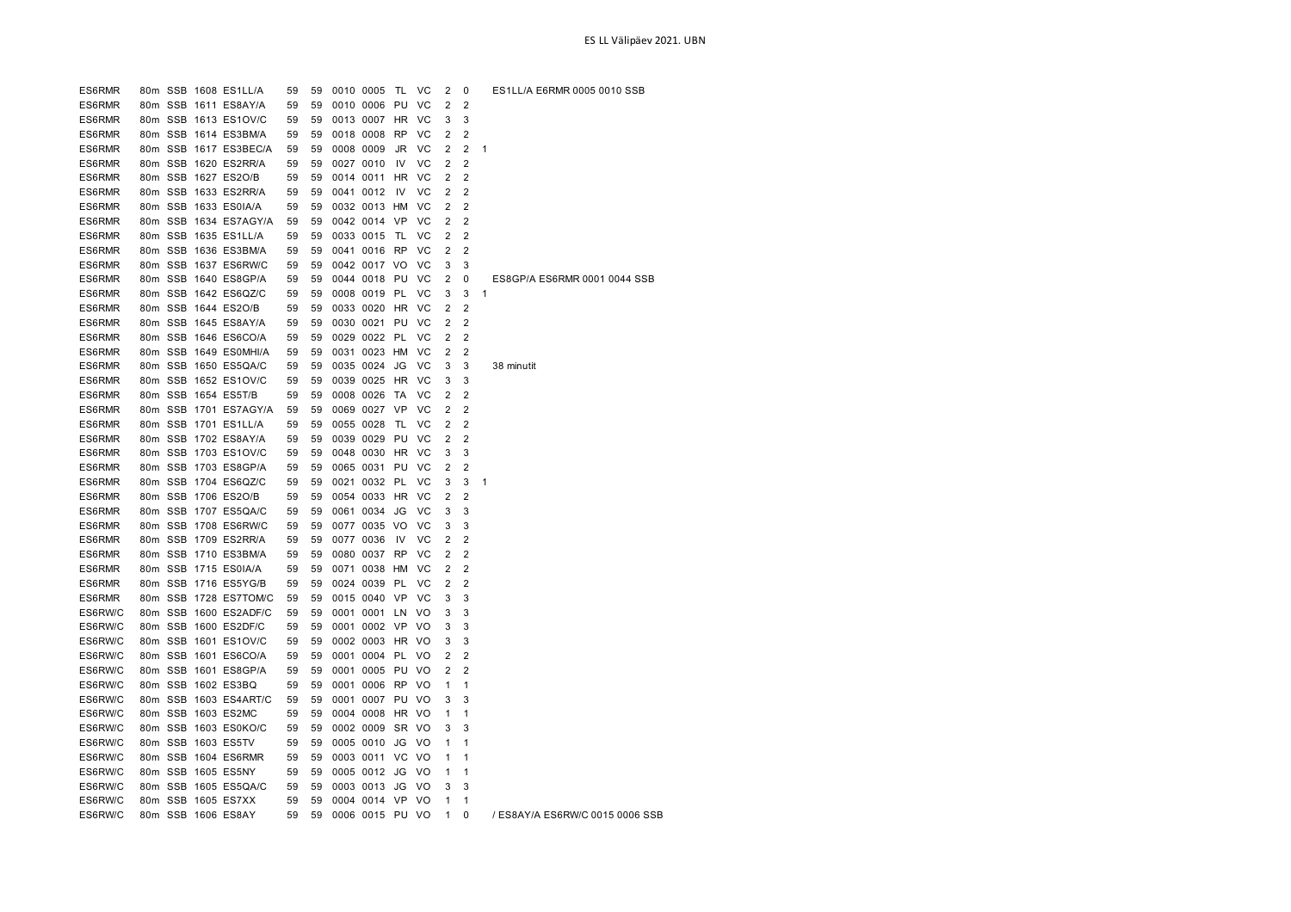| ES6RMR  |  | 80m SSB 1608 ES1LL/A  | 59 | 59 | 0010 0005       | TL.       | <b>VC</b>      | 2              | 0              | ES1LL/A E6RMR 0005 0010 SSB  |
|---------|--|-----------------------|----|----|-----------------|-----------|----------------|----------------|----------------|------------------------------|
| ES6RMR  |  | 80m SSB 1611 ES8AY/A  | 59 | 59 | 0010 0006 PU    |           | VC             | 2              | 2              |                              |
| ES6RMR  |  | 80m SSB 1613 ES1OV/C  | 59 | 59 | 0013 0007       | HR        | VC             | 3              | 3              |                              |
| ES6RMR  |  | 80m SSB 1614 ES3BM/A  | 59 | 59 | 0018 0008 RP    |           | VC             | 2              | 2              |                              |
| ES6RMR  |  | 80m SSB 1617 ES3BEC/A | 59 | 59 | 0008 0009       | JR        | VC             | 2              | 2              | 1                            |
| ES6RMR  |  | 80m SSB 1620 ES2RR/A  | 59 | 59 | 0027 0010       | IV        | VC             | $\overline{2}$ | 2              |                              |
| ES6RMR  |  | 80m SSB 1627 ES2O/B   | 59 | 59 | 0014 0011       | <b>HR</b> | <b>VC</b>      | 2              | $\overline{2}$ |                              |
| ES6RMR  |  | 80m SSB 1633 ES2RR/A  | 59 | 59 | 0041 0012       | IV.       | VC             | 2              | 2              |                              |
| ES6RMR  |  | 80m SSB 1633 ES0IA/A  | 59 | 59 | 0032 0013 HM    |           | VC             | 2              | $\overline{2}$ |                              |
| ES6RMR  |  | 80m SSB 1634 ES7AGY/A | 59 | 59 | 0042 0014 VP    |           | VC             | 2              | 2              |                              |
| ES6RMR  |  | 80m SSB 1635 ES1LL/A  | 59 | 59 | 0033 0015       | TL.       | VC             | 2              | $\overline{2}$ |                              |
| ES6RMR  |  | 80m SSB 1636 ES3BM/A  | 59 | 59 | 0041 0016 RP    |           | VC             | 2              | 2              |                              |
| ES6RMR  |  | 80m SSB 1637 ES6RW/C  | 59 | 59 | 0042 0017 VO    |           | VC             | 3              | 3              |                              |
| ES6RMR  |  | 80m SSB 1640 ES8GP/A  | 59 | 59 | 0044 0018 PU    |           | <b>VC</b>      | 2              | 0              | ES8GP/A ES6RMR 0001 0044 SSB |
| ES6RMR  |  | 80m SSB 1642 ES6QZ/C  | 59 | 59 | 0008 0019 PL    |           | VC             | 3              | 3              | 1                            |
| ES6RMR  |  | 80m SSB 1644 ES2O/B   | 59 | 59 | 0033 0020       | HR        | VC             | 2              | $\overline{2}$ |                              |
| ES6RMR  |  | 80m SSB 1645 ES8AY/A  | 59 | 59 | 0030 0021 PU    |           | <b>VC</b>      | 2              | $\overline{2}$ |                              |
| ES6RMR  |  | 80m SSB 1646 ES6CO/A  | 59 | 59 | 0029 0022 PL    |           | VC             | $\overline{2}$ | $\overline{2}$ |                              |
| ES6RMR  |  | 80m SSB 1649 ES0MHI/A | 59 | 59 | 0031 0023 HM    |           | VC             | 2              | 2              |                              |
| ES6RMR  |  | 80m SSB 1650 ES5QA/C  | 59 | 59 | 0035 0024       | JG        | VC             | 3              | 3              | 38 minutit                   |
| ES6RMR  |  | 80m SSB 1652 ES1OV/C  | 59 | 59 | 0039 0025 HR    |           | <b>VC</b>      | 3              | 3              |                              |
| ES6RMR  |  | 80m SSB 1654 ES5T/B   | 59 | 59 | 0008 0026       | TA        | VC             | 2              | 2              |                              |
| ES6RMR  |  | 80m SSB 1701 ES7AGY/A | 59 | 59 | 0069 0027 VP    |           | VC             | $\overline{2}$ | 2              |                              |
| ES6RMR  |  | 80m SSB 1701 ES1LL/A  | 59 | 59 | 0055 0028       | TL        | VC             | 2              | 2              |                              |
| ES6RMR  |  | 80m SSB 1702 ES8AY/A  | 59 | 59 | 0039 0029       | PU        | VC             | 2              | 2              |                              |
| ES6RMR  |  | 80m SSB 1703 ES1OV/C  | 59 | 59 | 0048 0030 HR VC |           |                | 3              | 3              |                              |
| ES6RMR  |  | 80m SSB 1703 ES8GP/A  | 59 | 59 | 0065 0031 PU    |           | <b>VC</b>      | $\overline{2}$ | 2              |                              |
| ES6RMR  |  | 80m SSB 1704 ES6QZ/C  | 59 | 59 | 0021 0032 PL    |           | VC             | 3              | 3              | 1                            |
| ES6RMR  |  | 80m SSB 1706 ES2O/B   | 59 | 59 | 0054 0033       | HR        | VC             | 2              | 2              |                              |
| ES6RMR  |  | 80m SSB 1707 ES5QA/C  | 59 | 59 | 0061 0034       | JG        | VC             | 3              | 3              |                              |
| ES6RMR  |  | 80m SSB 1708 ES6RW/C  | 59 | 59 | 0077 0035 VO    |           | VC             | 3              | 3              |                              |
| ES6RMR  |  | 80m SSB 1709 ES2RR/A  | 59 | 59 | 0077 0036       | IV.       | VC             | 2              | $\overline{2}$ |                              |
| ES6RMR  |  | 80m SSB 1710 ES3BM/A  | 59 | 59 | 0080 0037       | <b>RP</b> | VC             | 2              | 2              |                              |
| ES6RMR  |  | 80m SSB 1715 ES0IA/A  | 59 | 59 | 0071 0038 HM    |           | VC             | 2              | $\overline{2}$ |                              |
| ES6RMR  |  | 80m SSB 1716 ES5YG/B  | 59 | 59 | 0024 0039 PL    |           | VC             | $\overline{2}$ | $\overline{2}$ |                              |
| ES6RMR  |  | 80m SSB 1728 ES7TOM/C | 59 | 59 | 0015 0040 VP    |           | VC             | 3              | 3              |                              |
| ES6RW/C |  | 80m SSB 1600 ES2ADF/C | 59 | 59 | 0001 0001 LN    |           | VO             | 3              | 3              |                              |
| ES6RW/C |  | 80m SSB 1600 ES2DF/C  | 59 | 59 | 0001 0002 VP    |           | VO             | 3              | 3              |                              |
| ES6RW/C |  | 80m SSB 1601 ES1OV/C  | 59 | 59 | 0002 0003 HR VO |           |                | 3              | 3              |                              |
| ES6RW/C |  | 80m SSB 1601 ES6CO/A  | 59 | 59 | 0001 0004 PL    |           | VO             | 2              | 2              |                              |
| ES6RW/C |  | 80m SSB 1601 ES8GP/A  | 59 | 59 | 0001 0005 PU    |           | <b>VO</b>      | 2              | $\overline{2}$ |                              |
| ES6RW/C |  | 80m SSB 1602 ES3BQ    | 59 | 59 | 0001 0006 RP    |           | V <sub>O</sub> | 1              | 1              |                              |
| ES6RW/C |  | 80m SSB 1603 ES4ART/C | 59 | 59 | 0001 0007 PU VO |           |                | 3              | 3              |                              |
| ES6RW/C |  | 80m SSB 1603 ES2MC    | 59 | 59 | 0004 0008 HR VO |           |                | 1              | 1              |                              |
| ES6RW/C |  | 80m SSB 1603 ES0KO/C  | 59 | 59 | 0002 0009       | SR VO     |                | 3              | 3              |                              |
| ES6RW/C |  | 80m SSB 1603 ES5TV    | 59 | 59 | 0005 0010       | JG        | V <sub>O</sub> | 1              | 1              |                              |
| ES6RW/C |  | 80m SSB 1604 ES6RMR   | 59 | 59 | 0003 0011 VC    |           | - VO           | 1              | 1              |                              |
| ES6RW/C |  | 80m SSB 1605 ES5NY    | 59 | 59 | 0005 0012 JG    |           | VO             | 1              | 1              |                              |
| ES6RW/C |  | 80m SSB 1605 ES5QA/C  | 59 | 59 | 0003 0013 JG VO |           |                | 3              | 3              |                              |

ES6RW/C 80m SSB 1606 ES8AY 59 59 0006 0015 PU VO 1 0 / ES8AY/A ES6RW/C 0015 0006 SSB

ES6RW/C 80m SSB 1605 ES7XX 59 59 0004 0014 VP VO 1 1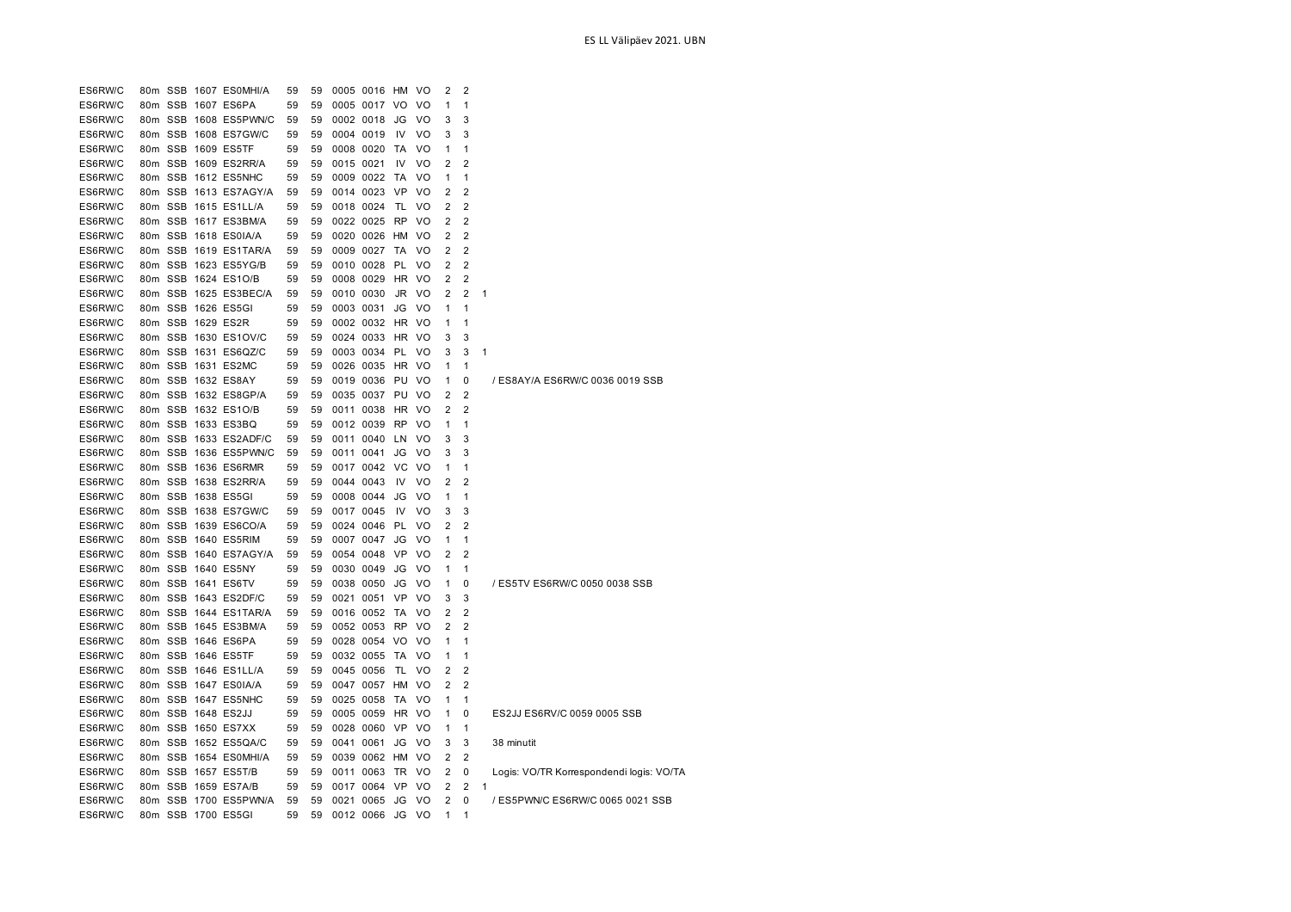| ES6RW/C |  | 80m SSB 1607 ES0MHI/A | 59 | 59 |           | 0005 0016 HM    |           | - VO           | 2              | 2              |              |                                          |
|---------|--|-----------------------|----|----|-----------|-----------------|-----------|----------------|----------------|----------------|--------------|------------------------------------------|
| ES6RW/C |  | 80m SSB 1607 ES6PA    | 59 | 59 |           | 0005 0017 VO    |           | VO.            | 1              | 1              |              |                                          |
| ES6RW/C |  | 80m SSB 1608 ES5PWN/C | 59 | 59 |           | 0002 0018       | JG        | VO             | 3              | 3              |              |                                          |
| ES6RW/C |  | 80m SSB 1608 ES7GW/C  | 59 | 59 |           | 0004 0019       | 1V        | VO             | 3              | 3              |              |                                          |
| ES6RW/C |  | 80m SSB 1609 ES5TF    | 59 | 59 |           | 0008 0020 TA    |           | V <sub>O</sub> | 1              | 1              |              |                                          |
| ES6RW/C |  | 80m SSB 1609 ES2RR/A  | 59 | 59 | 0015 0021 |                 | IV        | V <sub>O</sub> | 2              | 2              |              |                                          |
| ES6RW/C |  | 80m SSB 1612 ES5NHC   | 59 | 59 |           | 0009 0022 TA    |           | VO             | 1              | $\mathbf{1}$   |              |                                          |
| ES6RW/C |  | 80m SSB 1613 ES7AGY/A | 59 | 59 |           | 0014 0023 VP    |           | <b>VO</b>      | 2              | $\overline{2}$ |              |                                          |
| ES6RW/C |  | 80m SSB 1615 ES1LL/A  | 59 | 59 |           | 0018 0024 TL    |           | VO             | 2              | $\overline{2}$ |              |                                          |
| ES6RW/C |  | 80m SSB 1617 ES3BM/A  | 59 | 59 |           | 0022 0025 RP    |           | V <sub>O</sub> | 2              | 2              |              |                                          |
| ES6RW/C |  | 80m SSB 1618 ES0IA/A  | 59 | 59 |           | 0020 0026 HM    |           | <b>VO</b>      | 2              | $\overline{2}$ |              |                                          |
| ES6RW/C |  | 80m SSB 1619 ES1TAR/A | 59 | 59 |           | 0009 0027       | TA        | V <sub>O</sub> | 2              | $\overline{2}$ |              |                                          |
| ES6RW/C |  | 80m SSB 1623 ES5YG/B  | 59 | 59 |           | 0010 0028 PL    |           | - VO           | 2              | $\overline{2}$ |              |                                          |
| ES6RW/C |  | 80m SSB 1624 ES1O/B   | 59 | 59 |           | 0008 0029       | HR.       | - VO           | 2              | $\overline{2}$ |              |                                          |
| ES6RW/C |  | 80m SSB 1625 ES3BEC/A | 59 | 59 |           | 0010 0030       | JR        | - VO           | 2              | 2              | 1            |                                          |
| ES6RW/C |  | 80m SSB 1626 ES5GI    | 59 | 59 |           | 0003 0031       | JG        | <b>VO</b>      | 1              | 1              |              |                                          |
| ES6RW/C |  | 80m SSB 1629 ES2R     | 59 | 59 |           | 0002 0032 HR VO |           |                | 1              | $\mathbf{1}$   |              |                                          |
| ES6RW/C |  | 80m SSB 1630 ES1OV/C  | 59 | 59 |           | 0024 0033 HR    |           | - VO           | 3              | 3              |              |                                          |
| ES6RW/C |  | 80m SSB 1631 ES6QZ/C  | 59 | 59 |           | 0003 0034 PL    |           | VO             | 3              | 3              | 1            |                                          |
| ES6RW/C |  | 80m SSB 1631 ES2MC    | 59 | 59 |           | 0026 0035 HR VO |           |                | 1              | $\mathbf{1}$   |              |                                          |
| ES6RW/C |  | 80m SSB 1632 ES8AY    | 59 | 59 |           | 0019 0036 PU    |           | - VO           | 1              | $\Omega$       |              | / ES8AY/A ES6RW/C 0036 0019 SSB          |
| ES6RW/C |  | 80m SSB 1632 ES8GP/A  | 59 | 59 |           | 0035 0037 PU    |           | <b>VO</b>      | 2              | $\overline{2}$ |              |                                          |
| ES6RW/C |  | 80m SSB 1632 ES1O/B   | 59 | 59 |           | 0011 0038       | HR VO     |                | 2              | 2              |              |                                          |
| ES6RW/C |  | 80m SSB 1633 ES3BQ    | 59 | 59 |           | 0012 0039 RP    |           | <b>VO</b>      | 1              | 1              |              |                                          |
| ES6RW/C |  | 80m SSB 1633 ES2ADF/C | 59 | 59 |           | 0011 0040       | LN        | <b>VO</b>      | 3              | 3              |              |                                          |
| ES6RW/C |  | 80m SSB 1636 ES5PWN/C | 59 | 59 |           | 0011 0041       | JG        | VO             | 3              | 3              |              |                                          |
| ES6RW/C |  | 80m SSB 1636 ES6RMR   | 59 | 59 |           | 0017 0042 VC    |           | <b>VO</b>      | 1              | 1              |              |                                          |
| ES6RW/C |  | 80m SSB 1638 ES2RR/A  | 59 | 59 |           | 0044 0043       | IV        | VO             | 2              | 2              |              |                                          |
| ES6RW/C |  | 80m SSB 1638 ES5GI    | 59 | 59 |           | 0008 0044       | JG        | VO.            | 1              | 1              |              |                                          |
| ES6RW/C |  | 80m SSB 1638 ES7GW/C  | 59 | 59 |           | 0017 0045       | <b>IV</b> | <b>VO</b>      | 3              | 3              |              |                                          |
| ES6RW/C |  | 80m SSB 1639 ES6CO/A  | 59 | 59 |           | 0024 0046 PL    |           | V <sub>O</sub> | 2              | 2              |              |                                          |
| ES6RW/C |  | 80m SSB 1640 ES5RIM   | 59 | 59 |           | 0007 0047       | JG        | - VO           | 1              | 1              |              |                                          |
| ES6RW/C |  | 80m SSB 1640 ES7AGY/A | 59 | 59 |           | 0054 0048       | VP        | V <sub>O</sub> | 2              | 2              |              |                                          |
| ES6RW/C |  | 80m SSB 1640 ES5NY    | 59 | 59 |           | 0030 0049       | JG        | VO             | 1              | 1              |              |                                          |
| ES6RW/C |  | 80m SSB 1641 ES6TV    | 59 | 59 |           | 0038 0050       | JG        | <b>VO</b>      | 1              | 0              |              | / ES5TV ES6RW/C 0050 0038 SSB            |
| ES6RW/C |  | 80m SSB 1643 ES2DF/C  | 59 | 59 |           | 0021 0051 VP    |           | <b>VO</b>      | 3              | 3              |              |                                          |
| ES6RW/C |  | 80m SSB 1644 ES1TAR/A | 59 | 59 |           | 0016 0052 TA    |           | VO             | 2              | 2              |              |                                          |
| ES6RW/C |  | 80m SSB 1645 ES3BM/A  | 59 | 59 |           | 0052 0053 RP    |           | <b>VO</b>      | 2              | 2              |              |                                          |
| ES6RW/C |  | 80m SSB 1646 ES6PA    | 59 | 59 |           | 0028 0054 VO    |           | V <sub>O</sub> | 1              | 1              |              |                                          |
| ES6RW/C |  | 80m SSB 1646 ES5TF    | 59 | 59 |           | 0032 0055 TA    |           | VO             | 1              | 1              |              |                                          |
| ES6RW/C |  | 80m SSB 1646 ES1LL/A  | 59 | 59 |           | 0045 0056       | TL        | VO             | 2              | 2              |              |                                          |
| ES6RW/C |  | 80m SSB 1647 ES0IA/A  | 59 | 59 |           | 0047 0057 HM    |           | VO             | 2              | 2              |              |                                          |
| ES6RW/C |  | 80m SSB 1647 ES5NHC   | 59 | 59 |           | 0025 0058       | TA        | <b>VO</b>      | 1              | 1              |              |                                          |
| ES6RW/C |  | 80m SSB 1648 ES2JJ    | 59 | 59 |           | 0005 0059       | HR        | - VO           | 1              | 0              |              | ES2JJ ES6RV/C 0059 0005 SSB              |
| ES6RW/C |  | 80m SSB 1650 ES7XX    | 59 | 59 |           | 0028 0060 VP    |           | VO             | 1              | 1              |              |                                          |
| ES6RW/C |  | 80m SSB 1652 ES5QA/C  | 59 | 59 |           | 0041 0061       | JG        | <b>VO</b>      | 3              | 3              |              | 38 minutit                               |
| ES6RW/C |  | 80m SSB 1654 ES0MHI/A | 59 | 59 |           | 0039 0062 HM VO |           |                | 2              | $\overline{2}$ |              |                                          |
| ES6RW/C |  | 80m SSB 1657 ES5T/B   | 59 | 59 |           | 0011 0063       | - TR      | - VO           | 2              | 0              |              | Logis: VO/TR Korrespondendi logis: VO/TA |
| ES6RW/C |  | 80m SSB 1659 ES7A/B   | 59 | 59 |           | 0017 0064 VP    |           | <b>VO</b>      | 2              | $\overline{2}$ | $\mathbf{1}$ |                                          |
| ES6RW/C |  | 80m SSB 1700 ES5PWN/A | 59 | 59 |           | 0021 0065 JG    |           | <b>VO</b>      | $\overline{2}$ | 0              |              | / ES5PWN/C ES6RW/C 0065 0021 SSB         |
| ES6RW/C |  | 80m SSB 1700 ES5GI    | 59 | 59 |           | 0012 0066       | JG        | - VO           | 1              | 1              |              |                                          |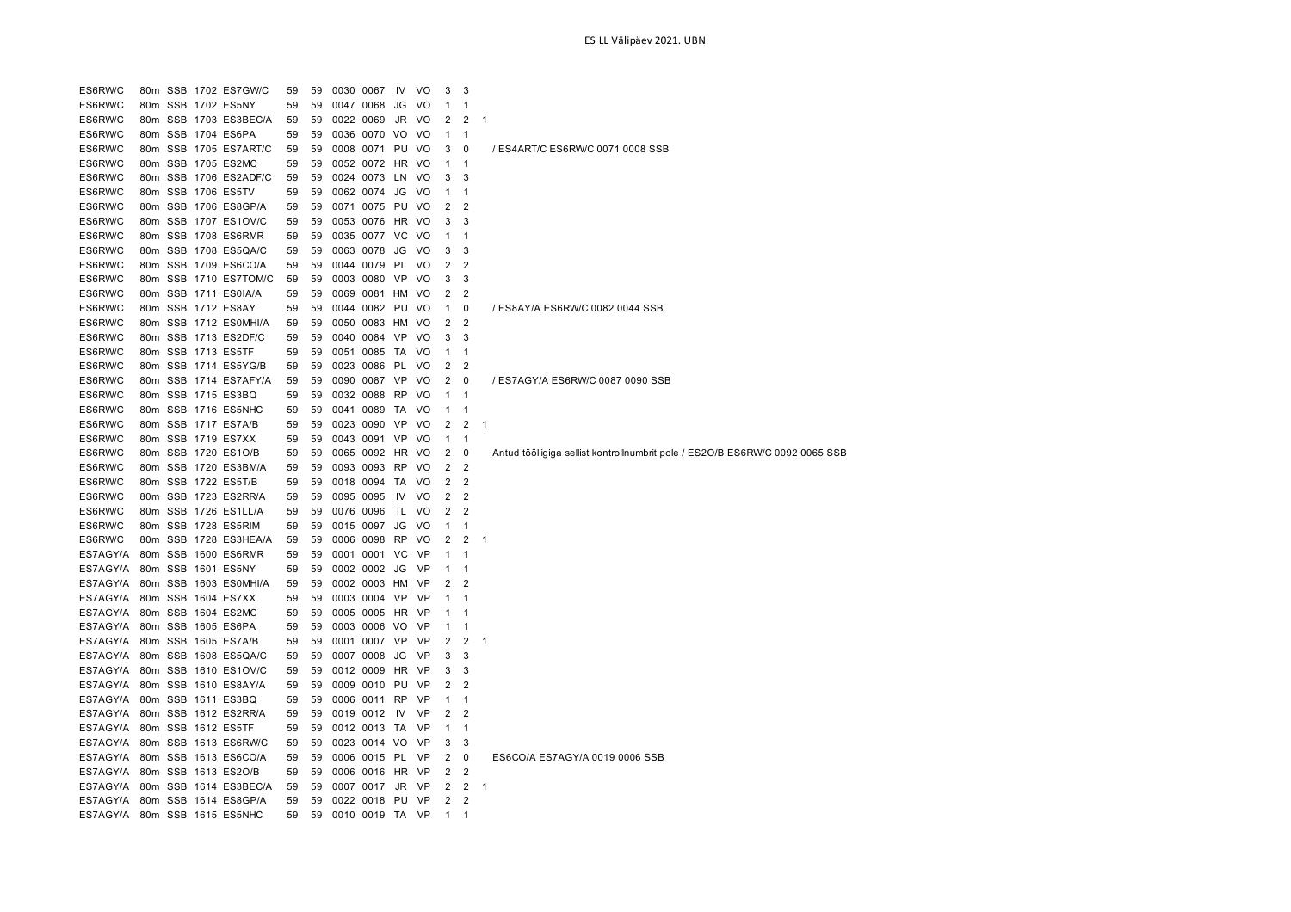ES6RW/C 80m SSB 1702 ES7GW/C 59 59 0030 0067 IV VO 3 3 ES6RW/C 80m SSB 1702 ES5NY 59 59 0047 0068 JG VO 1 1 ES6RW/C 80m SSB 1703 ES3BEC/A 59 59 0022 0069 JR VO 2 2 1 ES6RW/C 80m SSB 1704 ES6PA 59 59 0036 0070 VO VO 1 1 ES6RW/C 80m SSB 1705 ES7ART/C 59 59 0008 0071 PU VO 3 0 / ES4ART/C ES6RW/C 0071 0008 SSB ES6RW/C 80m SSB 1705 ES2MC 59 59 0052 0072 HR VO 1 1 ES6RW/C 80m SSB 1706 ES2ADF/C 59 59 0024 0073 LN VO 3 3 ES6RW/C 80m SSB 1706 ES5TV 59 59 0062 0074 JG VO 1 1 ES6RW/C 80m SSB 1706 ES8GP/A 59 59 0071 0075 PU VO 2 2 ES6RW/C 80m SSB 1707 ES1OV/C 59 59 0053 0076 HR VO 3 3 ES6RW/C 80m SSB 1708 ES6RMR 59 59 0035 0077 VC VO 1 1 ES6RW/C 80m SSB 1708 ES5QA/C 59 59 0063 0078 JG VO 3 3 ES6RW/C 80m SSB 1709 ES6CO/A 59 59 0044 0079 PL VO 2 2 ES6RW/C 80m SSB 1710 ES7TOM/C 59 59 0003 0080 VP VO 3 3 ES6RW/C 80m SSB 1711 ES0IA/A 59 59 0069 0081 HM VO 2 2 ES6RW/C 80m SSB 1712 ES8AY 59 59 0044 0082 PU VO 1 0 / ES8AY/A ES6RW/C 0082 0044 SSB ES6RW/C 80m SSB 1712 ES0MHI/A 59 59 0050 0083 HM VO 2 2 ES6RW/C 80m SSB 1713 ES2DF/C 59 59 0040 0084 VP VO 3 3 ES6RW/C 80m SSB 1713 ES5TF 59 59 0051 0085 TA VO 1 1 ES6RW/C 80m SSB 1714 ES5YG/B 59 59 0023 0086 PL VO 2 2 ES6RW/C 80m SSB 1714 ES7AFY/A 59 59 0090 0087 VP VO 2 0 / ES7AGY/A ES6RW/C 0087 0090 SSB ES6RW/C 80m SSB 1715 ES3BQ 59 59 0032 0088 RP VO 1 1 ES6RW/C 80m SSB 1716 ES5NHC 59 59 0041 0089 TA VO 1 1 ES6RW/C 80m SSB 1717 ES7A/B 59 59 0023 0090 VP VO 2 2 ES6RW/C 80m SSB 1719 ES7XX 59 59 0043 0091 VP VO 1 1 ES6RW/C 80m SSB 1720 ES1O/B 59 59 0065 0092 HR VO 2 0 Antud tööliigiga sellist kontrollnumbrit pole / ES2O/B ES6RW/C 0092 0065 SSB ES6RW/C 80m SSB 1720 ES3BM/A 59 59 0093 0093 RP VO 2 2 ES6RW/C 80m SSB 1722 ES5T/B 59 59 0018 0094 TA VO 2 2 ES6RW/C 80m SSB 1723 ES2RR/A 59 59 0095 0095 IV VO 2 2 ES6RW/C 80m SSB 1726 ES1LL/A 59 59 0076 0096 TL VO 2 2 ES6RW/C 80m SSB 1728 ES5RIM 59 59 0015 0097 JG VO 1 1 ES6RW/C 80m SSB 1728 ES3HEA/A 59 59 0006 0098 RP VO 2 2 1 ES7AGY/A 80m SSB 1600 ES6RMR 59 59 0001 0001 VC VP 1 1 ES7AGY/A 80m SSB 1601 ES5NY 59 59 0002 0002 JG VP 1 1 ES7AGY/A 80m SSB 1603 ES0MHI/A 59 59 0002 0003 HM VP 2 2 ES7AGY/A 80m SSB 1604 ES7XX 59 59 0003 0004 VP VP 1 1 ES7AGY/A 80m SSB 1604 ES2MC 59 59 0005 0005 HR VP 1 1 ES7AGY/A 80m SSB 1605 ES6PA 59 59 0003 0006 VO VP 1 1 ES7AGY/A 80m SSB 1605 ES7A/B 59 59 0001 0007 VP VP 2 2 ES7AGY/A 80m SSB 1608 ES5QA/C 59 59 0007 0008 JG VP 3 3 ES7AGY/A 80m SSB 1610 ES1OV/C 59 59 0012 0009 HR VP 3 3 ES7AGY/A 80m SSB 1610 ES8AY/A 59 59 0009 0010 PU VP 2 2 ES7AGY/A 80m SSB 1611 ES3BQ 59 59 0006 0011 RP VP 1 1 ES7AGY/A 80m SSB 1612 ES2RR/A 59 59 0019 0012 IV VP 2 2 ES7AGY/A 80m SSB 1612 ES5TF 59 59 0012 0013 TA VP 1 1 ES7AGY/A 80m SSB 1613 ES6RW/C 59 59 0023 0014 VO VP 3 3 ES7AGY/A 80m SSB 1613 ES6CO/A 59 59 0006 0015 PL VP 2 0 ES6CO/A ES7AGY/A 0019 0006 SSB ES7AGY/A 80m SSB 1613 ES2O/B 59 59 0006 0016 HR VP 2 2 ES7AGY/A 80m SSB 1614 ES3BEC/A 59 59 0007 0017 JR VP 2 2 1 ES7AGY/A 80m SSB 1614 ES8GP/A 59 59 0022 0018 PU VP 2 2 ES7AGY/A 80m SSB 1615 ES5NHC 59 59 0010 0019 TA VP 1 1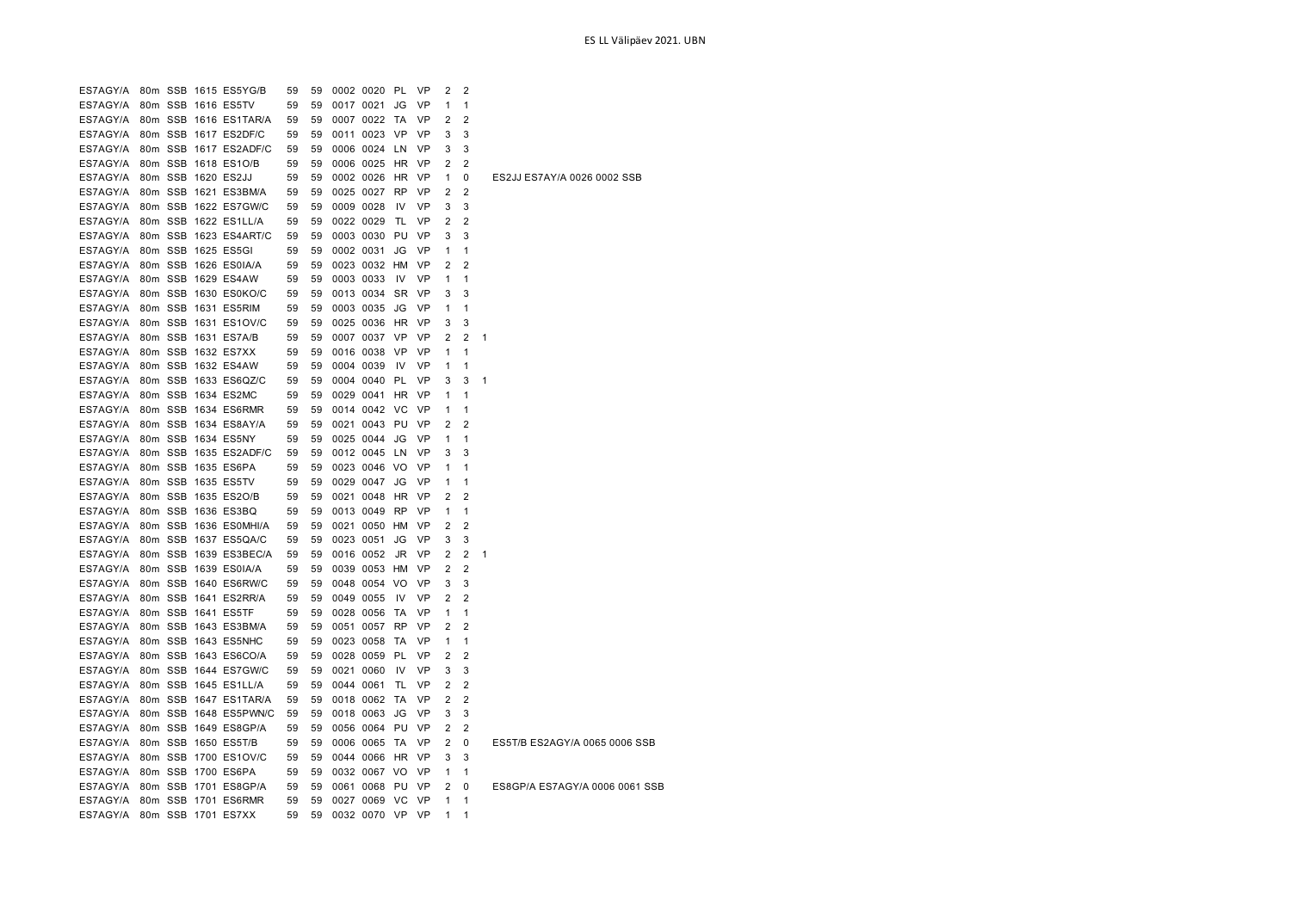| ES7AGY/A                      |  | 80m SSB 1615 ES5YG/B           | 59 | 59 | 0002 0020 PL    |           | - VP      | 2              | $\overline{2}$ |                                |
|-------------------------------|--|--------------------------------|----|----|-----------------|-----------|-----------|----------------|----------------|--------------------------------|
| ES7AGY/A                      |  | 80m SSB 1616 ES5TV             | 59 | 59 | 0017 0021       | JG        | <b>VP</b> | 1              | 1              |                                |
| ES7AGY/A                      |  | 80m SSB 1616 ES1TAR/A          | 59 | 59 | 0007 0022 TA    |           | VP        | 2              | 2              |                                |
|                               |  | ES7AGY/A 80m SSB 1617 ES2DF/C  | 59 | 59 | 0011 0023 VP    |           | VP        | 3              | 3              |                                |
|                               |  | ES7AGY/A 80m SSB 1617 ES2ADF/C | 59 | 59 | 0006 0024 LN    |           | <b>VP</b> | 3              | 3              |                                |
| ES7AGY/A 80m SSB 1618 ES1O/B  |  |                                | 59 | 59 | 0006 0025 HR VP |           |           | 2              | 2              |                                |
| ES7AGY/A 80m SSB 1620 ES2JJ   |  |                                | 59 | 59 | 0002 0026 HR VP |           |           | $\mathbf{1}$   | 0              | ES2JJ ES7AY/A 0026 0002 SSB    |
|                               |  | ES7AGY/A 80m SSB 1621 ES3BM/A  | 59 | 59 | 0025 0027 RP    |           | <b>VP</b> | 2              | 2              |                                |
|                               |  | ES7AGY/A 80m SSB 1622 ES7GW/C  | 59 | 59 | 0009 0028       | IV        | VP        | 3              | 3              |                                |
| ES7AGY/A 80m SSB 1622 ES1LL/A |  |                                | 59 | 59 | 0022 0029       | TL        | <b>VP</b> | 2              | $\overline{2}$ |                                |
|                               |  | ES7AGY/A 80m SSB 1623 ES4ART/C | 59 | 59 | 0003 0030 PU VP |           |           | 3              | 3              |                                |
| ES7AGY/A 80m SSB 1625 ES5GI   |  |                                | 59 | 59 | 0002 0031       | JG        | <b>VP</b> | 1              | $\mathbf{1}$   |                                |
| ES7AGY/A 80m SSB 1626 ES0IA/A |  |                                | 59 | 59 | 0023 0032 HM VP |           |           | 2              | $\overline{2}$ |                                |
| ES7AGY/A 80m SSB 1629 ES4AW   |  |                                | 59 | 59 | 0003 0033       | IV        | VP        | 1              | $\mathbf{1}$   |                                |
|                               |  | ES7AGY/A 80m SSB 1630 ES0KO/C  | 59 | 59 | 0013 0034       | SR VP     |           | 3              | 3              |                                |
| ES7AGY/A 80m SSB 1631 ES5RIM  |  |                                | 59 | 59 | 0003 0035       | JG        | VP        | $\mathbf{1}$   | $\mathbf{1}$   |                                |
|                               |  | ES7AGY/A 80m SSB 1631 ES1OV/C  | 59 | 59 | 0025 0036 HR VP |           |           | 3              | 3              |                                |
| ES7AGY/A 80m SSB 1631 ES7A/B  |  |                                | 59 | 59 | 0007 0037 VP    |           | <b>VP</b> | 2              | $\overline{2}$ | 1                              |
| ES7AGY/A 80m SSB 1632 ES7XX   |  |                                | 59 | 59 | 0016 0038 VP    |           | <b>VP</b> | $\mathbf{1}$   | $\mathbf{1}$   |                                |
| ES7AGY/A 80m SSB 1632 ES4AW   |  |                                | 59 | 59 | 0004 0039       | IV.       | <b>VP</b> | 1              | 1              |                                |
|                               |  | ES7AGY/A 80m SSB 1633 ES6QZ/C  | 59 | 59 | 0004 0040 PL    |           | <b>VP</b> | 3              | 3              | $\mathbf{1}$                   |
| ES7AGY/A 80m SSB 1634 ES2MC   |  |                                | 59 | 59 | 0029 0041 HR VP |           |           | 1              | 1              |                                |
| ES7AGY/A 80m SSB 1634 ES6RMR  |  |                                | 59 | 59 | 0014 0042 VC    |           | <b>VP</b> | 1              | $\mathbf{1}$   |                                |
|                               |  | ES7AGY/A 80m SSB 1634 ES8AY/A  | 59 | 59 | 0021 0043 PU VP |           |           | 2              | $\overline{2}$ |                                |
| ES7AGY/A 80m SSB 1634 ES5NY   |  |                                | 59 | 59 | 0025 0044 JG    |           | <b>VP</b> | 1              | 1              |                                |
|                               |  | ES7AGY/A 80m SSB 1635 ES2ADF/C | 59 | 59 | 0012 0045 LN    |           | <b>VP</b> | 3              | 3              |                                |
| ES7AGY/A 80m SSB 1635 ES6PA   |  |                                | 59 | 59 | 0023 0046 VO    |           | <b>VP</b> | 1              | 1              |                                |
| ES7AGY/A 80m SSB 1635 ES5TV   |  |                                | 59 | 59 | 0029 0047 JG    |           | <b>VP</b> | 1              | $\mathbf{1}$   |                                |
| ES7AGY/A 80m SSB 1635 ES2O/B  |  |                                | 59 | 59 | 0021 0048 HR    |           | <b>VP</b> | 2              | $\overline{2}$ |                                |
| ES7AGY/A 80m SSB 1636 ES3BQ   |  |                                | 59 | 59 | 0013 0049 RP    |           | <b>VP</b> | 1              | 1              |                                |
|                               |  | ES7AGY/A 80m SSB 1636 ES0MHI/A | 59 | 59 | 0021 0050 HM    |           | <b>VP</b> | 2              | $\overline{2}$ |                                |
|                               |  | ES7AGY/A 80m SSB 1637 ES5QA/C  | 59 | 59 | 0023 0051       | JG        | VP        | 3              | 3              |                                |
|                               |  | ES7AGY/A 80m SSB 1639 ES3BEC/A | 59 | 59 | 0016 0052       | JR.       | <b>VP</b> | $\overline{2}$ | $\overline{2}$ | 1                              |
| ES7AGY/A 80m SSB 1639 ES0IA/A |  |                                | 59 | 59 | 0039 0053 HM    |           | VP        | 2              | $\overline{2}$ |                                |
|                               |  | ES7AGY/A 80m SSB 1640 ES6RW/C  | 59 | 59 | 0048 0054 VO    |           | VP        | 3              | 3              |                                |
|                               |  | ES7AGY/A 80m SSB 1641 ES2RR/A  | 59 | 59 | 0049 0055       | <b>IV</b> | <b>VP</b> | $\overline{2}$ | $\overline{2}$ |                                |
| ES7AGY/A 80m SSB 1641 ES5TF   |  |                                | 59 | 59 | 0028 0056       | <b>TA</b> | VP        | 1              | 1              |                                |
|                               |  | ES7AGY/A 80m SSB 1643 ES3BM/A  | 59 | 59 | 0051 0057 RP    |           | <b>VP</b> | 2              | $\overline{2}$ |                                |
| ES7AGY/A 80m SSB 1643 ES5NHC  |  |                                | 59 | 59 | 0023 0058       | TA        | <b>VP</b> | $\mathbf{1}$   | 1              |                                |
|                               |  | ES7AGY/A 80m SSB 1643 ES6CO/A  | 59 | 59 | 0028 0059 PL    |           | <b>VP</b> | 2              | 2              |                                |
|                               |  | ES7AGY/A 80m SSB 1644 ES7GW/C  | 59 | 59 | 0021 0060       | <b>IV</b> | <b>VP</b> | 3              | 3              |                                |
| ES7AGY/A                      |  | 80m SSB 1645 ES1LL/A           | 59 | 59 | 0044 0061       | TL        | VP        | 2              | $\overline{2}$ |                                |
|                               |  | ES7AGY/A 80m SSB 1647 ES1TAR/A | 59 | 59 | 0018 0062 TA    |           | <b>VP</b> | 2              | 2              |                                |
| ES7AGY/A                      |  | 80m SSB 1648 ES5PWN/C          | 59 | 59 | 0018 0063       | JG        | <b>VP</b> | 3              | 3              |                                |
|                               |  | ES7AGY/A 80m SSB 1649 ES8GP/A  | 59 | 59 | 0056 0064 PU VP |           |           | 2              | $\overline{2}$ |                                |
| ES7AGY/A 80m SSB 1650 ES5T/B  |  |                                | 59 | 59 | 0006 0065       | <b>TA</b> | <b>VP</b> | 2              | 0              | ES5T/B ES2AGY/A 0065 0006 SSB  |
|                               |  | ES7AGY/A 80m SSB 1700 ES1OV/C  | 59 | 59 | 0044 0066 HR VP |           |           | 3              | 3              |                                |
| ES7AGY/A 80m SSB 1700 ES6PA   |  |                                | 59 | 59 | 0032 0067 VO    |           | <b>VP</b> | 1              | 1              |                                |
|                               |  | ES7AGY/A 80m SSB 1701 ES8GP/A  | 59 | 59 | 0061 0068 PU VP |           |           | 2              | 0              | ES8GP/A ES7AGY/A 0006 0061 SSB |
|                               |  | ES7AGY/A 80m SSB 1701 ES6RMR   | 59 | 59 | 0027 0069 VC    |           | <b>VP</b> | 1              | 1              |                                |
| ES7AGY/A                      |  | 80m SSB 1701 ES7XX             | 59 | 59 | 0032 0070 VP    |           | <b>VP</b> |                | 1              |                                |
|                               |  |                                |    |    |                 |           |           |                |                |                                |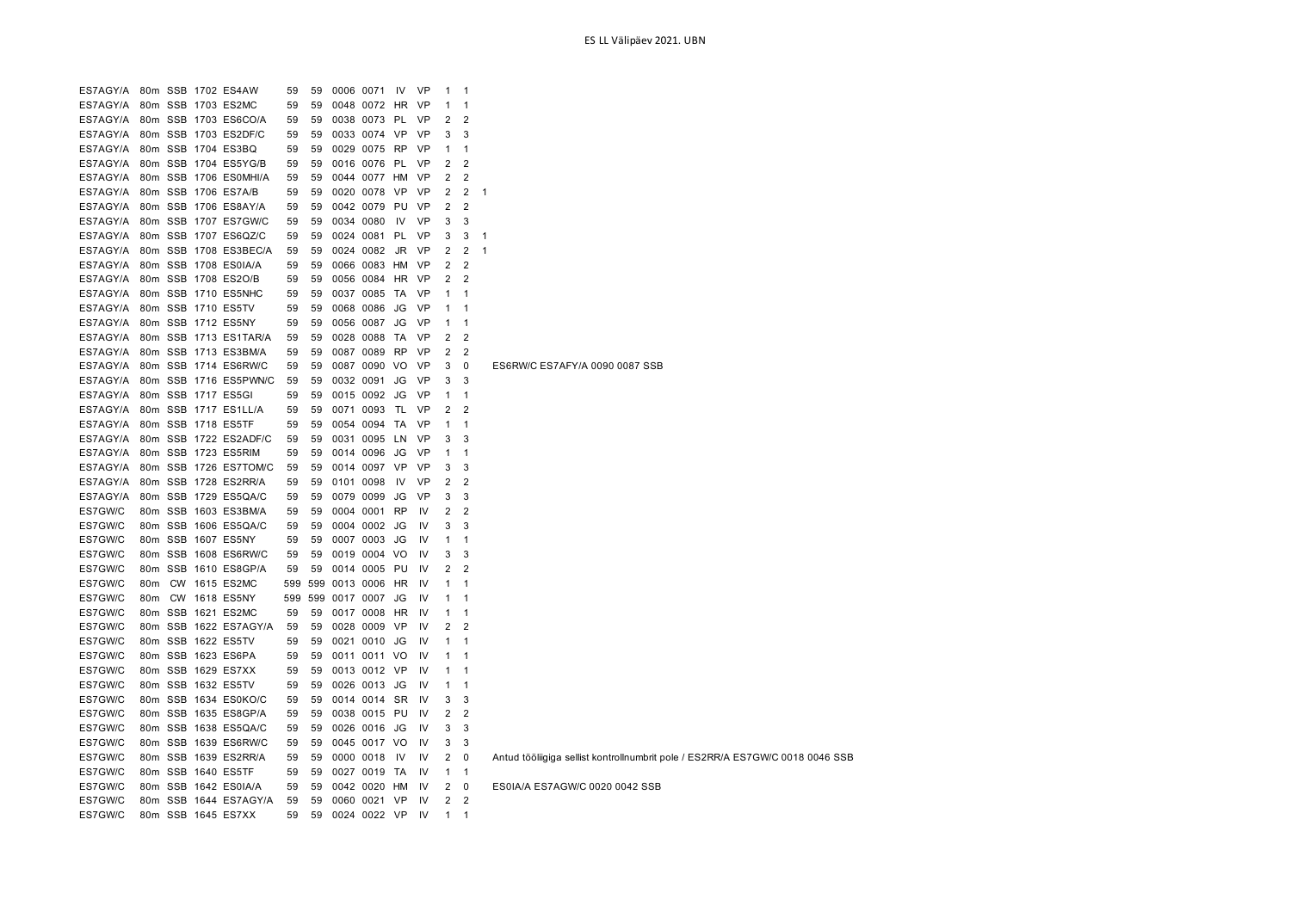| ES7AGY/A             |                 |           | 80m SSB 1702 ES4AW                           | 59       | 59       | 0006 0071                 | IV        | <b>VP</b> | -1             | $\mathbf 1$         |   |                                                                               |
|----------------------|-----------------|-----------|----------------------------------------------|----------|----------|---------------------------|-----------|-----------|----------------|---------------------|---|-------------------------------------------------------------------------------|
| ES7AGY/A             |                 |           | 80m SSB 1703 ES2MC                           | 59       | 59       | 0048 0072 HR              |           | VP        | 1              | 1                   |   |                                                                               |
| ES7AGY/A             |                 |           | 80m SSB 1703 ES6CO/A                         | 59       | 59       | 0038 0073 PL              |           | VP        | 2              | $\overline{2}$      |   |                                                                               |
| ES7AGY/A             |                 |           | 80m SSB 1703 ES2DF/C                         | 59       | 59       | 0033 0074 VP              |           | VP        | 3              | 3                   |   |                                                                               |
| ES7AGY/A             |                 |           | 80m SSB 1704 ES3BQ                           | 59       | 59       | 0029 0075 RP              |           | VP        | -1             | 1                   |   |                                                                               |
| ES7AGY/A             |                 |           | 80m SSB 1704 ES5YG/B                         | 59       | 59       | 0016 0076 PL              |           | <b>VP</b> | $\overline{2}$ | $\overline{2}$      |   |                                                                               |
| ES7AGY/A             |                 |           | 80m SSB 1706 ES0MHI/A                        | 59       | 59       | 0044 0077 HM              |           | <b>VP</b> | $\overline{2}$ | 2                   |   |                                                                               |
| ES7AGY/A             |                 |           | 80m SSB 1706 ES7A/B                          | 59       | 59       | 0020 0078                 | VP        | VP        | $\overline{2}$ | $\overline{2}$      | 1 |                                                                               |
| ES7AGY/A             |                 |           | 80m SSB 1706 ES8AY/A                         | 59       | 59       | 0042 0079                 | PU        | VP        | $\overline{2}$ | $\overline{2}$      |   |                                                                               |
| ES7AGY/A             |                 |           | 80m SSB 1707 ES7GW/C                         | 59       | 59       | 0034 0080                 | IV        | VP        | 3              | 3                   |   |                                                                               |
| ES7AGY/A             |                 |           | 80m SSB 1707 ES6QZ/C                         | 59       | 59       | 0024 0081                 | PL        | VP        | 3              | 3                   | 1 |                                                                               |
| ES7AGY/A             |                 |           | 80m SSB 1708 ES3BEC/A                        | 59       | 59       | 0024 0082                 | JR.       | VP        | $\overline{2}$ | $\overline{2}$      | 1 |                                                                               |
| ES7AGY/A             |                 |           | 80m SSB 1708 ES0IA/A                         | 59       | 59       | 0066 0083 HM              |           | VP        | $\overline{2}$ | $\overline{2}$      |   |                                                                               |
| ES7AGY/A             |                 |           | 80m SSB 1708 ES2O/B                          | 59       | 59       | 0056 0084                 | HR        | VP        | 2              | 2                   |   |                                                                               |
| ES7AGY/A             |                 |           | 80m SSB 1710 ES5NHC                          | 59       | 59       | 0037 0085                 | TA        | VP        | 1              | 1                   |   |                                                                               |
| ES7AGY/A             |                 |           | 80m SSB 1710 ES5TV                           | 59       | 59       | 0068 0086                 | JG        | VP        | -1             | -1                  |   |                                                                               |
| ES7AGY/A             |                 |           | 80m SSB 1712 ES5NY                           | 59       | 59       | 0056 0087                 | JG        | VP        | $\mathbf{1}$   | $\mathbf{1}$        |   |                                                                               |
| ES7AGY/A             |                 |           | 80m SSB 1713 ES1TAR/A                        | 59       | 59       | 0028 0088                 | TA        | <b>VP</b> | $\overline{2}$ | $\overline{2}$      |   |                                                                               |
| ES7AGY/A             |                 |           | 80m SSB 1713 ES3BM/A                         | 59       | 59       | 0087 0089                 | RP        | VP        | $\overline{2}$ | $\overline{2}$      |   |                                                                               |
| ES7AGY/A             |                 |           | 80m SSB 1714 ES6RW/C                         | 59       | 59       | 0087 0090 VO              |           | VP        | 3              | 0                   |   | ES6RW/C ES7AFY/A 0090 0087 SSB                                                |
| ES7AGY/A             |                 |           | 80m SSB 1716 ES5PWN/C                        | 59       | 59       | 0032 0091                 | JG        | <b>VP</b> | 3              | 3                   |   |                                                                               |
| ES7AGY/A             |                 |           | 80m SSB 1717 ES5GI                           | 59       | 59       | 0015 0092                 | JG        | VP        | 1              | 1                   |   |                                                                               |
| ES7AGY/A             |                 |           | 80m SSB 1717 ES1LL/A                         | 59       | 59       | 0071 0093                 | TL        | VP        | 2              | $\overline{2}$      |   |                                                                               |
| ES7AGY/A             |                 |           | 80m SSB 1718 ES5TF                           | 59       | 59       | 0054 0094                 | TA        | VP        | 1              | 1                   |   |                                                                               |
| ES7AGY/A             |                 |           |                                              |          |          |                           |           | VP        | 3              | 3                   |   |                                                                               |
| ES7AGY/A             |                 |           | 80m SSB 1722 ES2ADF/C<br>80m SSB 1723 ES5RIM | 59<br>59 | 59<br>59 | 0031 0095 LN<br>0014 0096 | JG        | VP        | 1              | $\mathbf{1}$        |   |                                                                               |
| ES7AGY/A             |                 |           |                                              |          | 59       |                           | <b>VP</b> | <b>VP</b> | 3              |                     |   |                                                                               |
|                      |                 |           | 80m SSB 1726 ES7TOM/C                        | 59       |          | 0014 0097                 |           |           | $\overline{2}$ | 3<br>$\overline{2}$ |   |                                                                               |
| ES7AGY/A<br>ES7AGY/A |                 |           | 80m SSB 1728 ES2RR/A<br>80m SSB 1729 ES5QA/C | 59       | 59       | 0101 0098<br>0079 0099    | IV<br>JG  | VP<br>VP  | 3              | 3                   |   |                                                                               |
|                      |                 |           |                                              | 59       | 59       |                           |           |           |                |                     |   |                                                                               |
| ES7GW/C              |                 |           | 80m SSB 1603 ES3BM/A                         | 59       | 59       | 0004 0001                 | <b>RP</b> | IV        | 2              | $\overline{2}$      |   |                                                                               |
| ES7GW/C              |                 |           | 80m SSB 1606 ES5QA/C                         | 59       | 59       | 0004 0002                 | JG        | IV        | 3              | 3                   |   |                                                                               |
| ES7GW/C              |                 |           | 80m SSB 1607 ES5NY                           | 59       | 59       | 0007 0003                 | JG        | IV        | $\mathbf{1}$   | $\mathbf{1}$        |   |                                                                               |
| ES7GW/C              |                 |           | 80m SSB 1608 ES6RW/C                         | 59       | 59       | 0019 0004                 | VO        | IV        | 3              | 3                   |   |                                                                               |
| ES7GW/C              |                 |           | 80m SSB 1610 ES8GP/A                         | 59       | 59       | 0014 0005                 | PU        | IV        | 2              | $\overline{2}$      |   |                                                                               |
| ES7GW/C              | 80m             | <b>CW</b> | 1615 ES2MC                                   | 599      | 599      | 0013 0006                 | HR        | IV        | -1             | 1                   |   |                                                                               |
| ES7GW/C              | 80m             |           | CW 1618 ES5NY                                | 599      | 599      | 0017 0007                 | JG        | IV        | 1              | 1                   |   |                                                                               |
| ES7GW/C              |                 |           | 80m SSB 1621 ES2MC                           | 59       | 59       | 0017 0008                 | HR        | IV        | 1              | $\mathbf{1}$        |   |                                                                               |
| ES7GW/C              |                 |           | 80m SSB 1622 ES7AGY/A                        | 59       | 59       | 0028 0009                 | VP        | IV        | 2              | 2                   |   |                                                                               |
| ES7GW/C              | 80m             |           | SSB 1622 ES5TV                               | 59       | 59       | 0021 0010                 | JG        | IV        | $\mathbf{1}$   | $\mathbf{1}$        |   |                                                                               |
| ES7GW/C              | 80m             |           | SSB 1623 ES6PA                               | 59       | 59       | 0011 0011 VO              |           | IV        | 1              | $\mathbf 1$         |   |                                                                               |
| ES7GW/C              | 80 <sub>m</sub> |           | <b>SSB 1629 ES7XX</b>                        | 59       | 59       | 0013 0012 VP              |           | IV        | 1              | $\mathbf{1}$        |   |                                                                               |
| ES7GW/C              |                 |           | 80m SSB 1632 ES5TV                           | 59       | 59       | 0026 0013                 | JG        | IV        | 1              | $\mathbf{1}$        |   |                                                                               |
| ES7GW/C              |                 |           | 80m SSB 1634 ES0KO/C                         | 59       | 59       | 0014 0014 SR              |           | IV        | 3              | 3                   |   |                                                                               |
| ES7GW/C              |                 |           | 80m SSB 1635 ES8GP/A                         | 59       | 59       | 0038 0015 PU              |           | IV        | $\overline{2}$ | $\overline{2}$      |   |                                                                               |
| ES7GW/C              |                 |           | 80m SSB 1638 ES5QA/C                         | 59       | 59       | 0026 0016 JG              |           | IV        | 3              | 3                   |   |                                                                               |
| ES7GW/C              |                 |           | 80m SSB 1639 ES6RW/C                         | 59       | 59       | 0045 0017 VO              |           | IV        | 3              | 3                   |   |                                                                               |
| ES7GW/C              |                 |           | 80m SSB 1639 ES2RR/A                         | 59       | 59       | 0000 0018                 | 1V        | IV        | 2              | 0                   |   | Antud tööliigiga sellist kontrollnumbrit pole / ES2RR/A ES7GW/C 0018 0046 SSB |
| ES7GW/C              |                 |           | 80m SSB 1640 ES5TF                           | 59       | 59       | 0027 0019                 | TA        | IV        | 1              | $\mathbf{1}$        |   |                                                                               |
| ES7GW/C              |                 |           | 80m SSB 1642 ES0IA/A                         | 59       | 59       | 0042 0020                 | HM        | IV        | 2              | 0                   |   | ES0IA/A ES7AGW/C 0020 0042 SSB                                                |
| ES7GW/C              |                 |           | 80m SSB 1644 ES7AGY/A                        | 59       | 59       | 0060 0021                 | <b>VP</b> | IV        | $\overline{2}$ | $\overline{2}$      |   |                                                                               |
| ES7GW/C              |                 |           | 80m SSB 1645 ES7XX                           | 59       | 59       | 0024 0022 VP              |           | IV        | 1              | 1                   |   |                                                                               |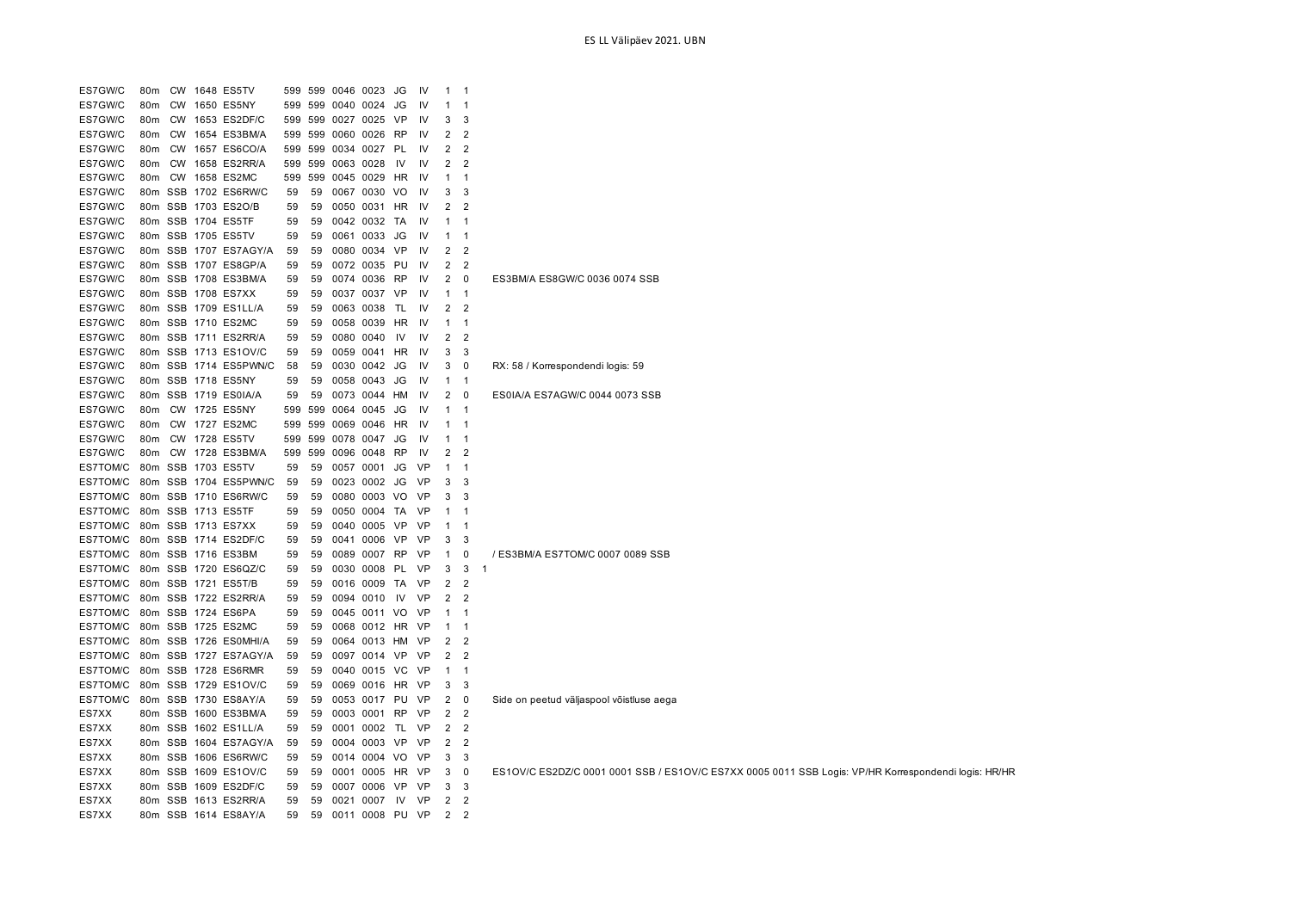| ES7GW/C              | 80m             | <b>CW</b> | 1648 ES5TV                                  | 599      | 599      | 0046 0023         |                  | JG        | IV        | $\mathbf{1}$      | $\overline{1}$    |                                                                                                      |
|----------------------|-----------------|-----------|---------------------------------------------|----------|----------|-------------------|------------------|-----------|-----------|-------------------|-------------------|------------------------------------------------------------------------------------------------------|
| ES7GW/C              | 80m             | <b>CW</b> | 1650 ES5NY                                  | 599      | 599      | 0040              | 0024             | JG        | 1V        |                   | -1                |                                                                                                      |
| ES7GW/C              | 80 <sub>m</sub> | <b>CW</b> | 1653 ES2DF/C                                | 599      |          |                   | 599 0027 0025    | <b>VP</b> | 1V        | 3                 | 3                 |                                                                                                      |
| ES7GW/C              | 80 <sub>m</sub> | CW        | 1654 ES3BM/A                                | 599      |          | 599 0060          | 0026             | <b>RP</b> | IV        | $\overline{2}$    | $\overline{2}$    |                                                                                                      |
| ES7GW/C              | 80m             | CW        | 1657 ES6CO/A                                | 599      |          |                   | 599 0034 0027 PL |           | IV        | 2                 | $\overline{2}$    |                                                                                                      |
| ES7GW/C              | 80m             | <b>CW</b> | 1658 ES2RR/A                                | 599      |          | 599 0063          | 0028             | IV        | 1V        | $\overline{2}$    | $\overline{2}$    |                                                                                                      |
| ES7GW/C              | 80 <sub>m</sub> | <b>CW</b> | 1658 ES2MC                                  | 599      |          |                   | 599 0045 0029    | HR        | <b>IV</b> | $\mathbf{1}$      | $\mathbf{1}$      |                                                                                                      |
| ES7GW/C              |                 | 80m SSB   | 1702 ES6RW/C                                | 59       | 59       | 0067              | 0030             | VO        | 1V        | 3                 | 3                 |                                                                                                      |
| ES7GW/C              |                 | 80m SSB   | 1703 ES2O/B                                 | 59       | 59       | 0050              | 0031             | HR        | 1V        | $\overline{2}$    | $\overline{2}$    |                                                                                                      |
| ES7GW/C              |                 | 80m SSB   | 1704 ES5TF                                  | 59       | 59       | 0042              | 0032             | TA        | IV        | $\mathbf{1}$      | $\mathbf{1}$      |                                                                                                      |
| ES7GW/C              |                 |           | 80m SSB 1705 ES5TV                          | 59       | 59       | 0061 0033         |                  | JG        | .IV       | $\mathbf{1}$      | $\overline{1}$    |                                                                                                      |
| ES7GW/C              |                 |           | 80m SSB 1707 ES7AGY/A                       | 59       | 59       | 0080              | 0034             | VP        | 1V        | $\overline{2}$    | $\overline{2}$    |                                                                                                      |
| ES7GW/C              |                 |           | 80m SSB 1707 ES8GP/A                        | 59       | 59       |                   | 0072 0035 PU     |           | 1V        | $\overline{2}$    | $\overline{2}$    |                                                                                                      |
| ES7GW/C              | 80m SSB         |           | 1708 ES3BM/A                                | 59       | 59       | 0074              | 0036             | RP        | 1V        | $\overline{2}$    | 0                 | ES3BM/A ES8GW/C 0036 0074 SSB                                                                        |
| ES7GW/C              |                 |           | 80m SSB 1708 ES7XX                          | 59       | 59       |                   | 0037 0037        | <b>VP</b> | .IV       | $\mathbf 1$       | $\mathbf{1}$      |                                                                                                      |
| ES7GW/C              |                 |           | 80m SSB 1709 ES1LL/A                        | 59       | 59       | 0063 0038         |                  | <b>TL</b> | 1V        | $\overline{2}$    | $\overline{2}$    |                                                                                                      |
| ES7GW/C              |                 |           | 80m SSB 1710 ES2MC                          | 59       |          | 59 0058           | 0039             | HR        | 1V        | $\mathbf{1}$      | $\mathbf{1}$      |                                                                                                      |
| ES7GW/C              |                 |           | 80m SSB 1711 ES2RR/A                        | 59       |          | 59 0080 0040      |                  | IV        | 1V        | 2                 | $\overline{2}$    |                                                                                                      |
| ES7GW/C              |                 |           | 80m SSB 1713 ES1OV/C                        | 59       |          |                   | 59 0059 0041 HR  |           | .IV       | 3                 | 3                 |                                                                                                      |
| ES7GW/C              |                 |           | 80m SSB 1714 ES5PWN/C                       | 58       |          |                   | 59 0030 0042     | JG        | 1V        | 3                 | 0                 | RX: 58 / Korrespondendi logis: 59                                                                    |
| ES7GW/C              |                 | 80m SSB   | 1718 ES5NY                                  | 59       | 59       | 0058              | 0043             | JG        | 1V        | $\mathbf{1}$      | $\overline{1}$    |                                                                                                      |
| ES7GW/C              |                 |           | 80m SSB 1719 ES0IA/A                        | 59       |          |                   | 59 0073 0044 HM  |           | 1V        | $\overline{2}$    | 0                 | ES0IA/A ES7AGW/C 0044 0073 SSB                                                                       |
| ES7GW/C              | 80 <sub>m</sub> | <b>CW</b> | 1725 ES5NY                                  |          | 599      |                   |                  |           | IV        | $\mathbf{1}$      | $\overline{1}$    |                                                                                                      |
| ES7GW/C              |                 |           | <b>CW 1727 ES2MC</b>                        | 599      |          | 0064<br>599 0069  | 0045<br>0046     | JG<br>HR  | 1V        | $\mathbf 1$       | $\overline{1}$    |                                                                                                      |
| ES7GW/C              | 80m             |           |                                             | 599      |          |                   |                  |           |           |                   |                   |                                                                                                      |
|                      | 80m             | <b>CW</b> | 1728 ES5TV                                  | 599      | 599      | 0078              | 0047             | JG        | 1V        | -1                | $\mathbf{1}$      |                                                                                                      |
| ES7GW/C              | 80m             |           | CW 1728 ES3BM/A                             | 599      |          | 599 0096          | 0048             | <b>RP</b> | IV        | $\overline{2}$    | $\overline{2}$    |                                                                                                      |
| ES7TOM/C<br>ES7TOM/C |                 |           | 80m SSB 1703 ES5TV<br>80m SSB 1704 ES5PWN/C | 59<br>59 | 59<br>59 | 0057 0001<br>0023 | 0002             | JG<br>JG  | VP<br>VP  | $\mathbf{1}$<br>3 | $\mathbf{1}$<br>3 |                                                                                                      |
| ES7TOM/C             |                 |           | 80m SSB 1710 ES6RW/C                        | 59       | 59       |                   | 0080 0003 VO     |           |           | 3                 | 3                 |                                                                                                      |
|                      |                 |           |                                             |          |          |                   |                  |           | VP        |                   |                   |                                                                                                      |
| ES7TOM/C             |                 |           | 80m SSB 1713 ES5TF                          | 59       | 59       | 0050              | 0004             | TA        | VP        | 1                 | $\mathbf{1}$      |                                                                                                      |
| ES7TOM/C             |                 |           | 80m SSB 1713 ES7XX                          | 59       | 59       |                   | 0040 0005 VP     |           | VP        | $\mathbf{1}$      | $\mathbf{1}$      |                                                                                                      |
| ES7TOM/C             |                 |           | 80m SSB 1714 ES2DF/C                        | 59       |          |                   | 59 0041 0006 VP  |           | <b>VP</b> | 3                 | 3                 |                                                                                                      |
| ES7TOM/C             |                 |           | 80m SSB 1716 ES3BM                          | 59       |          |                   | 59 0089 0007 RP  |           | <b>VP</b> | $\mathbf{1}$      | 0                 | / ES3BM/A ES7TOM/C 0007 0089 SSB<br>-1                                                               |
| ES7TOM/C             |                 |           | 80m SSB 1720 ES6QZ/C                        | 59       |          | 59 0030           | 0008             | PL        | VP        | 3                 | 3                 |                                                                                                      |
| ES7TOM/C             |                 |           | 80m SSB 1721 ES5T/B                         | 59       |          |                   | 59 0016 0009     | TA        | VP        | $\overline{2}$    | $\overline{2}$    |                                                                                                      |
| ES7TOM/C             |                 |           | 80m SSB 1722 ES2RR/A                        | 59       | 59       | 0094              | 0010             | IV        | <b>VP</b> | $\overline{2}$    | $\overline{2}$    |                                                                                                      |
| ES7TOM/C             |                 |           | 80m SSB 1724 ES6PA                          | 59       |          |                   | 59 0045 0011 VO  |           | VP        | $\mathbf{1}$      | $\mathbf{1}$      |                                                                                                      |
| ES7TOM/C             |                 |           | 80m SSB 1725 ES2MC                          | 59       | 59       | 0068              | 0012 HR          |           | VP        | $\mathbf{1}$      | $\mathbf{1}$      |                                                                                                      |
| ES7TOM/C             | 80m             |           | SSB 1726 ES0MHI/A                           | 59       |          |                   | 59 0064 0013 HM  |           | VP        | 2                 | $\overline{2}$    |                                                                                                      |
| ES7TOM/C             | 80m             |           | SSB 1727 ES7AGY/A                           | 59       | 59       |                   | 0097 0014 VP     |           | <b>VP</b> | $\overline{2}$    | $\overline{2}$    |                                                                                                      |
| ES7TOM/C             |                 |           | 80m SSB 1728 ES6RMR                         | 59       | 59       |                   | 0040 0015 VC     |           | VP        | $\mathbf{1}$      | $\mathbf{1}$      |                                                                                                      |
| ES7TOM/C             |                 |           | 80m SSB 1729 ES1OV/C                        | 59       | 59       |                   | 0069 0016 HR     |           | VP        | 3                 | 3                 |                                                                                                      |
| ES7TOM/C             | 80m SSB         |           | 1730 ES8AY/A                                | 59       | 59       |                   | 0053 0017 PU     |           | VP        | $\overline{2}$    | 0                 | Side on peetud väljaspool võistluse aega                                                             |
| ES7XX                | 80m SSB         |           | 1600 ES3BM/A                                | 59       | 59       |                   | 0003 0001        | <b>RP</b> | <b>VP</b> | $\overline{2}$    | $\overline{2}$    |                                                                                                      |
| ES7XX                |                 | 80m SSB   | 1602 ES1LL/A                                | 59       |          |                   | 59 0001 0002     | TL        | <b>VP</b> | $\overline{2}$    | $\overline{2}$    |                                                                                                      |
| ES7XX                |                 | 80m SSB   | 1604 ES7AGY/A                               | 59       |          |                   | 59 0004 0003 VP  |           | <b>VP</b> | $\overline{2}$    | $\overline{2}$    |                                                                                                      |
| ES7XX                |                 | 80m SSB   | 1606 ES6RW/C                                | 59       |          |                   | 59 0014 0004 VO  |           | VP        | 3                 | 3                 |                                                                                                      |
| ES7XX                |                 |           | 80m SSB 1609 ES1OV/C                        | 59       |          |                   | 59 0001 0005 HR  |           | - VP      | 3                 | $\mathbf 0$       | ES1OV/C ES2DZ/C 0001 0001 SSB / ES1OV/C ES7XX 0005 0011 SSB Logis: VP/HR Korrespondendi logis: HR/HR |
| ES7XX                |                 | 80m SSB   | 1609 ES2DF/C                                | 59       |          | 59 0007           | 0006             | <b>VP</b> | <b>VP</b> | 3                 | 3                 |                                                                                                      |
| ES7XX                |                 |           | 80m SSB 1613 ES2RR/A                        | 59       |          | 59 0021 0007      |                  | IV        | VP        | $\overline{2}$    | $\overline{2}$    |                                                                                                      |
| ES7XX                |                 |           | 80m SSB 1614 ES8AY/A                        | 59       | 59       | 0011 0008         |                  | PU        | VP        | 2                 | $\overline{2}$    |                                                                                                      |
|                      |                 |           |                                             |          |          |                   |                  |           |           |                   |                   |                                                                                                      |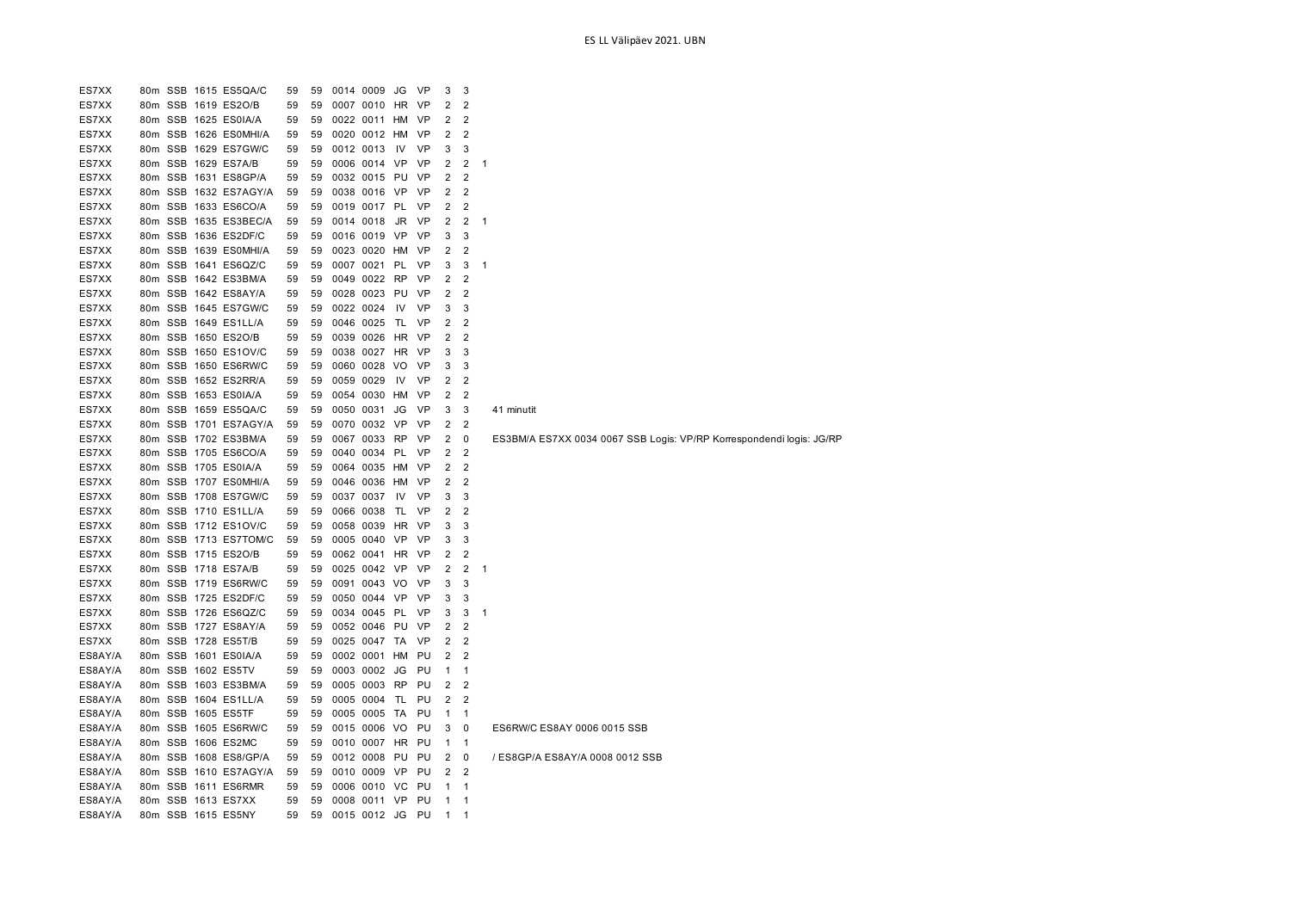| ES7XX   |                 |  | 80m SSB 1615 ES5QA/C  | 59 | 59 | 0014 0009    | JG        | VP        | 3              | 3              |                                                                      |
|---------|-----------------|--|-----------------------|----|----|--------------|-----------|-----------|----------------|----------------|----------------------------------------------------------------------|
| ES7XX   |                 |  | 80m SSB 1619 ES2O/B   | 59 | 59 | 0007 0010 HR |           | <b>VP</b> | $\overline{2}$ | $\overline{2}$ |                                                                      |
| ES7XX   |                 |  | 80m SSB 1625 ES0IA/A  | 59 | 59 | 0022 0011 HM |           | VP        | 2              | $\overline{2}$ |                                                                      |
| ES7XX   |                 |  | 80m SSB 1626 ES0MHI/A | 59 | 59 | 0020 0012 HM |           | <b>VP</b> | $\overline{2}$ | $\overline{2}$ |                                                                      |
| ES7XX   |                 |  | 80m SSB 1629 ES7GW/C  | 59 | 59 | 0012 0013    | IV        | VP        | 3              | 3              |                                                                      |
| ES7XX   |                 |  | 80m SSB 1629 ES7A/B   | 59 | 59 | 0006 0014    | VP        | VP        | $\overline{2}$ | $\overline{2}$ | $\mathbf 1$                                                          |
| ES7XX   |                 |  | 80m SSB 1631 ES8GP/A  | 59 | 59 | 0032 0015 PU |           | VP        | $\overline{2}$ | $\overline{2}$ |                                                                      |
| ES7XX   |                 |  | 80m SSB 1632 ES7AGY/A | 59 | 59 | 0038 0016    | VP        | VP        | $\overline{2}$ | $\overline{2}$ |                                                                      |
| ES7XX   |                 |  | 80m SSB 1633 ES6CO/A  | 59 | 59 | 0019 0017    | PL        | VP        | $\overline{2}$ | $\overline{2}$ |                                                                      |
| ES7XX   | 80 <sub>m</sub> |  | SSB 1635 ES3BEC/A     | 59 | 59 | 0014 0018    | JR        | VP        | $\overline{2}$ | $\overline{2}$ | 1                                                                    |
| ES7XX   |                 |  | 80m SSB 1636 ES2DF/C  | 59 | 59 | 0016 0019    | <b>VP</b> | VP        | 3              | 3              |                                                                      |
| ES7XX   |                 |  | 80m SSB 1639 ES0MHI/A | 59 | 59 | 0023 0020 HM |           | VP        | 2              | $\overline{2}$ |                                                                      |
| ES7XX   |                 |  | 80m SSB 1641 ES6QZ/C  | 59 | 59 | 0007 0021    | PL        | VP        | 3              | 3              | $\mathbf{1}$                                                         |
| ES7XX   |                 |  | 80m SSB 1642 ES3BM/A  | 59 | 59 | 0049 0022    | <b>RP</b> | VP        | 2              | $\overline{2}$ |                                                                      |
| ES7XX   |                 |  | 80m SSB 1642 ES8AY/A  | 59 | 59 | 0028 0023    | PU        | VP        | $\overline{2}$ | $\overline{2}$ |                                                                      |
| ES7XX   |                 |  | 80m SSB 1645 ES7GW/C  | 59 | 59 | 0022 0024    | IV        | VP        | 3              | 3              |                                                                      |
| ES7XX   |                 |  | 80m SSB 1649 ES1LL/A  | 59 | 59 | 0046 0025    | TL        | <b>VP</b> | 2              | $\overline{2}$ |                                                                      |
| ES7XX   |                 |  | 80m SSB 1650 ES2O/B   | 59 | 59 | 0039 0026    | HR        | VP        | $\overline{2}$ | $\overline{2}$ |                                                                      |
| ES7XX   |                 |  | 80m SSB 1650 ES1OV/C  | 59 | 59 | 0038 0027    | HR        | VP        | 3              | 3              |                                                                      |
| ES7XX   |                 |  | 80m SSB 1650 ES6RW/C  | 59 | 59 | 0060 0028 VO |           | <b>VP</b> | 3              | 3              |                                                                      |
| ES7XX   |                 |  | 80m SSB 1652 ES2RR/A  | 59 | 59 | 0059 0029    | IV        | VP        | $\overline{2}$ | $\overline{2}$ |                                                                      |
| ES7XX   |                 |  | 80m SSB 1653 ES0IA/A  | 59 | 59 | 0054 0030 HM |           | <b>VP</b> | 2              | $\overline{2}$ |                                                                      |
| ES7XX   |                 |  | 80m SSB 1659 ES5QA/C  | 59 | 59 | 0050 0031    | JG        | VP        | 3              | 3              | 41 minutit                                                           |
| ES7XX   |                 |  | 80m SSB 1701 ES7AGY/A | 59 | 59 | 0070 0032 VP |           | VP        | 2              | $\overline{2}$ |                                                                      |
| ES7XX   |                 |  | 80m SSB 1702 ES3BM/A  | 59 | 59 | 0067 0033    | <b>RP</b> | <b>VP</b> | $\overline{2}$ | $\mathbf 0$    | ES3BM/A ES7XX 0034 0067 SSB Logis: VP/RP Korrespondendi logis: JG/RP |
| ES7XX   |                 |  | 80m SSB 1705 ES6CO/A  | 59 | 59 | 0040 0034 PL |           | VP        | $\overline{2}$ | $\overline{2}$ |                                                                      |
| ES7XX   |                 |  | 80m SSB 1705 ES0IA/A  | 59 | 59 | 0064 0035    | HM        | VP        | $\overline{2}$ | $\overline{2}$ |                                                                      |
| ES7XX   |                 |  | 80m SSB 1707 ES0MHI/A | 59 | 59 | 0046 0036    | HM        | VP        | $\overline{2}$ | $\overline{2}$ |                                                                      |
| ES7XX   |                 |  | 80m SSB 1708 ES7GW/C  | 59 | 59 | 0037 0037    | IV        | VP        | 3              | 3              |                                                                      |
| ES7XX   |                 |  | 80m SSB 1710 ES1LL/A  | 59 | 59 | 0066 0038    | TL        | VP        | $\overline{2}$ | $\overline{2}$ |                                                                      |
| ES7XX   |                 |  | 80m SSB 1712 ES1OV/C  | 59 | 59 | 0058 0039    | <b>HR</b> | VP        | 3              | 3              |                                                                      |
| ES7XX   |                 |  | 80m SSB 1713 ES7TOM/C | 59 | 59 | 0005 0040    | VP        | VP        | 3              | 3              |                                                                      |
| ES7XX   |                 |  | 80m SSB 1715 ES2O/B   | 59 | 59 | 0062 0041    | HR.       | VP        | $\overline{2}$ | $\overline{2}$ |                                                                      |
| ES7XX   |                 |  | 80m SSB 1718 ES7A/B   | 59 | 59 | 0025 0042 VP |           | VP        | 2              | $\overline{2}$ | 1                                                                    |
| ES7XX   |                 |  | 80m SSB 1719 ES6RW/C  | 59 | 59 | 0091 0043 VO |           | <b>VP</b> | 3              | 3              |                                                                      |
| ES7XX   |                 |  | 80m SSB 1725 ES2DF/C  | 59 | 59 | 0050 0044    | VP        | VP        | 3              | 3              |                                                                      |
| ES7XX   |                 |  | 80m SSB 1726 ES6QZ/C  | 59 | 59 | 0034 0045 PL |           | VP        | 3              | 3              | 1                                                                    |
| ES7XX   |                 |  | 80m SSB 1727 ES8AY/A  | 59 | 59 | 0052 0046    | PU        | <b>VP</b> | $\overline{2}$ | $\overline{2}$ |                                                                      |
| ES7XX   |                 |  | 80m SSB 1728 ES5T/B   | 59 | 59 | 0025 0047 TA |           | VP        | $\overline{2}$ | $\overline{2}$ |                                                                      |
| ES8AY/A |                 |  | 80m SSB 1601 ES0IA/A  | 59 | 59 | 0002 0001 HM |           | PU        | 2              | $\overline{2}$ |                                                                      |
| ES8AY/A |                 |  | 80m SSB 1602 ES5TV    | 59 | 59 | 0003 0002 JG |           | PU        | $\mathbf{1}$   | $\mathbf{1}$   |                                                                      |
| ES8AY/A |                 |  | 80m SSB 1603 ES3BM/A  | 59 | 59 | 0005 0003    | <b>RP</b> | PU        | 2              | $\overline{2}$ |                                                                      |
| ES8AY/A |                 |  | 80m SSB 1604 ES1LL/A  | 59 | 59 | 0005 0004 TL |           | PU        | $\overline{2}$ | $\overline{2}$ |                                                                      |
| ES8AY/A |                 |  | 80m SSB 1605 ES5TF    | 59 | 59 | 0005 0005    | TA        | PU        | $\mathbf{1}$   | $\mathbf{1}$   |                                                                      |
| ES8AY/A |                 |  | 80m SSB 1605 ES6RW/C  | 59 | 59 | 0015 0006 VO |           | PU        | 3              | 0              | ES6RW/C ES8AY 0006 0015 SSB                                          |
| ES8AY/A |                 |  | 80m SSB 1606 ES2MC    | 59 | 59 | 0010 0007    | HR.       | PU        | $\mathbf{1}$   | $\mathbf{1}$   |                                                                      |
| ES8AY/A | 80m             |  | SSB 1608 ES8/GP/A     | 59 | 59 | 0012 0008    | PU        | PU        | 2              | 0              | / ES8GP/A ES8AY/A 0008 0012 SSB                                      |
| ES8AY/A | 80m             |  | SSB 1610 ES7AGY/A     | 59 | 59 | 0010 0009    | <b>VP</b> | PU        | $\overline{2}$ | $\overline{2}$ |                                                                      |
| ES8AY/A | 80 <sub>m</sub> |  | SSB 1611 ES6RMR       | 59 | 59 | 0006 0010    | VC        | PU        | $\mathbf{1}$   | 1              |                                                                      |
| ES8AY/A |                 |  | 80m SSB 1613 ES7XX    | 59 | 59 | 0008 0011 VP |           | PU        | $\mathbf{1}$   | 1              |                                                                      |
| ES8AY/A |                 |  | 80m SSB 1615 ES5NY    | 59 | 59 | 0015 0012 JG |           | PU        | $\mathbf{1}$   | 1              |                                                                      |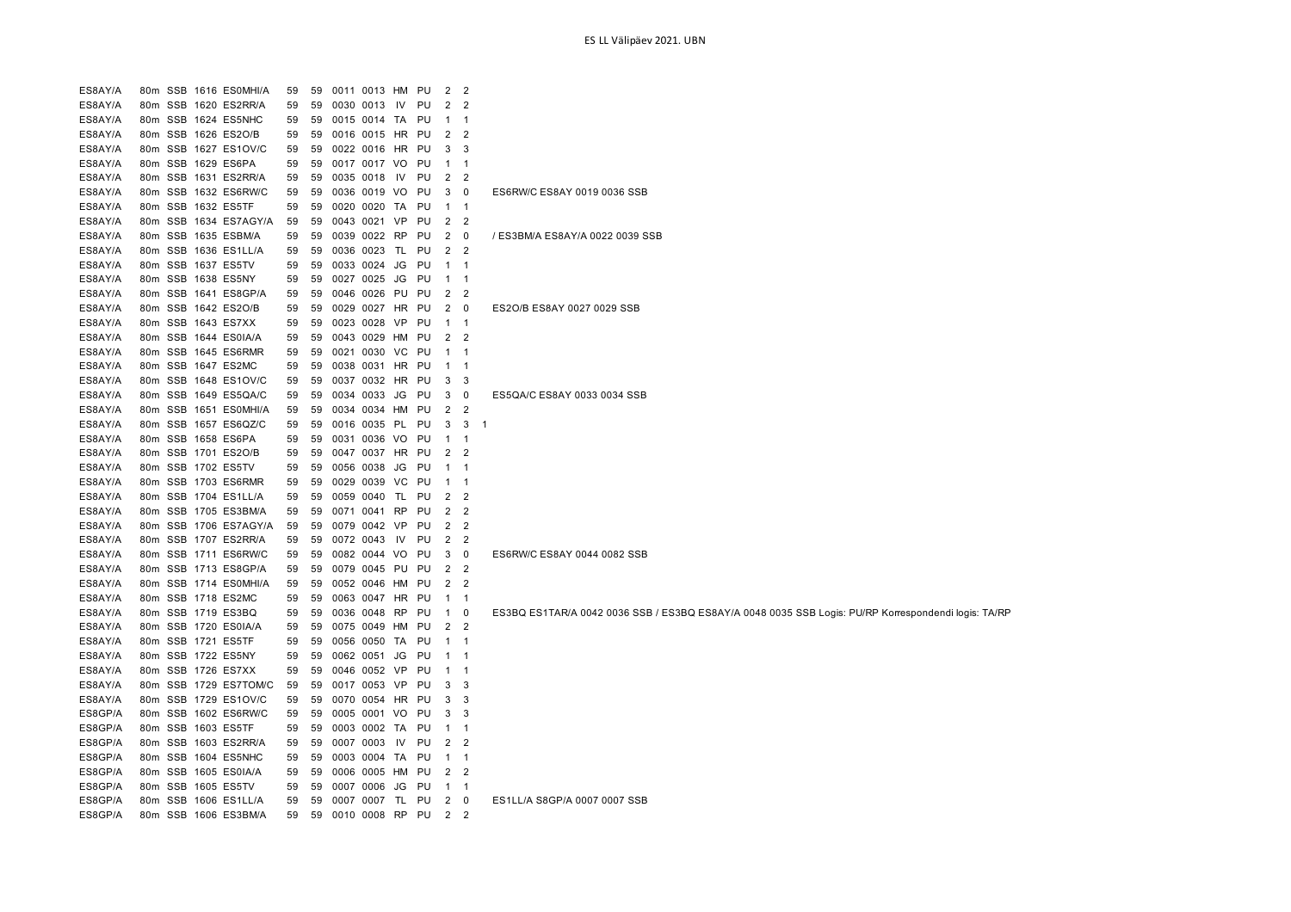| ES8AY/A | 80m             | SSB 1616 ES0MHI/A     | 59 | 59 |      | 0011 0013 HM    |           | PU | 2              | $\overline{2}$ |    |                                                                                                     |
|---------|-----------------|-----------------------|----|----|------|-----------------|-----------|----|----------------|----------------|----|-----------------------------------------------------------------------------------------------------|
| ES8AY/A |                 | 80m SSB 1620 ES2RR/A  | 59 | 59 | 0030 | 0013            | IV.       | PU | 2              | $\overline{2}$ |    |                                                                                                     |
| ES8AY/A |                 | 80m SSB 1624 ES5NHC   | 59 | 59 |      | 0015 0014 TA    |           | PU | -1             | -1             |    |                                                                                                     |
| ES8AY/A |                 | 80m SSB 1626 ES2O/B   | 59 | 59 |      | 0016 0015 HR    |           | PU | 2              | 2              |    |                                                                                                     |
| ES8AY/A |                 | 80m SSB 1627 ES1OV/C  | 59 | 59 |      | 0022 0016 HR PU |           |    | 3              | 3              |    |                                                                                                     |
| ES8AY/A |                 | 80m SSB 1629 ES6PA    | 59 | 59 |      | 0017 0017 VO    |           | PU | $\mathbf{1}$   | -1             |    |                                                                                                     |
| ES8AY/A |                 | 80m SSB 1631 ES2RR/A  | 59 | 59 |      | 0035 0018       | IV        | PU | $\overline{2}$ | $\overline{2}$ |    |                                                                                                     |
| ES8AY/A | 80m             | SSB 1632 ES6RW/C      | 59 | 59 |      | 0036 0019       | VO        | PU | 3              | 0              |    | ES6RW/C ES8AY 0019 0036 SSB                                                                         |
| ES8AY/A | 80m             | SSB 1632 ES5TF        | 59 | 59 | 0020 | 0020            | TA        | PU | $\mathbf{1}$   | $\overline{1}$ |    |                                                                                                     |
| ES8AY/A | 80 <sub>m</sub> | SSB 1634 ES7AGY/A     | 59 | 59 |      | 0043 0021       | VP        | PU | 2              | $\overline{2}$ |    |                                                                                                     |
| ES8AY/A |                 | 80m SSB 1635 ESBM/A   | 59 | 59 |      | 0039 0022       | <b>RP</b> | PU | 2              | 0              |    | / ES3BM/A ES8AY/A 0022 0039 SSB                                                                     |
| ES8AY/A | 80m             | SSB 1636 ES1LL/A      | 59 | 59 |      | 0036 0023       | <b>TL</b> | PU | $\overline{2}$ | $\overline{2}$ |    |                                                                                                     |
| ES8AY/A |                 | 80m SSB 1637 ES5TV    | 59 | 59 |      | 0033 0024       | JG        | PU | $\mathbf{1}$   | $\mathbf{1}$   |    |                                                                                                     |
| ES8AY/A | 80m             | SSB 1638 ES5NY        | 59 | 59 |      | 0027 0025       | JG        | PU | $\mathbf{1}$   | $\mathbf{1}$   |    |                                                                                                     |
| ES8AY/A |                 | 80m SSB 1641 ES8GP/A  | 59 | 59 |      | 0046 0026 PU    |           | PU | $\overline{2}$ | $\overline{2}$ |    |                                                                                                     |
| ES8AY/A |                 | 80m SSB 1642 ES2O/B   | 59 | 59 | 0029 | 0027 HR         |           | PU | $\overline{2}$ | 0              |    | ES2O/B ES8AY 0027 0029 SSB                                                                          |
| ES8AY/A |                 | 80m SSB 1643 ES7XX    | 59 | 59 |      | 0023 0028       | <b>VP</b> | PU | $\mathbf{1}$   | -1             |    |                                                                                                     |
| ES8AY/A |                 | 80m SSB 1644 ES0IA/A  | 59 | 59 |      | 0043 0029 HM    |           | PU | 2              | $\overline{2}$ |    |                                                                                                     |
| ES8AY/A |                 | 80m SSB 1645 ES6RMR   | 59 | 59 |      | 0021 0030       | VC.       | PU | $\mathbf 1$    | -1             |    |                                                                                                     |
| ES8AY/A |                 | 80m SSB 1647 ES2MC    | 59 | 59 |      | 0038 0031 HR    |           | PU | $\mathbf{1}$   | -1             |    |                                                                                                     |
| ES8AY/A |                 | 80m SSB 1648 ES1OV/C  | 59 | 59 |      | 0037 0032 HR    |           | PU | 3              | 3              |    |                                                                                                     |
| ES8AY/A |                 | 80m SSB 1649 ES5QA/C  | 59 | 59 |      | 0034 0033 JG    |           | PU | 3              | 0              |    | ES5QA/C ES8AY 0033 0034 SSB                                                                         |
| ES8AY/A |                 | 80m SSB 1651 ES0MHI/A | 59 | 59 |      | 0034 0034 HM    |           | PU | 2              | $\overline{2}$ |    |                                                                                                     |
| ES8AY/A |                 | 80m SSB 1657 ES6QZ/C  | 59 | 59 |      | 0016 0035 PL PU |           |    | 3              | 3              | -1 |                                                                                                     |
| ES8AY/A |                 | 80m SSB 1658 ES6PA    | 59 | 59 |      | 0031 0036       | <b>VO</b> | PU | $\mathbf{1}$   | -1             |    |                                                                                                     |
| ES8AY/A |                 | 80m SSB 1701 ES2O/B   | 59 | 59 |      | 0047 0037 HR PU |           |    | 2              | $\overline{2}$ |    |                                                                                                     |
| ES8AY/A |                 | 80m SSB 1702 ES5TV    | 59 | 59 | 0056 | 0038            | JG        | PU | $\mathbf{1}$   | -1             |    |                                                                                                     |
| ES8AY/A | 80m             | SSB 1703 ES6RMR       | 59 | 59 | 0029 | 0039            | VC        | PU | $\mathbf{1}$   | $\mathbf 1$    |    |                                                                                                     |
| ES8AY/A | 80m             | SSB 1704 ES1LL/A      | 59 | 59 | 0059 | 0040            | TL        | PU | 2              | $\overline{2}$ |    |                                                                                                     |
| ES8AY/A | 80m             | SSB 1705 ES3BM/A      | 59 | 59 |      | 0071 0041 RP    |           | PU | 2              | $\overline{2}$ |    |                                                                                                     |
| ES8AY/A |                 | 80m SSB 1706 ES7AGY/A | 59 | 59 |      | 0079 0042       | VP        | PU | $\overline{2}$ | $\overline{2}$ |    |                                                                                                     |
| ES8AY/A |                 | 80m SSB 1707 ES2RR/A  | 59 | 59 |      | 0072 0043       | IV.       | PU | 2              | $\overline{2}$ |    |                                                                                                     |
| ES8AY/A | 80 <sub>m</sub> | SSB 1711 ES6RW/C      | 59 | 59 |      | 0082 0044 VO    |           | PU | 3              | 0              |    | ES6RW/C ES8AY 0044 0082 SSB                                                                         |
| ES8AY/A |                 | 80m SSB 1713 ES8GP/A  | 59 | 59 |      | 0079 0045 PU    |           | PU | 2              | $\overline{2}$ |    |                                                                                                     |
| ES8AY/A |                 | 80m SSB 1714 ES0MHI/A | 59 | 59 |      | 0052 0046 HM    |           | PU | $\overline{2}$ | $\overline{2}$ |    |                                                                                                     |
| ES8AY/A |                 | 80m SSB 1718 ES2MC    | 59 | 59 | 0063 | 0047 HR         |           | PU | $\mathbf{1}$   | $\mathbf{1}$   |    |                                                                                                     |
| ES8AY/A |                 | 80m SSB 1719 ES3BQ    | 59 | 59 | 0036 | 0048            | <b>RP</b> | PU | $\mathbf{1}$   | 0              |    | ES3BQ ES1TAR/A 0042 0036 SSB / ES3BQ ES8AY/A 0048 0035 SSB Logis: PU/RP Korrespondendi logis: TA/RP |
| ES8AY/A |                 | 80m SSB 1720 ES0IA/A  | 59 | 59 |      | 0075 0049       | HM        | PU | 2              | $\overline{2}$ |    |                                                                                                     |
| ES8AY/A |                 | 80m SSB 1721 ES5TF    | 59 | 59 |      | 0056 0050 TA    |           | PU | $\mathbf{1}$   | -1             |    |                                                                                                     |
| ES8AY/A |                 | 80m SSB 1722 ES5NY    | 59 | 59 |      | 0062 0051       | JG        | PU | $\mathbf 1$    | -1             |    |                                                                                                     |
| ES8AY/A |                 | 80m SSB 1726 ES7XX    | 59 | 59 |      | 0046 0052 VP    |           | PU | $\mathbf{1}$   | $\mathbf 1$    |    |                                                                                                     |
| ES8AY/A |                 | 80m SSB 1729 ES7TOM/C | 59 | 59 |      | 0017 0053 VP    |           | PU | 3              | 3              |    |                                                                                                     |
| ES8AY/A |                 | 80m SSB 1729 ES1OV/C  | 59 | 59 |      | 0070 0054 HR    |           | PU | 3              | 3              |    |                                                                                                     |
| ES8GP/A |                 | 80m SSB 1602 ES6RW/C  | 59 | 59 |      | 0005 0001 VO    |           | PU | 3              | 3              |    |                                                                                                     |
| ES8GP/A |                 | 80m SSB 1603 ES5TF    | 59 | 59 |      | 0003 0002 TA    |           | PU | $\mathbf{1}$   | $\mathbf{1}$   |    |                                                                                                     |
| ES8GP/A |                 | 80m SSB 1603 ES2RR/A  | 59 | 59 |      | 0007 0003       | IV        | PU | 2              | $\overline{2}$ |    |                                                                                                     |
| ES8GP/A | 80m             | SSB 1604 ES5NHC       | 59 | 59 | 0003 | 0004 TA         |           | PU | $\mathbf{1}$   | $\mathbf{1}$   |    |                                                                                                     |
| ES8GP/A | 80 <sub>m</sub> | SSB 1605 ES0IA/A      | 59 | 59 | 0006 | 0005            | HМ        | PU | 2              | 2              |    |                                                                                                     |
| ES8GP/A | 80m             | SSB 1605 ES5TV        | 59 | 59 |      | 0007 0006       | JG        | PU | $\mathbf{1}$   | $\mathbf{1}$   |    |                                                                                                     |
| ES8GP/A | 80m             | SSB 1606 ES1LL/A      | 59 | 59 |      | 0007 0007       | TL        | PU | 2              | 0              |    | ES1LL/A S8GP/A 0007 0007 SSB                                                                        |
| ES8GP/A |                 | 80m SSB 1606 ES3BM/A  | 59 | 59 |      | 0010 0008       | <b>RP</b> | PU | $\overline{2}$ | $\overline{2}$ |    |                                                                                                     |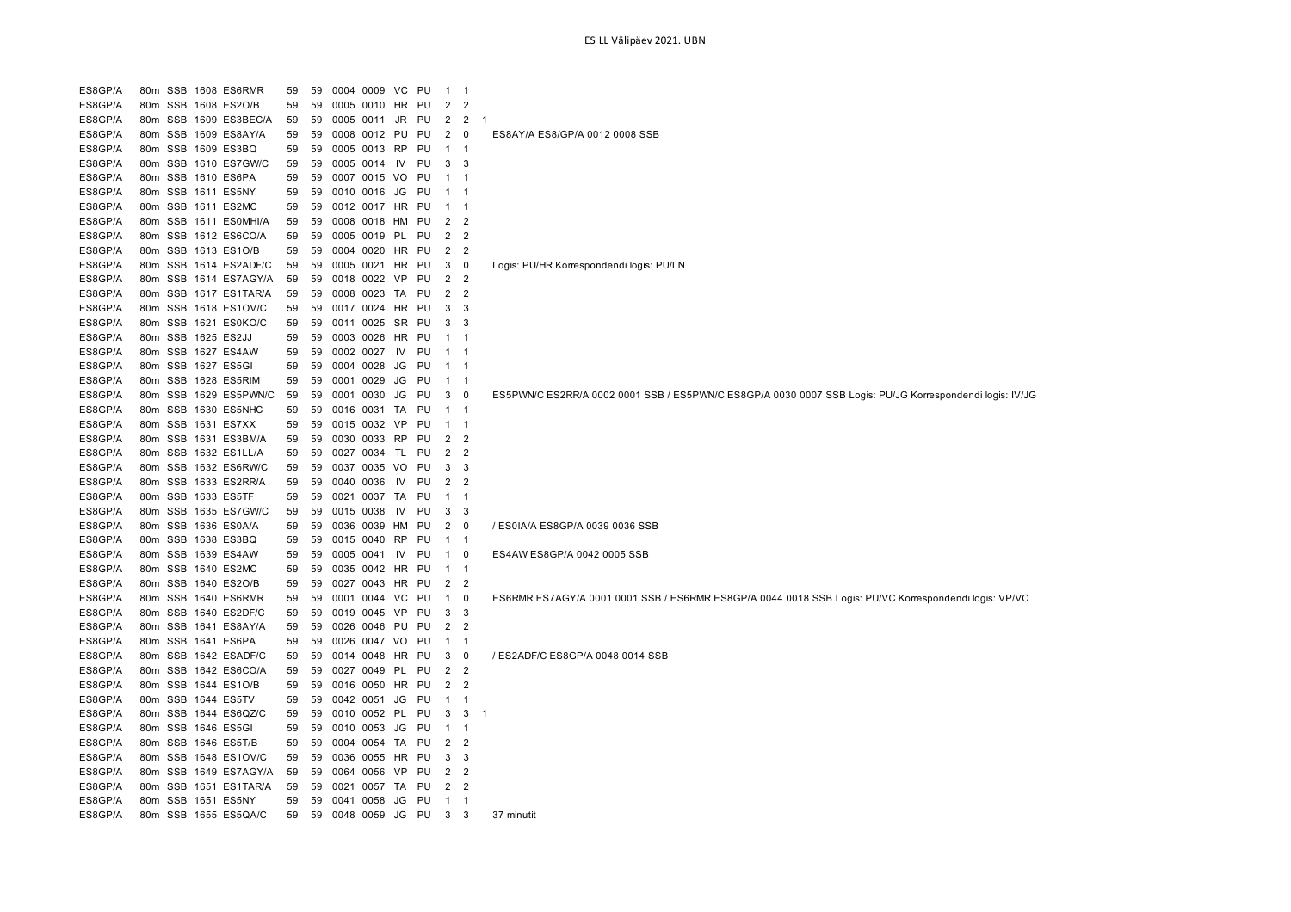ES8GP/A 80m SSB 1608 ES6RMR 59 59 0004 0009 VC PU 1 1 ES8GP/A 80m SSB 1608 ES2O/B 59 59 0005 0010 HR PU 2 2 ES8GP/A 80m SSB 1609 ES3BEC/A 59 59 0005 0011 JR PU 2 2 1 ES8GP/A 80m SSB 1609 ES8AY/A 59 59 0008 0012 PU PU 2 0 ES8AY/A ES8/GP/A 0012 0008 SSB ES8GP/A 80m SSB 1609 ES3BQ 59 59 0005 0013 RP PU 1 1 ES8GP/A 80m SSB 1610 ES7GW/C 59 59 0005 0014 IV PU 3 3 ES8GP/A 80m SSB 1610 ES6PA 59 59 0007 0015 VO PU 1 1 ES8GP/A 80m SSB 1611 ES5NY 59 59 0010 0016 JG PU 1 1 ES8GP/A 80m SSB 1611 ES2MC 59 59 0012 0017 HR PU 1 1 ES8GP/A 80m SSB 1611 ES0MHI/A 59 59 0008 0018 HM PU 2 2 ES8GP/A 80m SSB 1612 ES6CO/A 59 59 0005 0019 PL PU 2 2 ES8GP/A 80m SSB 1613 ES1O/B 59 59 0004 0020 HR PU 2 2 ES8GP/A 80m SSB 1614 ES2ADF/C 59 59 0005 0021 HR PU 3 0 Logis: PU/HR Korrespondendi logis: PU/LN ES8GP/A 80m SSB 1614 ES7AGY/A 59 59 0018 0022 VP PU 2 2 ES8GP/A 80m SSB 1617 ES1TAR/A 59 59 0008 0023 TA PU 2 2 ES8GP/A 80m SSB 1618 ES1OV/C 59 59 0017 0024 HR PU 3 3 ES8GP/A 80m SSB 1621 ES0KO/C 59 59 0011 0025 SR PU 3 3 ES8GP/A 80m SSB 1625 ES2JJ 59 59 0003 0026 HR PU 1 1 ES8GP/A 80m SSB 1627 ES4AW 59 59 0002 0027 IV PU 1 1 ES8GP/A 80m SSB 1627 ES5GI 59 59 0004 0028 JG PU 1 1 ES8GP/A 80m SSB 1628 ES5RIM 59 59 0001 0029 JG PU 1 1 ES8GP/A 80m SSB 1629 ES5PWN/C 59 59 0001 0030 JG PU 3 0 ES5PWN/C ES2RR/A 0002 0001 SSB / ES5PWN/C ES8GP/A 0030 0007 SSB Logis: PU/JG Korrespondendi logis: IV/JG ES8GP/A 80m SSB 1630 ES5NHC 59 59 0016 0031 TA PU 1 1 ES8GP/A 80m SSB 1631 ES7XX 59 59 0015 0032 VP PU 1 1 ES8GP/A 80m SSB 1631 ES3BM/A 59 59 0030 0033 RP PU 2 2 ES8GP/A 80m SSB 1632 ES1LL/A 59 59 0027 0034 TL PU 2 2 ES8GP/A 80m SSB 1632 ES6RW/C 59 59 0037 0035 VO PU 3 3 ES8GP/A 80m SSB 1633 ES2RR/A 59 59 0040 0036 IV PU 2 2 ES8GP/A 80m SSB 1633 ES5TF 59 59 0021 0037 TA PU 1 1 ES8GP/A 80m SSB 1635 ES7GW/C 59 59 0015 0038 IV PU 3 3 ES8GP/A 80m SSB 1636 ES0A/A 59 59 0036 0039 HM PU 2 0 / ES0IA/A ES8GP/A 0039 0036 SSB ES8GP/A 80m SSB 1638 ES3BQ 59 59 0015 0040 RP PU 1 1 ES8GP/A 80m SSB 1639 ES4AW 59 59 0005 0041 IV PU 1 0 ES4AW ES8GP/A 0042 0005 SSB ES8GP/A 80m SSB 1640 ES2MC 59 59 0035 0042 HR PU 1 1 ES8GP/A 80m SSB 1640 ES2O/B 59 59 0027 0043 HR PU 2 2 ES8GP/A 80m SSB 1640 ES6RMR 59 59 0001 0044 VC PU 1 0 ES6RMR ES7AGY/A 0001 0001 SSB / ES6RMR ES8GP/A 0044 0018 SSB Logis: PU/VC Korrespondendi logis: VP/VC ES8GP/A 80m SSB 1640 ES2DF/C 59 59 0019 0045 VP PU 3 3 ES8GP/A 80m SSB 1641 ES8AY/A 59 59 0026 0046 PU PU 2 2 ES8GP/A 80m SSB 1641 ES6PA 59 59 0026 0047 VO PU 1 1 ES8GP/A 80m SSB 1642 ESADF/C 59 59 0014 0048 HR PU 3 0 / ES2ADF/C ES8GP/A 0048 0014 SSB ES8GP/A 80m SSB 1642 ES6CO/A 59 59 0027 0049 PL PU 2 2 ES8GP/A 80m SSB 1644 ES1O/B 59 59 0016 0050 HR PU 2 2 ES8GP/A 80m SSB 1644 ES5TV 59 59 0042 0051 JG PU 1 1 ES8GP/A 80m SSB 1644 ES6QZ/C 59 59 0010 0052 PL PU 3 3 1 ES8GP/A 80m SSB 1646 ES5GI 59 59 0010 0053 JG PU 1 1 ES8GP/A 80m SSB 1646 ES5T/B 59 59 0004 0054 TA PU 2 2 ES8GP/A 80m SSB 1648 ES1OV/C 59 59 0036 0055 HR PU 3 3 ES8GP/A 80m SSB 1649 ES7AGY/A 59 59 0064 0056 VP PU 2 2 ES8GP/A 80m SSB 1651 ES1TAR/A 59 59 0021 0057 TA PU 2 2 ES8GP/A 80m SSB 1651 ES5NY 59 59 0041 0058 JG PU 1 1 ES8GP/A 80m SSB 1655 ES5QA/C 59 59 0048 0059 JG PU 3 3 37 minutit